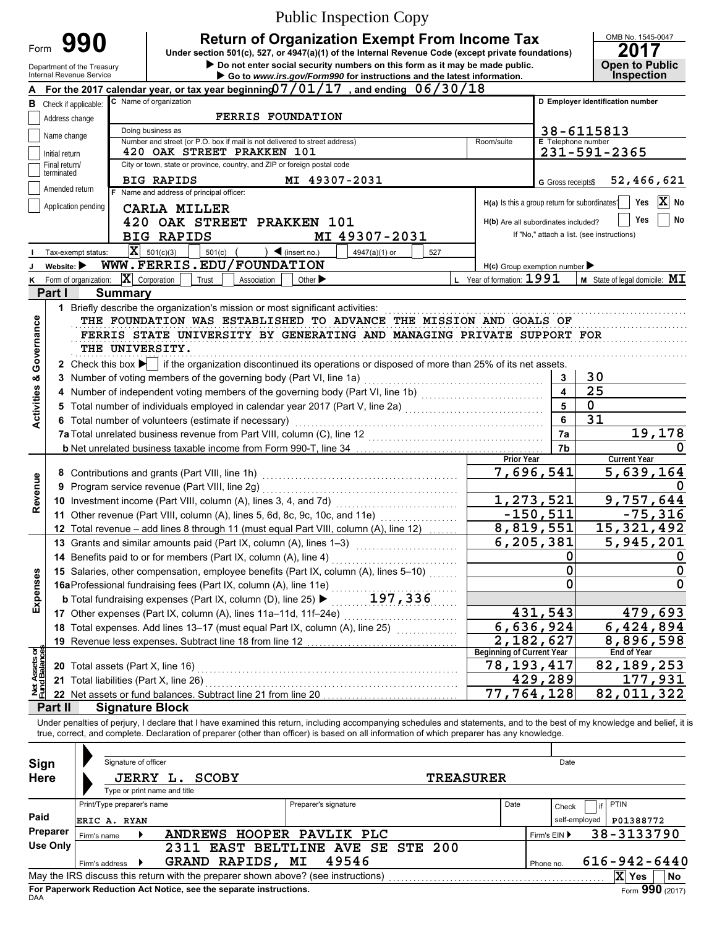|                                                                                                                                                                                                                                                               |                                |                                        |                                                                                                 | <b>Public Inspection Copy</b>                                                                                                                                                                                                                                                                                            |                                               |                           |                                            |  |  |  |  |
|---------------------------------------------------------------------------------------------------------------------------------------------------------------------------------------------------------------------------------------------------------------|--------------------------------|----------------------------------------|-------------------------------------------------------------------------------------------------|--------------------------------------------------------------------------------------------------------------------------------------------------------------------------------------------------------------------------------------------------------------------------------------------------------------------------|-----------------------------------------------|---------------------------|--------------------------------------------|--|--|--|--|
|                                                                                                                                                                                                                                                               |                                | 990                                    |                                                                                                 | <b>Return of Organization Exempt From Income Tax</b>                                                                                                                                                                                                                                                                     |                                               |                           | OMB No. 1545-0047                          |  |  |  |  |
| Form                                                                                                                                                                                                                                                          |                                |                                        |                                                                                                 | Under section 501(c), 527, or 4947(a)(1) of the Internal Revenue Code (except private foundations)                                                                                                                                                                                                                       |                                               |                           | 2017                                       |  |  |  |  |
| Do not enter social security numbers on this form as it may be made public.<br><b>Open to Public</b><br>Department of the Treasury<br><b>Inspection</b><br>Internal Revenue Service<br>Go to www.irs.gov/Form990 for instructions and the latest information. |                                |                                        |                                                                                                 |                                                                                                                                                                                                                                                                                                                          |                                               |                           |                                            |  |  |  |  |
|                                                                                                                                                                                                                                                               |                                |                                        |                                                                                                 | For the 2017 calendar year, or tax year beginning $07/01/17$ , and ending $06/30/18$                                                                                                                                                                                                                                     |                                               |                           |                                            |  |  |  |  |
| в                                                                                                                                                                                                                                                             |                                | Check if applicable:                   | C Name of organization                                                                          |                                                                                                                                                                                                                                                                                                                          |                                               |                           | D Employer identification number           |  |  |  |  |
|                                                                                                                                                                                                                                                               | Address change                 |                                        | <b>FERRIS FOUNDATION</b>                                                                        |                                                                                                                                                                                                                                                                                                                          |                                               |                           |                                            |  |  |  |  |
|                                                                                                                                                                                                                                                               | Name change                    |                                        | Doing business as<br>Number and street (or P.O. box if mail is not delivered to street address) |                                                                                                                                                                                                                                                                                                                          | Room/suite                                    | <b>E</b> Telephone number | 38-6115813                                 |  |  |  |  |
|                                                                                                                                                                                                                                                               | Initial return                 |                                        | 420 OAK STREET PRAKKEN 101                                                                      |                                                                                                                                                                                                                                                                                                                          |                                               |                           | 231-591-2365                               |  |  |  |  |
|                                                                                                                                                                                                                                                               | Final return/<br>terminated    |                                        | City or town, state or province, country, and ZIP or foreign postal code                        |                                                                                                                                                                                                                                                                                                                          |                                               |                           |                                            |  |  |  |  |
|                                                                                                                                                                                                                                                               | Amended return                 |                                        | <b>BIG RAPIDS</b><br>F Name and address of principal officer:                                   | MI 49307-2031                                                                                                                                                                                                                                                                                                            |                                               | G Gross receipts\$        | 52,466,621                                 |  |  |  |  |
|                                                                                                                                                                                                                                                               |                                | Application pending                    | <b>CARLA MILLER</b>                                                                             |                                                                                                                                                                                                                                                                                                                          | H(a) Is this a group return for subordinates? |                           | $ \mathbf{X} $<br>No<br>Yes                |  |  |  |  |
|                                                                                                                                                                                                                                                               |                                |                                        | 420 OAK STREET PRAKKEN 101                                                                      |                                                                                                                                                                                                                                                                                                                          | H(b) Are all subordinates included?           |                           | No<br>Yes                                  |  |  |  |  |
|                                                                                                                                                                                                                                                               |                                |                                        | <b>BIG RAPIDS</b>                                                                               | MI 49307-2031                                                                                                                                                                                                                                                                                                            |                                               |                           | If "No," attach a list. (see instructions) |  |  |  |  |
|                                                                                                                                                                                                                                                               |                                | Tax-exempt status:                     | $ \mathbf{X} $ 501(c)(3)<br>501(c)                                                              | $\blacktriangleleft$ (insert no.)<br>4947(a)(1) or<br>527                                                                                                                                                                                                                                                                |                                               |                           |                                            |  |  |  |  |
|                                                                                                                                                                                                                                                               | Website: $\blacktriangleright$ |                                        | WWW.FERRIS.EDU/FOUNDATION                                                                       |                                                                                                                                                                                                                                                                                                                          | $H(c)$ Group exemption number                 |                           |                                            |  |  |  |  |
| κ                                                                                                                                                                                                                                                             |                                | Form of organization:                  | $ \mathbf{X} $ Corporation<br>Trust<br>Association                                              | Other $\blacktriangleright$                                                                                                                                                                                                                                                                                              | L Year of formation: 1991                     |                           | $M$ State of legal domicile: $MI$          |  |  |  |  |
|                                                                                                                                                                                                                                                               | Part I                         | <b>Summary</b>                         |                                                                                                 |                                                                                                                                                                                                                                                                                                                          |                                               |                           |                                            |  |  |  |  |
|                                                                                                                                                                                                                                                               |                                |                                        | 1 Briefly describe the organization's mission or most significant activities:                   | THE FOUNDATION WAS ESTABLISHED TO ADVANCE THE MISSION AND GOALS OF                                                                                                                                                                                                                                                       |                                               |                           |                                            |  |  |  |  |
| <b>Activities &amp; Governance</b>                                                                                                                                                                                                                            |                                |                                        |                                                                                                 | FERRIS STATE UNIVERSITY BY GENERATING AND MANAGING PRIVATE SUPPORT FOR                                                                                                                                                                                                                                                   |                                               |                           |                                            |  |  |  |  |
|                                                                                                                                                                                                                                                               |                                | THE UNIVERSITY.                        |                                                                                                 |                                                                                                                                                                                                                                                                                                                          |                                               |                           |                                            |  |  |  |  |
|                                                                                                                                                                                                                                                               |                                |                                        |                                                                                                 | 2 Check this box $\blacktriangleright$ if the organization discontinued its operations or disposed of more than 25% of its net assets.                                                                                                                                                                                   |                                               |                           |                                            |  |  |  |  |
|                                                                                                                                                                                                                                                               |                                |                                        | 3 Number of voting members of the governing body (Part VI, line 1a)                             |                                                                                                                                                                                                                                                                                                                          |                                               | 3                         | 30                                         |  |  |  |  |
|                                                                                                                                                                                                                                                               |                                |                                        |                                                                                                 | 4 Number of independent voting members of the governing body (Part VI, line 1b) [1] [1] [1] Number of independent voting members of the governing body (Part VI, line 1b)                                                                                                                                                |                                               | $\overline{\mathbf{4}}$   | $\overline{25}$                            |  |  |  |  |
|                                                                                                                                                                                                                                                               |                                |                                        |                                                                                                 | 5 Total number of individuals employed in calendar year 2017 (Part V, line 2a) [[[[[[[[[[[[[[[[[[[[[[[[[[[[[[[                                                                                                                                                                                                           |                                               | 5                         | $\mathbf 0$                                |  |  |  |  |
|                                                                                                                                                                                                                                                               |                                |                                        | 6 Total number of volunteers (estimate if necessary)                                            |                                                                                                                                                                                                                                                                                                                          |                                               | 6                         | 31                                         |  |  |  |  |
|                                                                                                                                                                                                                                                               |                                |                                        | 7a Total unrelated business revenue from Part VIII, column (C), line 12                         |                                                                                                                                                                                                                                                                                                                          |                                               | 7a<br>7b                  | 19, 178<br>0                               |  |  |  |  |
|                                                                                                                                                                                                                                                               |                                |                                        |                                                                                                 |                                                                                                                                                                                                                                                                                                                          | Prior Year                                    |                           | <b>Current Year</b>                        |  |  |  |  |
|                                                                                                                                                                                                                                                               |                                |                                        | 8 Contributions and grants (Part VIII, line 1h)                                                 |                                                                                                                                                                                                                                                                                                                          |                                               | 7,696,541                 | 5,639,164                                  |  |  |  |  |
|                                                                                                                                                                                                                                                               |                                |                                        | 9 Program service revenue (Part VIII, line 2g)                                                  |                                                                                                                                                                                                                                                                                                                          |                                               |                           |                                            |  |  |  |  |
| Revenue                                                                                                                                                                                                                                                       |                                |                                        |                                                                                                 |                                                                                                                                                                                                                                                                                                                          |                                               | 1,273,521                 | 9,757,644                                  |  |  |  |  |
|                                                                                                                                                                                                                                                               |                                |                                        |                                                                                                 | 11 Other revenue (Part VIII, column (A), lines 5, 6d, 8c, 9c, 10c, and 11e)                                                                                                                                                                                                                                              | 8,819,551                                     | $-150,511$                | $-75,316$<br>15, 321, 492                  |  |  |  |  |
|                                                                                                                                                                                                                                                               |                                |                                        | 13 Grants and similar amounts paid (Part IX, column (A), lines 1-3)                             | 12 Total revenue - add lines 8 through 11 (must equal Part VIII, column (A), line 12)                                                                                                                                                                                                                                    | 6,205,381                                     |                           | 5,945,201                                  |  |  |  |  |
|                                                                                                                                                                                                                                                               |                                |                                        | 14 Benefits paid to or for members (Part IX, column (A), line 4)                                |                                                                                                                                                                                                                                                                                                                          |                                               | 0                         | U                                          |  |  |  |  |
|                                                                                                                                                                                                                                                               |                                |                                        |                                                                                                 | 15 Salaries, other compensation, employee benefits (Part IX, column (A), lines 5-10)                                                                                                                                                                                                                                     |                                               | 0                         | $\mathbf 0$                                |  |  |  |  |
| Expenses                                                                                                                                                                                                                                                      |                                |                                        | 16aProfessional fundraising fees (Part IX, column (A), line 11e)                                |                                                                                                                                                                                                                                                                                                                          |                                               | 0                         | $\mathbf 0$                                |  |  |  |  |
|                                                                                                                                                                                                                                                               |                                |                                        | <b>b</b> Total fundraising expenses (Part IX, column (D), line 25) $\blacktriangleright$        | 197,336                                                                                                                                                                                                                                                                                                                  |                                               |                           |                                            |  |  |  |  |
|                                                                                                                                                                                                                                                               |                                |                                        | 17 Other expenses (Part IX, column (A), lines 11a-11d, 11f-24e)                                 |                                                                                                                                                                                                                                                                                                                          |                                               | 431,543                   | 479,693                                    |  |  |  |  |
|                                                                                                                                                                                                                                                               |                                |                                        | 18 Total expenses. Add lines 13-17 (must equal Part IX, column (A), line 25)                    |                                                                                                                                                                                                                                                                                                                          |                                               | 6,636,924<br>2,182,627    | 6,424,894<br>8,896,598                     |  |  |  |  |
|                                                                                                                                                                                                                                                               |                                |                                        | 19 Revenue less expenses. Subtract line 18 from line 12                                         |                                                                                                                                                                                                                                                                                                                          | <b>Beginning of Current Year</b>              |                           | End of Year                                |  |  |  |  |
| Net Assets or<br>Fund Balances                                                                                                                                                                                                                                |                                | 20 Total assets (Part X, line 16)      |                                                                                                 |                                                                                                                                                                                                                                                                                                                          | 78, 193, 417                                  |                           | 82, 189, 253                               |  |  |  |  |
|                                                                                                                                                                                                                                                               |                                | 21 Total liabilities (Part X, line 26) |                                                                                                 |                                                                                                                                                                                                                                                                                                                          |                                               | 429,289                   | 177,931                                    |  |  |  |  |
|                                                                                                                                                                                                                                                               |                                |                                        | 22 Net assets or fund balances. Subtract line 21 from line 20                                   |                                                                                                                                                                                                                                                                                                                          | $\overline{77, 764, 128}$                     |                           | 82,011,322                                 |  |  |  |  |
|                                                                                                                                                                                                                                                               | Part II                        |                                        | <b>Signature Block</b>                                                                          |                                                                                                                                                                                                                                                                                                                          |                                               |                           |                                            |  |  |  |  |
|                                                                                                                                                                                                                                                               |                                |                                        |                                                                                                 | Under penalties of perjury, I declare that I have examined this return, including accompanying schedules and statements, and to the best of my knowledge and belief, it is<br>true, correct, and complete. Declaration of preparer (other than officer) is based on all information of which preparer has any knowledge. |                                               |                           |                                            |  |  |  |  |
|                                                                                                                                                                                                                                                               |                                |                                        |                                                                                                 |                                                                                                                                                                                                                                                                                                                          |                                               |                           |                                            |  |  |  |  |
| Sign                                                                                                                                                                                                                                                          |                                | Signature of officer                   |                                                                                                 |                                                                                                                                                                                                                                                                                                                          |                                               | Date                      |                                            |  |  |  |  |
| <b>Here</b>                                                                                                                                                                                                                                                   |                                |                                        | JERRY L.<br><b>SCOBY</b>                                                                        |                                                                                                                                                                                                                                                                                                                          | <b>TREASURER</b>                              |                           |                                            |  |  |  |  |
|                                                                                                                                                                                                                                                               |                                |                                        | Type or print name and title                                                                    |                                                                                                                                                                                                                                                                                                                          |                                               |                           |                                            |  |  |  |  |
| Paid                                                                                                                                                                                                                                                          |                                | Print/Type preparer's name             |                                                                                                 | Preparer's signature                                                                                                                                                                                                                                                                                                     | Date                                          | Check                     | <b>PTIN</b><br>if                          |  |  |  |  |
|                                                                                                                                                                                                                                                               | Preparer                       | ERIC A. RYAN                           |                                                                                                 |                                                                                                                                                                                                                                                                                                                          |                                               |                           | P01388772<br>self-employed                 |  |  |  |  |
|                                                                                                                                                                                                                                                               | <b>Use Only</b>                | Firm's name                            | ANDREWS HOOPER PAVLIK PLC                                                                       | 2311 EAST BELTLINE AVE SE STE 200                                                                                                                                                                                                                                                                                        |                                               | Firm's EIN ▶              | 38-3133790                                 |  |  |  |  |
|                                                                                                                                                                                                                                                               |                                | Firm's address                         | GRAND RAPIDS, MI                                                                                | 49546                                                                                                                                                                                                                                                                                                                    |                                               | Phone no.                 | $616 - 942 - 6440$                         |  |  |  |  |
|                                                                                                                                                                                                                                                               |                                |                                        |                                                                                                 |                                                                                                                                                                                                                                                                                                                          |                                               |                           | X Yes<br>No                                |  |  |  |  |

| Sign<br><b>Here</b> |                            | Signature of officer<br>JERRY L.<br>Type or print name and title | SCOBY                                                              |                                                                                   | <b>TREASURER</b> |              | Date          |            |                 |           |
|---------------------|----------------------------|------------------------------------------------------------------|--------------------------------------------------------------------|-----------------------------------------------------------------------------------|------------------|--------------|---------------|------------|-----------------|-----------|
|                     | Print/Type preparer's name |                                                                  |                                                                    | Preparer's signature                                                              |                  | Date         | Check         | if         | <b>PTIN</b>     |           |
| Paid                | ERIC A. RYAN               |                                                                  |                                                                    |                                                                                   |                  |              | self-employed |            | P01388772       |           |
| <b>Preparer</b>     | Firm's name                |                                                                  | <b>ANDREWS</b>                                                     | HOOPER PAVLIK PLC                                                                 |                  | Firm's $EIN$ |               | 38-3133790 |                 |           |
| <b>Use Only</b>     |                            | 2311                                                             |                                                                    | EAST BELTLINE AVE SE STE 200                                                      |                  |              |               |            |                 |           |
|                     | Firm's address             | <b>GRAND</b>                                                     | RAPIDS, MI                                                         | 49546                                                                             |                  |              | Phone no.     |            | 616-942-6440    |           |
|                     |                            |                                                                  |                                                                    | May the IRS discuss this return with the preparer shown above? (see instructions) |                  |              |               |            | X<br><b>Yes</b> | <b>No</b> |
| DAA                 |                            |                                                                  | For Paperwork Reduction Act Notice, see the separate instructions. |                                                                                   |                  |              |               |            | Form 990 (2017) |           |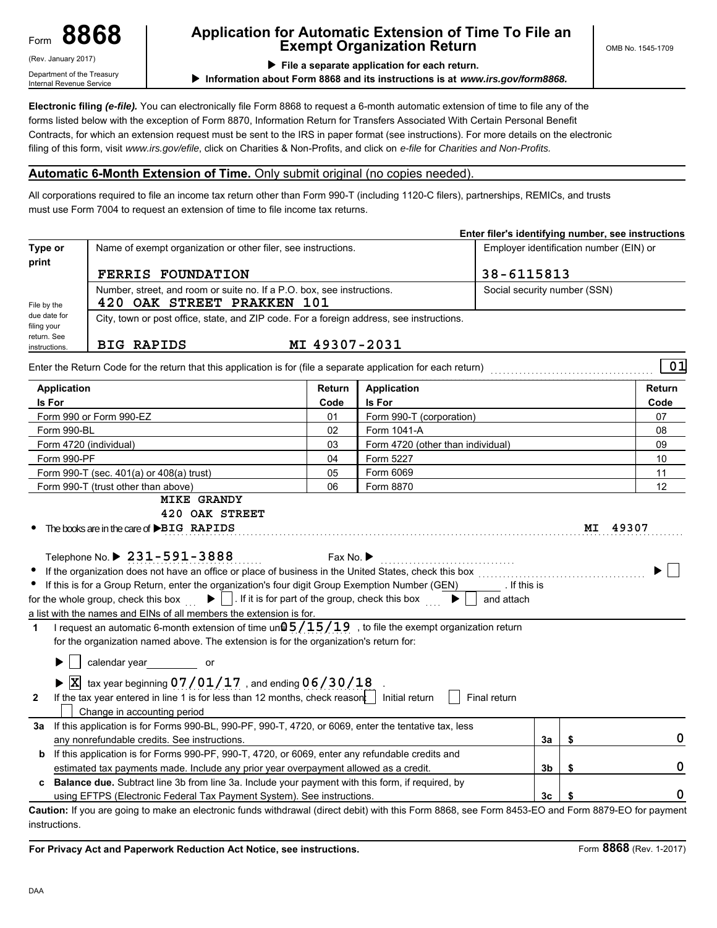(Rev. January 2017) Department of the Treasury Internal Revenue Service

## **8868 Application for Automatic Extension of Time To File an Exempt Organization Return**

**File a separate application for each return.**

**Information about Form 8868 and its instructions is at** *www.irs.gov/form8868.*

**Electronic filing** *(e-file).* You can electronically file Form 8868 to request a 6-month automatic extension of time to file any of the forms listed below with the exception of Form 8870, Information Return for Transfers Associated With Certain Personal Benefit Contracts, for which an extension request must be sent to the IRS in paper format (see instructions). For more details on the electronic filing of this form, visit *www.irs.gov/efile*, click on Charities & Non-Profits, and click on *e-file* for *Charities and Non-Profits.*

### **Automatic 6-Month Extension of Time.** Only submit original (no copies needed).

All corporations required to file an income tax return other than Form 990-T (including 1120-C filers), partnerships, REMICs, and trusts must use Form 7004 to request an extension of time to file income tax returns.

|                             |                                                                                                                                                                                                                                                                                                                         |                                                                                      |                                   |                                         |    | Enter filer's identifying number, see instructions |
|-----------------------------|-------------------------------------------------------------------------------------------------------------------------------------------------------------------------------------------------------------------------------------------------------------------------------------------------------------------------|--------------------------------------------------------------------------------------|-----------------------------------|-----------------------------------------|----|----------------------------------------------------|
| Type or<br>print            | Name of exempt organization or other filer, see instructions.                                                                                                                                                                                                                                                           |                                                                                      |                                   | Employer identification number (EIN) or |    |                                                    |
|                             | <b>FERRIS FOUNDATION</b>                                                                                                                                                                                                                                                                                                |                                                                                      |                                   | 38-6115813                              |    |                                                    |
|                             | Number, street, and room or suite no. If a P.O. box, see instructions.                                                                                                                                                                                                                                                  | Social security number (SSN)                                                         |                                   |                                         |    |                                                    |
| File by the                 | 420 OAK STREET PRAKKEN 101                                                                                                                                                                                                                                                                                              |                                                                                      |                                   |                                         |    |                                                    |
| due date for<br>filing your | City, town or post office, state, and ZIP code. For a foreign address, see instructions.                                                                                                                                                                                                                                |                                                                                      |                                   |                                         |    |                                                    |
| return. See                 |                                                                                                                                                                                                                                                                                                                         |                                                                                      |                                   |                                         |    |                                                    |
| instructions.               | <b>BIG RAPIDS</b>                                                                                                                                                                                                                                                                                                       | MI 49307-2031                                                                        |                                   |                                         |    |                                                    |
|                             | Enter the Return Code for the return that this application is for (file a separate application for each return)                                                                                                                                                                                                         |                                                                                      |                                   |                                         |    | 01                                                 |
| <b>Application</b>          |                                                                                                                                                                                                                                                                                                                         | Return                                                                               | <b>Application</b>                |                                         |    | Return                                             |
| Is For                      |                                                                                                                                                                                                                                                                                                                         | Code                                                                                 | Is For                            |                                         |    | Code                                               |
|                             | Form 990 or Form 990-EZ                                                                                                                                                                                                                                                                                                 | 01                                                                                   | Form 990-T (corporation)          |                                         |    | 07                                                 |
| Form 990-BL                 |                                                                                                                                                                                                                                                                                                                         | 02                                                                                   | Form 1041-A                       |                                         |    | 08                                                 |
|                             | Form 4720 (individual)                                                                                                                                                                                                                                                                                                  | 03                                                                                   | Form 4720 (other than individual) |                                         |    | 09                                                 |
| Form 990-PF                 |                                                                                                                                                                                                                                                                                                                         | 04                                                                                   | Form 5227                         |                                         |    | 10                                                 |
|                             | Form 990-T (sec. $401(a)$ or $408(a)$ trust)                                                                                                                                                                                                                                                                            | 05                                                                                   | Form 6069                         |                                         |    | 11                                                 |
|                             | 06<br>Form 8870<br>Form 990-T (trust other than above)                                                                                                                                                                                                                                                                  |                                                                                      |                                   |                                         |    | 12                                                 |
|                             | <b>MIKE GRANDY</b><br>420 OAK STREET<br>The books are in the care of <b>&gt;BIG</b> RAPIDS                                                                                                                                                                                                                              | Fax No.                                                                              |                                   |                                         |    | MI 49307                                           |
|                             | Telephone No. ▶ 231-591-3888<br>If the organization does not have an office or place of business in the United States, check this box<br>If this is for a Group Return, enter the organization's four digit Group Exemption Number (GEN) [It this is<br>for the whole group, check this box                             | $\blacktriangleright$ $\Box$ . If it is for part of the group, check this box $\Box$ |                                   | and attach                              |    |                                                    |
|                             | a list with the names and EINs of all members the extension is for.                                                                                                                                                                                                                                                     |                                                                                      |                                   |                                         |    |                                                    |
| 1                           | I request an automatic 6-month extension of time un $@5/15/19$ , to file the exempt organization return                                                                                                                                                                                                                 |                                                                                      |                                   |                                         |    |                                                    |
|                             | for the organization named above. The extension is for the organization's return for:<br>calendar year solver solver youth and the calendar year solver youth and the calendar year solver youth and the calendar year solver youth and the calendar year solver youth and the calendar year solver and the calendar ye |                                                                                      |                                   |                                         |    |                                                    |
|                             |                                                                                                                                                                                                                                                                                                                         |                                                                                      |                                   |                                         |    |                                                    |
| $\mathbf{2}$                | $\triangleright$ $\overline{X}$ tax year beginning 07/01/17, and ending 06/30/18<br>If the tax year entered in line 1 is for less than 12 months, check reason: $\vert$ Initial return                                                                                                                                  |                                                                                      |                                   | Final return                            |    |                                                    |
|                             | Change in accounting period                                                                                                                                                                                                                                                                                             |                                                                                      |                                   |                                         |    |                                                    |
| За                          | If this application is for Forms 990-BL, 990-PF, 990-T, 4720, or 6069, enter the tentative tax, less                                                                                                                                                                                                                    |                                                                                      |                                   |                                         |    |                                                    |
|                             | any nonrefundable credits. See instructions.                                                                                                                                                                                                                                                                            |                                                                                      |                                   | 3a                                      | \$ | 0                                                  |
|                             | b If this application is for Forms 990-PF, 990-T, 4720, or 6069, enter any refundable credits and                                                                                                                                                                                                                       |                                                                                      |                                   |                                         |    |                                                    |
|                             | estimated tax payments made. Include any prior year overpayment allowed as a credit.                                                                                                                                                                                                                                    |                                                                                      |                                   | 3b                                      | \$ | 0                                                  |
|                             | <b>Balance due.</b> Subtract line 3b from line 3a. Include your payment with this form, if required, by<br>using EFTPS (Electronic Federal Tax Payment System). See instructions.                                                                                                                                       |                                                                                      |                                   | 3c                                      | \$ | 0                                                  |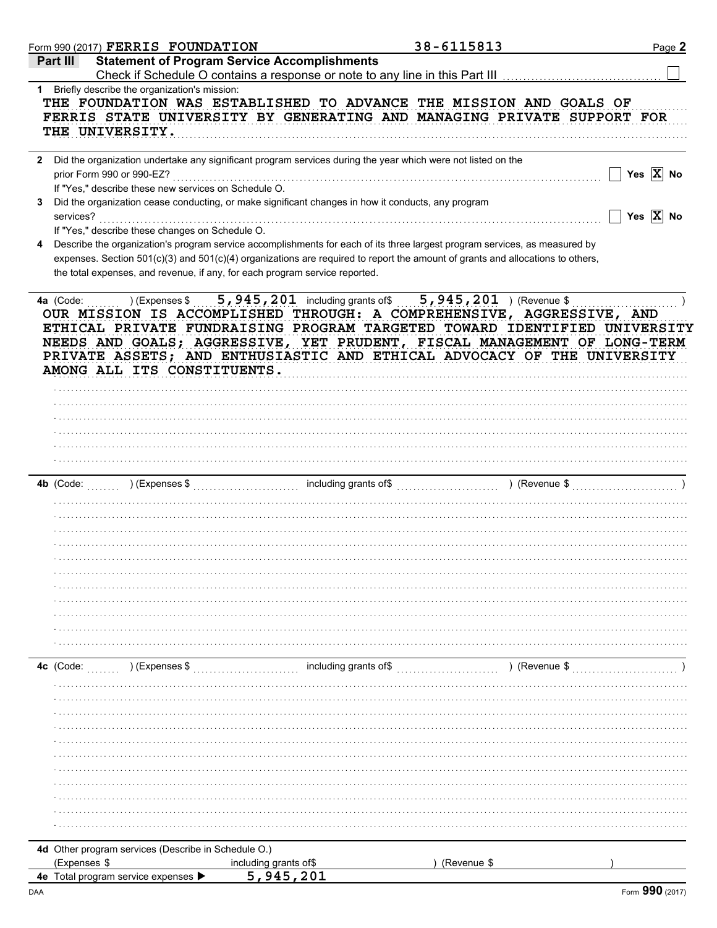|              |              | Form 990 (2017) $\texttt{FERRIS}$ $\texttt{FOUNDATION}$ |                                                                                                              | 38-6115813                                                                                                                                                                                                                                                                                                                                                                                   | Page 2                |
|--------------|--------------|---------------------------------------------------------|--------------------------------------------------------------------------------------------------------------|----------------------------------------------------------------------------------------------------------------------------------------------------------------------------------------------------------------------------------------------------------------------------------------------------------------------------------------------------------------------------------------------|-----------------------|
|              | Part III     |                                                         | <b>Statement of Program Service Accomplishments</b>                                                          |                                                                                                                                                                                                                                                                                                                                                                                              |                       |
|              |              | 1 Briefly describe the organization's mission:          |                                                                                                              | Check if Schedule O contains a response or note to any line in this Part III [11] [11] [11] [11] [11] [11] [1                                                                                                                                                                                                                                                                                |                       |
|              |              | THE UNIVERSITY.                                         |                                                                                                              | THE FOUNDATION WAS ESTABLISHED TO ADVANCE THE MISSION AND GOALS OF<br>FERRIS STATE UNIVERSITY BY GENERATING AND MANAGING PRIVATE SUPPORT FOR                                                                                                                                                                                                                                                 |                       |
| $\mathbf{2}$ |              | prior Form 990 or 990-EZ?                               | Did the organization undertake any significant program services during the year which were not listed on the |                                                                                                                                                                                                                                                                                                                                                                                              | Yes $\overline{X}$ No |
|              |              | If "Yes," describe these new services on Schedule O.    |                                                                                                              |                                                                                                                                                                                                                                                                                                                                                                                              |                       |
| 3            | services?    |                                                         | Did the organization cease conducting, or make significant changes in how it conducts, any program           |                                                                                                                                                                                                                                                                                                                                                                                              | Yes $\overline{X}$ No |
| 4            |              | If "Yes," describe these changes on Schedule O.         |                                                                                                              | Describe the organization's program service accomplishments for each of its three largest program services, as measured by                                                                                                                                                                                                                                                                   |                       |
|              |              |                                                         | the total expenses, and revenue, if any, for each program service reported.                                  | expenses. Section 501(c)(3) and 501(c)(4) organizations are required to report the amount of grants and allocations to others,                                                                                                                                                                                                                                                               |                       |
|              |              | AMONG ALL ITS CONSTITUENTS.                             |                                                                                                              | 4a (Code: ) (Expenses \$5,945,201 including grants of \$5,945,201 ) (Revenue \$<br>OUR MISSION IS ACCOMPLISHED THROUGH: A COMPREHENSIVE, AGGRESSIVE, AND<br>ETHICAL PRIVATE FUNDRAISING PROGRAM TARGETED TOWARD IDENTIFIED UNIVERSITY<br>NEEDS AND GOALS; AGGRESSIVE, YET PRUDENT, FISCAL MANAGEMENT OF LONG-TERM<br>PRIVATE ASSETS; AND ENTHUSIASTIC AND ETHICAL ADVOCACY OF THE UNIVERSITY |                       |
|              |              |                                                         |                                                                                                              |                                                                                                                                                                                                                                                                                                                                                                                              |                       |
|              |              |                                                         |                                                                                                              |                                                                                                                                                                                                                                                                                                                                                                                              |                       |
|              |              |                                                         |                                                                                                              |                                                                                                                                                                                                                                                                                                                                                                                              |                       |
|              |              |                                                         |                                                                                                              |                                                                                                                                                                                                                                                                                                                                                                                              |                       |
|              |              |                                                         |                                                                                                              |                                                                                                                                                                                                                                                                                                                                                                                              |                       |
|              |              |                                                         |                                                                                                              |                                                                                                                                                                                                                                                                                                                                                                                              |                       |
|              |              |                                                         |                                                                                                              |                                                                                                                                                                                                                                                                                                                                                                                              |                       |
|              |              |                                                         |                                                                                                              |                                                                                                                                                                                                                                                                                                                                                                                              |                       |
|              |              |                                                         |                                                                                                              |                                                                                                                                                                                                                                                                                                                                                                                              |                       |
|              |              |                                                         |                                                                                                              |                                                                                                                                                                                                                                                                                                                                                                                              |                       |
|              |              |                                                         |                                                                                                              |                                                                                                                                                                                                                                                                                                                                                                                              |                       |
|              |              |                                                         |                                                                                                              |                                                                                                                                                                                                                                                                                                                                                                                              |                       |
|              |              |                                                         |                                                                                                              |                                                                                                                                                                                                                                                                                                                                                                                              |                       |
|              |              |                                                         |                                                                                                              |                                                                                                                                                                                                                                                                                                                                                                                              |                       |
|              |              |                                                         |                                                                                                              |                                                                                                                                                                                                                                                                                                                                                                                              |                       |
|              |              |                                                         |                                                                                                              |                                                                                                                                                                                                                                                                                                                                                                                              |                       |
|              |              | 4c (Code: ) (Expenses \$                                |                                                                                                              | ) (Revenue \$                                                                                                                                                                                                                                                                                                                                                                                |                       |
|              |              |                                                         |                                                                                                              |                                                                                                                                                                                                                                                                                                                                                                                              |                       |
|              |              |                                                         |                                                                                                              |                                                                                                                                                                                                                                                                                                                                                                                              |                       |
|              |              |                                                         |                                                                                                              |                                                                                                                                                                                                                                                                                                                                                                                              |                       |
|              |              |                                                         |                                                                                                              |                                                                                                                                                                                                                                                                                                                                                                                              |                       |
|              |              |                                                         |                                                                                                              |                                                                                                                                                                                                                                                                                                                                                                                              |                       |
|              |              |                                                         |                                                                                                              |                                                                                                                                                                                                                                                                                                                                                                                              |                       |
|              |              |                                                         |                                                                                                              |                                                                                                                                                                                                                                                                                                                                                                                              |                       |
|              |              |                                                         |                                                                                                              |                                                                                                                                                                                                                                                                                                                                                                                              |                       |
|              |              |                                                         |                                                                                                              |                                                                                                                                                                                                                                                                                                                                                                                              |                       |
|              |              |                                                         |                                                                                                              |                                                                                                                                                                                                                                                                                                                                                                                              |                       |
|              |              | 4d Other program services (Describe in Schedule O.)     |                                                                                                              |                                                                                                                                                                                                                                                                                                                                                                                              |                       |
|              | (Expenses \$ |                                                         | including grants of\$                                                                                        | (Revenue \$                                                                                                                                                                                                                                                                                                                                                                                  |                       |
|              |              | 4e Total program service expenses ▶                     | 5,945,201                                                                                                    |                                                                                                                                                                                                                                                                                                                                                                                              |                       |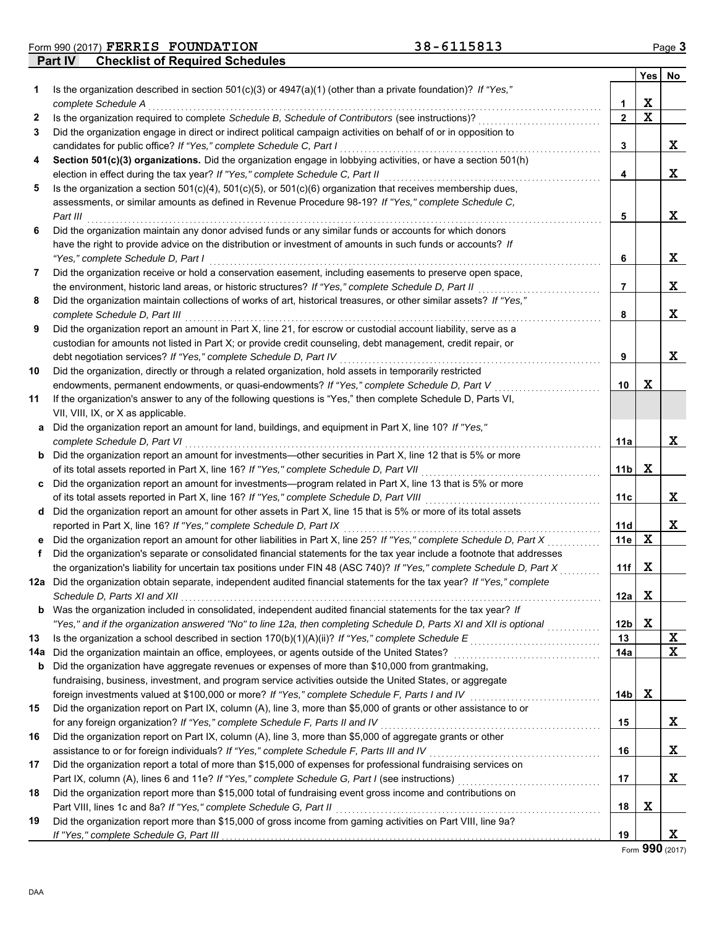**Form 990 (2017) FERRIS FOUNDATION** 38-6115813 Page 3

**Part IV Checklist of Required Schedules**

|          |                                                                                                                                                                                                                         |                       | Yes | No. |
|----------|-------------------------------------------------------------------------------------------------------------------------------------------------------------------------------------------------------------------------|-----------------------|-----|-----|
| 1        | Is the organization described in section $501(c)(3)$ or $4947(a)(1)$ (other than a private foundation)? If "Yes,"<br>complete Schedule A                                                                                | 1                     | X   |     |
| 2        | Is the organization required to complete Schedule B, Schedule of Contributors (see instructions)?                                                                                                                       | $\mathbf{2}$          | X   |     |
| 3        | Did the organization engage in direct or indirect political campaign activities on behalf of or in opposition to                                                                                                        |                       |     |     |
|          | candidates for public office? If "Yes," complete Schedule C, Part I                                                                                                                                                     | 3                     |     | X   |
| 4        | Section 501(c)(3) organizations. Did the organization engage in lobbying activities, or have a section 501(h)                                                                                                           |                       |     |     |
|          | election in effect during the tax year? If "Yes," complete Schedule C, Part II                                                                                                                                          | 4                     |     | x   |
| 5        | Is the organization a section $501(c)(4)$ , $501(c)(5)$ , or $501(c)(6)$ organization that receives membership dues,                                                                                                    |                       |     |     |
|          | assessments, or similar amounts as defined in Revenue Procedure 98-19? If "Yes," complete Schedule C,                                                                                                                   |                       |     |     |
|          | Part III                                                                                                                                                                                                                | 5                     |     | x   |
| 6        | Did the organization maintain any donor advised funds or any similar funds or accounts for which donors                                                                                                                 |                       |     |     |
|          | have the right to provide advice on the distribution or investment of amounts in such funds or accounts? If                                                                                                             |                       |     |     |
|          | "Yes," complete Schedule D, Part I                                                                                                                                                                                      | 6                     |     | X   |
| 7        | Did the organization receive or hold a conservation easement, including easements to preserve open space,                                                                                                               |                       |     |     |
|          | the environment, historic land areas, or historic structures? If "Yes," complete Schedule D, Part II                                                                                                                    | $\overline{7}$        |     | X   |
| 8        | Did the organization maintain collections of works of art, historical treasures, or other similar assets? If "Yes,"                                                                                                     |                       |     |     |
|          | complete Schedule D, Part III                                                                                                                                                                                           | 8                     |     | x   |
| 9        | Did the organization report an amount in Part X, line 21, for escrow or custodial account liability, serve as a                                                                                                         |                       |     |     |
|          | custodian for amounts not listed in Part X; or provide credit counseling, debt management, credit repair, or                                                                                                            |                       |     |     |
|          | debt negotiation services? If "Yes," complete Schedule D, Part IV                                                                                                                                                       | 9                     |     | X   |
| 10       | Did the organization, directly or through a related organization, hold assets in temporarily restricted                                                                                                                 |                       |     |     |
|          | endowments, permanent endowments, or quasi-endowments? If "Yes," complete Schedule D, Part V                                                                                                                            | 10                    | X   |     |
| 11       | If the organization's answer to any of the following questions is "Yes," then complete Schedule D, Parts VI,                                                                                                            |                       |     |     |
|          | VII, VIII, IX, or X as applicable.                                                                                                                                                                                      |                       |     |     |
| а        | Did the organization report an amount for land, buildings, and equipment in Part X, line 10? If "Yes,"                                                                                                                  |                       |     |     |
|          | complete Schedule D, Part VI                                                                                                                                                                                            | 11a                   |     | x   |
| b        | Did the organization report an amount for investments—other securities in Part X, line 12 that is 5% or more                                                                                                            |                       |     |     |
|          | of its total assets reported in Part X, line 16? If "Yes," complete Schedule D, Part VII                                                                                                                                | 11b                   | X   |     |
| C        | Did the organization report an amount for investments—program related in Part X, line 13 that is 5% or more                                                                                                             |                       |     |     |
|          | of its total assets reported in Part X, line 16? If "Yes," complete Schedule D, Part VIII                                                                                                                               | 11c                   |     | x   |
| d        | Did the organization report an amount for other assets in Part X, line 15 that is 5% or more of its total assets                                                                                                        |                       |     |     |
|          | reported in Part X, line 16? If "Yes," complete Schedule D, Part IX                                                                                                                                                     | 11d                   |     | x   |
|          | Did the organization report an amount for other liabilities in Part X, line 25? If "Yes," complete Schedule D, Part X                                                                                                   | 11e                   | x   |     |
| f.       | Did the organization's separate or consolidated financial statements for the tax year include a footnote that addresses                                                                                                 |                       |     |     |
|          | the organization's liability for uncertain tax positions under FIN 48 (ASC 740)? If "Yes," complete Schedule D, Part X                                                                                                  | 11f                   | X   |     |
| 12a      | Did the organization obtain separate, independent audited financial statements for the tax year? If "Yes," complete                                                                                                     |                       | x   |     |
|          | Schedule D. Parts XI and XII                                                                                                                                                                                            | 12a                   |     |     |
|          | <b>b</b> Was the organization included in consolidated, independent audited financial statements for the tax year? If                                                                                                   |                       | X   |     |
| 13       | "Yes," and if the organization answered "No" to line 12a, then completing Schedule D, Parts XI and XII is optional<br>Is the organization a school described in section 170(b)(1)(A)(ii)? If "Yes," complete Schedule E | 12 <sub>b</sub><br>13 |     | X   |
|          |                                                                                                                                                                                                                         | 14a                   |     | X   |
| 14a<br>b | Did the organization maintain an office, employees, or agents outside of the United States?<br>Did the organization have aggregate revenues or expenses of more than \$10,000 from grantmaking,                         |                       |     |     |
|          | fundraising, business, investment, and program service activities outside the United States, or aggregate                                                                                                               |                       |     |     |
|          | foreign investments valued at \$100,000 or more? If "Yes," complete Schedule F, Parts I and IV [[[[[[[[[[[[[[[                                                                                                          | 14b                   | X   |     |
| 15       | Did the organization report on Part IX, column (A), line 3, more than \$5,000 of grants or other assistance to or                                                                                                       |                       |     |     |
|          | for any foreign organization? If "Yes," complete Schedule F, Parts II and IV                                                                                                                                            | 15                    |     | X   |
| 16       | Did the organization report on Part IX, column (A), line 3, more than \$5,000 of aggregate grants or other                                                                                                              |                       |     |     |
|          |                                                                                                                                                                                                                         | 16                    |     | X   |
| 17       | Did the organization report a total of more than \$15,000 of expenses for professional fundraising services on                                                                                                          |                       |     |     |
|          |                                                                                                                                                                                                                         | 17                    |     | X   |
| 18       | Did the organization report more than \$15,000 total of fundraising event gross income and contributions on                                                                                                             |                       |     |     |
|          | Part VIII, lines 1c and 8a? If "Yes," complete Schedule G, Part II                                                                                                                                                      | 18                    | X   |     |
| 19       | Did the organization report more than \$15,000 of gross income from gaming activities on Part VIII, line 9a?                                                                                                            |                       |     |     |
|          | If "Yes," complete Schedule G, Part III                                                                                                                                                                                 | 19                    |     | X   |

Form **990** (2017)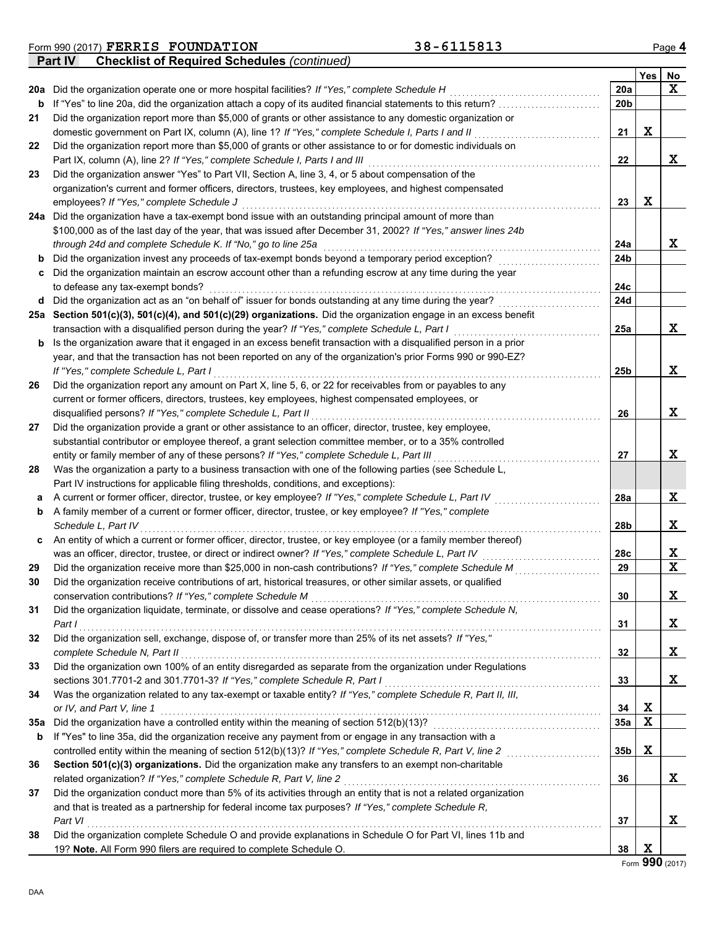|                | Form 990 (2017) FERRIS FOUNDATION                  | 38-6115813 | $P$ ade 4 |
|----------------|----------------------------------------------------|------------|-----------|
| <b>Part IV</b> | <b>Checklist of Required Schedules (continued)</b> |            |           |

|     |                                                                                                                   |     | Yes         | No               |
|-----|-------------------------------------------------------------------------------------------------------------------|-----|-------------|------------------|
| 20a | Did the organization operate one or more hospital facilities? If "Yes," complete Schedule H                       | 20a |             | X                |
| b   | If "Yes" to line 20a, did the organization attach a copy of its audited financial statements to this return?      | 20b |             |                  |
| 21  | Did the organization report more than \$5,000 of grants or other assistance to any domestic organization or       |     |             |                  |
|     | domestic government on Part IX, column (A), line 1? If "Yes," complete Schedule I, Parts I and II                 | 21  | х           |                  |
| 22  | Did the organization report more than \$5,000 of grants or other assistance to or for domestic individuals on     |     |             |                  |
|     | Part IX, column (A), line 2? If "Yes," complete Schedule I, Parts I and III                                       | 22  |             | X                |
| 23  | Did the organization answer "Yes" to Part VII, Section A, line 3, 4, or 5 about compensation of the               |     |             |                  |
|     | organization's current and former officers, directors, trustees, key employees, and highest compensated           |     |             |                  |
|     | employees? If "Yes," complete Schedule J                                                                          | 23  | X           |                  |
| 24a | Did the organization have a tax-exempt bond issue with an outstanding principal amount of more than               |     |             |                  |
|     | \$100,000 as of the last day of the year, that was issued after December 31, 2002? If "Yes," answer lines 24b     |     |             |                  |
|     | through 24d and complete Schedule K. If "No," go to line 25a                                                      | 24a |             | x                |
| b   | Did the organization invest any proceeds of tax-exempt bonds beyond a temporary period exception?                 | 24b |             |                  |
| c   | Did the organization maintain an escrow account other than a refunding escrow at any time during the year         |     |             |                  |
|     | to defease any tax-exempt bonds?                                                                                  | 24c |             |                  |
| d   | Did the organization act as an "on behalf of" issuer for bonds outstanding at any time during the year?           | 24d |             |                  |
| 25а | Section 501(c)(3), 501(c)(4), and 501(c)(29) organizations. Did the organization engage in an excess benefit      |     |             |                  |
|     | transaction with a disqualified person during the year? If "Yes," complete Schedule L, Part I                     | 25a |             | X                |
| b   | Is the organization aware that it engaged in an excess benefit transaction with a disqualified person in a prior  |     |             |                  |
|     | year, and that the transaction has not been reported on any of the organization's prior Forms 990 or 990-EZ?      |     |             |                  |
|     | If "Yes," complete Schedule L, Part I                                                                             | 25b |             | X                |
| 26  | Did the organization report any amount on Part X, line 5, 6, or 22 for receivables from or payables to any        |     |             |                  |
|     | current or former officers, directors, trustees, key employees, highest compensated employees, or                 |     |             |                  |
|     | disqualified persons? If "Yes," complete Schedule L, Part II                                                      | 26  |             | X                |
| 27  | Did the organization provide a grant or other assistance to an officer, director, trustee, key employee,          |     |             |                  |
|     | substantial contributor or employee thereof, a grant selection committee member, or to a 35% controlled           |     |             |                  |
|     | entity or family member of any of these persons? If "Yes," complete Schedule L, Part III                          | 27  |             | X                |
| 28  | Was the organization a party to a business transaction with one of the following parties (see Schedule L,         |     |             |                  |
|     | Part IV instructions for applicable filing thresholds, conditions, and exceptions):                               |     |             |                  |
| а   | A current or former officer, director, trustee, or key employee? If "Yes," complete Schedule L, Part IV           | 28a |             | X                |
| b   | A family member of a current or former officer, director, trustee, or key employee? If "Yes," complete            |     |             |                  |
|     | Schedule L, Part IV                                                                                               | 28b |             | X                |
| c   | An entity of which a current or former officer, director, trustee, or key employee (or a family member thereof)   |     |             |                  |
|     | was an officer, director, trustee, or direct or indirect owner? If "Yes," complete Schedule L, Part IV            | 28c |             | X<br>$\mathbf x$ |
| 29  | Did the organization receive more than \$25,000 in non-cash contributions? If "Yes," complete Schedule M          | 29  |             |                  |
| 30  | Did the organization receive contributions of art, historical treasures, or other similar assets, or qualified    |     |             |                  |
|     | conservation contributions? If "Yes," complete Schedule M                                                         | 30  |             | X                |
| 31  | Did the organization liquidate, terminate, or dissolve and cease operations? If "Yes," complete Schedule N,       |     |             |                  |
| 32  | Part I<br>Did the organization sell, exchange, dispose of, or transfer more than 25% of its net assets? If "Yes," | 31  |             | X                |
|     | complete Schedule N, Part II                                                                                      | 32  |             | X                |
| 33  | Did the organization own 100% of an entity disregarded as separate from the organization under Regulations        |     |             |                  |
|     | sections 301.7701-2 and 301.7701-3? If "Yes," complete Schedule R, Part I                                         | 33  |             | X                |
| 34  | Was the organization related to any tax-exempt or taxable entity? If "Yes," complete Schedule R, Part II, III,    |     |             |                  |
|     | or IV, and Part V, line 1                                                                                         | 34  | Х           |                  |
| 35a | Did the organization have a controlled entity within the meaning of section 512(b)(13)?                           | 35a | $\mathbf x$ |                  |
| b   | If "Yes" to line 35a, did the organization receive any payment from or engage in any transaction with a           |     |             |                  |
|     | controlled entity within the meaning of section 512(b)(13)? If "Yes," complete Schedule R, Part V, line 2         | 35b | Х           |                  |
| 36  | Section 501(c)(3) organizations. Did the organization make any transfers to an exempt non-charitable              |     |             |                  |
|     | related organization? If "Yes," complete Schedule R, Part V, line 2                                               | 36  |             | х                |
| 37  | Did the organization conduct more than 5% of its activities through an entity that is not a related organization  |     |             |                  |
|     | and that is treated as a partnership for federal income tax purposes? If "Yes," complete Schedule R,              |     |             |                  |
|     | Part VI                                                                                                           | 37  |             | X                |
| 38  | Did the organization complete Schedule O and provide explanations in Schedule O for Part VI, lines 11b and        |     |             |                  |
|     | 19? Note. All Form 990 filers are required to complete Schedule O.                                                | 38  | Х           |                  |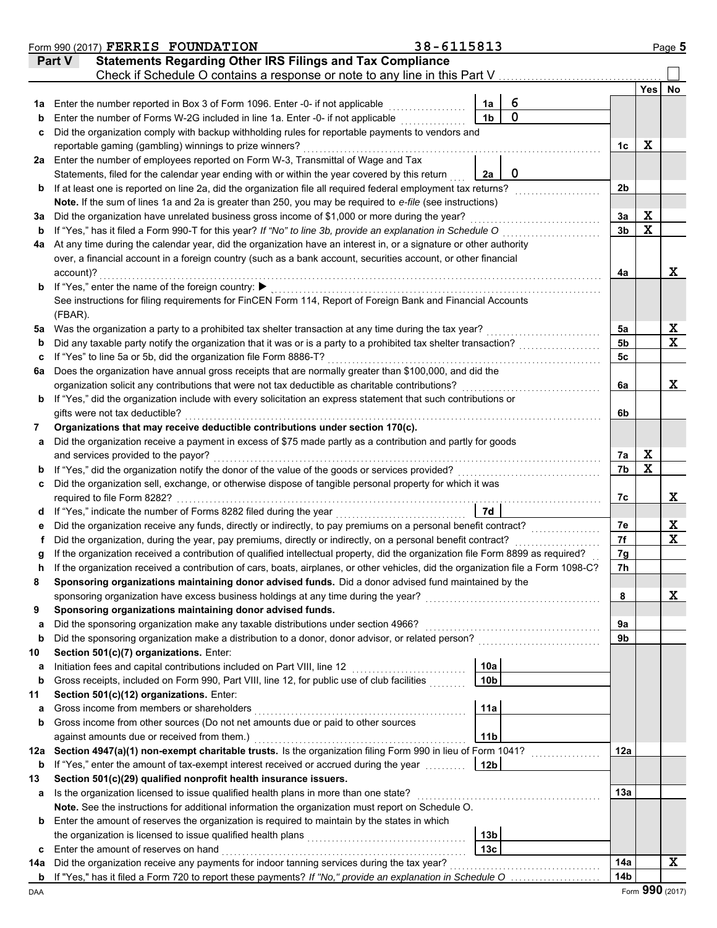|         | Form 990 (2017) FERRIS FOUNDATION                                                                                                                                                                                         | 38-6115813 |                 |             |                      |                         | Page 5           |
|---------|---------------------------------------------------------------------------------------------------------------------------------------------------------------------------------------------------------------------------|------------|-----------------|-------------|----------------------|-------------------------|------------------|
|         | <b>Statements Regarding Other IRS Filings and Tax Compliance</b><br>Part V                                                                                                                                                |            |                 |             |                      |                         |                  |
|         | Check if Schedule O contains a response or note to any line in this Part V.                                                                                                                                               |            |                 |             |                      |                         |                  |
|         |                                                                                                                                                                                                                           |            |                 |             |                      | Yes                     | No               |
| 1a      | Enter the number reported in Box 3 of Form 1096. Enter -0- if not applicable                                                                                                                                              |            | 1a              | 6           |                      |                         |                  |
| b       | Enter the number of Forms W-2G included in line 1a. Enter -0- if not applicable                                                                                                                                           |            | 1 <sub>b</sub>  | $\mathbf 0$ |                      |                         |                  |
| c       | Did the organization comply with backup withholding rules for reportable payments to vendors and                                                                                                                          |            |                 |             |                      |                         |                  |
|         | reportable gaming (gambling) winnings to prize winners?                                                                                                                                                                   |            |                 |             | 1c                   | X                       |                  |
| 2a      | Enter the number of employees reported on Form W-3, Transmittal of Wage and Tax                                                                                                                                           |            |                 |             |                      |                         |                  |
|         | Statements, filed for the calendar year ending with or within the year covered by this return                                                                                                                             |            | 2a              | 0           |                      |                         |                  |
| b       | If at least one is reported on line 2a, did the organization file all required federal employment tax returns?                                                                                                            |            |                 |             | 2 <sub>b</sub>       |                         |                  |
|         | Note. If the sum of lines 1a and 2a is greater than 250, you may be required to e-file (see instructions)                                                                                                                 |            |                 |             |                      |                         |                  |
| За      | Did the organization have unrelated business gross income of \$1,000 or more during the year?                                                                                                                             |            |                 |             | 3a                   | X                       |                  |
| b       | If "Yes," has it filed a Form 990-T for this year? If "No" to line 3b, provide an explanation in Schedule O                                                                                                               |            |                 |             | 3 <sub>b</sub>       | $\mathbf x$             |                  |
| 4a      | At any time during the calendar year, did the organization have an interest in, or a signature or other authority                                                                                                         |            |                 |             |                      |                         |                  |
|         | over, a financial account in a foreign country (such as a bank account, securities account, or other financial                                                                                                            |            |                 |             |                      |                         |                  |
|         | account)?                                                                                                                                                                                                                 |            |                 |             | 4a                   |                         | X                |
| b       | If "Yes," enter the name of the foreign country: ▶                                                                                                                                                                        |            |                 |             |                      |                         |                  |
|         | See instructions for filing requirements for FinCEN Form 114, Report of Foreign Bank and Financial Accounts                                                                                                               |            |                 |             |                      |                         |                  |
|         | (FBAR).                                                                                                                                                                                                                   |            |                 |             |                      |                         |                  |
| 5a      | Was the organization a party to a prohibited tax shelter transaction at any time during the tax year?<br>Did any taxable party notify the organization that it was or is a party to a prohibited tax shelter transaction? |            |                 |             | 5а<br>5 <sub>b</sub> |                         | X<br>$\mathbf x$ |
| b       | If "Yes" to line 5a or 5b, did the organization file Form 8886-T?                                                                                                                                                         |            |                 |             | 5 <sub>c</sub>       |                         |                  |
| c<br>6a | Does the organization have annual gross receipts that are normally greater than \$100,000, and did the                                                                                                                    |            |                 |             |                      |                         |                  |
|         | organization solicit any contributions that were not tax deductible as charitable contributions?                                                                                                                          |            |                 |             | 6a                   |                         | X                |
| b       | If "Yes," did the organization include with every solicitation an express statement that such contributions or                                                                                                            |            |                 |             |                      |                         |                  |
|         | gifts were not tax deductible?                                                                                                                                                                                            |            |                 |             | 6b                   |                         |                  |
| 7       | Organizations that may receive deductible contributions under section 170(c).                                                                                                                                             |            |                 |             |                      |                         |                  |
| а       | Did the organization receive a payment in excess of \$75 made partly as a contribution and partly for goods                                                                                                               |            |                 |             |                      |                         |                  |
|         | and services provided to the payor?                                                                                                                                                                                       |            |                 |             | 7a                   | X                       |                  |
|         | If "Yes," did the organization notify the donor of the value of the goods or services provided?                                                                                                                           |            |                 |             | 7b                   | $\overline{\mathbf{x}}$ |                  |
| c       | Did the organization sell, exchange, or otherwise dispose of tangible personal property for which it was                                                                                                                  |            |                 |             |                      |                         |                  |
|         | required to file Form 8282?                                                                                                                                                                                               |            |                 |             | 7с                   |                         | X                |
| d       |                                                                                                                                                                                                                           |            | 7d              |             |                      |                         |                  |
|         | Did the organization receive any funds, directly or indirectly, to pay premiums on a personal benefit contract?                                                                                                           |            |                 |             | 7е                   |                         | х                |
|         | Did the organization, during the year, pay premiums, directly or indirectly, on a personal benefit contract?                                                                                                              |            |                 |             | 7f                   |                         | $\mathbf x$      |
|         | If the organization received a contribution of qualified intellectual property, did the organization file Form 8899 as required?                                                                                          |            |                 |             | 7g                   |                         |                  |
| n       | If the organization received a contribution of cars, boats, airplanes, or other vehicles, did the organization file a Form 1098-C?                                                                                        |            |                 |             | 7h                   |                         |                  |
| 8       | Sponsoring organizations maintaining donor advised funds. Did a donor advised fund maintained by the                                                                                                                      |            |                 |             |                      |                         |                  |
|         | sponsoring organization have excess business holdings at any time during the year?                                                                                                                                        |            |                 |             | 8                    |                         | X                |
| 9       | Sponsoring organizations maintaining donor advised funds.                                                                                                                                                                 |            |                 |             |                      |                         |                  |
| a       | Did the sponsoring organization make any taxable distributions under section 4966?                                                                                                                                        |            |                 |             | 9а                   |                         |                  |
| b       | Did the sponsoring organization make a distribution to a donor, donor advisor, or related person?                                                                                                                         |            |                 |             | 9b                   |                         |                  |
| 10      | Section 501(c)(7) organizations. Enter:                                                                                                                                                                                   |            |                 |             |                      |                         |                  |
| a       | Initiation fees and capital contributions included on Part VIII, line 12                                                                                                                                                  |            | 10a             |             |                      |                         |                  |
| b       | Gross receipts, included on Form 990, Part VIII, line 12, for public use of club facilities                                                                                                                               |            | 10 <sub>b</sub> |             |                      |                         |                  |
| 11      | Section 501(c)(12) organizations. Enter:<br>Gross income from members or shareholders                                                                                                                                     |            | 11a             |             |                      |                         |                  |
| a<br>b  | Gross income from other sources (Do not net amounts due or paid to other sources                                                                                                                                          |            |                 |             |                      |                         |                  |
|         | against amounts due or received from them.)                                                                                                                                                                               |            | 11 <sub>b</sub> |             |                      |                         |                  |
| 12a     | Section 4947(a)(1) non-exempt charitable trusts. Is the organization filing Form 990 in lieu of Form 1041?                                                                                                                |            |                 |             | 12a                  |                         |                  |
| b       | If "Yes," enter the amount of tax-exempt interest received or accrued during the year                                                                                                                                     |            | 12b             |             |                      |                         |                  |
| 13      | Section 501(c)(29) qualified nonprofit health insurance issuers.                                                                                                                                                          |            |                 |             |                      |                         |                  |
| a       | Is the organization licensed to issue qualified health plans in more than one state?                                                                                                                                      |            |                 |             | 13а                  |                         |                  |
|         | Note. See the instructions for additional information the organization must report on Schedule O.                                                                                                                         |            |                 |             |                      |                         |                  |
| b       | Enter the amount of reserves the organization is required to maintain by the states in which                                                                                                                              |            |                 |             |                      |                         |                  |
|         |                                                                                                                                                                                                                           |            | 13 <sub>b</sub> |             |                      |                         |                  |
| c       | Enter the amount of reserves on hand                                                                                                                                                                                      |            | 13 <sub>c</sub> |             |                      |                         |                  |
| 14a     | Did the organization receive any payments for indoor tanning services during the tax year?                                                                                                                                |            |                 |             | 14a                  |                         | X                |
|         | b If "Yes," has it filed a Form 720 to report these payments? If "No," provide an explanation in Schedule O                                                                                                               |            |                 |             | 14b                  |                         |                  |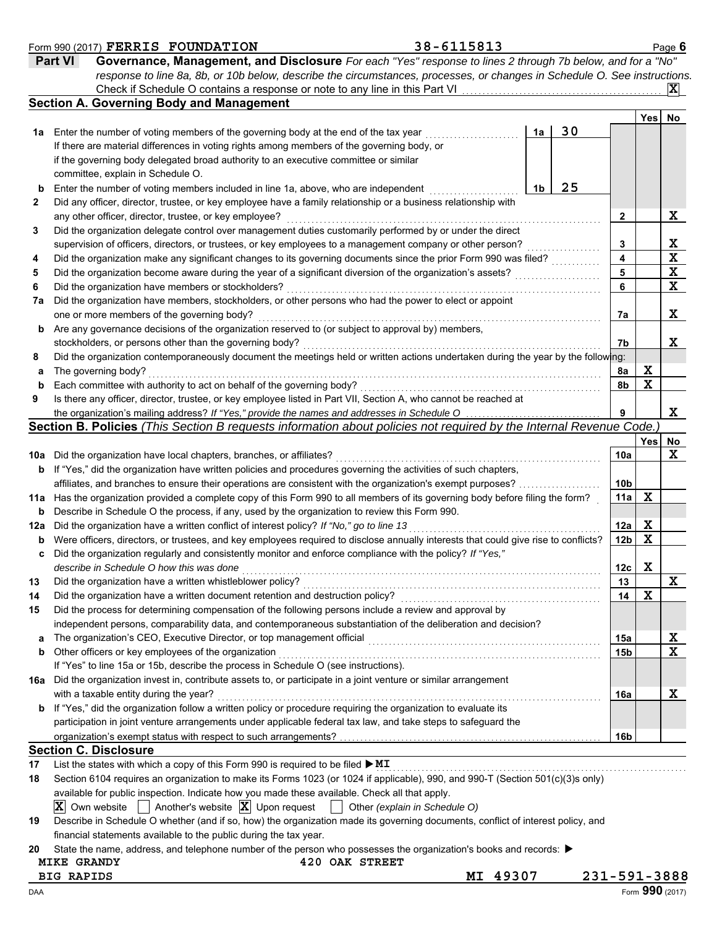|          | <b>Part VI</b><br>Governance, Management, and Disclosure For each "Yes" response to lines 2 through 7b below, and for a "No"                                                                             |                 |     |                                 |
|----------|----------------------------------------------------------------------------------------------------------------------------------------------------------------------------------------------------------|-----------------|-----|---------------------------------|
|          | response to line 8a, 8b, or 10b below, describe the circumstances, processes, or changes in Schedule O. See instructions.<br>Check if Schedule O contains a response or note to any line in this Part VI |                 |     | $ \mathbf{X} $                  |
|          | <b>Section A. Governing Body and Management</b>                                                                                                                                                          |                 |     |                                 |
|          |                                                                                                                                                                                                          |                 | Yes | No                              |
| 1а       | 30<br>Enter the number of voting members of the governing body at the end of the tax year<br>1a                                                                                                          |                 |     |                                 |
|          | If there are material differences in voting rights among members of the governing body, or                                                                                                               |                 |     |                                 |
|          | if the governing body delegated broad authority to an executive committee or similar                                                                                                                     |                 |     |                                 |
|          | committee, explain in Schedule O.                                                                                                                                                                        |                 |     |                                 |
| b        | 25<br>Enter the number of voting members included in line 1a, above, who are independent<br>1b                                                                                                           |                 |     |                                 |
| 2        | Did any officer, director, trustee, or key employee have a family relationship or a business relationship with                                                                                           |                 |     | X                               |
| 3        | any other officer, director, trustee, or key employee?<br>Did the organization delegate control over management duties customarily performed by or under the direct                                      | 2               |     |                                 |
|          | supervision of officers, directors, or trustees, or key employees to a management company or other person?                                                                                               | 3               |     |                                 |
| 4        | Did the organization make any significant changes to its governing documents since the prior Form 990 was filed?                                                                                         | 4               |     | $\frac{\mathbf{x}}{\mathbf{x}}$ |
| 5        | Did the organization become aware during the year of a significant diversion of the organization's assets?                                                                                               | 5               |     | $\overline{\mathbf{X}}$         |
| 6        | Did the organization have members or stockholders?                                                                                                                                                       | 6               |     | $\mathbf x$                     |
| 7a       | Did the organization have members, stockholders, or other persons who had the power to elect or appoint                                                                                                  |                 |     |                                 |
|          | one or more members of the governing body?                                                                                                                                                               | 7a              |     | X                               |
| b        | Are any governance decisions of the organization reserved to (or subject to approval by) members,                                                                                                        |                 |     |                                 |
|          | stockholders, or persons other than the governing body?                                                                                                                                                  | 7b              |     | X                               |
| 8        | Did the organization contemporaneously document the meetings held or written actions undertaken during the year by the following:                                                                        |                 |     |                                 |
| а        | The governing body?                                                                                                                                                                                      | 8a              | X   |                                 |
| b        | Each committee with authority to act on behalf of the governing body?                                                                                                                                    | 8b              | X   |                                 |
| 9        | Is there any officer, director, trustee, or key employee listed in Part VII, Section A, who cannot be reached at                                                                                         |                 |     |                                 |
|          | the organization's mailing address? If "Yes," provide the names and addresses in Schedule O                                                                                                              | 9               |     | X                               |
|          | Section B. Policies (This Section B requests information about policies not required by the Internal Revenue Code.                                                                                       |                 |     |                                 |
|          |                                                                                                                                                                                                          | 10a             | Yes | No<br>X                         |
| 10a<br>b | Did the organization have local chapters, branches, or affiliates?<br>If "Yes," did the organization have written policies and procedures governing the activities of such chapters,                     |                 |     |                                 |
|          | affiliates, and branches to ensure their operations are consistent with the organization's exempt purposes?                                                                                              | 10b             |     |                                 |
| 11a      | Has the organization provided a complete copy of this Form 990 to all members of its governing body before filing the form?                                                                              | 11a             | X   |                                 |
| b        | Describe in Schedule O the process, if any, used by the organization to review this Form 990.                                                                                                            |                 |     |                                 |
| 12a      | Did the organization have a written conflict of interest policy? If "No," go to line 13                                                                                                                  | 12a             | X   |                                 |
| b        | Were officers, directors, or trustees, and key employees required to disclose annually interests that could give rise to conflicts?                                                                      | 12 <sub>b</sub> | X   |                                 |
| c        | Did the organization regularly and consistently monitor and enforce compliance with the policy? If "Yes,"                                                                                                |                 |     |                                 |
|          | describe in Schedule O how this was done                                                                                                                                                                 | 12c             | X   |                                 |
|          | Did the organization have a written whistleblower policy?                                                                                                                                                | 13              |     | ≖                               |
| 14       | Did the organization have a written document retention and destruction policy?                                                                                                                           | 14              | х   |                                 |
| 15       | Did the process for determining compensation of the following persons include a review and approval by                                                                                                   |                 |     |                                 |
|          | independent persons, comparability data, and contemporaneous substantiation of the deliberation and decision?                                                                                            |                 |     |                                 |
| a        | The organization's CEO, Executive Director, or top management official                                                                                                                                   | 15a             |     | х                               |
| b        | Other officers or key employees of the organization                                                                                                                                                      | 15b             |     | $\mathbf x$                     |
|          | If "Yes" to line 15a or 15b, describe the process in Schedule O (see instructions).                                                                                                                      |                 |     |                                 |
| 16a      | Did the organization invest in, contribute assets to, or participate in a joint venture or similar arrangement                                                                                           |                 |     |                                 |
|          | with a taxable entity during the year?<br>If "Yes," did the organization follow a written policy or procedure requiring the organization to evaluate its                                                 | 16a             |     | X                               |
| b        | participation in joint venture arrangements under applicable federal tax law, and take steps to safeguard the                                                                                            |                 |     |                                 |
|          |                                                                                                                                                                                                          | 16b             |     |                                 |
|          | <b>Section C. Disclosure</b>                                                                                                                                                                             |                 |     |                                 |
| 17       | List the states with which a copy of this Form 990 is required to be filed $\blacktriangleright$ MI                                                                                                      |                 |     |                                 |
| 18       | Section 6104 requires an organization to make its Forms 1023 (or 1024 if applicable), 990, and 990-T (Section 501(c)(3)s only)                                                                           |                 |     |                                 |
|          | available for public inspection. Indicate how you made these available. Check all that apply.                                                                                                            |                 |     |                                 |
|          | Another's website $ \mathbf{X} $ Upon request<br>IXI.<br>Own website<br>Other (explain in Schedule O)<br>$\mathbb{R}$                                                                                    |                 |     |                                 |
| 19       | Describe in Schedule O whether (and if so, how) the organization made its governing documents, conflict of interest policy, and                                                                          |                 |     |                                 |
|          | financial statements available to the public during the tax year.                                                                                                                                        |                 |     |                                 |
| 20       | State the name, address, and telephone number of the person who possesses the organization's books and records: ▶                                                                                        |                 |     |                                 |
|          | 420 OAK STREET<br><b>MIKE GRANDY</b>                                                                                                                                                                     |                 |     |                                 |
|          | MI 49307<br><b>BIG RAPIDS</b>                                                                                                                                                                            | 231-591-3888    |     |                                 |
| DAA      |                                                                                                                                                                                                          |                 |     | Form 990 (2017)                 |

**FERRIS FOUNDATION 38-6115813**

Form 990 (2017) Page **6**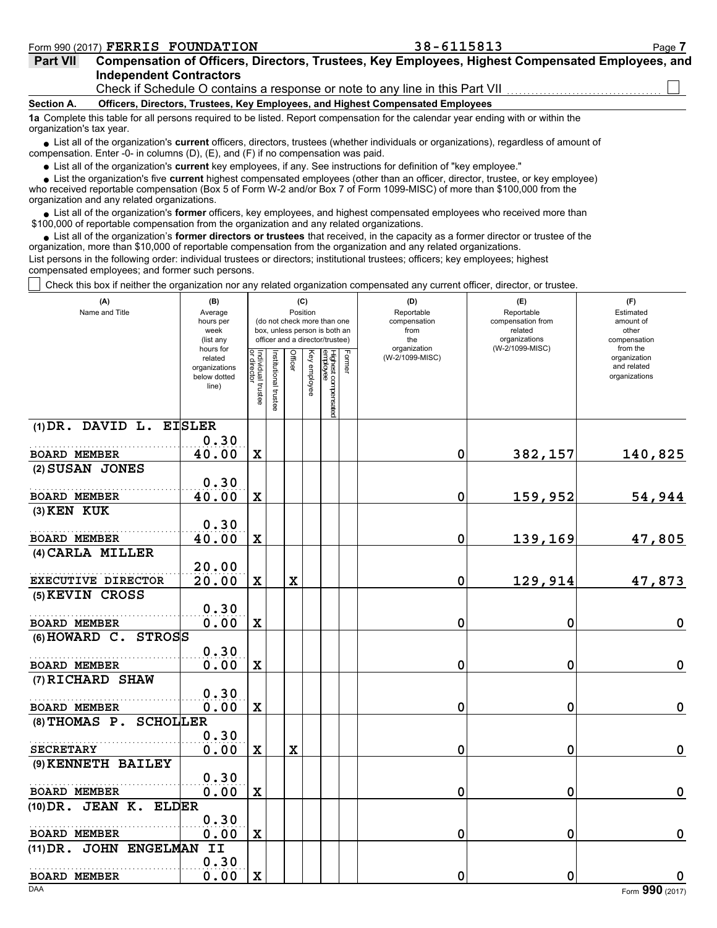| <b>Part VII</b> | Compensation of Officers, Directors, Trustees, Key Employees, Highest Compensated Employees, and                                            |
|-----------------|---------------------------------------------------------------------------------------------------------------------------------------------|
|                 | <b>Independent Contractors</b>                                                                                                              |
|                 | $\bigcap$ be all if $\bigcap$ also leads $\bigcap$ constating to an angular constant to the contribution in this $\bigcap$ and $\lambda$ /H |

Check if Schedule O contains a response or note to any line in this Part VII

### **Section A. Officers, Directors, Trustees, Key Employees, and Highest Compensated Employees**

**1a** Complete this table for all persons required to be listed. Report compensation for the calendar year ending with or within the organization's tax year.

■ List all of the organization's **current** officers, directors, trustees (whether individuals or organizations), regardless of amount of compensation. Enter -0- in columns (D), (E), and (F) if no compensation was paid.

List all of the organization's **current** key employees, if any. See instructions for definition of "key employee."

■ List all of the organization's **current** key employees, if any. See instructions for definition of "key employee."<br>■ List the organization's five **current** highest compensated employees (other than an officer, director,

who received reportable compensation (Box 5 of Form W-2 and/or Box 7 of Form 1099-MISC) of more than \$100,000 from the organization and any related organizations.

• List all of the organization's **former** officers, key employees, and highest compensated employees who received more than<br>00,000 of reportable compensation from the organization and any related erganizations. \$100,000 of reportable compensation from the organization and any related organizations.

• List all of the organization's **former directors or trustees** that received, in the capacity as a former director or trustee of the organization, more than \$10,000 of reportable compensation from the organization and any related organizations. List persons in the following order: individual trustees or directors; institutional trustees; officers; key employees; highest compensated employees; and former such persons.

Check this box if neither the organization nor any related organization compensated any current officer, director, or trustee.

| (A)<br>Name and Title              | (B)<br>Average<br>hours per<br>week<br>(list any<br>hours for |                                   |                       | Position    | (C)          | (do not check more than one<br>box, unless person is both an<br>officer and a director/trustee) | (D)<br>Reportable<br>compensation<br>from<br>the<br>organization |   | (E)<br>Reportable<br>compensation from<br>related<br>organizations<br>(W-2/1099-MISC) | (F)<br>Estimated<br>amount of<br>other<br>compensation<br>from the |
|------------------------------------|---------------------------------------------------------------|-----------------------------------|-----------------------|-------------|--------------|-------------------------------------------------------------------------------------------------|------------------------------------------------------------------|---|---------------------------------------------------------------------------------------|--------------------------------------------------------------------|
|                                    | related<br>organizations<br>below dotted<br>line)             | Individual trustee<br>or director | Institutional trustee | Officer     | Key employee | Former<br>⊣ighest compensated<br>∍mployee                                                       | (W-2/1099-MISC)                                                  |   |                                                                                       | organization<br>and related<br>organizations                       |
| $(1)$ DR. DAVID L.                 | <b>EISLER</b><br>0.30                                         |                                   |                       |             |              |                                                                                                 |                                                                  |   |                                                                                       |                                                                    |
| <b>BOARD MEMBER</b>                | 40.00                                                         | $\mathbf x$                       |                       |             |              |                                                                                                 |                                                                  | 0 | 382,157                                                                               | 140,825                                                            |
| (2) SUSAN JONES                    |                                                               |                                   |                       |             |              |                                                                                                 |                                                                  |   |                                                                                       |                                                                    |
| <b>BOARD MEMBER</b>                | 0.30<br>40.00                                                 | $\mathbf x$                       |                       |             |              |                                                                                                 |                                                                  | 0 | 159,952                                                                               | 54,944                                                             |
| $(3)$ KEN KUK                      |                                                               |                                   |                       |             |              |                                                                                                 |                                                                  |   |                                                                                       |                                                                    |
| <b>BOARD MEMBER</b>                | 0.30<br>40.00                                                 | $\mathbf x$                       |                       |             |              |                                                                                                 |                                                                  | 0 | 139,169                                                                               | 47,805                                                             |
| (4) CARLA MILLER                   |                                                               |                                   |                       |             |              |                                                                                                 |                                                                  |   |                                                                                       |                                                                    |
| EXECUTIVE DIRECTOR                 | 20.00<br>20.00                                                | $\mathbf x$                       |                       | $\mathbf x$ |              |                                                                                                 |                                                                  | 0 | 129,914                                                                               | 47,873                                                             |
| (5) KEVIN CROSS                    |                                                               |                                   |                       |             |              |                                                                                                 |                                                                  |   |                                                                                       |                                                                    |
| <b>BOARD MEMBER</b>                | 0.30<br>0.00                                                  | $\mathbf x$                       |                       |             |              |                                                                                                 |                                                                  | 0 | 0                                                                                     | $\mathbf 0$                                                        |
| $(6)$ HOWARD C.<br><b>STROSS</b>   |                                                               |                                   |                       |             |              |                                                                                                 |                                                                  |   |                                                                                       |                                                                    |
|                                    | 0.30                                                          |                                   |                       |             |              |                                                                                                 |                                                                  |   |                                                                                       |                                                                    |
| <b>BOARD MEMBER</b>                | 0.00                                                          | X                                 |                       |             |              |                                                                                                 |                                                                  | 0 | 0                                                                                     | $\mathbf 0$                                                        |
| (7) RICHARD SHAW                   | 0.30                                                          |                                   |                       |             |              |                                                                                                 |                                                                  |   |                                                                                       |                                                                    |
| <b>BOARD MEMBER</b>                | 0.00                                                          | $\mathbf x$                       |                       |             |              |                                                                                                 |                                                                  | 0 | 0                                                                                     | 0                                                                  |
| <b>SCHOLLER</b><br>$(8)$ THOMAS P. |                                                               |                                   |                       |             |              |                                                                                                 |                                                                  |   |                                                                                       |                                                                    |
|                                    | 0.30                                                          |                                   |                       |             |              |                                                                                                 |                                                                  |   |                                                                                       |                                                                    |
| <b>SECRETARY</b>                   | 0.00                                                          | $\mathbf x$                       |                       | $\mathbf x$ |              |                                                                                                 |                                                                  | 0 | 0                                                                                     | $\mathbf 0$                                                        |
| (9) KENNETH BAILEY                 | 0.30                                                          |                                   |                       |             |              |                                                                                                 |                                                                  |   |                                                                                       |                                                                    |
| <b>BOARD MEMBER</b>                | 0.00                                                          | $\mathbf x$                       |                       |             |              |                                                                                                 |                                                                  | 0 | 0                                                                                     | 0                                                                  |
| $(10)$ DR. JEAN K.<br><b>ELDER</b> |                                                               |                                   |                       |             |              |                                                                                                 |                                                                  |   |                                                                                       |                                                                    |
|                                    | 0.30                                                          |                                   |                       |             |              |                                                                                                 |                                                                  |   |                                                                                       |                                                                    |
| <b>BOARD MEMBER</b>                | 0.00                                                          | X                                 |                       |             |              |                                                                                                 |                                                                  | 0 | 0                                                                                     | 0                                                                  |
| (11) DR. JOHN ENGELMAN             | II<br>0.30                                                    |                                   |                       |             |              |                                                                                                 |                                                                  |   |                                                                                       |                                                                    |
| <b>BOARD MEMBER</b>                | 0.00                                                          | $\mathbf x$                       |                       |             |              |                                                                                                 |                                                                  | 0 | 0                                                                                     | 0                                                                  |
| <b>DAA</b>                         |                                                               |                                   |                       |             |              |                                                                                                 |                                                                  |   |                                                                                       | Form 990 (2017)                                                    |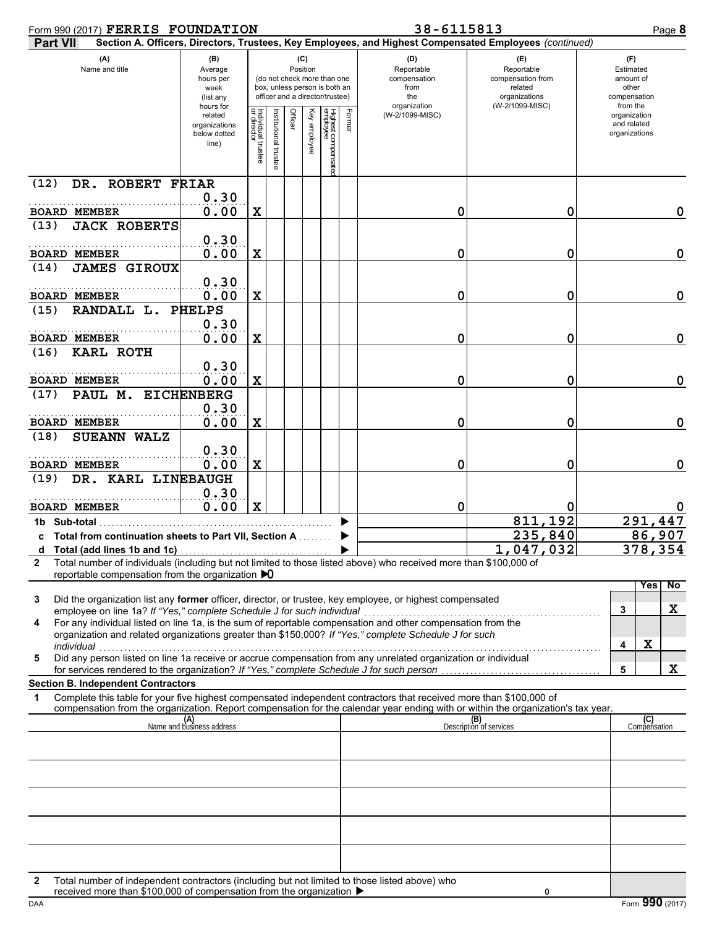| Form 990 (2017) FERRIS FOUNDATION                                                                                                                                                       |                                                               |                                      |                      |         |                                                                                                 |                                |                                                                  | 38-6115813                                                                                             |                                                                    | Page 8                                       |
|-----------------------------------------------------------------------------------------------------------------------------------------------------------------------------------------|---------------------------------------------------------------|--------------------------------------|----------------------|---------|-------------------------------------------------------------------------------------------------|--------------------------------|------------------------------------------------------------------|--------------------------------------------------------------------------------------------------------|--------------------------------------------------------------------|----------------------------------------------|
| <b>Part VII</b>                                                                                                                                                                         |                                                               |                                      |                      |         |                                                                                                 |                                |                                                                  | Section A. Officers, Directors, Trustees, Key Employees, and Highest Compensated Employees (continued) |                                                                    |                                              |
| (A)<br>Name and title                                                                                                                                                                   | (B)<br>Average<br>hours per<br>week<br>(list any<br>hours for |                                      | (C)<br>Position      |         | (do not check more than one<br>box, unless person is both an<br>officer and a director/trustee) |                                | (D)<br>Reportable<br>compensation<br>from<br>the<br>organization | (E)<br>Reportable<br>compensation from<br>related<br>organizations<br>(W-2/1099-MISC)                  | (F)<br>Estimated<br>amount of<br>other<br>compensation<br>from the |                                              |
|                                                                                                                                                                                         | related<br>organizations<br>below dotted<br>line)             | Individual<br>or director<br>Itustee | institutional truste | Officer | Key employee                                                                                    | Highest compensate<br>employee | Former                                                           | (W-2/1099-MISC)                                                                                        |                                                                    | organization<br>and related<br>organizations |
| DR. ROBERT FRIAR<br>(12)                                                                                                                                                                | 0.30                                                          |                                      |                      |         |                                                                                                 |                                |                                                                  |                                                                                                        |                                                                    |                                              |
| <b>BOARD MEMBER</b>                                                                                                                                                                     | 0.00                                                          | X                                    |                      |         |                                                                                                 |                                |                                                                  | 0                                                                                                      | 0                                                                  | 0                                            |
| <b>JACK ROBERTS</b><br>(13)                                                                                                                                                             |                                                               |                                      |                      |         |                                                                                                 |                                |                                                                  |                                                                                                        |                                                                    |                                              |
|                                                                                                                                                                                         | 0.30                                                          |                                      |                      |         |                                                                                                 |                                |                                                                  |                                                                                                        |                                                                    |                                              |
| <b>BOARD MEMBER</b>                                                                                                                                                                     | 0.00                                                          | X                                    |                      |         |                                                                                                 |                                |                                                                  | 0                                                                                                      | 0                                                                  | $\mathbf 0$                                  |
| <b>JAMES GIROUX</b><br>(14)                                                                                                                                                             | 0.30                                                          |                                      |                      |         |                                                                                                 |                                |                                                                  |                                                                                                        |                                                                    |                                              |
| <b>BOARD MEMBER</b>                                                                                                                                                                     | 0.00                                                          | X                                    |                      |         |                                                                                                 |                                |                                                                  | 0                                                                                                      | 0                                                                  | 0                                            |
| RANDALL L.<br>(15)                                                                                                                                                                      | <b>PHELPS</b>                                                 |                                      |                      |         |                                                                                                 |                                |                                                                  |                                                                                                        |                                                                    |                                              |
|                                                                                                                                                                                         | 0.30                                                          |                                      |                      |         |                                                                                                 |                                |                                                                  |                                                                                                        |                                                                    |                                              |
| <b>BOARD MEMBER</b>                                                                                                                                                                     | 0.00                                                          | X                                    |                      |         |                                                                                                 |                                |                                                                  | 0                                                                                                      | 0                                                                  | 0                                            |
| <b>KARL ROTH</b><br>(16)                                                                                                                                                                | 0.30                                                          |                                      |                      |         |                                                                                                 |                                |                                                                  |                                                                                                        |                                                                    |                                              |
| <b>BOARD MEMBER</b>                                                                                                                                                                     | 0.00                                                          | X                                    |                      |         |                                                                                                 |                                |                                                                  | 0                                                                                                      | 0                                                                  | 0                                            |
| PAUL M. EICHENBERG<br>(17)                                                                                                                                                              |                                                               |                                      |                      |         |                                                                                                 |                                |                                                                  |                                                                                                        |                                                                    |                                              |
|                                                                                                                                                                                         | 0.30                                                          |                                      |                      |         |                                                                                                 |                                |                                                                  |                                                                                                        |                                                                    |                                              |
| <b>BOARD MEMBER</b>                                                                                                                                                                     | 0.00                                                          | X                                    |                      |         |                                                                                                 |                                |                                                                  | 0                                                                                                      | 0                                                                  | 0                                            |
| <b>SUEANN WALZ</b><br>(18)                                                                                                                                                              | 0.30                                                          |                                      |                      |         |                                                                                                 |                                |                                                                  |                                                                                                        |                                                                    |                                              |
| <b>BOARD MEMBER</b>                                                                                                                                                                     | 0.00                                                          | X                                    |                      |         |                                                                                                 |                                |                                                                  | 0                                                                                                      | 0                                                                  | 0                                            |
| DR. KARL LINEBAUGH<br>(19)                                                                                                                                                              |                                                               |                                      |                      |         |                                                                                                 |                                |                                                                  |                                                                                                        |                                                                    |                                              |
|                                                                                                                                                                                         | 0.30                                                          |                                      |                      |         |                                                                                                 |                                |                                                                  |                                                                                                        |                                                                    |                                              |
| <b>BOARD MEMBER</b>                                                                                                                                                                     | 0.00                                                          | $\mathbf x$                          |                      |         |                                                                                                 |                                |                                                                  | 0                                                                                                      | 0                                                                  |                                              |
| 1b Sub-total<br>c Total from continuation sheets to Part VII, Section A                                                                                                                 |                                                               |                                      |                      |         |                                                                                                 |                                |                                                                  |                                                                                                        | 811,192<br>235,840                                                 | 291,447<br>86,907                            |
| d Total (add lines 1b and 1c)                                                                                                                                                           |                                                               |                                      |                      |         |                                                                                                 |                                |                                                                  |                                                                                                        | 1,047,032                                                          | 378,354                                      |
| Total number of individuals (including but not limited to those listed above) who received more than \$100,000 of<br>$\mathbf{2}$                                                       |                                                               |                                      |                      |         |                                                                                                 |                                |                                                                  |                                                                                                        |                                                                    |                                              |
| reportable compensation from the organization $\bigtriangledown 0$                                                                                                                      |                                                               |                                      |                      |         |                                                                                                 |                                |                                                                  |                                                                                                        |                                                                    | Yes l<br>$\overline{N}$                      |
| Did the organization list any former officer, director, or trustee, key employee, or highest compensated<br>3<br>employee on line 1a? If "Yes," complete Schedule J for such individual |                                                               |                                      |                      |         |                                                                                                 |                                |                                                                  |                                                                                                        |                                                                    | х<br>3                                       |
| For any individual listed on line 1a, is the sum of reportable compensation and other compensation from the<br>4                                                                        |                                                               |                                      |                      |         |                                                                                                 |                                |                                                                  |                                                                                                        |                                                                    |                                              |
| organization and related organizations greater than \$150,000? If "Yes," complete Schedule J for such<br>individual                                                                     |                                                               |                                      |                      |         |                                                                                                 |                                |                                                                  |                                                                                                        |                                                                    | х<br>4                                       |
| Did any person listed on line 1a receive or accrue compensation from any unrelated organization or individual<br>5                                                                      |                                                               |                                      |                      |         |                                                                                                 |                                |                                                                  |                                                                                                        |                                                                    |                                              |
| for services rendered to the organization? If "Yes," complete Schedule J for such person                                                                                                |                                                               |                                      |                      |         |                                                                                                 |                                |                                                                  |                                                                                                        |                                                                    | X<br>5                                       |
| <b>Section B. Independent Contractors</b><br>Complete this table for your five highest compensated independent contractors that received more than \$100,000 of<br>1                    |                                                               |                                      |                      |         |                                                                                                 |                                |                                                                  |                                                                                                        |                                                                    |                                              |
| compensation from the organization. Report compensation for the calendar year ending with or within the organization's tax year.                                                        |                                                               |                                      |                      |         |                                                                                                 |                                |                                                                  |                                                                                                        |                                                                    |                                              |
|                                                                                                                                                                                         | (A)<br>Name and business address                              |                                      |                      |         |                                                                                                 |                                |                                                                  |                                                                                                        | (B)<br>Description of services                                     | (C)<br>Compensation                          |
|                                                                                                                                                                                         |                                                               |                                      |                      |         |                                                                                                 |                                |                                                                  |                                                                                                        |                                                                    |                                              |
|                                                                                                                                                                                         |                                                               |                                      |                      |         |                                                                                                 |                                |                                                                  |                                                                                                        |                                                                    |                                              |
|                                                                                                                                                                                         |                                                               |                                      |                      |         |                                                                                                 |                                |                                                                  |                                                                                                        |                                                                    |                                              |
|                                                                                                                                                                                         |                                                               |                                      |                      |         |                                                                                                 |                                |                                                                  |                                                                                                        |                                                                    |                                              |
|                                                                                                                                                                                         |                                                               |                                      |                      |         |                                                                                                 |                                |                                                                  |                                                                                                        |                                                                    |                                              |
|                                                                                                                                                                                         |                                                               |                                      |                      |         |                                                                                                 |                                |                                                                  |                                                                                                        |                                                                    |                                              |
|                                                                                                                                                                                         |                                                               |                                      |                      |         |                                                                                                 |                                |                                                                  |                                                                                                        |                                                                    |                                              |
|                                                                                                                                                                                         |                                                               |                                      |                      |         |                                                                                                 |                                |                                                                  |                                                                                                        |                                                                    |                                              |
| Total number of independent contractors (including but not limited to those listed above) who<br>2                                                                                      |                                                               |                                      |                      |         |                                                                                                 |                                |                                                                  |                                                                                                        |                                                                    |                                              |
| received more than \$100,000 of compensation from the organization ▶                                                                                                                    |                                                               |                                      |                      |         |                                                                                                 |                                |                                                                  |                                                                                                        | 0                                                                  |                                              |

|     | ו טנטו חסוחטטר טרוווטטטטוועטווג טטוונוסטנטוס חווטוסטוווט טטנ ווטנ וווווונטט נט נווטסט ווסנטט סטטעט וויווו<br>received more than \$100,000 of compensation from the organization $\blacktriangleright$ |                                |
|-----|-------------------------------------------------------------------------------------------------------------------------------------------------------------------------------------------------------|--------------------------------|
| DAA |                                                                                                                                                                                                       | ΩΩ<br>$F_{\text{orm}}$<br>99 U |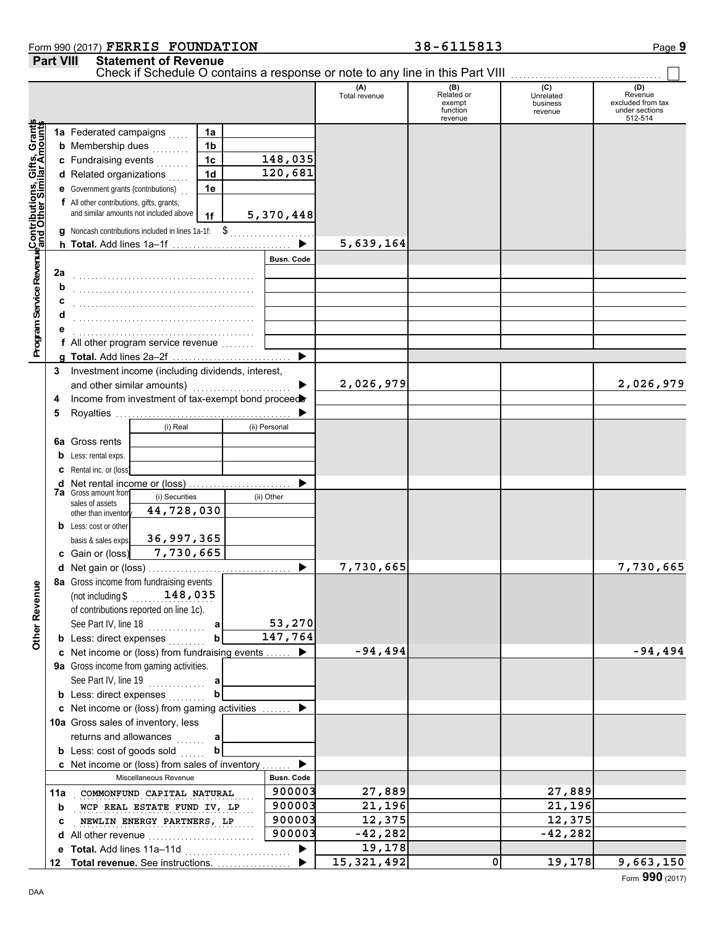### Form 990 (2017) Page **9 FERRIS FOUNDATION 38-6115813**

| Check if Schedule O contains a response or note to any line in this Part VIII [11] [11] [11] [11] [11] [11] [1<br>(C)<br>(D)<br>(A)<br>(B)<br>Related or<br>Revenue<br>Total revenue<br>Unrelated<br>excluded from tax<br>exempt<br>business<br>under sections<br>function<br>revenue<br>512-514<br>revenue<br>Program Service Revenue Contributions, Gifts, Grants<br>1a Federated campaigns<br>1a<br><b>b</b> Membership dues<br>1 <sub>b</sub><br>.<br>148,035<br>c Fundraising events<br>1 <sup>c</sup><br>120,681<br>1 <sub>d</sub><br>d Related organizations<br><b>e</b> Government grants (contributions)<br>1e<br>f All other contributions, gifts, grants,<br>and similar amounts not included above<br>5,370,448<br>1f<br>g Noncash contributions included in lines 1a-1f: \$<br>5,639,164<br><b>Busn. Code</b><br>2a<br>b<br><b>f</b> All other program service revenue $\ldots$<br>▶<br>Investment income (including dividends, interest,<br>3<br>2,026,979<br>2,026,979<br>and other similar amounts)<br>Income from investment of tax-exempt bond proceed<br>4<br>5<br>(i) Real<br>(ii) Personal<br><b>6a</b> Gross rents<br><b>b</b> Less: rental exps.<br><b>c</b> Rental inc. or (loss)<br>d Net rental income or (loss)<br><b>7a</b> Gross amount from<br>(i) Securities<br>(ii) Other<br>sales of assets<br>44,728,030<br>other than inventory<br><b>b</b> Less: cost or other<br>36,997,365<br>basis & sales exps.<br>7,730,665<br>c Gain or (loss)<br>7,730,665<br>7,730,665<br>8a Gross income from fundraising events<br>Other Revenue<br>(not including $$148,035$<br>of contributions reported on line 1c).<br>53,270<br>See Part IV, line 18<br>a<br>147,764<br><b>b</b> Less: direct expenses<br>b<br>$-94,494$<br>$-94,494$<br>c Net income or (loss) from fundraising events<br>9a Gross income from gaming activities.<br>See Part IV, line 19<br>a<br><b>b</b> Less: direct expenses<br>h<br>c Net income or (loss) from gaming activities<br>10a Gross sales of inventory, less<br>returns and allowances<br>a<br>1.1.1.1.1<br><b>b</b> Less: cost of goods sold<br>b<br>c Net income or (loss) from sales of inventory<br><b>Busn. Code</b><br>Miscellaneous Revenue<br>900003<br>27,889<br>27,889<br>11a COMMONFUND CAPITAL NATURAL<br>21,196<br>900003<br>21,196<br>WCP REAL ESTATE FUND IV, LP<br>b<br>12,375<br>900003<br>12,375<br>NEWLIN ENERGY PARTNERS, LP<br>c<br>900003<br>$-42,282$<br>$-42,282$<br>d All other revenue<br>19,178<br>e Total. Add lines 11a-11d<br>15,321,492<br>19,178<br>9,663,150<br>$\mathbf 0$<br>12 Total revenue. See instructions. |  | <b>Part VIII</b> | <b>Statement of Revenue</b> |  |  |  |  |
|---------------------------------------------------------------------------------------------------------------------------------------------------------------------------------------------------------------------------------------------------------------------------------------------------------------------------------------------------------------------------------------------------------------------------------------------------------------------------------------------------------------------------------------------------------------------------------------------------------------------------------------------------------------------------------------------------------------------------------------------------------------------------------------------------------------------------------------------------------------------------------------------------------------------------------------------------------------------------------------------------------------------------------------------------------------------------------------------------------------------------------------------------------------------------------------------------------------------------------------------------------------------------------------------------------------------------------------------------------------------------------------------------------------------------------------------------------------------------------------------------------------------------------------------------------------------------------------------------------------------------------------------------------------------------------------------------------------------------------------------------------------------------------------------------------------------------------------------------------------------------------------------------------------------------------------------------------------------------------------------------------------------------------------------------------------------------------------------------------------------------------------------------------------------------------------------------------------------------------------------------------------------------------------------------------------------------------------------------------------------------------------------------------------------------------------------------------------------------------------------------------------------------------------------------------------------------------------------------------|--|------------------|-----------------------------|--|--|--|--|
|                                                                                                                                                                                                                                                                                                                                                                                                                                                                                                                                                                                                                                                                                                                                                                                                                                                                                                                                                                                                                                                                                                                                                                                                                                                                                                                                                                                                                                                                                                                                                                                                                                                                                                                                                                                                                                                                                                                                                                                                                                                                                                                                                                                                                                                                                                                                                                                                                                                                                                                                                                                                         |  |                  |                             |  |  |  |  |
|                                                                                                                                                                                                                                                                                                                                                                                                                                                                                                                                                                                                                                                                                                                                                                                                                                                                                                                                                                                                                                                                                                                                                                                                                                                                                                                                                                                                                                                                                                                                                                                                                                                                                                                                                                                                                                                                                                                                                                                                                                                                                                                                                                                                                                                                                                                                                                                                                                                                                                                                                                                                         |  |                  |                             |  |  |  |  |
|                                                                                                                                                                                                                                                                                                                                                                                                                                                                                                                                                                                                                                                                                                                                                                                                                                                                                                                                                                                                                                                                                                                                                                                                                                                                                                                                                                                                                                                                                                                                                                                                                                                                                                                                                                                                                                                                                                                                                                                                                                                                                                                                                                                                                                                                                                                                                                                                                                                                                                                                                                                                         |  |                  |                             |  |  |  |  |
|                                                                                                                                                                                                                                                                                                                                                                                                                                                                                                                                                                                                                                                                                                                                                                                                                                                                                                                                                                                                                                                                                                                                                                                                                                                                                                                                                                                                                                                                                                                                                                                                                                                                                                                                                                                                                                                                                                                                                                                                                                                                                                                                                                                                                                                                                                                                                                                                                                                                                                                                                                                                         |  |                  |                             |  |  |  |  |
|                                                                                                                                                                                                                                                                                                                                                                                                                                                                                                                                                                                                                                                                                                                                                                                                                                                                                                                                                                                                                                                                                                                                                                                                                                                                                                                                                                                                                                                                                                                                                                                                                                                                                                                                                                                                                                                                                                                                                                                                                                                                                                                                                                                                                                                                                                                                                                                                                                                                                                                                                                                                         |  |                  |                             |  |  |  |  |
|                                                                                                                                                                                                                                                                                                                                                                                                                                                                                                                                                                                                                                                                                                                                                                                                                                                                                                                                                                                                                                                                                                                                                                                                                                                                                                                                                                                                                                                                                                                                                                                                                                                                                                                                                                                                                                                                                                                                                                                                                                                                                                                                                                                                                                                                                                                                                                                                                                                                                                                                                                                                         |  |                  |                             |  |  |  |  |
|                                                                                                                                                                                                                                                                                                                                                                                                                                                                                                                                                                                                                                                                                                                                                                                                                                                                                                                                                                                                                                                                                                                                                                                                                                                                                                                                                                                                                                                                                                                                                                                                                                                                                                                                                                                                                                                                                                                                                                                                                                                                                                                                                                                                                                                                                                                                                                                                                                                                                                                                                                                                         |  |                  |                             |  |  |  |  |
|                                                                                                                                                                                                                                                                                                                                                                                                                                                                                                                                                                                                                                                                                                                                                                                                                                                                                                                                                                                                                                                                                                                                                                                                                                                                                                                                                                                                                                                                                                                                                                                                                                                                                                                                                                                                                                                                                                                                                                                                                                                                                                                                                                                                                                                                                                                                                                                                                                                                                                                                                                                                         |  |                  |                             |  |  |  |  |
|                                                                                                                                                                                                                                                                                                                                                                                                                                                                                                                                                                                                                                                                                                                                                                                                                                                                                                                                                                                                                                                                                                                                                                                                                                                                                                                                                                                                                                                                                                                                                                                                                                                                                                                                                                                                                                                                                                                                                                                                                                                                                                                                                                                                                                                                                                                                                                                                                                                                                                                                                                                                         |  |                  |                             |  |  |  |  |
|                                                                                                                                                                                                                                                                                                                                                                                                                                                                                                                                                                                                                                                                                                                                                                                                                                                                                                                                                                                                                                                                                                                                                                                                                                                                                                                                                                                                                                                                                                                                                                                                                                                                                                                                                                                                                                                                                                                                                                                                                                                                                                                                                                                                                                                                                                                                                                                                                                                                                                                                                                                                         |  |                  |                             |  |  |  |  |
|                                                                                                                                                                                                                                                                                                                                                                                                                                                                                                                                                                                                                                                                                                                                                                                                                                                                                                                                                                                                                                                                                                                                                                                                                                                                                                                                                                                                                                                                                                                                                                                                                                                                                                                                                                                                                                                                                                                                                                                                                                                                                                                                                                                                                                                                                                                                                                                                                                                                                                                                                                                                         |  |                  |                             |  |  |  |  |
|                                                                                                                                                                                                                                                                                                                                                                                                                                                                                                                                                                                                                                                                                                                                                                                                                                                                                                                                                                                                                                                                                                                                                                                                                                                                                                                                                                                                                                                                                                                                                                                                                                                                                                                                                                                                                                                                                                                                                                                                                                                                                                                                                                                                                                                                                                                                                                                                                                                                                                                                                                                                         |  |                  |                             |  |  |  |  |
|                                                                                                                                                                                                                                                                                                                                                                                                                                                                                                                                                                                                                                                                                                                                                                                                                                                                                                                                                                                                                                                                                                                                                                                                                                                                                                                                                                                                                                                                                                                                                                                                                                                                                                                                                                                                                                                                                                                                                                                                                                                                                                                                                                                                                                                                                                                                                                                                                                                                                                                                                                                                         |  |                  |                             |  |  |  |  |
|                                                                                                                                                                                                                                                                                                                                                                                                                                                                                                                                                                                                                                                                                                                                                                                                                                                                                                                                                                                                                                                                                                                                                                                                                                                                                                                                                                                                                                                                                                                                                                                                                                                                                                                                                                                                                                                                                                                                                                                                                                                                                                                                                                                                                                                                                                                                                                                                                                                                                                                                                                                                         |  |                  |                             |  |  |  |  |
|                                                                                                                                                                                                                                                                                                                                                                                                                                                                                                                                                                                                                                                                                                                                                                                                                                                                                                                                                                                                                                                                                                                                                                                                                                                                                                                                                                                                                                                                                                                                                                                                                                                                                                                                                                                                                                                                                                                                                                                                                                                                                                                                                                                                                                                                                                                                                                                                                                                                                                                                                                                                         |  |                  |                             |  |  |  |  |
|                                                                                                                                                                                                                                                                                                                                                                                                                                                                                                                                                                                                                                                                                                                                                                                                                                                                                                                                                                                                                                                                                                                                                                                                                                                                                                                                                                                                                                                                                                                                                                                                                                                                                                                                                                                                                                                                                                                                                                                                                                                                                                                                                                                                                                                                                                                                                                                                                                                                                                                                                                                                         |  |                  |                             |  |  |  |  |
|                                                                                                                                                                                                                                                                                                                                                                                                                                                                                                                                                                                                                                                                                                                                                                                                                                                                                                                                                                                                                                                                                                                                                                                                                                                                                                                                                                                                                                                                                                                                                                                                                                                                                                                                                                                                                                                                                                                                                                                                                                                                                                                                                                                                                                                                                                                                                                                                                                                                                                                                                                                                         |  |                  |                             |  |  |  |  |
|                                                                                                                                                                                                                                                                                                                                                                                                                                                                                                                                                                                                                                                                                                                                                                                                                                                                                                                                                                                                                                                                                                                                                                                                                                                                                                                                                                                                                                                                                                                                                                                                                                                                                                                                                                                                                                                                                                                                                                                                                                                                                                                                                                                                                                                                                                                                                                                                                                                                                                                                                                                                         |  |                  |                             |  |  |  |  |
|                                                                                                                                                                                                                                                                                                                                                                                                                                                                                                                                                                                                                                                                                                                                                                                                                                                                                                                                                                                                                                                                                                                                                                                                                                                                                                                                                                                                                                                                                                                                                                                                                                                                                                                                                                                                                                                                                                                                                                                                                                                                                                                                                                                                                                                                                                                                                                                                                                                                                                                                                                                                         |  |                  |                             |  |  |  |  |
|                                                                                                                                                                                                                                                                                                                                                                                                                                                                                                                                                                                                                                                                                                                                                                                                                                                                                                                                                                                                                                                                                                                                                                                                                                                                                                                                                                                                                                                                                                                                                                                                                                                                                                                                                                                                                                                                                                                                                                                                                                                                                                                                                                                                                                                                                                                                                                                                                                                                                                                                                                                                         |  |                  |                             |  |  |  |  |
|                                                                                                                                                                                                                                                                                                                                                                                                                                                                                                                                                                                                                                                                                                                                                                                                                                                                                                                                                                                                                                                                                                                                                                                                                                                                                                                                                                                                                                                                                                                                                                                                                                                                                                                                                                                                                                                                                                                                                                                                                                                                                                                                                                                                                                                                                                                                                                                                                                                                                                                                                                                                         |  |                  |                             |  |  |  |  |
|                                                                                                                                                                                                                                                                                                                                                                                                                                                                                                                                                                                                                                                                                                                                                                                                                                                                                                                                                                                                                                                                                                                                                                                                                                                                                                                                                                                                                                                                                                                                                                                                                                                                                                                                                                                                                                                                                                                                                                                                                                                                                                                                                                                                                                                                                                                                                                                                                                                                                                                                                                                                         |  |                  |                             |  |  |  |  |
|                                                                                                                                                                                                                                                                                                                                                                                                                                                                                                                                                                                                                                                                                                                                                                                                                                                                                                                                                                                                                                                                                                                                                                                                                                                                                                                                                                                                                                                                                                                                                                                                                                                                                                                                                                                                                                                                                                                                                                                                                                                                                                                                                                                                                                                                                                                                                                                                                                                                                                                                                                                                         |  |                  |                             |  |  |  |  |
|                                                                                                                                                                                                                                                                                                                                                                                                                                                                                                                                                                                                                                                                                                                                                                                                                                                                                                                                                                                                                                                                                                                                                                                                                                                                                                                                                                                                                                                                                                                                                                                                                                                                                                                                                                                                                                                                                                                                                                                                                                                                                                                                                                                                                                                                                                                                                                                                                                                                                                                                                                                                         |  |                  |                             |  |  |  |  |
|                                                                                                                                                                                                                                                                                                                                                                                                                                                                                                                                                                                                                                                                                                                                                                                                                                                                                                                                                                                                                                                                                                                                                                                                                                                                                                                                                                                                                                                                                                                                                                                                                                                                                                                                                                                                                                                                                                                                                                                                                                                                                                                                                                                                                                                                                                                                                                                                                                                                                                                                                                                                         |  |                  |                             |  |  |  |  |
|                                                                                                                                                                                                                                                                                                                                                                                                                                                                                                                                                                                                                                                                                                                                                                                                                                                                                                                                                                                                                                                                                                                                                                                                                                                                                                                                                                                                                                                                                                                                                                                                                                                                                                                                                                                                                                                                                                                                                                                                                                                                                                                                                                                                                                                                                                                                                                                                                                                                                                                                                                                                         |  |                  |                             |  |  |  |  |
|                                                                                                                                                                                                                                                                                                                                                                                                                                                                                                                                                                                                                                                                                                                                                                                                                                                                                                                                                                                                                                                                                                                                                                                                                                                                                                                                                                                                                                                                                                                                                                                                                                                                                                                                                                                                                                                                                                                                                                                                                                                                                                                                                                                                                                                                                                                                                                                                                                                                                                                                                                                                         |  |                  |                             |  |  |  |  |
|                                                                                                                                                                                                                                                                                                                                                                                                                                                                                                                                                                                                                                                                                                                                                                                                                                                                                                                                                                                                                                                                                                                                                                                                                                                                                                                                                                                                                                                                                                                                                                                                                                                                                                                                                                                                                                                                                                                                                                                                                                                                                                                                                                                                                                                                                                                                                                                                                                                                                                                                                                                                         |  |                  |                             |  |  |  |  |
|                                                                                                                                                                                                                                                                                                                                                                                                                                                                                                                                                                                                                                                                                                                                                                                                                                                                                                                                                                                                                                                                                                                                                                                                                                                                                                                                                                                                                                                                                                                                                                                                                                                                                                                                                                                                                                                                                                                                                                                                                                                                                                                                                                                                                                                                                                                                                                                                                                                                                                                                                                                                         |  |                  |                             |  |  |  |  |
|                                                                                                                                                                                                                                                                                                                                                                                                                                                                                                                                                                                                                                                                                                                                                                                                                                                                                                                                                                                                                                                                                                                                                                                                                                                                                                                                                                                                                                                                                                                                                                                                                                                                                                                                                                                                                                                                                                                                                                                                                                                                                                                                                                                                                                                                                                                                                                                                                                                                                                                                                                                                         |  |                  |                             |  |  |  |  |
|                                                                                                                                                                                                                                                                                                                                                                                                                                                                                                                                                                                                                                                                                                                                                                                                                                                                                                                                                                                                                                                                                                                                                                                                                                                                                                                                                                                                                                                                                                                                                                                                                                                                                                                                                                                                                                                                                                                                                                                                                                                                                                                                                                                                                                                                                                                                                                                                                                                                                                                                                                                                         |  |                  |                             |  |  |  |  |
|                                                                                                                                                                                                                                                                                                                                                                                                                                                                                                                                                                                                                                                                                                                                                                                                                                                                                                                                                                                                                                                                                                                                                                                                                                                                                                                                                                                                                                                                                                                                                                                                                                                                                                                                                                                                                                                                                                                                                                                                                                                                                                                                                                                                                                                                                                                                                                                                                                                                                                                                                                                                         |  |                  |                             |  |  |  |  |
|                                                                                                                                                                                                                                                                                                                                                                                                                                                                                                                                                                                                                                                                                                                                                                                                                                                                                                                                                                                                                                                                                                                                                                                                                                                                                                                                                                                                                                                                                                                                                                                                                                                                                                                                                                                                                                                                                                                                                                                                                                                                                                                                                                                                                                                                                                                                                                                                                                                                                                                                                                                                         |  |                  |                             |  |  |  |  |
|                                                                                                                                                                                                                                                                                                                                                                                                                                                                                                                                                                                                                                                                                                                                                                                                                                                                                                                                                                                                                                                                                                                                                                                                                                                                                                                                                                                                                                                                                                                                                                                                                                                                                                                                                                                                                                                                                                                                                                                                                                                                                                                                                                                                                                                                                                                                                                                                                                                                                                                                                                                                         |  |                  |                             |  |  |  |  |
|                                                                                                                                                                                                                                                                                                                                                                                                                                                                                                                                                                                                                                                                                                                                                                                                                                                                                                                                                                                                                                                                                                                                                                                                                                                                                                                                                                                                                                                                                                                                                                                                                                                                                                                                                                                                                                                                                                                                                                                                                                                                                                                                                                                                                                                                                                                                                                                                                                                                                                                                                                                                         |  |                  |                             |  |  |  |  |
|                                                                                                                                                                                                                                                                                                                                                                                                                                                                                                                                                                                                                                                                                                                                                                                                                                                                                                                                                                                                                                                                                                                                                                                                                                                                                                                                                                                                                                                                                                                                                                                                                                                                                                                                                                                                                                                                                                                                                                                                                                                                                                                                                                                                                                                                                                                                                                                                                                                                                                                                                                                                         |  |                  |                             |  |  |  |  |
|                                                                                                                                                                                                                                                                                                                                                                                                                                                                                                                                                                                                                                                                                                                                                                                                                                                                                                                                                                                                                                                                                                                                                                                                                                                                                                                                                                                                                                                                                                                                                                                                                                                                                                                                                                                                                                                                                                                                                                                                                                                                                                                                                                                                                                                                                                                                                                                                                                                                                                                                                                                                         |  |                  |                             |  |  |  |  |
|                                                                                                                                                                                                                                                                                                                                                                                                                                                                                                                                                                                                                                                                                                                                                                                                                                                                                                                                                                                                                                                                                                                                                                                                                                                                                                                                                                                                                                                                                                                                                                                                                                                                                                                                                                                                                                                                                                                                                                                                                                                                                                                                                                                                                                                                                                                                                                                                                                                                                                                                                                                                         |  |                  |                             |  |  |  |  |
|                                                                                                                                                                                                                                                                                                                                                                                                                                                                                                                                                                                                                                                                                                                                                                                                                                                                                                                                                                                                                                                                                                                                                                                                                                                                                                                                                                                                                                                                                                                                                                                                                                                                                                                                                                                                                                                                                                                                                                                                                                                                                                                                                                                                                                                                                                                                                                                                                                                                                                                                                                                                         |  |                  |                             |  |  |  |  |
|                                                                                                                                                                                                                                                                                                                                                                                                                                                                                                                                                                                                                                                                                                                                                                                                                                                                                                                                                                                                                                                                                                                                                                                                                                                                                                                                                                                                                                                                                                                                                                                                                                                                                                                                                                                                                                                                                                                                                                                                                                                                                                                                                                                                                                                                                                                                                                                                                                                                                                                                                                                                         |  |                  |                             |  |  |  |  |
|                                                                                                                                                                                                                                                                                                                                                                                                                                                                                                                                                                                                                                                                                                                                                                                                                                                                                                                                                                                                                                                                                                                                                                                                                                                                                                                                                                                                                                                                                                                                                                                                                                                                                                                                                                                                                                                                                                                                                                                                                                                                                                                                                                                                                                                                                                                                                                                                                                                                                                                                                                                                         |  |                  |                             |  |  |  |  |
|                                                                                                                                                                                                                                                                                                                                                                                                                                                                                                                                                                                                                                                                                                                                                                                                                                                                                                                                                                                                                                                                                                                                                                                                                                                                                                                                                                                                                                                                                                                                                                                                                                                                                                                                                                                                                                                                                                                                                                                                                                                                                                                                                                                                                                                                                                                                                                                                                                                                                                                                                                                                         |  |                  |                             |  |  |  |  |
|                                                                                                                                                                                                                                                                                                                                                                                                                                                                                                                                                                                                                                                                                                                                                                                                                                                                                                                                                                                                                                                                                                                                                                                                                                                                                                                                                                                                                                                                                                                                                                                                                                                                                                                                                                                                                                                                                                                                                                                                                                                                                                                                                                                                                                                                                                                                                                                                                                                                                                                                                                                                         |  |                  |                             |  |  |  |  |
|                                                                                                                                                                                                                                                                                                                                                                                                                                                                                                                                                                                                                                                                                                                                                                                                                                                                                                                                                                                                                                                                                                                                                                                                                                                                                                                                                                                                                                                                                                                                                                                                                                                                                                                                                                                                                                                                                                                                                                                                                                                                                                                                                                                                                                                                                                                                                                                                                                                                                                                                                                                                         |  |                  |                             |  |  |  |  |
|                                                                                                                                                                                                                                                                                                                                                                                                                                                                                                                                                                                                                                                                                                                                                                                                                                                                                                                                                                                                                                                                                                                                                                                                                                                                                                                                                                                                                                                                                                                                                                                                                                                                                                                                                                                                                                                                                                                                                                                                                                                                                                                                                                                                                                                                                                                                                                                                                                                                                                                                                                                                         |  |                  |                             |  |  |  |  |
|                                                                                                                                                                                                                                                                                                                                                                                                                                                                                                                                                                                                                                                                                                                                                                                                                                                                                                                                                                                                                                                                                                                                                                                                                                                                                                                                                                                                                                                                                                                                                                                                                                                                                                                                                                                                                                                                                                                                                                                                                                                                                                                                                                                                                                                                                                                                                                                                                                                                                                                                                                                                         |  |                  |                             |  |  |  |  |
|                                                                                                                                                                                                                                                                                                                                                                                                                                                                                                                                                                                                                                                                                                                                                                                                                                                                                                                                                                                                                                                                                                                                                                                                                                                                                                                                                                                                                                                                                                                                                                                                                                                                                                                                                                                                                                                                                                                                                                                                                                                                                                                                                                                                                                                                                                                                                                                                                                                                                                                                                                                                         |  |                  |                             |  |  |  |  |
|                                                                                                                                                                                                                                                                                                                                                                                                                                                                                                                                                                                                                                                                                                                                                                                                                                                                                                                                                                                                                                                                                                                                                                                                                                                                                                                                                                                                                                                                                                                                                                                                                                                                                                                                                                                                                                                                                                                                                                                                                                                                                                                                                                                                                                                                                                                                                                                                                                                                                                                                                                                                         |  |                  |                             |  |  |  |  |
|                                                                                                                                                                                                                                                                                                                                                                                                                                                                                                                                                                                                                                                                                                                                                                                                                                                                                                                                                                                                                                                                                                                                                                                                                                                                                                                                                                                                                                                                                                                                                                                                                                                                                                                                                                                                                                                                                                                                                                                                                                                                                                                                                                                                                                                                                                                                                                                                                                                                                                                                                                                                         |  |                  |                             |  |  |  |  |
|                                                                                                                                                                                                                                                                                                                                                                                                                                                                                                                                                                                                                                                                                                                                                                                                                                                                                                                                                                                                                                                                                                                                                                                                                                                                                                                                                                                                                                                                                                                                                                                                                                                                                                                                                                                                                                                                                                                                                                                                                                                                                                                                                                                                                                                                                                                                                                                                                                                                                                                                                                                                         |  |                  |                             |  |  |  |  |
|                                                                                                                                                                                                                                                                                                                                                                                                                                                                                                                                                                                                                                                                                                                                                                                                                                                                                                                                                                                                                                                                                                                                                                                                                                                                                                                                                                                                                                                                                                                                                                                                                                                                                                                                                                                                                                                                                                                                                                                                                                                                                                                                                                                                                                                                                                                                                                                                                                                                                                                                                                                                         |  |                  |                             |  |  |  |  |
|                                                                                                                                                                                                                                                                                                                                                                                                                                                                                                                                                                                                                                                                                                                                                                                                                                                                                                                                                                                                                                                                                                                                                                                                                                                                                                                                                                                                                                                                                                                                                                                                                                                                                                                                                                                                                                                                                                                                                                                                                                                                                                                                                                                                                                                                                                                                                                                                                                                                                                                                                                                                         |  |                  |                             |  |  |  |  |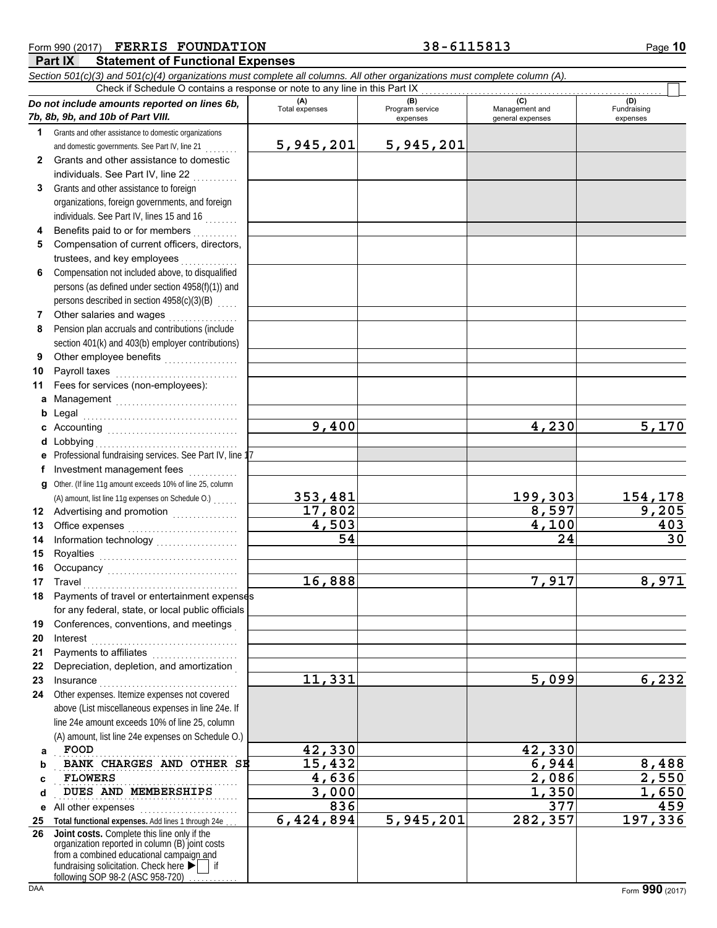|              | Form 990 (2017) FERRIS FOUNDATION                                                                                                                                                                                              |                       | 38-6115813      |                    |                         |  |  |  |  |  |  |  |
|--------------|--------------------------------------------------------------------------------------------------------------------------------------------------------------------------------------------------------------------------------|-----------------------|-----------------|--------------------|-------------------------|--|--|--|--|--|--|--|
|              | Part IX<br><b>Statement of Functional Expenses</b>                                                                                                                                                                             |                       |                 |                    |                         |  |  |  |  |  |  |  |
|              | Section 501(c)(3) and 501(c)(4) organizations must complete all columns. All other organizations must complete column (A).                                                                                                     |                       |                 |                    |                         |  |  |  |  |  |  |  |
|              | Check if Schedule O contains a response or note to any line in this Part IX                                                                                                                                                    | (A)                   | (B)             | (C)                | (D)                     |  |  |  |  |  |  |  |
|              | Do not include amounts reported on lines 6b,<br>7b, 8b, 9b, and 10b of Part VIII.                                                                                                                                              | <b>Total expenses</b> | Program service | Management and     | Fundraising<br>expenses |  |  |  |  |  |  |  |
| 1            | Grants and other assistance to domestic organizations                                                                                                                                                                          |                       | expenses        | general expenses   |                         |  |  |  |  |  |  |  |
|              | and domestic governments. See Part IV, line 21                                                                                                                                                                                 | 5,945,201             | 5,945,201       |                    |                         |  |  |  |  |  |  |  |
| $\mathbf{2}$ | Grants and other assistance to domestic                                                                                                                                                                                        |                       |                 |                    |                         |  |  |  |  |  |  |  |
|              | individuals. See Part IV, line 22                                                                                                                                                                                              |                       |                 |                    |                         |  |  |  |  |  |  |  |
| 3            | Grants and other assistance to foreign                                                                                                                                                                                         |                       |                 |                    |                         |  |  |  |  |  |  |  |
|              | organizations, foreign governments, and foreign                                                                                                                                                                                |                       |                 |                    |                         |  |  |  |  |  |  |  |
|              | individuals. See Part IV, lines 15 and 16                                                                                                                                                                                      |                       |                 |                    |                         |  |  |  |  |  |  |  |
| 4            | Benefits paid to or for members                                                                                                                                                                                                |                       |                 |                    |                         |  |  |  |  |  |  |  |
| 5            | Compensation of current officers, directors,                                                                                                                                                                                   |                       |                 |                    |                         |  |  |  |  |  |  |  |
|              | trustees, and key employees                                                                                                                                                                                                    |                       |                 |                    |                         |  |  |  |  |  |  |  |
| 6            | Compensation not included above, to disqualified                                                                                                                                                                               |                       |                 |                    |                         |  |  |  |  |  |  |  |
|              | persons (as defined under section 4958(f)(1)) and                                                                                                                                                                              |                       |                 |                    |                         |  |  |  |  |  |  |  |
|              | persons described in section 4958(c)(3)(B)                                                                                                                                                                                     |                       |                 |                    |                         |  |  |  |  |  |  |  |
| 7            | Other salaries and wages                                                                                                                                                                                                       |                       |                 |                    |                         |  |  |  |  |  |  |  |
| 8            | Pension plan accruals and contributions (include                                                                                                                                                                               |                       |                 |                    |                         |  |  |  |  |  |  |  |
|              | section 401(k) and 403(b) employer contributions)                                                                                                                                                                              |                       |                 |                    |                         |  |  |  |  |  |  |  |
| 9            |                                                                                                                                                                                                                                |                       |                 |                    |                         |  |  |  |  |  |  |  |
| 10           | Payroll taxes                                                                                                                                                                                                                  |                       |                 |                    |                         |  |  |  |  |  |  |  |
| 11           | Fees for services (non-employees):                                                                                                                                                                                             |                       |                 |                    |                         |  |  |  |  |  |  |  |
| a            | Management                                                                                                                                                                                                                     |                       |                 |                    |                         |  |  |  |  |  |  |  |
| b            | Legal                                                                                                                                                                                                                          |                       |                 |                    |                         |  |  |  |  |  |  |  |
|              |                                                                                                                                                                                                                                | 9,400                 |                 | 4,230              | 5,170                   |  |  |  |  |  |  |  |
|              | d Lobbying                                                                                                                                                                                                                     |                       |                 |                    |                         |  |  |  |  |  |  |  |
| е            | Professional fundraising services. See Part IV, line 17                                                                                                                                                                        |                       |                 |                    |                         |  |  |  |  |  |  |  |
| f            | Investment management fees                                                                                                                                                                                                     |                       |                 |                    |                         |  |  |  |  |  |  |  |
|              | g Other. (If line 11g amount exceeds 10% of line 25, column                                                                                                                                                                    |                       |                 |                    |                         |  |  |  |  |  |  |  |
|              | (A) amount, list line 11g expenses on Schedule O.)                                                                                                                                                                             | 353,481               |                 | 199,303            | 154,178                 |  |  |  |  |  |  |  |
|              | 12 Advertising and promotion [1] [1] Advertising and promotion                                                                                                                                                                 | 17,802                |                 | 8,597              | 9,205                   |  |  |  |  |  |  |  |
| 13           | Office expenses                                                                                                                                                                                                                | 4,503                 |                 | $\overline{4,100}$ | 403                     |  |  |  |  |  |  |  |
| 14           | Information technology<br>                                                                                                                                                                                                     | 54                    |                 | 24                 | 30                      |  |  |  |  |  |  |  |
| 15           | Royalties                                                                                                                                                                                                                      |                       |                 |                    |                         |  |  |  |  |  |  |  |
| 16           | Occupancy will be a controlled and controlled a controlled and controlled a controlled a controlled and controlled a controlled and controlled a controlled and controlled a controlled a controlled and controlled a controll |                       |                 |                    |                         |  |  |  |  |  |  |  |
| 17           | Travel                                                                                                                                                                                                                         | 16,888                |                 | 7,917              | 8,971                   |  |  |  |  |  |  |  |
| 18           | Payments of travel or entertainment expenses                                                                                                                                                                                   |                       |                 |                    |                         |  |  |  |  |  |  |  |
|              | for any federal, state, or local public officials                                                                                                                                                                              |                       |                 |                    |                         |  |  |  |  |  |  |  |
| 19           | Conferences, conventions, and meetings                                                                                                                                                                                         |                       |                 |                    |                         |  |  |  |  |  |  |  |
| 20           | Interest                                                                                                                                                                                                                       |                       |                 |                    |                         |  |  |  |  |  |  |  |
| 21           | Payments to affiliates                                                                                                                                                                                                         |                       |                 |                    |                         |  |  |  |  |  |  |  |
| 22           | Depreciation, depletion, and amortization                                                                                                                                                                                      |                       |                 |                    |                         |  |  |  |  |  |  |  |
| 23           | Insurance                                                                                                                                                                                                                      | 11,331                |                 | 5,099              | 6,232                   |  |  |  |  |  |  |  |
| 24           | Other expenses. Itemize expenses not covered                                                                                                                                                                                   |                       |                 |                    |                         |  |  |  |  |  |  |  |
|              | above (List miscellaneous expenses in line 24e. If                                                                                                                                                                             |                       |                 |                    |                         |  |  |  |  |  |  |  |
|              | line 24e amount exceeds 10% of line 25, column                                                                                                                                                                                 |                       |                 |                    |                         |  |  |  |  |  |  |  |
|              | (A) amount, list line 24e expenses on Schedule O.)                                                                                                                                                                             |                       |                 |                    |                         |  |  |  |  |  |  |  |
| a            | FOOD                                                                                                                                                                                                                           | 42,330                |                 | 42,330             |                         |  |  |  |  |  |  |  |
| b            | BANK CHARGES AND OTHER SE                                                                                                                                                                                                      | 15,432                |                 | 6,944              | 8,488                   |  |  |  |  |  |  |  |

**BANK CHARGES AND OTHER SE** 15,432 6,944 8,488

**FLOWERS 4,636 2,086 2,550**

**836 377 459**

**6,424,894 5,945,201 282,357 197,336**

**DUES AND MEMBERSHIPS** 3,000 1,350 1,650

**a b c d**

**26**

**e** All other expenses . . . . . . . . . . . . . . . . . . . . . . . . **25 Total functional expenses.** Add lines 1 through 24e . . .

. . . . . . . . . . . . . . . . . . . . . . . . . . . . . . . . . . . . . . . . . . . . .

fundraising solicitation. Check here  $\blacktriangleright$  | if organization reported in column (B) joint costs from a combined educational campaign and

**Joint costs.** Complete this line only if the

following SOP 98-2 (ASC 958-720)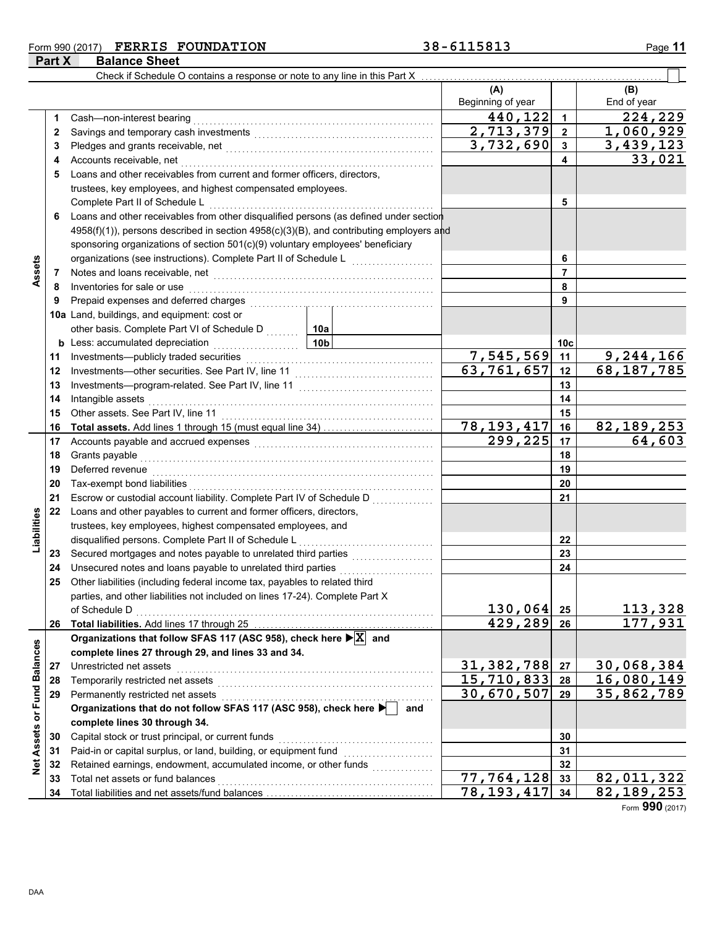### **Form 990 (2017) FERRIS FOUNDATION** 38-6115813 Page 11 **Part X Balance Sheet**

|                 |          | Check if Schedule O contains a response or note to any line in this Part X                                                                                                                                                          |                           |                                                   |                 |                            |
|-----------------|----------|-------------------------------------------------------------------------------------------------------------------------------------------------------------------------------------------------------------------------------------|---------------------------|---------------------------------------------------|-----------------|----------------------------|
|                 |          |                                                                                                                                                                                                                                     |                           | (A)                                               |                 | (B)                        |
|                 |          |                                                                                                                                                                                                                                     |                           | Beginning of year                                 |                 | End of year                |
|                 | 1        | Cash-non-interest bearing                                                                                                                                                                                                           |                           | 440,122                                           | $\mathbf 1$     | 224,229                    |
|                 | 2        |                                                                                                                                                                                                                                     |                           | 2,713,379                                         | $\overline{2}$  | 1,060,929                  |
|                 | 3        |                                                                                                                                                                                                                                     |                           | 3,732,690                                         | 3               | 3,439,123                  |
|                 | 4        |                                                                                                                                                                                                                                     |                           | 4                                                 | 33,021          |                            |
|                 | 5        | Loans and other receivables from current and former officers, directors,                                                                                                                                                            |                           |                                                   |                 |                            |
|                 |          | trustees, key employees, and highest compensated employees.                                                                                                                                                                         |                           |                                                   |                 |                            |
|                 |          | Complete Part II of Schedule L                                                                                                                                                                                                      |                           | 5                                                 |                 |                            |
|                 | 6        | Loans and other receivables from other disqualified persons (as defined under section                                                                                                                                               |                           |                                                   |                 |                            |
|                 |          | 4958(f)(1)), persons described in section 4958(c)(3)(B), and contributing employers and                                                                                                                                             |                           |                                                   |                 |                            |
|                 |          | sponsoring organizations of section 501(c)(9) voluntary employees' beneficiary                                                                                                                                                      |                           |                                                   |                 |                            |
|                 |          | organizations (see instructions). Complete Part II of Schedule L                                                                                                                                                                    |                           |                                                   | 6               |                            |
| Assets          | 7        | Notes and loans receivable, net <b>construction</b> and construction of the set of the set of the set of the set of the set of the set of the set of the set of the set of the set of the set of the set of the set of the set of t |                           |                                                   | 7               |                            |
|                 | 8        | Inventories for sale or use                                                                                                                                                                                                         |                           |                                                   | 8               |                            |
|                 | 9        | Prepaid expenses and deferred charges                                                                                                                                                                                               |                           |                                                   | 9               |                            |
|                 |          | 10a Land, buildings, and equipment: cost or                                                                                                                                                                                         |                           |                                                   |                 |                            |
|                 |          | other basis. Complete Part VI of Schedule D  10a                                                                                                                                                                                    |                           |                                                   |                 |                            |
|                 |          | 10b<br><b>b</b> Less: accumulated depreciation                                                                                                                                                                                      |                           |                                                   | 10 <sub>c</sub> |                            |
|                 | 11       | Investments-publicly traded securities                                                                                                                                                                                              |                           | 7,545,569                                         | 11              | $\overline{9}$ , 244, 166  |
|                 | 12       |                                                                                                                                                                                                                                     | $\overline{63,761}$ , 657 | 12                                                | 68,187,785      |                            |
|                 | 13       |                                                                                                                                                                                                                                     |                           | 13                                                |                 |                            |
|                 | 14       | Intangible assets                                                                                                                                                                                                                   |                           |                                                   | 14              |                            |
|                 | 15       | Other assets. See Part IV, line 11                                                                                                                                                                                                  |                           | 15                                                |                 |                            |
|                 | 16       |                                                                                                                                                                                                                                     |                           | $\overline{78, 193, 417}$<br>$\overline{299,225}$ | 16              | 82, 189, 253<br>64,603     |
|                 | 17       |                                                                                                                                                                                                                                     |                           | 17<br>18                                          |                 |                            |
|                 | 18<br>19 | Grants payable<br>Deferred revenue                                                                                                                                                                                                  |                           |                                                   | 19              |                            |
|                 | 20       | Tax-exempt bond liabilities                                                                                                                                                                                                         |                           |                                                   | 20              |                            |
|                 | 21       | Escrow or custodial account liability. Complete Part IV of Schedule D                                                                                                                                                               |                           |                                                   | 21              |                            |
|                 | 22       | Loans and other payables to current and former officers, directors,                                                                                                                                                                 |                           |                                                   |                 |                            |
| Liabilities     |          | trustees, key employees, highest compensated employees, and                                                                                                                                                                         |                           |                                                   |                 |                            |
|                 |          | disqualified persons. Complete Part II of Schedule L                                                                                                                                                                                |                           |                                                   | 22              |                            |
|                 | 23       |                                                                                                                                                                                                                                     |                           |                                                   | 23              |                            |
|                 | 24       | Unsecured notes and loans payable to unrelated third parties                                                                                                                                                                        |                           |                                                   | 24              |                            |
|                 | 25       | Other liabilities (including federal income tax, payables to related third                                                                                                                                                          |                           |                                                   |                 |                            |
|                 |          | parties, and other liabilities not included on lines 17-24). Complete Part X                                                                                                                                                        |                           |                                                   |                 |                            |
|                 |          | of Schedule D                                                                                                                                                                                                                       |                           | 130,064                                           | 25              | 113,328                    |
|                 | 26       |                                                                                                                                                                                                                                     |                           | 429,289                                           | 26              | 177,931                    |
|                 |          | Organizations that follow SFAS 117 (ASC 958), check here $\blacktriangleright$ $\boxed{\mathbf{X}}$ and                                                                                                                             |                           |                                                   |                 |                            |
|                 |          | complete lines 27 through 29, and lines 33 and 34.                                                                                                                                                                                  |                           |                                                   |                 |                            |
| <b>Balances</b> | 27       | Unrestricted net assets                                                                                                                                                                                                             |                           | 31,382,788                                        | 27              | 30,068,384                 |
|                 | 28       | Temporarily restricted net assets                                                                                                                                                                                                   | 15,710,833                | 28                                                | 16,080,149      |                            |
|                 | 29       | Permanently restricted net assets                                                                                                                                                                                                   |                           | 30,670,507                                        | 29              | 35,862,789                 |
|                 |          | Organizations that do not follow SFAS 117 (ASC 958), check here                                                                                                                                                                     | and                       |                                                   |                 |                            |
| Assets or Fund  |          | complete lines 30 through 34.                                                                                                                                                                                                       |                           |                                                   |                 |                            |
|                 | 30       | Capital stock or trust principal, or current funds                                                                                                                                                                                  |                           |                                                   | 30              |                            |
|                 | 31       | Paid-in or capital surplus, or land, building, or equipment fund                                                                                                                                                                    |                           |                                                   | 31              |                            |
| Net             | 32       | Retained earnings, endowment, accumulated income, or other funds                                                                                                                                                                    |                           | $\overline{77}$ , 764, 128                        | 32              |                            |
|                 | 33       | Total net assets or fund balances                                                                                                                                                                                                   |                           | 78, 193, 417                                      | 33              | 82,011,322<br>82, 189, 253 |
|                 | 34       |                                                                                                                                                                                                                                     |                           |                                                   | 34              |                            |

Form **990** (2017)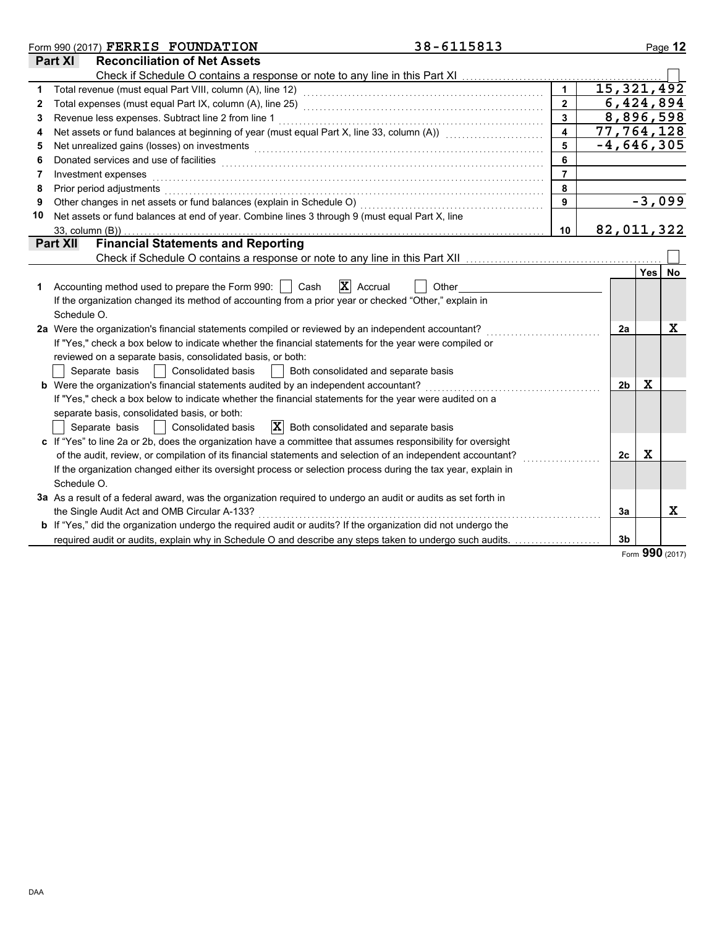|    | 38-6115813<br>Form 990 (2017) FERRIS FOUNDATION                                                                                                                                                                                |                         |                |             | Page 12  |
|----|--------------------------------------------------------------------------------------------------------------------------------------------------------------------------------------------------------------------------------|-------------------------|----------------|-------------|----------|
|    | <b>Reconciliation of Net Assets</b><br>Part XI                                                                                                                                                                                 |                         |                |             |          |
|    | Check if Schedule O contains a response or note to any line in this Part XI                                                                                                                                                    |                         |                |             |          |
|    |                                                                                                                                                                                                                                | $\mathbf{1}$            | 15, 321, 492   |             |          |
| 2  | Total expenses (must equal Part IX, column (A), line 25) [1] [20] [20] [20] [20] [20] [20] [30] [20] [20] [20] [                                                                                                               | $\overline{2}$          | 6,424,894      |             |          |
| 3  | Revenue less expenses. Subtract line 2 from line 1                                                                                                                                                                             | $\mathbf{3}$            | 8,896,598      |             |          |
| 4  | Net assets or fund balances at beginning of year (must equal Part X, line 33, column (A)) [[[[[[[[[[[[[[[[[[[                                                                                                                  | $\overline{\mathbf{4}}$ | 77,764,128     |             |          |
| 5  | Net unrealized gains (losses) on investments [11] with the content of the content of the content of the content of the content of the content of the content of the content of the content of the content of the content of th | 5                       | $-4,646,305$   |             |          |
| 6  |                                                                                                                                                                                                                                | 6                       |                |             |          |
| 7  | Investment expenses                                                                                                                                                                                                            | $\overline{7}$          |                |             |          |
| 8  | Prior period adjustments                                                                                                                                                                                                       | 8                       |                |             |          |
| 9  | Other changes in net assets or fund balances (explain in Schedule O)                                                                                                                                                           | 9                       |                |             | $-3,099$ |
| 10 | Net assets or fund balances at end of year. Combine lines 3 through 9 (must equal Part X, line                                                                                                                                 |                         |                |             |          |
|    | 33, column (B))                                                                                                                                                                                                                | 10                      | 82,011,322     |             |          |
|    | <b>Financial Statements and Reporting</b><br><b>Part XII</b>                                                                                                                                                                   |                         |                |             |          |
|    |                                                                                                                                                                                                                                |                         |                |             |          |
|    |                                                                                                                                                                                                                                |                         |                | <b>Yes</b>  | No       |
|    | $\mathbf{X}$ Accrual<br>Accounting method used to prepare the Form 990:     Cash<br>Other                                                                                                                                      |                         |                |             |          |
|    | If the organization changed its method of accounting from a prior year or checked "Other," explain in                                                                                                                          |                         |                |             |          |
|    | Schedule O.                                                                                                                                                                                                                    |                         |                |             |          |
|    | 2a Were the organization's financial statements compiled or reviewed by an independent accountant?                                                                                                                             |                         | 2a             |             | х        |
|    | If "Yes," check a box below to indicate whether the financial statements for the year were compiled or                                                                                                                         |                         |                |             |          |
|    | reviewed on a separate basis, consolidated basis, or both:                                                                                                                                                                     |                         |                |             |          |
|    | Both consolidated and separate basis<br>Separate basis<br>Consolidated basis<br>$\Box$                                                                                                                                         |                         |                |             |          |
|    | <b>b</b> Were the organization's financial statements audited by an independent accountant?                                                                                                                                    |                         | 2b             | X           |          |
|    | If "Yes," check a box below to indicate whether the financial statements for the year were audited on a                                                                                                                        |                         |                |             |          |
|    | separate basis, consolidated basis, or both:                                                                                                                                                                                   |                         |                |             |          |
|    | $ \mathbf{X} $ Both consolidated and separate basis<br>Separate basis<br>Consolidated basis                                                                                                                                    |                         |                |             |          |
|    | c If "Yes" to line 2a or 2b, does the organization have a committee that assumes responsibility for oversight                                                                                                                  |                         |                |             |          |
|    | of the audit, review, or compilation of its financial statements and selection of an independent accountant?                                                                                                                   |                         | 2 <sub>c</sub> | $\mathbf x$ |          |
|    | If the organization changed either its oversight process or selection process during the tax year, explain in                                                                                                                  |                         |                |             |          |
|    | Schedule O.                                                                                                                                                                                                                    |                         |                |             |          |
|    | 3a As a result of a federal award, was the organization required to undergo an audit or audits as set forth in                                                                                                                 |                         |                |             |          |
|    | the Single Audit Act and OMB Circular A-133?                                                                                                                                                                                   |                         | 3a             |             | X        |
|    | <b>b</b> If "Yes," did the organization undergo the required audit or audits? If the organization did not undergo the                                                                                                          |                         |                |             |          |
|    | required audit or audits, explain why in Schedule O and describe any steps taken to undergo such audits.                                                                                                                       |                         | 3 <sub>b</sub> |             |          |

Form **990** (2017)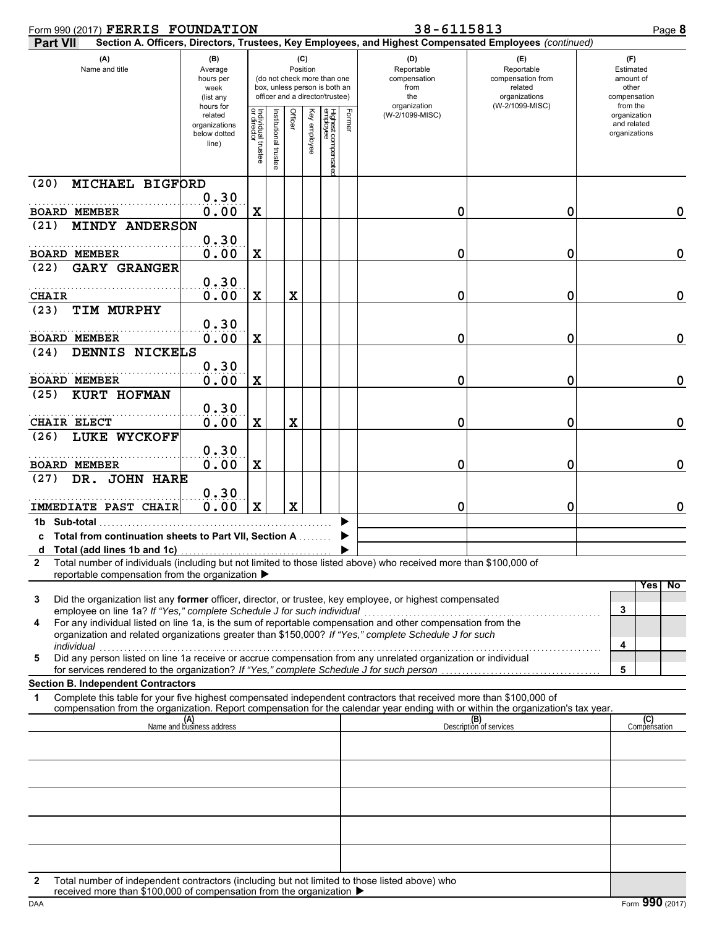| Form 990 (2017) FERRIS FOUNDATION                                                                                                                                                                                                       |                                                                                                                                                                  |                                   |                     |                 |              |                                | 38-6115813 | Page 8                                                                                                 |                                                                                       |                                                                    |
|-----------------------------------------------------------------------------------------------------------------------------------------------------------------------------------------------------------------------------------------|------------------------------------------------------------------------------------------------------------------------------------------------------------------|-----------------------------------|---------------------|-----------------|--------------|--------------------------------|------------|--------------------------------------------------------------------------------------------------------|---------------------------------------------------------------------------------------|--------------------------------------------------------------------|
| <b>Part VII</b>                                                                                                                                                                                                                         |                                                                                                                                                                  |                                   |                     |                 |              |                                |            | Section A. Officers, Directors, Trustees, Key Employees, and Highest Compensated Employees (continued) |                                                                                       |                                                                    |
| (A)<br>Name and title                                                                                                                                                                                                                   | (B)<br>Average<br>(do not check more than one<br>hours per<br>box, unless person is both an<br>week<br>officer and a director/trustee)<br>(list any<br>hours for |                                   |                     | (C)<br>Position |              |                                |            | (D)<br>Reportable<br>compensation<br>from<br>the<br>organization                                       | (E)<br>Reportable<br>compensation from<br>related<br>organizations<br>(W-2/1099-MISC) | (F)<br>Estimated<br>amount of<br>other<br>compensation<br>from the |
|                                                                                                                                                                                                                                         | related<br>organizations<br>below dotted<br>line)                                                                                                                | Individual trustee<br>or director | nstitutional truste | Officer         | Key employee | Highest compensate<br>employee | Former     | (W-2/1099-MISC)                                                                                        |                                                                                       | organization<br>and related<br>organizations                       |
| MICHAEL BIGFORD<br>(20)                                                                                                                                                                                                                 |                                                                                                                                                                  |                                   |                     |                 |              |                                |            |                                                                                                        |                                                                                       |                                                                    |
| <b>BOARD MEMBER</b>                                                                                                                                                                                                                     | 0.30<br>0.00                                                                                                                                                     | X                                 |                     |                 |              |                                |            | 0                                                                                                      | 0                                                                                     | 0                                                                  |
| <b>MINDY ANDERSON</b><br>(21)                                                                                                                                                                                                           |                                                                                                                                                                  |                                   |                     |                 |              |                                |            |                                                                                                        |                                                                                       |                                                                    |
|                                                                                                                                                                                                                                         | 0.30                                                                                                                                                             |                                   |                     |                 |              |                                |            |                                                                                                        |                                                                                       |                                                                    |
| <b>BOARD MEMBER</b><br><b>GARY GRANGER</b>                                                                                                                                                                                              | 0.00                                                                                                                                                             | X                                 |                     |                 |              |                                |            | 0                                                                                                      | 0                                                                                     | $\mathbf 0$                                                        |
| (22)                                                                                                                                                                                                                                    | 0.30                                                                                                                                                             |                                   |                     |                 |              |                                |            |                                                                                                        |                                                                                       |                                                                    |
| <b>CHAIR</b>                                                                                                                                                                                                                            | 0.00                                                                                                                                                             | X                                 |                     | X               |              |                                |            | 0                                                                                                      | 0                                                                                     | $\mathbf 0$                                                        |
| TIM MURPHY<br>(23)                                                                                                                                                                                                                      |                                                                                                                                                                  |                                   |                     |                 |              |                                |            |                                                                                                        |                                                                                       |                                                                    |
| <b>BOARD MEMBER</b>                                                                                                                                                                                                                     | 0.30<br>0.00                                                                                                                                                     | X                                 |                     |                 |              |                                |            | 0                                                                                                      | 0                                                                                     | $\mathbf 0$                                                        |
| DENNIS NICKELS<br>(24)                                                                                                                                                                                                                  |                                                                                                                                                                  |                                   |                     |                 |              |                                |            |                                                                                                        |                                                                                       |                                                                    |
|                                                                                                                                                                                                                                         | 0.30                                                                                                                                                             |                                   |                     |                 |              |                                |            |                                                                                                        |                                                                                       |                                                                    |
| <b>BOARD MEMBER</b><br><b>KURT HOFMAN</b><br>(25)                                                                                                                                                                                       | 0.00                                                                                                                                                             | X                                 |                     |                 |              |                                |            | 0                                                                                                      | 0                                                                                     | $\mathbf 0$                                                        |
|                                                                                                                                                                                                                                         | 0.30                                                                                                                                                             |                                   |                     |                 |              |                                |            |                                                                                                        |                                                                                       |                                                                    |
| CHAIR ELECT<br>LUKE WYCKOFF                                                                                                                                                                                                             | 0.00                                                                                                                                                             | X                                 |                     | X               |              |                                |            | 0                                                                                                      | 0                                                                                     | $\mathbf 0$                                                        |
| (26)                                                                                                                                                                                                                                    | 0.30                                                                                                                                                             |                                   |                     |                 |              |                                |            |                                                                                                        |                                                                                       |                                                                    |
| <b>BOARD MEMBER</b>                                                                                                                                                                                                                     | 0.00                                                                                                                                                             | X                                 |                     |                 |              |                                |            | 0                                                                                                      | 0                                                                                     | $\mathbf 0$                                                        |
| DR. JOHN HARE<br>(27)                                                                                                                                                                                                                   |                                                                                                                                                                  |                                   |                     |                 |              |                                |            |                                                                                                        |                                                                                       |                                                                    |
| <b>IMMEDIATE PAST CHAIR</b>                                                                                                                                                                                                             | 0.30<br>0.00                                                                                                                                                     | $\mathbf x$                       |                     | $\mathbf x$     |              |                                |            | 0                                                                                                      | 0                                                                                     | $\mathbf 0$                                                        |
| 1b Sub-total                                                                                                                                                                                                                            |                                                                                                                                                                  |                                   |                     |                 |              |                                |            |                                                                                                        |                                                                                       |                                                                    |
| c Total from continuation sheets to Part VII, Section A                                                                                                                                                                                 |                                                                                                                                                                  |                                   |                     |                 |              |                                |            |                                                                                                        |                                                                                       |                                                                    |
| d Total (add lines 1b and 1c)<br>Total number of individuals (including but not limited to those listed above) who received more than \$100,000 of<br>2                                                                                 |                                                                                                                                                                  |                                   |                     |                 |              |                                |            |                                                                                                        |                                                                                       |                                                                    |
| reportable compensation from the organization ▶                                                                                                                                                                                         |                                                                                                                                                                  |                                   |                     |                 |              |                                |            |                                                                                                        |                                                                                       |                                                                    |
| Did the organization list any former officer, director, or trustee, key employee, or highest compensated<br>3                                                                                                                           |                                                                                                                                                                  |                                   |                     |                 |              |                                |            |                                                                                                        |                                                                                       | Yesl<br>$\overline{N}$                                             |
| employee on line 1a? If "Yes," complete Schedule J for such individual                                                                                                                                                                  |                                                                                                                                                                  |                                   |                     |                 |              |                                |            |                                                                                                        |                                                                                       | 3                                                                  |
| For any individual listed on line 1a, is the sum of reportable compensation and other compensation from the<br>4<br>organization and related organizations greater than \$150,000? If "Yes," complete Schedule J for such<br>individual |                                                                                                                                                                  |                                   |                     |                 |              |                                |            |                                                                                                        |                                                                                       | 4                                                                  |
| Did any person listed on line 1a receive or accrue compensation from any unrelated organization or individual<br>5                                                                                                                      |                                                                                                                                                                  |                                   |                     |                 |              |                                |            |                                                                                                        |                                                                                       | 5                                                                  |
| for services rendered to the organization? If "Yes," complete Schedule J for such person<br><b>Section B. Independent Contractors</b>                                                                                                   |                                                                                                                                                                  |                                   |                     |                 |              |                                |            |                                                                                                        |                                                                                       |                                                                    |
| Complete this table for your five highest compensated independent contractors that received more than \$100,000 of<br>1                                                                                                                 |                                                                                                                                                                  |                                   |                     |                 |              |                                |            |                                                                                                        |                                                                                       |                                                                    |
| compensation from the organization. Report compensation for the calendar year ending with or within the organization's tax year.                                                                                                        | (A)<br>Name and business address                                                                                                                                 |                                   |                     |                 |              |                                |            |                                                                                                        | (B)<br>Description of services                                                        | (C)<br>Compensation                                                |
|                                                                                                                                                                                                                                         |                                                                                                                                                                  |                                   |                     |                 |              |                                |            |                                                                                                        |                                                                                       |                                                                    |
|                                                                                                                                                                                                                                         |                                                                                                                                                                  |                                   |                     |                 |              |                                |            |                                                                                                        |                                                                                       |                                                                    |
|                                                                                                                                                                                                                                         |                                                                                                                                                                  |                                   |                     |                 |              |                                |            |                                                                                                        |                                                                                       |                                                                    |
|                                                                                                                                                                                                                                         |                                                                                                                                                                  |                                   |                     |                 |              |                                |            |                                                                                                        |                                                                                       |                                                                    |
|                                                                                                                                                                                                                                         |                                                                                                                                                                  |                                   |                     |                 |              |                                |            |                                                                                                        |                                                                                       |                                                                    |
|                                                                                                                                                                                                                                         |                                                                                                                                                                  |                                   |                     |                 |              |                                |            |                                                                                                        |                                                                                       |                                                                    |
|                                                                                                                                                                                                                                         |                                                                                                                                                                  |                                   |                     |                 |              |                                |            |                                                                                                        |                                                                                       |                                                                    |
|                                                                                                                                                                                                                                         |                                                                                                                                                                  |                                   |                     |                 |              |                                |            |                                                                                                        |                                                                                       |                                                                    |
| Total number of independent contractors (including but not limited to those listed above) who<br>2                                                                                                                                      |                                                                                                                                                                  |                                   |                     |                 |              |                                |            |                                                                                                        |                                                                                       |                                                                    |

received more than \$100,000 of compensation from the organization  $\blacktriangleright$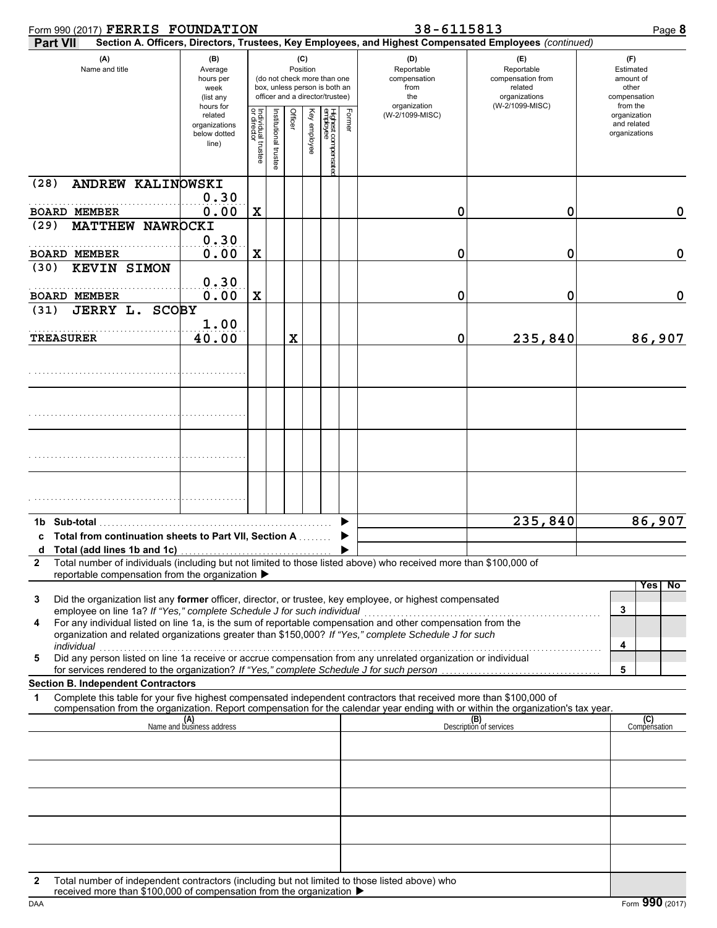| Form 990 (2017) FERRIS FOUNDATION                                                                                                                                                                                                                           |                                                                |                                   |                     |                                                                                                                    |              |                                |        | 38-6115813<br>Page 8                             |                                                                    |                                                          |  |  |  |  |
|-------------------------------------------------------------------------------------------------------------------------------------------------------------------------------------------------------------------------------------------------------------|----------------------------------------------------------------|-----------------------------------|---------------------|--------------------------------------------------------------------------------------------------------------------|--------------|--------------------------------|--------|--------------------------------------------------|--------------------------------------------------------------------|----------------------------------------------------------|--|--|--|--|
| Section A. Officers, Directors, Trustees, Key Employees, and Highest Compensated Employees (continued)<br><b>Part VII</b>                                                                                                                                   |                                                                |                                   |                     |                                                                                                                    |              |                                |        |                                                  |                                                                    |                                                          |  |  |  |  |
| (A)<br>Name and title                                                                                                                                                                                                                                       | (B)<br>Average<br>hours per<br>week<br>(list any               |                                   |                     | (C)<br>Position<br>(do not check more than one<br>box, unless person is both an<br>officer and a director/trustee) |              |                                |        | (D)<br>Reportable<br>compensation<br>from<br>the | (E)<br>Reportable<br>compensation from<br>related<br>organizations | (F)<br>Estimated<br>amount of<br>other<br>compensation   |  |  |  |  |
|                                                                                                                                                                                                                                                             | hours for<br>related<br>organizations<br>below dotted<br>line) | Individual trustee<br>or director | nstitutional truste | Officer                                                                                                            | Key employee | Highest compensate<br>employee | Former | organization<br>(W-2/1099-MISC)                  | (W-2/1099-MISC)                                                    | from the<br>organization<br>and related<br>organizations |  |  |  |  |
| ANDREW KALINOWSKI<br>(28)                                                                                                                                                                                                                                   | 0.30                                                           |                                   |                     |                                                                                                                    |              |                                |        |                                                  |                                                                    |                                                          |  |  |  |  |
| <b>BOARD MEMBER</b>                                                                                                                                                                                                                                         | 0.00                                                           | X                                 |                     |                                                                                                                    |              |                                |        | 0                                                | 0                                                                  | 0                                                        |  |  |  |  |
| (29)<br>MATTHEW NAWROCKI                                                                                                                                                                                                                                    | 0.30                                                           |                                   |                     |                                                                                                                    |              |                                |        |                                                  |                                                                    |                                                          |  |  |  |  |
| <b>BOARD MEMBER</b>                                                                                                                                                                                                                                         | 0.00                                                           | X                                 |                     |                                                                                                                    |              |                                |        | 0                                                | 0                                                                  | 0                                                        |  |  |  |  |
| <b>KEVIN SIMON</b><br>(30)                                                                                                                                                                                                                                  |                                                                |                                   |                     |                                                                                                                    |              |                                |        |                                                  |                                                                    |                                                          |  |  |  |  |
| <b>BOARD MEMBER</b>                                                                                                                                                                                                                                         | 0.30<br>0.00                                                   | X                                 |                     |                                                                                                                    |              |                                |        | 0                                                | 0                                                                  | $\mathbf 0$                                              |  |  |  |  |
| JERRY L. SCOBY<br>(31)                                                                                                                                                                                                                                      | 1.00                                                           |                                   |                     |                                                                                                                    |              |                                |        |                                                  |                                                                    |                                                          |  |  |  |  |
| <b>TREASURER</b>                                                                                                                                                                                                                                            | 40.00                                                          |                                   |                     | X                                                                                                                  |              |                                |        | 0                                                | 235,840                                                            | 86,907                                                   |  |  |  |  |
|                                                                                                                                                                                                                                                             |                                                                |                                   |                     |                                                                                                                    |              |                                |        |                                                  |                                                                    |                                                          |  |  |  |  |
|                                                                                                                                                                                                                                                             |                                                                |                                   |                     |                                                                                                                    |              |                                |        |                                                  |                                                                    |                                                          |  |  |  |  |
|                                                                                                                                                                                                                                                             |                                                                |                                   |                     |                                                                                                                    |              |                                |        |                                                  |                                                                    |                                                          |  |  |  |  |
|                                                                                                                                                                                                                                                             |                                                                |                                   |                     |                                                                                                                    |              |                                |        |                                                  |                                                                    |                                                          |  |  |  |  |
| 1b Sub-total                                                                                                                                                                                                                                                |                                                                |                                   |                     |                                                                                                                    |              |                                |        |                                                  | 235,840                                                            | 86,907                                                   |  |  |  |  |
| c Total from continuation sheets to Part VII, Section A                                                                                                                                                                                                     |                                                                |                                   |                     |                                                                                                                    |              |                                |        |                                                  |                                                                    |                                                          |  |  |  |  |
| Total (add lines 1b and 1c)<br>d<br>Total number of individuals (including but not limited to those listed above) who received more than \$100,000 of<br>$\mathbf{2}$<br>reportable compensation from the organization ▶                                    |                                                                |                                   |                     |                                                                                                                    |              |                                |        |                                                  |                                                                    |                                                          |  |  |  |  |
|                                                                                                                                                                                                                                                             |                                                                |                                   |                     |                                                                                                                    |              |                                |        |                                                  |                                                                    | Yes<br>No                                                |  |  |  |  |
| Did the organization list any former officer, director, or trustee, key employee, or highest compensated<br>3<br>employee on line 1a? If "Yes," complete Schedule J for such individual                                                                     |                                                                |                                   |                     |                                                                                                                    |              |                                |        |                                                  |                                                                    | 3                                                        |  |  |  |  |
| For any individual listed on line 1a, is the sum of reportable compensation and other compensation from the<br>4<br>organization and related organizations greater than \$150,000? If "Yes," complete Schedule J for such<br>individual                     |                                                                |                                   |                     |                                                                                                                    |              |                                |        |                                                  |                                                                    | 4                                                        |  |  |  |  |
| marviauar<br>Did any person listed on line 1a receive or accrue compensation from any unrelated organization or individual<br>5<br>for services rendered to the organization? If "Yes," complete Schedule J for such person                                 |                                                                |                                   |                     |                                                                                                                    |              |                                |        |                                                  |                                                                    | 5                                                        |  |  |  |  |
| <b>Section B. Independent Contractors</b>                                                                                                                                                                                                                   |                                                                |                                   |                     |                                                                                                                    |              |                                |        |                                                  |                                                                    |                                                          |  |  |  |  |
| Complete this table for your five highest compensated independent contractors that received more than \$100,000 of<br>1<br>compensation from the organization. Report compensation for the calendar year ending with or within the organization's tax year. |                                                                |                                   |                     |                                                                                                                    |              |                                |        |                                                  |                                                                    |                                                          |  |  |  |  |
|                                                                                                                                                                                                                                                             | (A)<br>Name and business address                               |                                   |                     |                                                                                                                    |              |                                |        |                                                  | (B)<br>Description of services                                     | (C)<br>Compensation                                      |  |  |  |  |
|                                                                                                                                                                                                                                                             |                                                                |                                   |                     |                                                                                                                    |              |                                |        |                                                  |                                                                    |                                                          |  |  |  |  |
|                                                                                                                                                                                                                                                             |                                                                |                                   |                     |                                                                                                                    |              |                                |        |                                                  |                                                                    |                                                          |  |  |  |  |
|                                                                                                                                                                                                                                                             |                                                                |                                   |                     |                                                                                                                    |              |                                |        |                                                  |                                                                    |                                                          |  |  |  |  |
|                                                                                                                                                                                                                                                             |                                                                |                                   |                     |                                                                                                                    |              |                                |        |                                                  |                                                                    |                                                          |  |  |  |  |
| Total number of independent contractors (including but not limited to those listed above) who<br>2                                                                                                                                                          |                                                                |                                   |                     |                                                                                                                    |              |                                |        |                                                  |                                                                    |                                                          |  |  |  |  |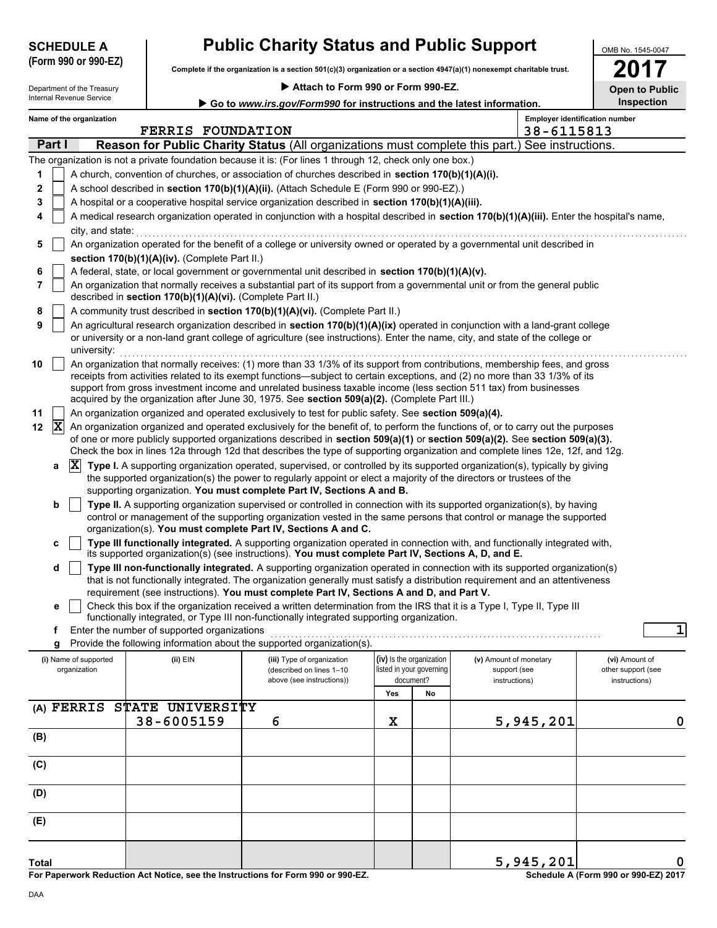| <b>SCHEDULE A</b> |  |
|-------------------|--|
|                   |  |

# **Public Charity Status and Public Support**

**Complete if the organization is a section 501(c)(3) organization or a section 4947(a)(1) nonexempt charitable trust. (Form 990 or 990-EZ)**

| Department of the Treasury      |
|---------------------------------|
| <b>Internal Revenue Service</b> |

 **Attach to Form 990 or Form 990-EZ.**

| OMB No. 1545-0047     |
|-----------------------|
|                       |
| 2017                  |
|                       |
|                       |
| <b>Open to Public</b> |
|                       |

|                      | Internal Revenue Service                                                                                                                                                                                                                                                       |                                             | Go to www.irs.gov/Form990 for instructions and the latest information.                                                                                                                                                                                                                                                                                                                                                                                                           |                                                                   |    |                                                         |                                                     | Inspection                                            |  |  |  |  |  |
|----------------------|--------------------------------------------------------------------------------------------------------------------------------------------------------------------------------------------------------------------------------------------------------------------------------|---------------------------------------------|----------------------------------------------------------------------------------------------------------------------------------------------------------------------------------------------------------------------------------------------------------------------------------------------------------------------------------------------------------------------------------------------------------------------------------------------------------------------------------|-------------------------------------------------------------------|----|---------------------------------------------------------|-----------------------------------------------------|-------------------------------------------------------|--|--|--|--|--|
|                      | Name of the organization                                                                                                                                                                                                                                                       | <b>FERRIS FOUNDATION</b>                    |                                                                                                                                                                                                                                                                                                                                                                                                                                                                                  |                                                                   |    |                                                         | <b>Employer identification number</b><br>38-6115813 |                                                       |  |  |  |  |  |
| Part I               |                                                                                                                                                                                                                                                                                |                                             | <b>Reason for Public Charity Status (All organizations must complete this part.) See instructions.</b>                                                                                                                                                                                                                                                                                                                                                                           |                                                                   |    |                                                         |                                                     |                                                       |  |  |  |  |  |
|                      |                                                                                                                                                                                                                                                                                |                                             | The organization is not a private foundation because it is: (For lines 1 through 12, check only one box.)                                                                                                                                                                                                                                                                                                                                                                        |                                                                   |    |                                                         |                                                     |                                                       |  |  |  |  |  |
| 1                    |                                                                                                                                                                                                                                                                                |                                             | A church, convention of churches, or association of churches described in section 170(b)(1)(A)(i).                                                                                                                                                                                                                                                                                                                                                                               |                                                                   |    |                                                         |                                                     |                                                       |  |  |  |  |  |
| 2                    |                                                                                                                                                                                                                                                                                |                                             | A school described in section 170(b)(1)(A)(ii). (Attach Schedule E (Form 990 or 990-EZ).)                                                                                                                                                                                                                                                                                                                                                                                        |                                                                   |    |                                                         |                                                     |                                                       |  |  |  |  |  |
| 3                    |                                                                                                                                                                                                                                                                                |                                             | A hospital or a cooperative hospital service organization described in section 170(b)(1)(A)(iii).                                                                                                                                                                                                                                                                                                                                                                                |                                                                   |    |                                                         |                                                     |                                                       |  |  |  |  |  |
| 4                    | city, and state:                                                                                                                                                                                                                                                               |                                             | A medical research organization operated in conjunction with a hospital described in section 170(b)(1)(A)(iii). Enter the hospital's name,                                                                                                                                                                                                                                                                                                                                       |                                                                   |    |                                                         |                                                     |                                                       |  |  |  |  |  |
| 5                    | An organization operated for the benefit of a college or university owned or operated by a governmental unit described in<br>section 170(b)(1)(A)(iv). (Complete Part II.)<br>A federal, state, or local government or governmental unit described in section 170(b)(1)(A)(v). |                                             |                                                                                                                                                                                                                                                                                                                                                                                                                                                                                  |                                                                   |    |                                                         |                                                     |                                                       |  |  |  |  |  |
| 6                    |                                                                                                                                                                                                                                                                                |                                             |                                                                                                                                                                                                                                                                                                                                                                                                                                                                                  |                                                                   |    |                                                         |                                                     |                                                       |  |  |  |  |  |
| 7                    | An organization that normally receives a substantial part of its support from a governmental unit or from the general public<br>described in section 170(b)(1)(A)(vi). (Complete Part II.)                                                                                     |                                             |                                                                                                                                                                                                                                                                                                                                                                                                                                                                                  |                                                                   |    |                                                         |                                                     |                                                       |  |  |  |  |  |
| 8                    | A community trust described in section 170(b)(1)(A)(vi). (Complete Part II.)                                                                                                                                                                                                   |                                             |                                                                                                                                                                                                                                                                                                                                                                                                                                                                                  |                                                                   |    |                                                         |                                                     |                                                       |  |  |  |  |  |
| 9                    | An agricultural research organization described in section 170(b)(1)(A)(ix) operated in conjunction with a land-grant college<br>or university or a non-land grant college of agriculture (see instructions). Enter the name, city, and state of the college or<br>university: |                                             |                                                                                                                                                                                                                                                                                                                                                                                                                                                                                  |                                                                   |    |                                                         |                                                     |                                                       |  |  |  |  |  |
| 10                   |                                                                                                                                                                                                                                                                                |                                             | An organization that normally receives: (1) more than 33 1/3% of its support from contributions, membership fees, and gross<br>receipts from activities related to its exempt functions—subject to certain exceptions, and (2) no more than 33 1/3% of its<br>support from gross investment income and unrelated business taxable income (less section 511 tax) from businesses<br>acquired by the organization after June 30, 1975. See section 509(a)(2). (Complete Part III.) |                                                                   |    |                                                         |                                                     |                                                       |  |  |  |  |  |
| 11                   |                                                                                                                                                                                                                                                                                |                                             | An organization organized and operated exclusively to test for public safety. See section 509(a)(4).                                                                                                                                                                                                                                                                                                                                                                             |                                                                   |    |                                                         |                                                     |                                                       |  |  |  |  |  |
| $ \mathbf{X} $<br>12 |                                                                                                                                                                                                                                                                                |                                             | An organization organized and operated exclusively for the benefit of, to perform the functions of, or to carry out the purposes<br>of one or more publicly supported organizations described in section 509(a)(1) or section 509(a)(2). See section 509(a)(3).<br>Check the box in lines 12a through 12d that describes the type of supporting organization and complete lines 12e, 12f, and 12g.                                                                               |                                                                   |    |                                                         |                                                     |                                                       |  |  |  |  |  |
| а                    | $ {\bf X} $                                                                                                                                                                                                                                                                    |                                             | Type I. A supporting organization operated, supervised, or controlled by its supported organization(s), typically by giving<br>the supported organization(s) the power to regularly appoint or elect a majority of the directors or trustees of the                                                                                                                                                                                                                              |                                                                   |    |                                                         |                                                     |                                                       |  |  |  |  |  |
|                      |                                                                                                                                                                                                                                                                                |                                             | supporting organization. You must complete Part IV, Sections A and B.                                                                                                                                                                                                                                                                                                                                                                                                            |                                                                   |    |                                                         |                                                     |                                                       |  |  |  |  |  |
| b                    |                                                                                                                                                                                                                                                                                |                                             | Type II. A supporting organization supervised or controlled in connection with its supported organization(s), by having<br>control or management of the supporting organization vested in the same persons that control or manage the supported<br>organization(s). You must complete Part IV, Sections A and C.                                                                                                                                                                 |                                                                   |    |                                                         |                                                     |                                                       |  |  |  |  |  |
| C                    |                                                                                                                                                                                                                                                                                |                                             | Type III functionally integrated. A supporting organization operated in connection with, and functionally integrated with,<br>its supported organization(s) (see instructions). You must complete Part IV, Sections A, D, and E.                                                                                                                                                                                                                                                 |                                                                   |    |                                                         |                                                     |                                                       |  |  |  |  |  |
| d                    |                                                                                                                                                                                                                                                                                |                                             | Type III non-functionally integrated. A supporting organization operated in connection with its supported organization(s)<br>that is not functionally integrated. The organization generally must satisfy a distribution requirement and an attentiveness<br>requirement (see instructions). You must complete Part IV, Sections A and D, and Part V.                                                                                                                            |                                                                   |    |                                                         |                                                     |                                                       |  |  |  |  |  |
| е                    |                                                                                                                                                                                                                                                                                |                                             | Check this box if the organization received a written determination from the IRS that it is a Type I, Type II, Type III                                                                                                                                                                                                                                                                                                                                                          |                                                                   |    |                                                         |                                                     |                                                       |  |  |  |  |  |
|                      |                                                                                                                                                                                                                                                                                |                                             | functionally integrated, or Type III non-functionally integrated supporting organization.                                                                                                                                                                                                                                                                                                                                                                                        |                                                                   |    |                                                         |                                                     |                                                       |  |  |  |  |  |
| f                    |                                                                                                                                                                                                                                                                                | Enter the number of supported organizations |                                                                                                                                                                                                                                                                                                                                                                                                                                                                                  |                                                                   |    |                                                         |                                                     | 1                                                     |  |  |  |  |  |
| g                    |                                                                                                                                                                                                                                                                                |                                             | Provide the following information about the supported organization(s).                                                                                                                                                                                                                                                                                                                                                                                                           |                                                                   |    |                                                         |                                                     |                                                       |  |  |  |  |  |
|                      | (i) Name of supported<br>organization                                                                                                                                                                                                                                          | $(ii)$ EIN                                  | (iii) Type of organization<br>(described on lines 1-10<br>above (see instructions))                                                                                                                                                                                                                                                                                                                                                                                              | (iv) Is the organization<br>listed in your governing<br>document? |    | (v) Amount of monetary<br>support (see<br>instructions) |                                                     | (vi) Amount of<br>other support (see<br>instructions) |  |  |  |  |  |
|                      |                                                                                                                                                                                                                                                                                |                                             |                                                                                                                                                                                                                                                                                                                                                                                                                                                                                  | Yes                                                               | No |                                                         |                                                     |                                                       |  |  |  |  |  |
|                      | (A) FERRIS                                                                                                                                                                                                                                                                     | STATE UNIVERSITY<br>38-6005159              | 6                                                                                                                                                                                                                                                                                                                                                                                                                                                                                | X                                                                 |    |                                                         | 5,945,201                                           | 0                                                     |  |  |  |  |  |
| (B)                  |                                                                                                                                                                                                                                                                                |                                             |                                                                                                                                                                                                                                                                                                                                                                                                                                                                                  |                                                                   |    |                                                         |                                                     |                                                       |  |  |  |  |  |
| (C)                  |                                                                                                                                                                                                                                                                                |                                             |                                                                                                                                                                                                                                                                                                                                                                                                                                                                                  |                                                                   |    |                                                         |                                                     |                                                       |  |  |  |  |  |
| (D)                  |                                                                                                                                                                                                                                                                                |                                             |                                                                                                                                                                                                                                                                                                                                                                                                                                                                                  |                                                                   |    |                                                         |                                                     |                                                       |  |  |  |  |  |
| (E)                  |                                                                                                                                                                                                                                                                                |                                             |                                                                                                                                                                                                                                                                                                                                                                                                                                                                                  |                                                                   |    |                                                         |                                                     |                                                       |  |  |  |  |  |
|                      |                                                                                                                                                                                                                                                                                |                                             |                                                                                                                                                                                                                                                                                                                                                                                                                                                                                  |                                                                   |    |                                                         |                                                     |                                                       |  |  |  |  |  |
| <b>Total</b>         |                                                                                                                                                                                                                                                                                |                                             |                                                                                                                                                                                                                                                                                                                                                                                                                                                                                  |                                                                   |    |                                                         | 5,945,201                                           | 0                                                     |  |  |  |  |  |

**For Paperwork Reduction Act Notice, see the Instructions for Form 990 or 990-EZ.**

**Schedule A (Form 990 or 990-EZ) 2017**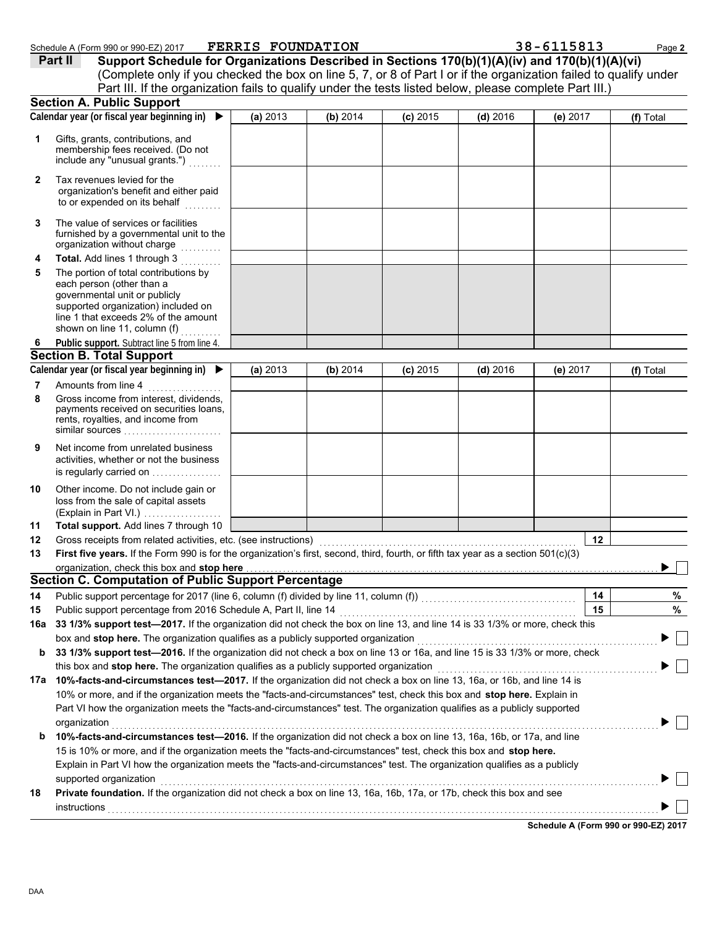|                                                                                                                               | Calendar year (or fiscal year beginning in) ▶                                                                                                                                                                                                                        | (a) 2013 | (b) 2014 | $(c)$ 2015 | $(d)$ 2016 | (e) 2017   | (f) Total                            |
|-------------------------------------------------------------------------------------------------------------------------------|----------------------------------------------------------------------------------------------------------------------------------------------------------------------------------------------------------------------------------------------------------------------|----------|----------|------------|------------|------------|--------------------------------------|
| 1                                                                                                                             | Gifts, grants, contributions, and<br>membership fees received. (Do not<br>include any "unusual grants.")                                                                                                                                                             |          |          |            |            |            |                                      |
| 2                                                                                                                             | Tax revenues levied for the<br>organization's benefit and either paid<br>to or expended on its behalf                                                                                                                                                                |          |          |            |            |            |                                      |
| 3                                                                                                                             | The value of services or facilities<br>furnished by a governmental unit to the<br>organization without charge                                                                                                                                                        |          |          |            |            |            |                                      |
| 4                                                                                                                             | Total. Add lines 1 through 3                                                                                                                                                                                                                                         |          |          |            |            |            |                                      |
| 5                                                                                                                             | The portion of total contributions by<br>each person (other than a<br>governmental unit or publicly<br>supported organization) included on<br>line 1 that exceeds 2% of the amount<br>shown on line 11, column (f)                                                   |          |          |            |            |            |                                      |
| 6                                                                                                                             | Public support. Subtract line 5 from line 4.                                                                                                                                                                                                                         |          |          |            |            |            |                                      |
|                                                                                                                               | <b>Section B. Total Support</b>                                                                                                                                                                                                                                      |          |          |            |            |            |                                      |
|                                                                                                                               | Calendar year (or fiscal year beginning in) ▶                                                                                                                                                                                                                        | (a) 2013 | (b) 2014 | $(c)$ 2015 | $(d)$ 2016 | (e) $2017$ | (f) Total                            |
| 7                                                                                                                             | Amounts from line 4                                                                                                                                                                                                                                                  |          |          |            |            |            |                                      |
| 8                                                                                                                             | Gross income from interest, dividends,<br>payments received on securities loans,<br>rents, royalties, and income from<br>similar sources                                                                                                                             |          |          |            |            |            |                                      |
| 9                                                                                                                             | Net income from unrelated business<br>activities, whether or not the business<br>is regularly carried on                                                                                                                                                             |          |          |            |            |            |                                      |
| 10                                                                                                                            | Other income. Do not include gain or<br>loss from the sale of capital assets<br>(Explain in Part VI.)                                                                                                                                                                |          |          |            |            |            |                                      |
| 11                                                                                                                            | Total support. Add lines 7 through 10                                                                                                                                                                                                                                |          |          |            |            |            |                                      |
| 12                                                                                                                            | Gross receipts from related activities, etc. (see instructions)                                                                                                                                                                                                      |          |          |            |            | 12         |                                      |
| 13                                                                                                                            | First five years. If the Form 990 is for the organization's first, second, third, fourth, or fifth tax year as a section 501(c)(3)                                                                                                                                   |          |          |            |            |            |                                      |
|                                                                                                                               | organization, check this box and stop here                                                                                                                                                                                                                           |          |          |            |            |            |                                      |
|                                                                                                                               | <b>Section C. Computation of Public Support Percentage</b>                                                                                                                                                                                                           |          |          |            |            |            |                                      |
| 14                                                                                                                            |                                                                                                                                                                                                                                                                      |          |          |            |            | 14         | %                                    |
| 15                                                                                                                            | Public support percentage from 2016 Schedule A, Part II, line 14                                                                                                                                                                                                     |          |          |            |            | 15         | %                                    |
|                                                                                                                               | 16a 33 1/3% support test-2017. If the organization did not check the box on line 13, and line 14 is 33 1/3% or more, check this                                                                                                                                      |          |          |            |            |            |                                      |
|                                                                                                                               | box and stop here. The organization qualifies as a publicly supported organization                                                                                                                                                                                   |          |          |            |            |            | $\Box$                               |
| b                                                                                                                             | 33 1/3% support test-2016. If the organization did not check a box on line 13 or 16a, and line 15 is 33 1/3% or more, check                                                                                                                                          |          |          |            |            |            |                                      |
|                                                                                                                               | this box and stop here. The organization qualifies as a publicly supported organization                                                                                                                                                                              |          |          |            |            |            |                                      |
| 10%-facts-and-circumstances test-2017. If the organization did not check a box on line 13, 16a, or 16b, and line 14 is<br>17a |                                                                                                                                                                                                                                                                      |          |          |            |            |            |                                      |
|                                                                                                                               | 10% or more, and if the organization meets the "facts-and-circumstances" test, check this box and stop here. Explain in<br>Part VI how the organization meets the "facts-and-circumstances" test. The organization qualifies as a publicly supported<br>organization |          |          |            |            |            |                                      |
| b                                                                                                                             | 10%-facts-and-circumstances test-2016. If the organization did not check a box on line 13, 16a, 16b, or 17a, and line                                                                                                                                                |          |          |            |            |            |                                      |
|                                                                                                                               | 15 is 10% or more, and if the organization meets the "facts-and-circumstances" test, check this box and stop here.                                                                                                                                                   |          |          |            |            |            |                                      |
|                                                                                                                               | Explain in Part VI how the organization meets the "facts-and-circumstances" test. The organization qualifies as a publicly                                                                                                                                           |          |          |            |            |            |                                      |
|                                                                                                                               | supported organization                                                                                                                                                                                                                                               |          |          |            |            |            |                                      |
| 18                                                                                                                            | Private foundation. If the organization did not check a box on line 13, 16a, 16b, 17a, or 17b, check this box and see<br>instructions                                                                                                                                |          |          |            |            |            |                                      |
|                                                                                                                               |                                                                                                                                                                                                                                                                      |          |          |            |            |            | Schedule A (Form 990 or 990-EZ) 2017 |

Schedule A (Form 990 or 990-EZ) 2017 **F'EKRIS F'OUNDATIION 3 & – 6 I I 5 & I 3** 

Part III. If the organization fails to qualify under the tests listed below, please complete Part III.)

**Part II Support Schedule for Organizations Described in Sections 170(b)(1)(A)(iv) and 170(b)(1)(A)(vi)**

(Complete only if you checked the box on line 5, 7, or 8 of Part I or if the organization failed to qualify under

**FERRIS FOUNDATION 38-6115813**

**Section A. Public Support**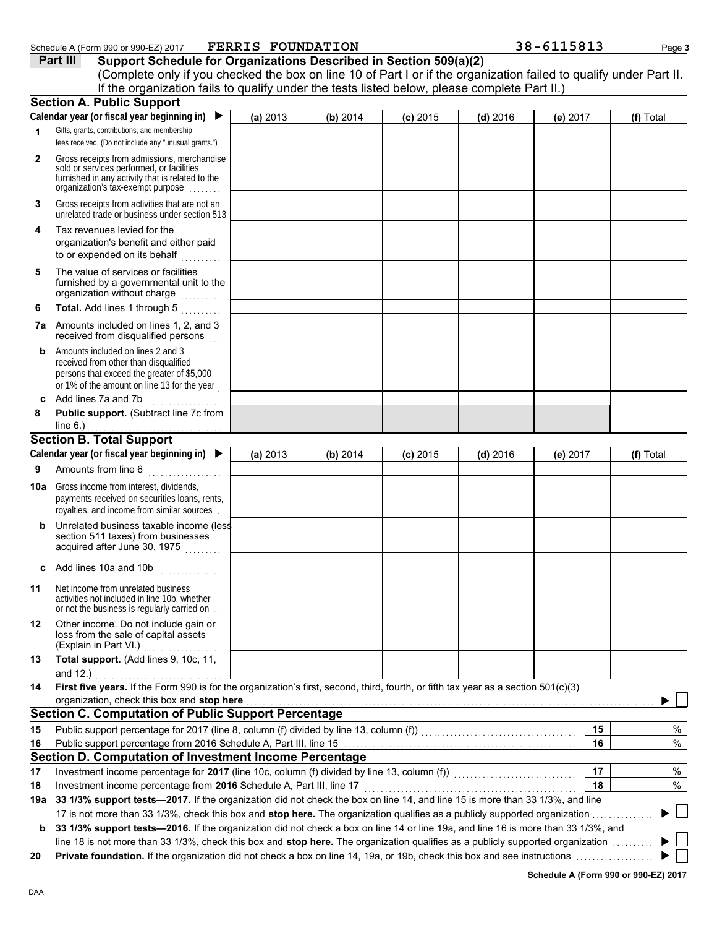|                 | Schedule A (Form 990 or 990-EZ) 2017<br>Part III<br>Support Schedule for Organizations Described in Section 509(a)(2)<br>(Complete only if you checked the box on line 10 of Part I or if the organization failed to qualify under Part II.<br>If the organization fails to qualify under the tests listed below, please complete Part II.) | <b>FERRIS FOUNDATION</b> |          |            |            | 38-6115813 | Page 3    |
|-----------------|---------------------------------------------------------------------------------------------------------------------------------------------------------------------------------------------------------------------------------------------------------------------------------------------------------------------------------------------|--------------------------|----------|------------|------------|------------|-----------|
|                 | <b>Section A. Public Support</b>                                                                                                                                                                                                                                                                                                            |                          |          |            |            |            |           |
|                 | Calendar year (or fiscal year beginning in)<br>$\blacktriangleright$                                                                                                                                                                                                                                                                        | (a) 2013                 | (b) 2014 | $(c)$ 2015 | $(d)$ 2016 | (e) 2017   | (f) Total |
| 1               | Gifts, grants, contributions, and membership<br>fees received. (Do not include any "unusual grants.")                                                                                                                                                                                                                                       |                          |          |            |            |            |           |
| $\mathbf{2}$    | Gross receipts from admissions, merchandise<br>sold or services performed, or facilities<br>furnished in any activity that is related to the<br>organization's tax-exempt purpose                                                                                                                                                           |                          |          |            |            |            |           |
| 3               | Gross receipts from activities that are not an<br>unrelated trade or business under section 513                                                                                                                                                                                                                                             |                          |          |            |            |            |           |
| 4               | Tax revenues levied for the<br>organization's benefit and either paid<br>to or expended on its behalf<br>.                                                                                                                                                                                                                                  |                          |          |            |            |            |           |
| 5               | The value of services or facilities<br>furnished by a governmental unit to the<br>organization without charge                                                                                                                                                                                                                               |                          |          |            |            |            |           |
| 6               | Total. Add lines 1 through 5<br>7a Amounts included on lines 1, 2, and 3                                                                                                                                                                                                                                                                    |                          |          |            |            |            |           |
| b               | received from disqualified persons<br>Amounts included on lines 2 and 3<br>received from other than disqualified<br>persons that exceed the greater of \$5,000<br>or 1% of the amount on line 13 for the year                                                                                                                               |                          |          |            |            |            |           |
| 8               | c Add lines 7a and 7b<br>Public support. (Subtract line 7c from                                                                                                                                                                                                                                                                             |                          |          |            |            |            |           |
|                 | line $6.$ )                                                                                                                                                                                                                                                                                                                                 |                          |          |            |            |            |           |
|                 | <b>Section B. Total Support</b>                                                                                                                                                                                                                                                                                                             |                          |          |            |            |            |           |
|                 | Calendar year (or fiscal year beginning in)                                                                                                                                                                                                                                                                                                 | (a) 2013                 | (b) 2014 | $(c)$ 2015 | $(d)$ 2016 | (e) 2017   | (f) Total |
| 9               | Amounts from line 6                                                                                                                                                                                                                                                                                                                         |                          |          |            |            |            |           |
| 10a l           | Gross income from interest, dividends,<br>payments received on securities loans, rents,<br>royalties, and income from similar sources                                                                                                                                                                                                       |                          |          |            |            |            |           |
| b               | Unrelated business taxable income (less<br>section 511 taxes) from businesses<br>acquired after June 30, 1975                                                                                                                                                                                                                               |                          |          |            |            |            |           |
| C               | Add lines 10a and 10b $\ldots$                                                                                                                                                                                                                                                                                                              |                          |          |            |            |            |           |
| 11              | Net income from unrelated business<br>activities not included in line 10b, whether<br>or not the business is regularly carried on.                                                                                                                                                                                                          |                          |          |            |            |            |           |
| 12              | Other income. Do not include gain or<br>loss from the sale of capital assets<br>(Explain in Part VI.)<br>.                                                                                                                                                                                                                                  |                          |          |            |            |            |           |
| 13              | Total support. (Add lines 9, 10c, 11,<br>and 12.) $\qquad \qquad$                                                                                                                                                                                                                                                                           |                          |          |            |            |            |           |
| 14              | First five years. If the Form 990 is for the organization's first, second, third, fourth, or fifth tax year as a section 501(c)(3)                                                                                                                                                                                                          |                          |          |            |            |            |           |
|                 | organization, check this box and stop here <b>contained</b> and contained a series of the contained and contained a series of the contained and stop here contained a series of the contained and contained a series of the contain                                                                                                         |                          |          |            |            |            |           |
|                 | <b>Section C. Computation of Public Support Percentage</b>                                                                                                                                                                                                                                                                                  |                          |          |            |            |            |           |
| 15              |                                                                                                                                                                                                                                                                                                                                             |                          |          |            |            | 15         | %         |
| 16              | Section D. Computation of Investment Income Percentage                                                                                                                                                                                                                                                                                      |                          |          |            |            | 16         | $\%$      |
|                 |                                                                                                                                                                                                                                                                                                                                             |                          |          |            |            | 17         | $\%$      |
|                 |                                                                                                                                                                                                                                                                                                                                             |                          |          |            |            | 18         | %         |
|                 | Investment income percentage from 2016 Schedule A, Part III, line 17                                                                                                                                                                                                                                                                        |                          |          |            |            |            |           |
| 17<br>18<br>19а | 33 1/3% support tests-2017. If the organization did not check the box on line 14, and line 15 is more than 33 1/3%, and line                                                                                                                                                                                                                |                          |          |            |            |            |           |
| b               | 17 is not more than 33 1/3%, check this box and stop here. The organization qualifies as a publicly supported organization<br>33 1/3% support tests-2016. If the organization did not check a box on line 14 or line 19a, and line 16 is more than 33 1/3%, and                                                                             |                          |          |            |            |            |           |

**20 Private foundation.** If the organization did not check a box on line 14, 19a, or 19b, check this box and see instructions . . . . . . . . . . . . . . . . . . .

**Schedule A (Form 990 or 990-EZ) 2017**

 $\blacktriangleright$   $\Box$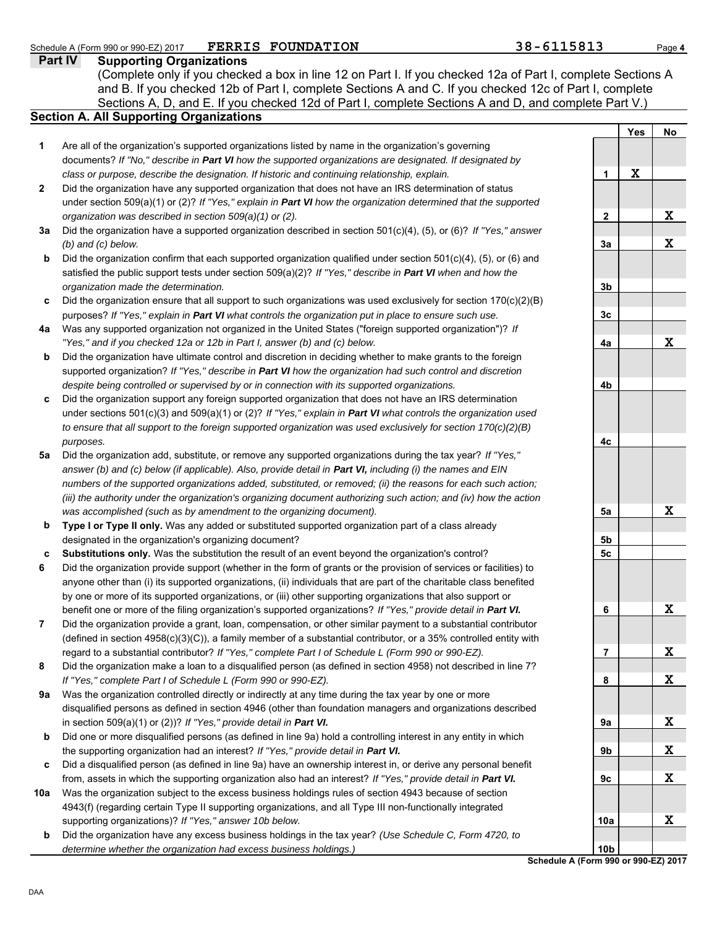### **Part IV Supporting Organizations** Sections A, D, and E. If you checked 12d of Part I, complete Sections A and D, and complete Part V.) Schedule A (Form 990 or 990-EZ) 2017 **PERRIS FOUNDATION** 38 - 6115813 Page 4 **Section A. All Supporting Organizations** (Complete only if you checked a box in line 12 on Part I. If you checked 12a of Part I, complete Sections A and B. If you checked 12b of Part I, complete Sections A and C. If you checked 12c of Part I, complete Are all of the organization's supported organizations listed by name in the organization's governing documents? *If "No," describe in Part VI how the supported organizations are designated. If designated by class or purpose, describe the designation. If historic and continuing relationship, explain.* Did the organization have any supported organization that does not have an IRS determination of status under section 509(a)(1) or (2)? *If "Yes," explain in Part VI how the organization determined that the supported organization was described in section 509(a)(1) or (2).* **3a** Did the organization have a supported organization described in section 501(c)(4), (5), or (6)? *If "Yes," answer* **c** Did the organization support any foreign supported organization that does not have an IRS determination **5a** Did the organization add, substitute, or remove any supported organizations during the tax year? *If "Yes," (b) and (c) below.* Did the organization confirm that each supported organization qualified under section  $501(c)(4)$ ,  $(5)$ , or  $(6)$  and satisfied the public support tests under section 509(a)(2)? *If "Yes," describe in Part VI when and how the organization made the determination.* Did the organization ensure that all support to such organizations was used exclusively for section  $170(c)(2)(B)$ purposes? *If "Yes," explain in Part VI what controls the organization put in place to ensure such use.* Was any supported organization not organized in the United States ("foreign supported organization")? *If "Yes," and if you checked 12a or 12b in Part I, answer (b) and (c) below.* Did the organization have ultimate control and discretion in deciding whether to make grants to the foreign supported organization? *If "Yes," describe in Part VI how the organization had such control and discretion despite being controlled or supervised by or in connection with its supported organizations.* under sections 501(c)(3) and 509(a)(1) or (2)? *If "Yes," explain in Part VI what controls the organization used to ensure that all support to the foreign supported organization was used exclusively for section 170(c)(2)(B) purposes. answer (b) and (c) below (if applicable). Also, provide detail in Part VI, including (i) the names and EIN numbers of the supported organizations added, substituted, or removed; (ii) the reasons for each such action; (iii) the authority under the organization's organizing document authorizing such action; and (iv) how the action was accomplished (such as by amendment to the organizing document).* **Type I or Type II only.** Was any added or substituted supported organization part of a class already designated in the organization's organizing document? **Substitutions only.** Was the substitution the result of an event beyond the organization's control? Did the organization provide support (whether in the form of grants or the provision of services or facilities) to anyone other than (i) its supported organizations, (ii) individuals that are part of the charitable class benefited by one or more of its supported organizations, or (iii) other supporting organizations that also support or benefit one or more of the filing organization's supported organizations? *If "Yes," provide detail in Part VI.* Did the organization provide a grant, loan, compensation, or other similar payment to a substantial contributor (defined in section 4958(c)(3)(C)), a family member of a substantial contributor, or a 35% controlled entity with regard to a substantial contributor? *If "Yes," complete Part I of Schedule L (Form 990 or 990-EZ).* Did the organization make a loan to a disqualified person (as defined in section 4958) not described in line 7? *If "Yes," complete Part I of Schedule L (Form 990 or 990-EZ).* FERRIS FOUNDATION

- **9a** Was the organization controlled directly or indirectly at any time during the tax year by one or more disqualified persons as defined in section 4946 (other than foundation managers and organizations described in section 509(a)(1) or (2))? *If "Yes," provide detail in Part VI.*
- **b** Did one or more disqualified persons (as defined in line 9a) hold a controlling interest in any entity in which the supporting organization had an interest? *If "Yes," provide detail in Part VI.*
- **c** Did a disqualified person (as defined in line 9a) have an ownership interest in, or derive any personal benefit from, assets in which the supporting organization also had an interest? *If "Yes," provide detail in Part VI.*
- **10a** Was the organization subject to the excess business holdings rules of section 4943 because of section 4943(f) (regarding certain Type II supporting organizations, and all Type III non-functionally integrated supporting organizations)? *If "Yes," answer 10b below.*
- **b** Did the organization have any excess business holdings in the tax year? *(Use Schedule C, Form 4720, to determine whether the organization had excess business holdings.)*

| ļ<br>ц<br>41 L<br><u>v.,</u> |     |                          |  |  |  |
|------------------------------|-----|--------------------------|--|--|--|
|                              | Yes | No                       |  |  |  |
| 1                            | X   |                          |  |  |  |
|                              |     | $\underline{\mathbf{x}}$ |  |  |  |
| 2<br>3a                      |     | –<br>X                   |  |  |  |
| 3b                           |     |                          |  |  |  |
| 3c                           |     |                          |  |  |  |
| 4a                           |     | X                        |  |  |  |
| 4b                           |     |                          |  |  |  |
| 4c                           |     |                          |  |  |  |
| 5a                           |     | X                        |  |  |  |
| 5b                           |     |                          |  |  |  |
| 5с                           |     |                          |  |  |  |
| 6                            |     | X                        |  |  |  |
| 7                            |     | X                        |  |  |  |
| 8                            |     | X                        |  |  |  |
| 9а                           |     | X                        |  |  |  |
| 9b<br><u>9c</u>              |     | X<br>X                   |  |  |  |
| 10a                          |     | X                        |  |  |  |
|                              |     |                          |  |  |  |

**Schedule A (Form 990 or 990-EZ) 2017 10b**

**1**

**2**

**b**

**c**

**4a**

**b**

**b**

**c 6**

**7**

**8**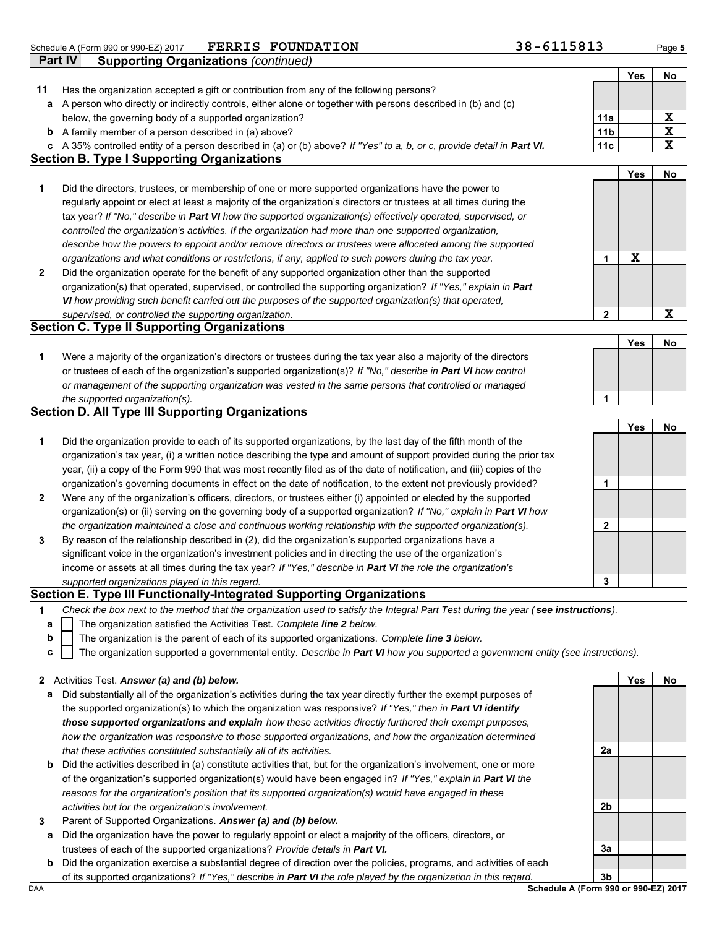**FERRIS FOUNDATION 38-6115813**

|              | Schedule A (Form 990 or 990-EZ) 2017<br>FERRIS FOUNDATION                                                               | 38-0115813      |             | Page 5                   |
|--------------|-------------------------------------------------------------------------------------------------------------------------|-----------------|-------------|--------------------------|
|              | Part IV<br><b>Supporting Organizations (continued)</b>                                                                  |                 |             |                          |
|              |                                                                                                                         |                 | Yes         | No                       |
| 11           | Has the organization accepted a gift or contribution from any of the following persons?                                 |                 |             |                          |
|              | a A person who directly or indirectly controls, either alone or together with persons described in (b) and (c)          |                 |             |                          |
|              | below, the governing body of a supported organization?                                                                  | 11a             |             | $\underline{\mathbf{X}}$ |
|              | <b>b</b> A family member of a person described in (a) above?                                                            | 11 <sub>b</sub> |             | $\overline{\textbf{x}}$  |
|              | c A 35% controlled entity of a person described in (a) or (b) above? If "Yes" to a, b, or c, provide detail in Part VI. | 11c             |             | $\mathbf x$              |
|              | <b>Section B. Type I Supporting Organizations</b>                                                                       |                 |             |                          |
|              |                                                                                                                         |                 | Yes         | No                       |
| 1            | Did the directors, trustees, or membership of one or more supported organizations have the power to                     |                 |             |                          |
|              | regularly appoint or elect at least a majority of the organization's directors or trustees at all times during the      |                 |             |                          |
|              | tax year? If "No," describe in Part VI how the supported organization(s) effectively operated, supervised, or           |                 |             |                          |
|              | controlled the organization's activities. If the organization had more than one supported organization,                 |                 |             |                          |
|              | describe how the powers to appoint and/or remove directors or trustees were allocated among the supported               |                 |             |                          |
|              | organizations and what conditions or restrictions, if any, applied to such powers during the tax year.                  | $\mathbf{1}$    | $\mathbf x$ |                          |
| 2            | Did the organization operate for the benefit of any supported organization other than the supported                     |                 |             |                          |
|              | organization(s) that operated, supervised, or controlled the supporting organization? If "Yes," explain in Part         |                 |             |                          |
|              | VI how providing such benefit carried out the purposes of the supported organization(s) that operated,                  |                 |             |                          |
|              | supervised, or controlled the supporting organization.                                                                  | $\overline{2}$  |             | $\mathbf x$              |
|              | <b>Section C. Type II Supporting Organizations</b>                                                                      |                 |             |                          |
|              |                                                                                                                         |                 | Yes         | No                       |
| 1            | Were a majority of the organization's directors or trustees during the tax year also a majority of the directors        |                 |             |                          |
|              | or trustees of each of the organization's supported organization(s)? If "No," describe in Part VI how control           |                 |             |                          |
|              | or management of the supporting organization was vested in the same persons that controlled or managed                  |                 |             |                          |
|              | the supported organization(s).                                                                                          | $\mathbf{1}$    |             |                          |
|              | <b>Section D. All Type III Supporting Organizations</b>                                                                 |                 |             |                          |
|              |                                                                                                                         |                 | Yes         | No                       |
| 1            | Did the organization provide to each of its supported organizations, by the last day of the fifth month of the          |                 |             |                          |
|              | organization's tax year, (i) a written notice describing the type and amount of support provided during the prior tax   |                 |             |                          |
|              | year, (ii) a copy of the Form 990 that was most recently filed as of the date of notification, and (iii) copies of the  |                 |             |                          |
|              |                                                                                                                         |                 |             |                          |
|              | organization's governing documents in effect on the date of notification, to the extent not previously provided?        | 1               |             |                          |
| $\mathbf{2}$ | Were any of the organization's officers, directors, or trustees either (i) appointed or elected by the supported        |                 |             |                          |
|              | organization(s) or (ii) serving on the governing body of a supported organization? If "No," explain in Part VI how      |                 |             |                          |
|              | the organization maintained a close and continuous working relationship with the supported organization(s).             | $\mathbf{2}$    |             |                          |
| 3            | By reason of the relationship described in (2), did the organization's supported organizations have a                   |                 |             |                          |
|              | significant voice in the organization's investment policies and in directing the use of the organization's              |                 |             |                          |
|              | income or assets at all times during the tax year? If "Yes," describe in Part VI the role the organization's            |                 |             |                          |
|              | supported organizations played in this regard.                                                                          | 3               |             |                          |
|              | Section E. Type III Functionally-Integrated Supporting Organizations                                                    |                 |             |                          |

- **1** *Check the box next to the method that the organization used to satisfy the Integral Part Test during the year ( see instructions).*
	- The organization satisfied the Activities Test. *Complete line 2 below.* **a**
	- The organization is the parent of each of its supported organizations. *Complete line 3 below.* **b**
	- The organization supported a governmental entity. *Describe in Part VI how you supported a government entity (see instructions).* **c**

### **2** Activities Test. *Answer (a) and (b) below.*

- **a** Did substantially all of the organization's activities during the tax year directly further the exempt purposes of the supported organization(s) to which the organization was responsive? *If "Yes," then in Part VI identify those supported organizations and explain how these activities directly furthered their exempt purposes, how the organization was responsive to those supported organizations, and how the organization determined that these activities constituted substantially all of its activities.*
- **b** Did the activities described in (a) constitute activities that, but for the organization's involvement, one or more of the organization's supported organization(s) would have been engaged in? *If "Yes," explain in Part VI the reasons for the organization's position that its supported organization(s) would have engaged in these activities but for the organization's involvement.*
- **3** Parent of Supported Organizations. *Answer (a) and (b) below.*
	- **a** Did the organization have the power to regularly appoint or elect a majority of the officers, directors, or trustees of each of the supported organizations? *Provide details in Part VI.*
	- **b** Did the organization exercise a substantial degree of direction over the policies, programs, and activities of each of its supported organizations? *If "Yes," describe in Part VI the role played by the organization in this regard.*

**2a**

**2b**

**3a**

**Yes No**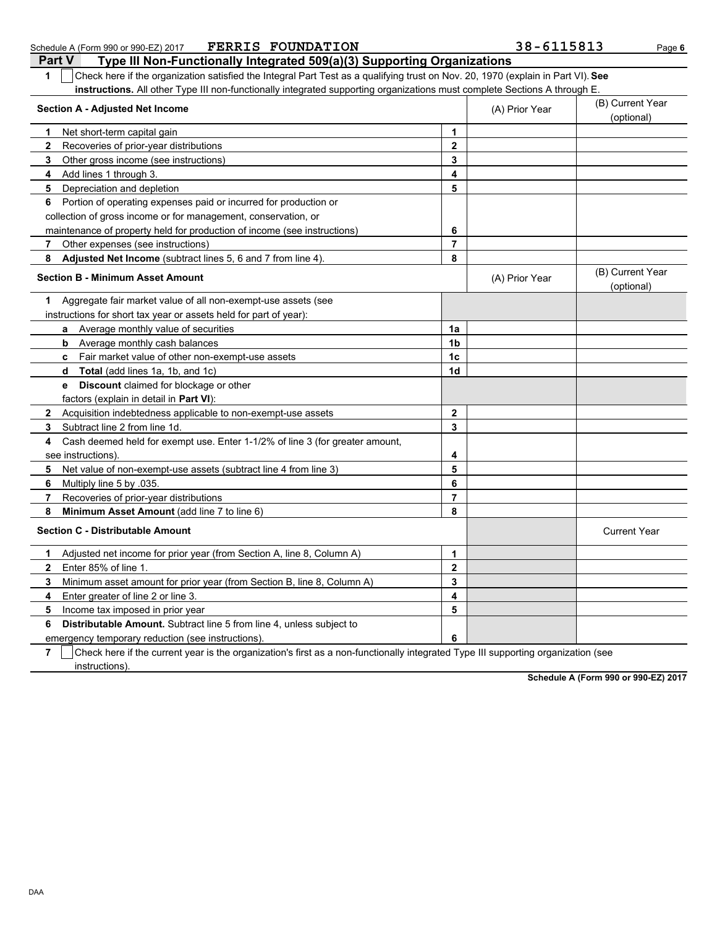| Part V<br>Type III Non-Functionally Integrated 509(a)(3) Supporting Organizations                                                     |                         |                |                                |
|---------------------------------------------------------------------------------------------------------------------------------------|-------------------------|----------------|--------------------------------|
| Check here if the organization satisfied the Integral Part Test as a qualifying trust on Nov. 20, 1970 (explain in Part VI). See<br>1 |                         |                |                                |
| instructions. All other Type III non-functionally integrated supporting organizations must complete Sections A through E              |                         |                |                                |
| <b>Section A - Adjusted Net Income</b>                                                                                                |                         | (A) Prior Year | (B) Current Year<br>(optional) |
| Net short-term capital gain<br>1.                                                                                                     | $\mathbf 1$             |                |                                |
| $\mathbf{2}$<br>Recoveries of prior-year distributions                                                                                | $\mathbf 2$             |                |                                |
| 3<br>Other gross income (see instructions)                                                                                            | 3                       |                |                                |
| Add lines 1 through 3.<br>4                                                                                                           | 4                       |                |                                |
| Depreciation and depletion<br>5                                                                                                       | 5                       |                |                                |
| Portion of operating expenses paid or incurred for production or<br>6                                                                 |                         |                |                                |
| collection of gross income or for management, conservation, or                                                                        |                         |                |                                |
| maintenance of property held for production of income (see instructions)                                                              | 6                       |                |                                |
| Other expenses (see instructions)<br>7                                                                                                | $\overline{7}$          |                |                                |
| 8<br>Adjusted Net Income (subtract lines 5, 6 and 7 from line 4).                                                                     | 8                       |                |                                |
| <b>Section B - Minimum Asset Amount</b>                                                                                               |                         | (A) Prior Year | (B) Current Year<br>(optional) |
| Aggregate fair market value of all non-exempt-use assets (see<br>1.                                                                   |                         |                |                                |
| instructions for short tax year or assets held for part of year):                                                                     |                         |                |                                |
| a Average monthly value of securities                                                                                                 | 1a                      |                |                                |
| <b>b</b> Average monthly cash balances                                                                                                | 1 <sub>b</sub>          |                |                                |
| c Fair market value of other non-exempt-use assets                                                                                    | 1c                      |                |                                |
| d Total (add lines 1a, 1b, and 1c)                                                                                                    | 1 <sub>d</sub>          |                |                                |
| Discount claimed for blockage or other<br>e                                                                                           |                         |                |                                |
| factors (explain in detail in <b>Part VI)</b> :                                                                                       |                         |                |                                |
| Acquisition indebtedness applicable to non-exempt-use assets<br>$\mathbf{2}$                                                          | $\mathbf{2}$            |                |                                |
| Subtract line 2 from line 1d.<br>3                                                                                                    | 3                       |                |                                |
| Cash deemed held for exempt use. Enter 1-1/2% of line 3 (for greater amount,<br>4                                                     |                         |                |                                |
| see instructions)                                                                                                                     | 4                       |                |                                |
| 5<br>Net value of non-exempt-use assets (subtract line 4 from line 3)                                                                 | 5                       |                |                                |
| 6<br>Multiply line 5 by 035                                                                                                           | 6                       |                |                                |
| 7<br>Recoveries of prior-year distributions                                                                                           | $\overline{7}$          |                |                                |
| 8<br>Minimum Asset Amount (add line 7 to line 6)                                                                                      | 8                       |                |                                |
| <b>Section C - Distributable Amount</b>                                                                                               |                         |                | <b>Current Year</b>            |
| Adjusted net income for prior year (from Section A, line 8, Column A)<br>1.                                                           | 1                       |                |                                |
| Enter 85% of line 1.<br>$\overline{2}$                                                                                                | $\mathbf{2}$            |                |                                |
| 3<br>Minimum asset amount for prior year (from Section B, line 8, Column A)                                                           | 3                       |                |                                |
| Enter greater of line 2 or line 3.<br>4                                                                                               | $\overline{\mathbf{4}}$ |                |                                |
| Income tax imposed in prior year<br>5                                                                                                 | 5                       |                |                                |
| <b>Distributable Amount.</b> Subtract line 5 from line 4, unless subject to<br>6                                                      |                         |                |                                |
| emergency temporary reduction (see instructions).                                                                                     | 6                       |                |                                |
|                                                                                                                                       |                         |                |                                |

Schedule A (Form 990 or 990-EZ) 2017 **PERRIS FOUNDATION** 38 - 6115813 Page 6

**7**  $\mid$  Check here if the current year is the organization's first as a non-functionally integrated Type III supporting organization (see instructions).

**Schedule A (Form 990 or 990-EZ) 2017**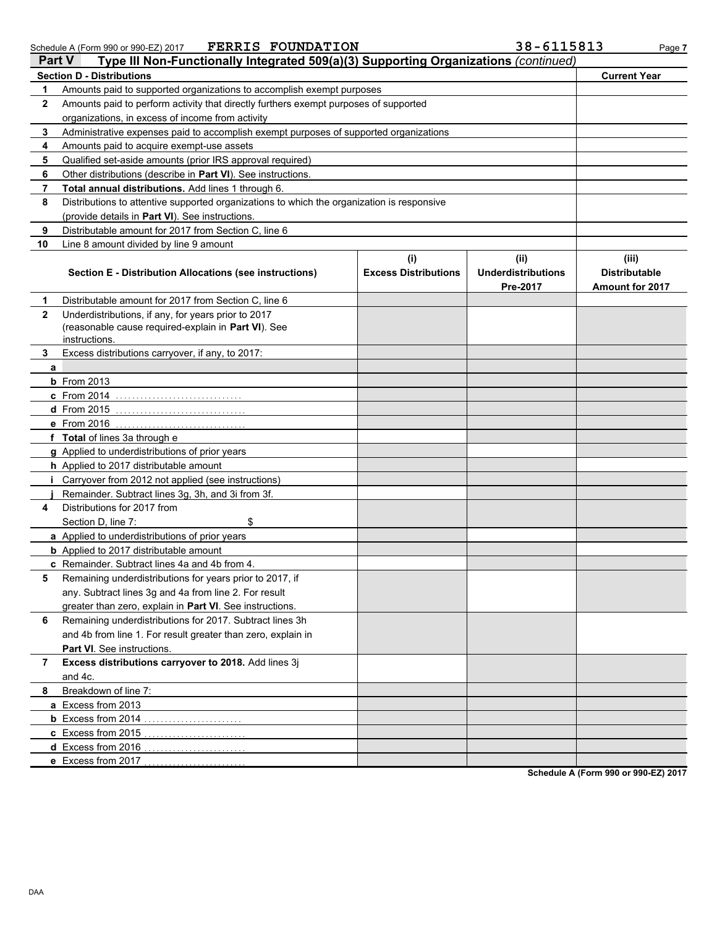| Schedule A (Form 990 or 990-EZ) 2017 | <b>FERRIS FOUNDATION</b> | 38-6115813 | Page |
|--------------------------------------|--------------------------|------------|------|
|--------------------------------------|--------------------------|------------|------|

|              | Type III Non-Functionally Integrated 509(a)(3) Supporting Organizations (continued)<br><b>Part V</b> |                                    |                                               |                                                         |
|--------------|------------------------------------------------------------------------------------------------------|------------------------------------|-----------------------------------------------|---------------------------------------------------------|
|              | <b>Section D - Distributions</b>                                                                     |                                    |                                               | <b>Current Year</b>                                     |
| 1            | Amounts paid to supported organizations to accomplish exempt purposes                                |                                    |                                               |                                                         |
| $\mathbf{2}$ | Amounts paid to perform activity that directly furthers exempt purposes of supported                 |                                    |                                               |                                                         |
|              | organizations, in excess of income from activity                                                     |                                    |                                               |                                                         |
| 3            | Administrative expenses paid to accomplish exempt purposes of supported organizations                |                                    |                                               |                                                         |
| 4            | Amounts paid to acquire exempt-use assets                                                            |                                    |                                               |                                                         |
| 5            | Qualified set-aside amounts (prior IRS approval required)                                            |                                    |                                               |                                                         |
| 6            | Other distributions (describe in <b>Part VI</b> ). See instructions.                                 |                                    |                                               |                                                         |
| 7            | Total annual distributions. Add lines 1 through 6.                                                   |                                    |                                               |                                                         |
| 8            | Distributions to attentive supported organizations to which the organization is responsive           |                                    |                                               |                                                         |
|              | (provide details in Part VI). See instructions.                                                      |                                    |                                               |                                                         |
| 9            | Distributable amount for 2017 from Section C, line 6                                                 |                                    |                                               |                                                         |
| 10           | Line 8 amount divided by line 9 amount                                                               |                                    |                                               |                                                         |
|              | Section E - Distribution Allocations (see instructions)                                              | (i)<br><b>Excess Distributions</b> | (ii)<br><b>Underdistributions</b><br>Pre-2017 | (iii)<br><b>Distributable</b><br><b>Amount for 2017</b> |
| 1            | Distributable amount for 2017 from Section C, line 6                                                 |                                    |                                               |                                                         |
| $\mathbf{2}$ | Underdistributions, if any, for years prior to 2017                                                  |                                    |                                               |                                                         |
|              | (reasonable cause required-explain in Part VI). See                                                  |                                    |                                               |                                                         |
|              | instructions.                                                                                        |                                    |                                               |                                                         |
| 3            | Excess distributions carryover, if any, to 2017:                                                     |                                    |                                               |                                                         |
| a            | <b>b</b> From 2013                                                                                   |                                    |                                               |                                                         |
|              | c From 2014                                                                                          |                                    |                                               |                                                         |
|              | d From 2015                                                                                          |                                    |                                               |                                                         |
|              | e From 2016                                                                                          |                                    |                                               |                                                         |
|              | f Total of lines 3a through e                                                                        |                                    |                                               |                                                         |
|              | g Applied to underdistributions of prior years                                                       |                                    |                                               |                                                         |
|              | h Applied to 2017 distributable amount                                                               |                                    |                                               |                                                         |
| i.           | Carryover from 2012 not applied (see instructions)                                                   |                                    |                                               |                                                         |
|              | Remainder. Subtract lines 3g, 3h, and 3i from 3f.                                                    |                                    |                                               |                                                         |
| 4            | Distributions for 2017 from                                                                          |                                    |                                               |                                                         |
|              | Section D, line 7:<br>\$                                                                             |                                    |                                               |                                                         |
|              | a Applied to underdistributions of prior years                                                       |                                    |                                               |                                                         |
|              | <b>b</b> Applied to 2017 distributable amount                                                        |                                    |                                               |                                                         |
|              | c Remainder. Subtract lines 4a and 4b from 4.                                                        |                                    |                                               |                                                         |
|              | Remaining underdistributions for years prior to 2017, if                                             |                                    |                                               |                                                         |
|              | any. Subtract lines 3g and 4a from line 2. For result                                                |                                    |                                               |                                                         |
|              | greater than zero, explain in Part VI. See instructions.                                             |                                    |                                               |                                                         |
| 6            | Remaining underdistributions for 2017. Subtract lines 3h                                             |                                    |                                               |                                                         |
|              | and 4b from line 1. For result greater than zero, explain in                                         |                                    |                                               |                                                         |
|              | <b>Part VI</b> . See instructions.                                                                   |                                    |                                               |                                                         |
| 7            | Excess distributions carryover to 2018. Add lines 3j                                                 |                                    |                                               |                                                         |
|              | and 4c.                                                                                              |                                    |                                               |                                                         |
| 8            | Breakdown of line 7:                                                                                 |                                    |                                               |                                                         |
|              | a Excess from 2013                                                                                   |                                    |                                               |                                                         |
|              | <b>b</b> Excess from 2014                                                                            |                                    |                                               |                                                         |
|              | c Excess from 2015                                                                                   |                                    |                                               |                                                         |
|              | d Excess from 2016                                                                                   |                                    |                                               |                                                         |
|              | e Excess from 2017                                                                                   |                                    |                                               |                                                         |

**Schedule A (Form 990 or 990-EZ) 2017**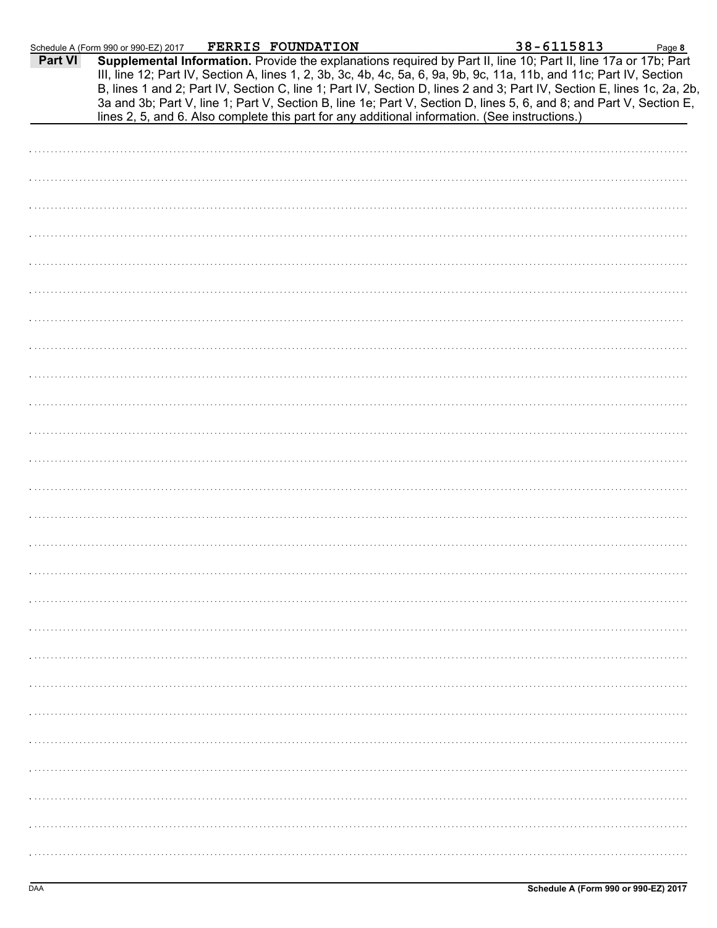|         | Schedule A (Form 990 or 990-EZ) 2017 | FERRIS FOUNDATION |                                                                                                                                                                                                                                                                                                                                                                                                                                                                                                                                                                                            | 38-6115813 | Page 8 |
|---------|--------------------------------------|-------------------|--------------------------------------------------------------------------------------------------------------------------------------------------------------------------------------------------------------------------------------------------------------------------------------------------------------------------------------------------------------------------------------------------------------------------------------------------------------------------------------------------------------------------------------------------------------------------------------------|------------|--------|
| Part VI |                                      |                   | Supplemental Information. Provide the explanations required by Part II, line 10; Part II, line 17a or 17b; Part<br>III, line 12; Part IV, Section A, lines 1, 2, 3b, 3c, 4b, 4c, 5a, 6, 9a, 9b, 9c, 11a, 11b, and 11c; Part IV, Section<br>B, lines 1 and 2; Part IV, Section C, line 1; Part IV, Section D, lines 2 and 3; Part IV, Section E, lines 1c, 2a, 2b,<br>3a and 3b; Part V, line 1; Part V, Section B, line 1e; Part V, Section D, lines 5, 6, and 8; and Part V, Section E,<br>lines 2, 5, and 6. Also complete this part for any additional information. (See instructions.) |            |        |
|         |                                      |                   |                                                                                                                                                                                                                                                                                                                                                                                                                                                                                                                                                                                            |            |        |
|         |                                      |                   |                                                                                                                                                                                                                                                                                                                                                                                                                                                                                                                                                                                            |            |        |
|         |                                      |                   |                                                                                                                                                                                                                                                                                                                                                                                                                                                                                                                                                                                            |            |        |
|         |                                      |                   |                                                                                                                                                                                                                                                                                                                                                                                                                                                                                                                                                                                            |            |        |
|         |                                      |                   |                                                                                                                                                                                                                                                                                                                                                                                                                                                                                                                                                                                            |            |        |
|         |                                      |                   |                                                                                                                                                                                                                                                                                                                                                                                                                                                                                                                                                                                            |            |        |
|         |                                      |                   |                                                                                                                                                                                                                                                                                                                                                                                                                                                                                                                                                                                            |            |        |
|         |                                      |                   |                                                                                                                                                                                                                                                                                                                                                                                                                                                                                                                                                                                            |            |        |
|         |                                      |                   |                                                                                                                                                                                                                                                                                                                                                                                                                                                                                                                                                                                            |            |        |
|         |                                      |                   |                                                                                                                                                                                                                                                                                                                                                                                                                                                                                                                                                                                            |            |        |
|         |                                      |                   |                                                                                                                                                                                                                                                                                                                                                                                                                                                                                                                                                                                            |            |        |
|         |                                      |                   |                                                                                                                                                                                                                                                                                                                                                                                                                                                                                                                                                                                            |            |        |
|         |                                      |                   |                                                                                                                                                                                                                                                                                                                                                                                                                                                                                                                                                                                            |            |        |
|         |                                      |                   |                                                                                                                                                                                                                                                                                                                                                                                                                                                                                                                                                                                            |            |        |
|         |                                      |                   |                                                                                                                                                                                                                                                                                                                                                                                                                                                                                                                                                                                            |            |        |
|         |                                      |                   |                                                                                                                                                                                                                                                                                                                                                                                                                                                                                                                                                                                            |            |        |
|         |                                      |                   |                                                                                                                                                                                                                                                                                                                                                                                                                                                                                                                                                                                            |            |        |
|         |                                      |                   |                                                                                                                                                                                                                                                                                                                                                                                                                                                                                                                                                                                            |            |        |
|         |                                      |                   |                                                                                                                                                                                                                                                                                                                                                                                                                                                                                                                                                                                            |            |        |
|         |                                      |                   |                                                                                                                                                                                                                                                                                                                                                                                                                                                                                                                                                                                            |            |        |
|         |                                      |                   |                                                                                                                                                                                                                                                                                                                                                                                                                                                                                                                                                                                            |            |        |
|         |                                      |                   |                                                                                                                                                                                                                                                                                                                                                                                                                                                                                                                                                                                            |            |        |
|         |                                      |                   |                                                                                                                                                                                                                                                                                                                                                                                                                                                                                                                                                                                            |            |        |
|         |                                      |                   |                                                                                                                                                                                                                                                                                                                                                                                                                                                                                                                                                                                            |            |        |
|         |                                      |                   |                                                                                                                                                                                                                                                                                                                                                                                                                                                                                                                                                                                            |            |        |
|         |                                      |                   |                                                                                                                                                                                                                                                                                                                                                                                                                                                                                                                                                                                            |            |        |
|         |                                      |                   |                                                                                                                                                                                                                                                                                                                                                                                                                                                                                                                                                                                            |            |        |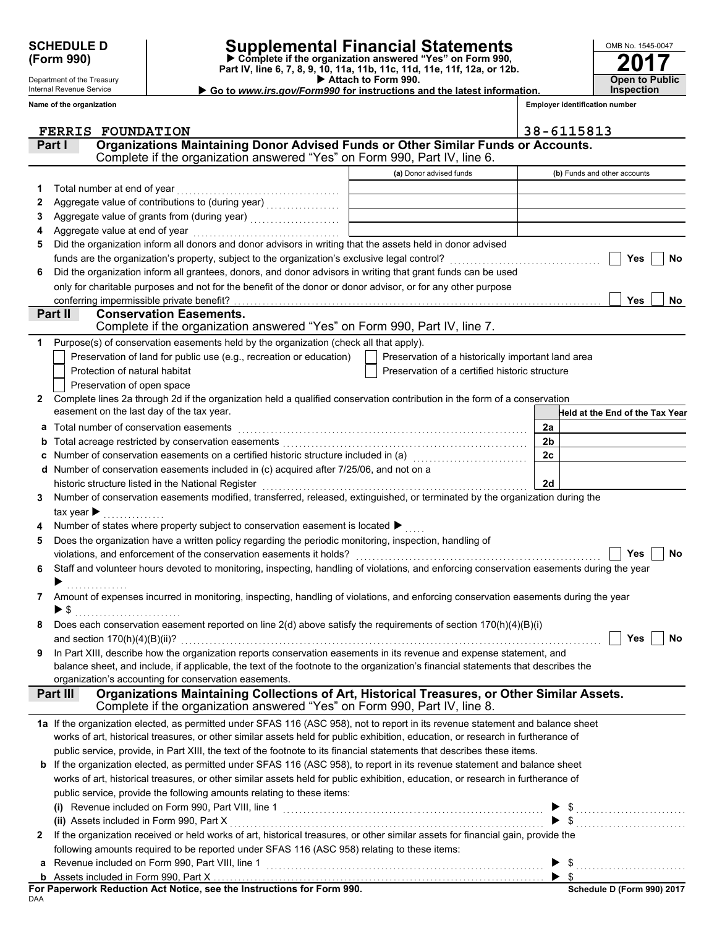Department of the Treasury Internal Revenue Service

# **SCHEDULE D Supplemental Financial Statements**

 **Attach to Form 990. (Form 990) Part IV, line 6, 7, 8, 9, 10, 11a, 11b, 11c, 11d, 11e, 11f, 12a, or 12b. Complete if the organization answered "Yes" on Form 990,**

 **Go to** *www.irs.gov/Form990* **for instructions and the latest information.**

**2017** OMB No. 1545-0047 **Open to Public Inspection**

**Employer identification number**

|   | Name of the organization                                                                                                                                                                   |                                                    | <b>Employer identification number</b> |
|---|--------------------------------------------------------------------------------------------------------------------------------------------------------------------------------------------|----------------------------------------------------|---------------------------------------|
|   | <b>FERRIS FOUNDATION</b>                                                                                                                                                                   |                                                    | 38-6115813                            |
|   | Organizations Maintaining Donor Advised Funds or Other Similar Funds or Accounts.<br>Part I<br>Complete if the organization answered "Yes" on Form 990, Part IV, line 6.                   |                                                    |                                       |
|   |                                                                                                                                                                                            | (a) Donor advised funds                            | (b) Funds and other accounts          |
| 1 | Total number at end of year                                                                                                                                                                |                                                    |                                       |
| 2 |                                                                                                                                                                                            |                                                    |                                       |
| 3 |                                                                                                                                                                                            |                                                    |                                       |
| 4 | Aggregate value at end of year                                                                                                                                                             |                                                    |                                       |
| 5 | Did the organization inform all donors and donor advisors in writing that the assets held in donor advised                                                                                 |                                                    |                                       |
|   | funds are the organization's property, subject to the organization's exclusive legal control? [[[[[[[[[[[[[[[[                                                                             |                                                    | Yes<br>No                             |
| 6 | Did the organization inform all grantees, donors, and donor advisors in writing that grant funds can be used                                                                               |                                                    |                                       |
|   | only for charitable purposes and not for the benefit of the donor or donor advisor, or for any other purpose                                                                               |                                                    |                                       |
|   | conferring impermissible private benefit?<br><b>Conservation Easements.</b>                                                                                                                |                                                    | Yes<br>No                             |
|   | Part II<br>Complete if the organization answered "Yes" on Form 990, Part IV, line 7.                                                                                                       |                                                    |                                       |
| 1 | Purpose(s) of conservation easements held by the organization (check all that apply).                                                                                                      |                                                    |                                       |
|   | Preservation of land for public use (e.g., recreation or education)                                                                                                                        | Preservation of a historically important land area |                                       |
|   | Protection of natural habitat                                                                                                                                                              | Preservation of a certified historic structure     |                                       |
|   | Preservation of open space                                                                                                                                                                 |                                                    |                                       |
| 2 | Complete lines 2a through 2d if the organization held a qualified conservation contribution in the form of a conservation                                                                  |                                                    |                                       |
|   | easement on the last day of the tax year.                                                                                                                                                  |                                                    | Held at the End of the Tax Year       |
| a | Total number of conservation easements                                                                                                                                                     |                                                    | 2a                                    |
| b |                                                                                                                                                                                            |                                                    | 2b                                    |
| с | Number of conservation easements on a certified historic structure included in (a) [11] Number of conservation                                                                             |                                                    | 2c                                    |
|   | d Number of conservation easements included in (c) acquired after 7/25/06, and not on a                                                                                                    |                                                    | 2d                                    |
| 3 | historic structure listed in the National Register<br>Number of conservation easements modified, transferred, released, extinguished, or terminated by the organization during the         |                                                    |                                       |
|   | tax year $\blacktriangleright$                                                                                                                                                             |                                                    |                                       |
|   | Number of states where property subject to conservation easement is located >                                                                                                              |                                                    |                                       |
| 5 | Does the organization have a written policy regarding the periodic monitoring, inspection, handling of                                                                                     |                                                    |                                       |
|   | violations, and enforcement of the conservation easements it holds?                                                                                                                        |                                                    | Yes<br>No                             |
| 6 | Staff and volunteer hours devoted to monitoring, inspecting, handling of violations, and enforcing conservation easements during the year                                                  |                                                    |                                       |
|   |                                                                                                                                                                                            |                                                    |                                       |
| 7 | Amount of expenses incurred in monitoring, inspecting, handling of violations, and enforcing conservation easements during the year                                                        |                                                    |                                       |
|   | $\blacktriangleright$ \$                                                                                                                                                                   |                                                    |                                       |
|   | Does each conservation easement reported on line 2(d) above satisfy the requirements of section 170(h)(4)(B)(i)                                                                            |                                                    |                                       |
|   |                                                                                                                                                                                            |                                                    | Yes<br>No                             |
| 9 | In Part XIII, describe how the organization reports conservation easements in its revenue and expense statement, and                                                                       |                                                    |                                       |
|   | balance sheet, and include, if applicable, the text of the footnote to the organization's financial statements that describes the                                                          |                                                    |                                       |
|   | organization's accounting for conservation easements.<br>Organizations Maintaining Collections of Art, Historical Treasures, or Other Similar Assets.<br>Part III                          |                                                    |                                       |
|   | Complete if the organization answered "Yes" on Form 990, Part IV, line 8.                                                                                                                  |                                                    |                                       |
|   | 1a If the organization elected, as permitted under SFAS 116 (ASC 958), not to report in its revenue statement and balance sheet                                                            |                                                    |                                       |
|   | works of art, historical treasures, or other similar assets held for public exhibition, education, or research in furtherance of                                                           |                                                    |                                       |
|   | public service, provide, in Part XIII, the text of the footnote to its financial statements that describes these items.                                                                    |                                                    |                                       |
|   | <b>b</b> If the organization elected, as permitted under SFAS 116 (ASC 958), to report in its revenue statement and balance sheet                                                          |                                                    |                                       |
|   | works of art, historical treasures, or other similar assets held for public exhibition, education, or research in furtherance of                                                           |                                                    |                                       |
|   | public service, provide the following amounts relating to these items:                                                                                                                     |                                                    |                                       |
|   | public service, provide the following different change of a service of the service, provide the following difference of the service of the service included on Form 990, Part VIII, line 1 |                                                    |                                       |
|   |                                                                                                                                                                                            |                                                    |                                       |
| 2 | If the organization received or held works of art, historical treasures, or other similar assets for financial gain, provide the                                                           |                                                    |                                       |
|   | following amounts required to be reported under SFAS 116 (ASC 958) relating to these items:                                                                                                |                                                    |                                       |
| а |                                                                                                                                                                                            |                                                    |                                       |
|   |                                                                                                                                                                                            |                                                    |                                       |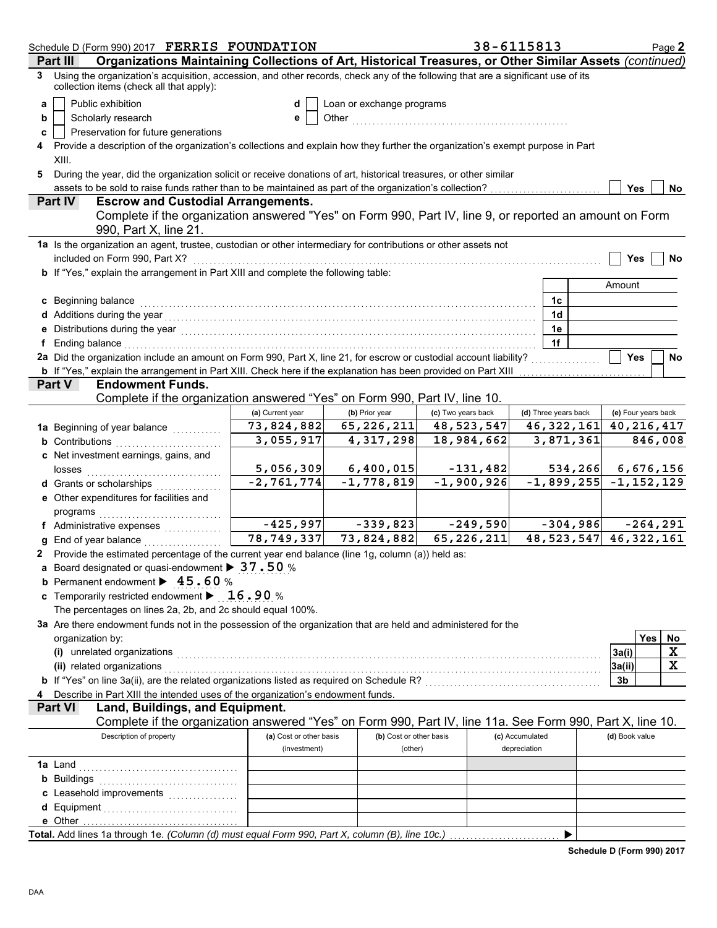|   | Schedule D (Form 990) 2017 FERRIS FOUNDATION                                                                                                                                                                                   |                            |                           | 38-6115813         |                 |                           |                     |           | Page 2      |
|---|--------------------------------------------------------------------------------------------------------------------------------------------------------------------------------------------------------------------------------|----------------------------|---------------------------|--------------------|-----------------|---------------------------|---------------------|-----------|-------------|
|   | Organizations Maintaining Collections of Art, Historical Treasures, or Other Similar Assets (continued)<br>Part II                                                                                                             |                            |                           |                    |                 |                           |                     |           |             |
| 3 | Using the organization's acquisition, accession, and other records, check any of the following that are a significant use of its<br>collection items (check all that apply):                                                   |                            |                           |                    |                 |                           |                     |           |             |
| a | Public exhibition                                                                                                                                                                                                              | d                          | Loan or exchange programs |                    |                 |                           |                     |           |             |
| b | Scholarly research                                                                                                                                                                                                             | е                          |                           |                    |                 |                           |                     |           |             |
| с | Preservation for future generations                                                                                                                                                                                            |                            |                           |                    |                 |                           |                     |           |             |
|   | Provide a description of the organization's collections and explain how they further the organization's exempt purpose in Part                                                                                                 |                            |                           |                    |                 |                           |                     |           |             |
|   | XIII.                                                                                                                                                                                                                          |                            |                           |                    |                 |                           |                     |           |             |
| 5 | During the year, did the organization solicit or receive donations of art, historical treasures, or other similar                                                                                                              |                            |                           |                    |                 |                           |                     |           |             |
|   | assets to be sold to raise funds rather than to be maintained as part of the organization's collection?                                                                                                                        |                            |                           |                    |                 |                           | <b>Yes</b>          |           | No          |
|   | <b>Escrow and Custodial Arrangements.</b><br><b>Part IV</b>                                                                                                                                                                    |                            |                           |                    |                 |                           |                     |           |             |
|   | Complete if the organization answered "Yes" on Form 990, Part IV, line 9, or reported an amount on Form<br>990, Part X, line 21.                                                                                               |                            |                           |                    |                 |                           |                     |           |             |
|   | 1a Is the organization an agent, trustee, custodian or other intermediary for contributions or other assets not                                                                                                                |                            |                           |                    |                 |                           |                     |           |             |
|   | included on Form 990, Part X?                                                                                                                                                                                                  |                            |                           |                    |                 |                           | Yes                 |           | No          |
|   | b If "Yes," explain the arrangement in Part XIII and complete the following table:                                                                                                                                             |                            |                           |                    |                 |                           |                     |           |             |
|   |                                                                                                                                                                                                                                |                            |                           |                    |                 |                           | Amount              |           |             |
|   | c Beginning balance                                                                                                                                                                                                            |                            |                           |                    |                 | 1c                        |                     |           |             |
|   |                                                                                                                                                                                                                                |                            |                           |                    |                 | 1 <sub>d</sub>            |                     |           |             |
|   | e Distributions during the year manufactured contains and the year manufactured with the set of the set of the                                                                                                                 |                            |                           |                    |                 | 1e                        |                     |           |             |
|   | f Ending balance with an arrangement of the contract of the contract of the contract of the contract of the contract of the contract of the contract of the contract of the contract of the contract of the contract of the co |                            |                           |                    |                 | 1f                        |                     |           |             |
|   | 2a Did the organization include an amount on Form 990, Part X, line 21, for escrow or custodial account liability?                                                                                                             |                            |                           |                    |                 |                           | <b>Yes</b>          |           | No          |
|   | <b>b</b> If "Yes," explain the arrangement in Part XIII. Check here if the explanation has been provided on Part XIII                                                                                                          |                            |                           |                    |                 |                           |                     |           |             |
|   | <b>Endowment Funds.</b><br><b>Part V</b>                                                                                                                                                                                       |                            |                           |                    |                 |                           |                     |           |             |
|   | Complete if the organization answered "Yes" on Form 990, Part IV, line 10.                                                                                                                                                     |                            |                           |                    |                 |                           |                     |           |             |
|   |                                                                                                                                                                                                                                | (a) Current year           | (b) Prior year            | (c) Two years back |                 | (d) Three years back      | (e) Four years back |           |             |
|   | 1a Beginning of year balance                                                                                                                                                                                                   | 73,824,882                 | 65,226,211                | 48,523,547         |                 | 46, 322, 161              | 40,216,417          |           |             |
|   | <b>b</b> Contributions                                                                                                                                                                                                         | 3,055,917                  | 4,317,298                 | 18,984,662         |                 | 3,871,361                 |                     |           | 846,008     |
|   | c Net investment earnings, gains, and                                                                                                                                                                                          |                            |                           |                    |                 |                           |                     |           |             |
|   | losses                                                                                                                                                                                                                         | 5,056,309                  | 6,400,015                 | $-131,482$         |                 | 534,266                   |                     | 6,676,156 |             |
|   | d Grants or scholarships<br>.                                                                                                                                                                                                  | $-2,761,774$               | $-1,778,819$              | $-1,900,926$       |                 | $-1,899,255$ $-1,152,129$ |                     |           |             |
|   | e Other expenditures for facilities and                                                                                                                                                                                        |                            |                           |                    |                 |                           |                     |           |             |
|   | programs                                                                                                                                                                                                                       |                            |                           |                    |                 |                           |                     |           |             |
|   | f Administrative expenses                                                                                                                                                                                                      | $-425,997$                 | $-339,823$                | $-249,590$         |                 | $-304,986$                |                     |           | $-264, 291$ |
|   | <b>g</b> End of year balance $\ldots$                                                                                                                                                                                          | $\overline{78}$ , 749, 337 | 73,824,882                | 65,226,211         |                 | 48, 523, 547 46, 322, 161 |                     |           |             |
|   | 2 Provide the estimated percentage of the current year end balance (line 1g, column (a)) held as:                                                                                                                              |                            |                           |                    |                 |                           |                     |           |             |
|   | a Board designated or quasi-endowment > 37.50 %                                                                                                                                                                                |                            |                           |                    |                 |                           |                     |           |             |
|   | <b>b</b> Permanent endowment $\blacktriangleright$ 45.60 %                                                                                                                                                                     |                            |                           |                    |                 |                           |                     |           |             |
|   | c Temporarily restricted endowment $\blacktriangleright$ 16.90 %                                                                                                                                                               |                            |                           |                    |                 |                           |                     |           |             |
|   | The percentages on lines 2a, 2b, and 2c should equal 100%.                                                                                                                                                                     |                            |                           |                    |                 |                           |                     |           |             |
|   | 3a Are there endowment funds not in the possession of the organization that are held and administered for the                                                                                                                  |                            |                           |                    |                 |                           |                     |           |             |
|   | organization by:                                                                                                                                                                                                               |                            |                           |                    |                 |                           |                     | Yes       | No          |
|   | (i) unrelated organizations entertainment and a set of the contract of the contract of the contract of the contract of the contract of the contract of the contract of the contract of the contract of the contract of the con |                            |                           |                    |                 |                           | 3a(i)               |           | х           |
|   | (ii) related organizations with an example of the contract of the contract of the contract of the contract of                                                                                                                  |                            |                           |                    |                 |                           | 3a(ii)              |           | х           |
|   |                                                                                                                                                                                                                                |                            |                           |                    |                 |                           | 3b                  |           |             |
|   | 4 Describe in Part XIII the intended uses of the organization's endowment funds.                                                                                                                                               |                            |                           |                    |                 |                           |                     |           |             |
|   | Land, Buildings, and Equipment.<br><b>Part VI</b>                                                                                                                                                                              |                            |                           |                    |                 |                           |                     |           |             |
|   | Complete if the organization answered "Yes" on Form 990, Part IV, line 11a. See Form 990, Part X, line 10.                                                                                                                     |                            |                           |                    |                 |                           |                     |           |             |
|   | Description of property                                                                                                                                                                                                        | (a) Cost or other basis    | (b) Cost or other basis   |                    | (c) Accumulated |                           | (d) Book value      |           |             |
|   |                                                                                                                                                                                                                                | (investment)               | (other)                   |                    | depreciation    |                           |                     |           |             |
|   |                                                                                                                                                                                                                                |                            |                           |                    |                 |                           |                     |           |             |
|   | <b>b</b> Buildings <b>Multiples b</b>                                                                                                                                                                                          |                            |                           |                    |                 |                           |                     |           |             |
|   |                                                                                                                                                                                                                                |                            |                           |                    |                 |                           |                     |           |             |
|   |                                                                                                                                                                                                                                |                            |                           |                    |                 |                           |                     |           |             |
|   |                                                                                                                                                                                                                                |                            |                           |                    |                 |                           |                     |           |             |
|   | Total. Add lines 1a through 1e. (Column (d) must equal Form 990, Part X, column (B), line 10c.)                                                                                                                                |                            |                           |                    |                 | ▶                         |                     |           |             |

**Schedule D (Form 990) 2017**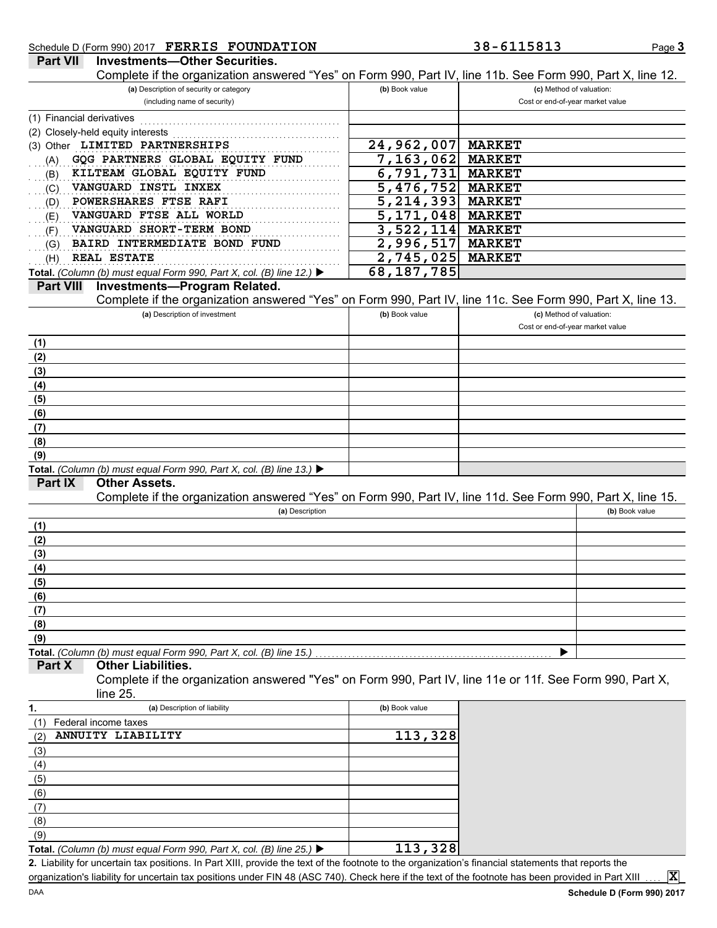### Schedule D (Form 990) 2017 **FERRIS FOUNDATION 38-6115813**

Page **3**

| <b>Part VII</b><br><b>Investments-Other Securities.</b><br>Complete if the organization answered "Yes" on Form 990, Part IV, line 11b. See Form 990, Part X, line 12. |                        |                                  |
|-----------------------------------------------------------------------------------------------------------------------------------------------------------------------|------------------------|----------------------------------|
| (a) Description of security or category                                                                                                                               | (b) Book value         | (c) Method of valuation:         |
| (including name of security)                                                                                                                                          |                        | Cost or end-of-year market value |
| (1) Financial derivatives                                                                                                                                             |                        |                                  |
|                                                                                                                                                                       |                        |                                  |
| (2) Closely-held equity interests<br>(3) Other LIMITED PARTNERSHIPS                                                                                                   | 24,962,007             | <b>MARKET</b>                    |
|                                                                                                                                                                       | 7,163,062              |                                  |
| GQG PARTNERS GLOBAL EQUITY FUND<br>(A)                                                                                                                                |                        | <b>MARKET</b>                    |
| KILTEAM GLOBAL EQUITY FUND<br>(B)                                                                                                                                     | 6,791,731              | <b>MARKET</b>                    |
| VANGUARD INSTL INXEX<br>(C)                                                                                                                                           | 5,476,752              | <b>MARKET</b>                    |
| POWERSHARES FTSE RAFI<br>(D)                                                                                                                                          | $\overline{5,214,393}$ | <b>MARKET</b>                    |
| VANGUARD FTSE ALL WORLD<br>(E)                                                                                                                                        | 5,171,048              | <b>MARKET</b>                    |
| VANGUARD SHORT-TERM BOND<br>(F)                                                                                                                                       | 3,522,114              | <b>MARKET</b>                    |
| BAIRD INTERMEDIATE BOND FUND<br>(G)                                                                                                                                   | 2,996,517              | <b>MARKET</b>                    |
| <b>REAL ESTATE</b><br>(H)                                                                                                                                             | 2,745,025              | <b>MARKET</b>                    |
| Total. (Column (b) must equal Form 990, Part X, col. (B) line 12.) $\blacktriangleright$                                                                              | 68, 187, 785           |                                  |
| <b>Part VIII</b><br><b>Investments-Program Related.</b>                                                                                                               |                        |                                  |
| Complete if the organization answered "Yes" on Form 990, Part IV, line 11c. See Form 990, Part X, line 13.                                                            |                        |                                  |
| (a) Description of investment                                                                                                                                         | (b) Book value         | (c) Method of valuation:         |
|                                                                                                                                                                       |                        | Cost or end-of-year market value |
| (1)                                                                                                                                                                   |                        |                                  |
| (2)                                                                                                                                                                   |                        |                                  |
| (3)                                                                                                                                                                   |                        |                                  |
| (4)                                                                                                                                                                   |                        |                                  |
| (5)                                                                                                                                                                   |                        |                                  |
| (6)                                                                                                                                                                   |                        |                                  |
| (7)                                                                                                                                                                   |                        |                                  |
| (8)                                                                                                                                                                   |                        |                                  |
| (9)                                                                                                                                                                   |                        |                                  |
| Total. (Column (b) must equal Form 990, Part X, col. (B) line 13.) ▶                                                                                                  |                        |                                  |
| <b>Part IX</b><br><b>Other Assets.</b>                                                                                                                                |                        |                                  |
| Complete if the organization answered "Yes" on Form 990, Part IV, line 11d. See Form 990, Part X, line 15.                                                            |                        |                                  |
| (a) Description                                                                                                                                                       |                        | (b) Book value                   |
| (1)                                                                                                                                                                   |                        |                                  |
| (2)                                                                                                                                                                   |                        |                                  |
| (3)                                                                                                                                                                   |                        |                                  |
| (4)                                                                                                                                                                   |                        |                                  |
| (5)                                                                                                                                                                   |                        |                                  |
| (6)                                                                                                                                                                   |                        |                                  |
| (7)                                                                                                                                                                   |                        |                                  |
| (8)                                                                                                                                                                   |                        |                                  |
| (9)                                                                                                                                                                   |                        |                                  |
| Total. (Column (b) must equal Form 990, Part X, col. (B) line 15.)                                                                                                    |                        |                                  |
| <b>Other Liabilities.</b><br>Part X                                                                                                                                   |                        |                                  |
| Complete if the organization answered "Yes" on Form 990, Part IV, line 11e or 11f. See Form 990, Part X,                                                              |                        |                                  |
| line 25.                                                                                                                                                              |                        |                                  |
| (a) Description of liability<br>1.                                                                                                                                    | (b) Book value         |                                  |
|                                                                                                                                                                       |                        |                                  |
| Federal income taxes<br>(1)<br>ANNUITY LIABILITY                                                                                                                      | 113,328                |                                  |
| (2)                                                                                                                                                                   |                        |                                  |
| (3)                                                                                                                                                                   |                        |                                  |
| (4)                                                                                                                                                                   |                        |                                  |
| (5)                                                                                                                                                                   |                        |                                  |
| (6)                                                                                                                                                                   |                        |                                  |
| (7)                                                                                                                                                                   |                        |                                  |
| (8)                                                                                                                                                                   |                        |                                  |
| (9)                                                                                                                                                                   |                        |                                  |

Liability for uncertain tax positions. In Part XIII, provide the text of the footnote to the organization's financial statements that reports the **2.** organization's liability for uncertain tax positions under FIN 48 (ASC 740). Check here if the text of the footnote has been provided in Part XIII **Total.** *(Column (b) must equal Form 990, Part X, col. (B) line 25.)*  **113,328**

**X**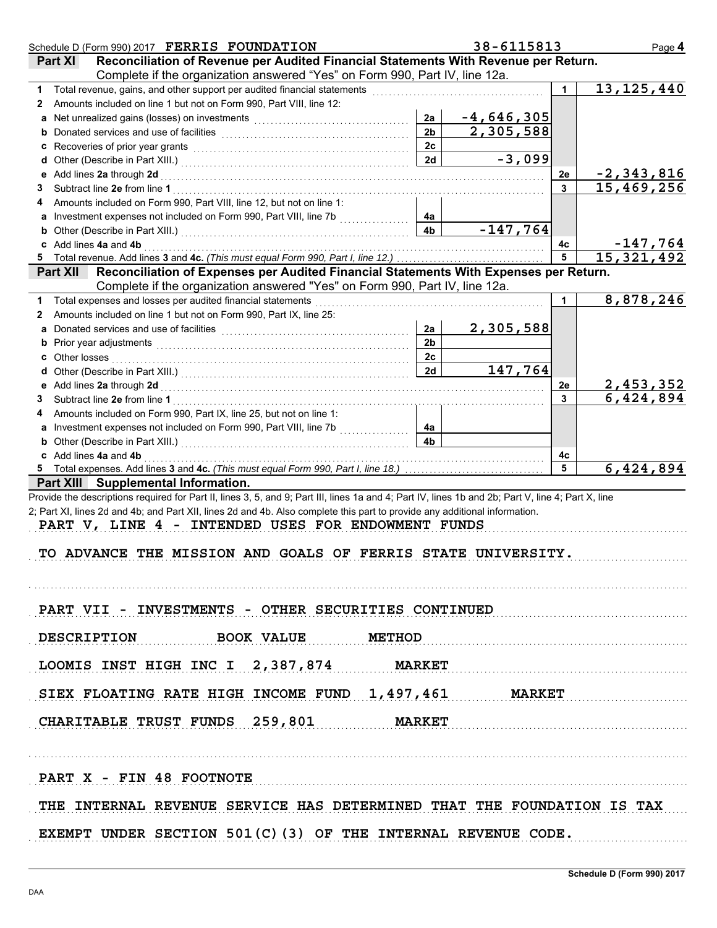| Schedule D (Form 990) 2017 FERRIS FOUNDATION                                                                                                                                                                                         |                | 38-6115813   |    | Page 4                    |
|--------------------------------------------------------------------------------------------------------------------------------------------------------------------------------------------------------------------------------------|----------------|--------------|----|---------------------------|
| Reconciliation of Revenue per Audited Financial Statements With Revenue per Return.<br>Part XI                                                                                                                                       |                |              |    |                           |
| Complete if the organization answered "Yes" on Form 990, Part IV, line 12a.                                                                                                                                                          |                |              |    |                           |
| 1.                                                                                                                                                                                                                                   |                |              |    | 13, 125, 440              |
| Amounts included on line 1 but not on Form 990, Part VIII, line 12:<br>$\mathbf{2}$                                                                                                                                                  |                |              |    |                           |
|                                                                                                                                                                                                                                      | 2a             | $-4,646,305$ |    |                           |
|                                                                                                                                                                                                                                      | 2 <sub>b</sub> | 2,305,588    |    |                           |
|                                                                                                                                                                                                                                      | 2c             |              |    |                           |
|                                                                                                                                                                                                                                      | 2d             | $-3,099$     |    |                           |
|                                                                                                                                                                                                                                      |                |              | 2e | <u>-2,343,816</u>         |
| 3.                                                                                                                                                                                                                                   |                |              |    | 15,469,256                |
| Amounts included on Form 990, Part VIII, line 12, but not on line 1:<br>4                                                                                                                                                            |                |              |    |                           |
|                                                                                                                                                                                                                                      | 4a             |              |    |                           |
|                                                                                                                                                                                                                                      | 4 <sub>b</sub> | $-147,764$   |    |                           |
| c Add lines 4a and 4b <b>contract and 4</b> b and the contract of the contract of the contract of the contract of the contract of the contract of the contract of the contract of the contract of the contract of the contract of th |                |              | 4с | <u>-147,764</u>           |
|                                                                                                                                                                                                                                      |                |              | 5  | 15, 321, 492              |
| Reconciliation of Expenses per Audited Financial Statements With Expenses per Return.<br><b>Part XII</b>                                                                                                                             |                |              |    |                           |
| Complete if the organization answered "Yes" on Form 990, Part IV, line 12a.                                                                                                                                                          |                |              |    |                           |
| 1 Total expenses and losses per audited financial statements                                                                                                                                                                         |                |              | 1. | 8,878,246                 |
| Amounts included on line 1 but not on Form 990, Part IX, line 25:<br>2                                                                                                                                                               |                |              |    |                           |
| a Donated services and use of facilities [11] content to content the service of the service of the service of the service of the service of the service of the service of the service of the service of the service of the ser       | 2a             | 2,305,588    |    |                           |
|                                                                                                                                                                                                                                      | 2 <sub>b</sub> |              |    |                           |
|                                                                                                                                                                                                                                      | 2c             |              |    |                           |
|                                                                                                                                                                                                                                      | 2d             | 147,764      |    |                           |
|                                                                                                                                                                                                                                      |                |              | 2e | 2,453,352                 |
| 3.                                                                                                                                                                                                                                   |                |              | 3  | $\overline{6}$ , 424, 894 |
| Amounts included on Form 990, Part IX, line 25, but not on line 1:<br>4                                                                                                                                                              |                |              |    |                           |
| a Investment expenses not included on Form 990, Part VIII, line 7b                                                                                                                                                                   | 4a             |              |    |                           |
|                                                                                                                                                                                                                                      | 4 <sub>b</sub> |              |    |                           |
|                                                                                                                                                                                                                                      |                |              | 4с |                           |
| c Add lines 4a and 4b <b>contract and 4b</b> and 4b and 4b and 4b and 4b and 4b and 4b and 4b and 4b and 4b and 4b and 4b and 4b and 4b and 4b and 4b and 4b and 4b and 4b and 4b and 4b and 4b and 4b and 4b and 4b and 4b and 4b   |                |              | 5  | 6,424,894                 |
| Part XIII Supplemental Information.                                                                                                                                                                                                  |                |              |    |                           |
| Provide the descriptions required for Part II, lines 3, 5, and 9; Part III, lines 1a and 4; Part IV, lines 1b and 2b; Part V, line 4; Part X, line                                                                                   |                |              |    |                           |
| 2; Part XI, lines 2d and 4b; and Part XII, lines 2d and 4b. Also complete this part to provide any additional information.                                                                                                           |                |              |    |                           |
| PART V, LINE 4 - INTENDED USES FOR ENDOWMENT FUNDS                                                                                                                                                                                   |                |              |    |                           |
|                                                                                                                                                                                                                                      |                |              |    |                           |
| TO ADVANCE THE MISSION AND GOALS OF FERRIS STATE UNIVERSITY.                                                                                                                                                                         |                |              |    |                           |
|                                                                                                                                                                                                                                      |                |              |    |                           |
|                                                                                                                                                                                                                                      |                |              |    |                           |
|                                                                                                                                                                                                                                      |                |              |    |                           |
|                                                                                                                                                                                                                                      |                |              |    |                           |
| PART VII - INVESTMENTS - OTHER SECURITIES CONTINUED                                                                                                                                                                                  |                |              |    |                           |
| DESCRIPTION BOOK VALUE METHOD                                                                                                                                                                                                        |                |              |    |                           |
|                                                                                                                                                                                                                                      |                |              |    |                           |
|                                                                                                                                                                                                                                      |                |              |    |                           |
| LOOMIS INST HIGH INC I 2, 387, 874 MARKET                                                                                                                                                                                            |                |              |    |                           |
|                                                                                                                                                                                                                                      |                |              |    |                           |
| SIEX FLOATING RATE HIGH INCOME FUND 1,497,461 MARKET                                                                                                                                                                                 |                |              |    |                           |
|                                                                                                                                                                                                                                      |                |              |    |                           |
| CHARITABLE TRUST FUNDS 259,801 MARKET                                                                                                                                                                                                |                |              |    |                           |
|                                                                                                                                                                                                                                      |                |              |    |                           |
|                                                                                                                                                                                                                                      |                |              |    |                           |
|                                                                                                                                                                                                                                      |                |              |    |                           |
| PART X - FIN 48 FOOTNOTE                                                                                                                                                                                                             |                |              |    |                           |
|                                                                                                                                                                                                                                      |                |              |    |                           |
| THE INTERNAL REVENUE SERVICE HAS DETERMINED THAT THE FOUNDATION IS TAX                                                                                                                                                               |                |              |    |                           |
|                                                                                                                                                                                                                                      |                |              |    |                           |
| EXEMPT UNDER SECTION $501(C)$ (3) OF THE INTERNAL REVENUE CODE.                                                                                                                                                                      |                |              |    |                           |
|                                                                                                                                                                                                                                      |                |              |    |                           |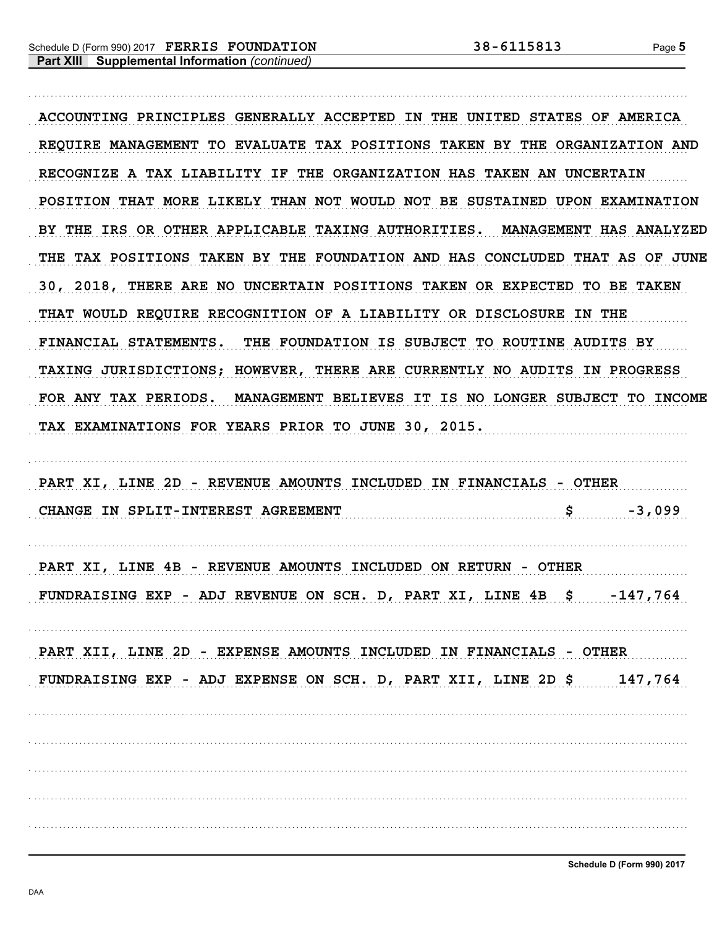ACCOUNTING PRINCIPLES GENERALLY ACCEPTED IN THE UNITED STATES OF AMERICA REOUIRE MANAGEMENT TO EVALUATE TAX POSITIONS TAKEN BY THE ORGANIZATION AND RECOGNIZE A TAX LIABILITY IF THE ORGANIZATION HAS TAKEN AN UNCERTAIN POSITION THAT MORE LIKELY THAN NOT WOULD NOT BE SUSTAINED UPON EXAMINATION BY THE IRS OR OTHER APPLICABLE TAXING AUTHORITIES. MANAGEMENT HAS ANALYZED THE TAX POSITIONS TAKEN BY THE FOUNDATION AND HAS CONCLUDED THAT AS OF JUNE 30, 2018, THERE ARE NO UNCERTAIN POSITIONS TAKEN OR EXPECTED TO BE TAKEN THAT WOULD REQUIRE RECOGNITION OF A LIABILITY OR DISCLOSURE IN THE FINANCIAL STATEMENTS. THE FOUNDATION IS SUBJECT TO ROUTINE AUDITS BY TAXING JURISDICTIONS; HOWEVER, THERE ARE CURRENTLY NO AUDITS IN PROGRESS FOR ANY TAX PERIODS. MANAGEMENT BELIEVES IT IS NO LONGER SUBJECT TO INCOME TAX EXAMINATIONS FOR YEARS PRIOR TO JUNE 30, 2015.

PART XI, LINE 2D - REVENUE AMOUNTS INCLUDED IN FINANCIALS - OTHER -3,099

PART XI, LINE 4B - REVENUE AMOUNTS INCLUDED ON RETURN - OTHER FUNDRAISING EXP - ADJ REVENUE ON SCH. D, PART XI, LINE 4B \$ -147,764

PART XII, LINE 2D - EXPENSE AMOUNTS INCLUDED IN FINANCIALS - OTHER FUNDRAISING EXP - ADJ EXPENSE ON SCH. D, PART XII, LINE 2D \$ 147,764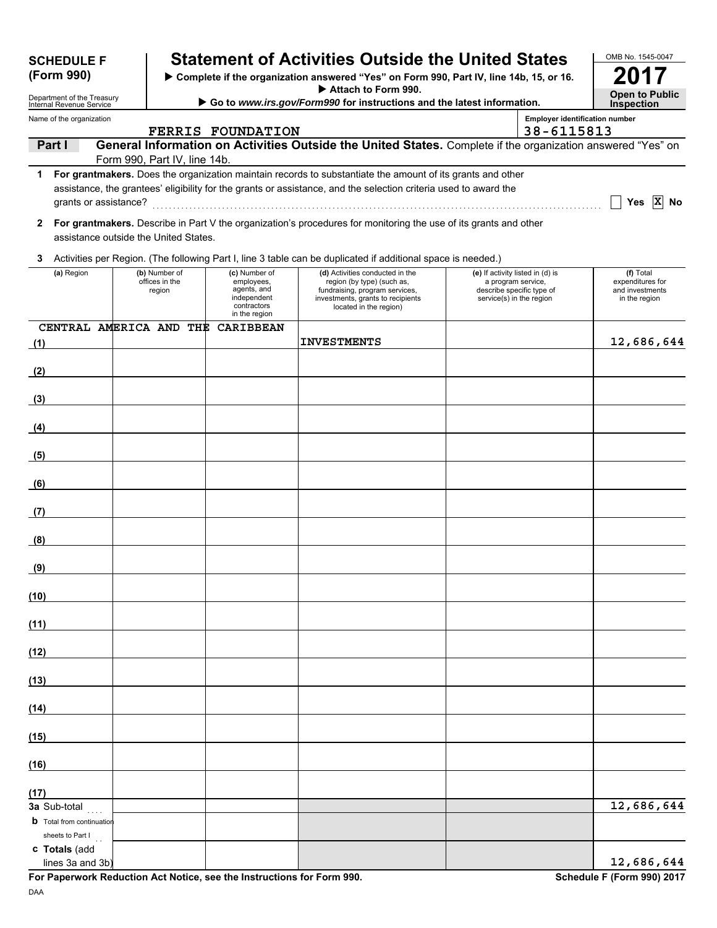| <b>SCHEDULE F</b><br>(Form 990)                        |                                           |                                                                                           | <b>Statement of Activities Outside the United States</b>                                                                                                       |                                                |                                                               | OMB No. 1545-0047                                                 |
|--------------------------------------------------------|-------------------------------------------|-------------------------------------------------------------------------------------------|----------------------------------------------------------------------------------------------------------------------------------------------------------------|------------------------------------------------|---------------------------------------------------------------|-------------------------------------------------------------------|
|                                                        |                                           |                                                                                           | > Complete if the organization answered "Yes" on Form 990, Part IV, line 14b, 15, or 16.<br>Attach to Form 990.                                                |                                                |                                                               |                                                                   |
| Department of the Treasury<br>Internal Revenue Service |                                           |                                                                                           | Go to www.irs.gov/Form990 for instructions and the latest information.                                                                                         |                                                | <b>Open to Public</b><br><b>Inspection</b>                    |                                                                   |
| Name of the organization                               |                                           | <b>FERRIS FOUNDATION</b>                                                                  |                                                                                                                                                                |                                                | <b>Employer identification number</b><br>38-6115813           |                                                                   |
| Part I                                                 |                                           |                                                                                           | General Information on Activities Outside the United States. Complete if the organization answered "Yes" on                                                    |                                                |                                                               |                                                                   |
| 1                                                      | Form 990, Part IV, line 14b.              |                                                                                           | For grantmakers. Does the organization maintain records to substantiate the amount of its grants and other                                                     |                                                |                                                               |                                                                   |
| grants or assistance?                                  |                                           |                                                                                           | assistance, the grantees' eligibility for the grants or assistance, and the selection criteria used to award the                                               |                                                |                                                               | Yes $ X $ No                                                      |
| $\mathbf{2}$<br>assistance outside the United States.  |                                           |                                                                                           | For grantmakers. Describe in Part V the organization's procedures for monitoring the use of its grants and other                                               |                                                |                                                               |                                                                   |
| 3                                                      |                                           |                                                                                           | Activities per Region. (The following Part I, line 3 table can be duplicated if additional space is needed.)                                                   |                                                |                                                               |                                                                   |
| (a) Region                                             | (b) Number of<br>offices in the<br>region | (c) Number of<br>employees,<br>agents, and<br>independent<br>contractors<br>in the region | (d) Activities conducted in the<br>region (by type) (such as,<br>fundraising, program services,<br>investments, grants to recipients<br>located in the region) | a program service,<br>service(s) in the region | (e) If activity listed in (d) is<br>describe specific type of | (f) Total<br>expenditures for<br>and investments<br>in the region |
| CENTRAL AMERICA AND THE                                |                                           | <b>CARIBBEAN</b>                                                                          | <b>INVESTMENTS</b>                                                                                                                                             |                                                |                                                               |                                                                   |
| (1)                                                    |                                           |                                                                                           |                                                                                                                                                                |                                                |                                                               | 12,686,644                                                        |
| (2)                                                    |                                           |                                                                                           |                                                                                                                                                                |                                                |                                                               |                                                                   |
| (3)                                                    |                                           |                                                                                           |                                                                                                                                                                |                                                |                                                               |                                                                   |
| (4)                                                    |                                           |                                                                                           |                                                                                                                                                                |                                                |                                                               |                                                                   |
| (5)                                                    |                                           |                                                                                           |                                                                                                                                                                |                                                |                                                               |                                                                   |
| (6)<br><b>Contract Contract Contract Contract</b>      |                                           |                                                                                           |                                                                                                                                                                |                                                |                                                               |                                                                   |
| (7)                                                    |                                           |                                                                                           |                                                                                                                                                                |                                                |                                                               |                                                                   |
| (8)                                                    |                                           |                                                                                           |                                                                                                                                                                |                                                |                                                               |                                                                   |
| (9)                                                    |                                           |                                                                                           |                                                                                                                                                                |                                                |                                                               |                                                                   |
| (10)                                                   |                                           |                                                                                           |                                                                                                                                                                |                                                |                                                               |                                                                   |
| (11)                                                   |                                           |                                                                                           |                                                                                                                                                                |                                                |                                                               |                                                                   |
| (12)                                                   |                                           |                                                                                           |                                                                                                                                                                |                                                |                                                               |                                                                   |
| (13)                                                   |                                           |                                                                                           |                                                                                                                                                                |                                                |                                                               |                                                                   |
| (14)                                                   |                                           |                                                                                           |                                                                                                                                                                |                                                |                                                               |                                                                   |
| (15)                                                   |                                           |                                                                                           |                                                                                                                                                                |                                                |                                                               |                                                                   |
| (16)                                                   |                                           |                                                                                           |                                                                                                                                                                |                                                |                                                               |                                                                   |
| (17)                                                   |                                           |                                                                                           |                                                                                                                                                                |                                                |                                                               |                                                                   |
| 3a Sub-total<br><b>b</b> Total from continuation       |                                           |                                                                                           |                                                                                                                                                                |                                                |                                                               | 12,686,644                                                        |
| sheets to Part I<br>c Totals (add<br>lines 3a and 3b)  |                                           |                                                                                           |                                                                                                                                                                |                                                |                                                               | 12,686,644                                                        |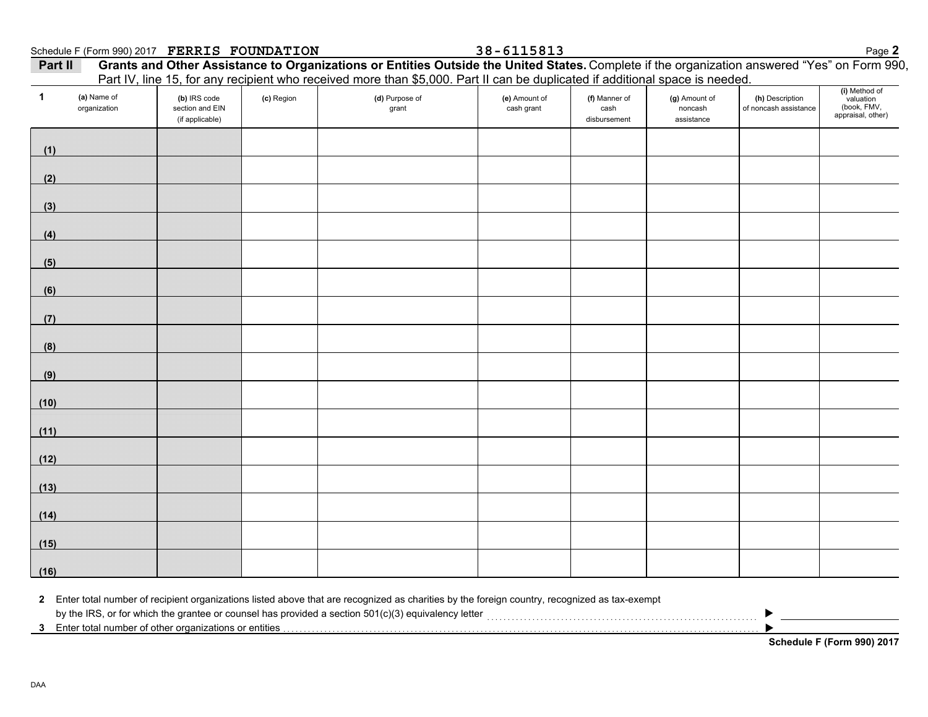|  | Schedule F (Form 990) 2017 FERRIS FOUNDATION | 38-6115813 | Page $\triangle$ |  |
|--|----------------------------------------------|------------|------------------|--|
|  |                                              |            |                  |  |

**FERRIS FOUNDATION 38-6115813**

| Part II | Grants and Other Assistance to Organizations or Entities Outside the United States. Complete if the organization answered "Yes" on Form 990, |
|---------|----------------------------------------------------------------------------------------------------------------------------------------------|
|         | Part IV, line 15, for any recipient who received more than \$5,000. Part II can be duplicated if additional space is needed.                 |

| $\mathbf{1}$ | (a) Name of<br>organization | (b) IRS code<br>section and EIN<br>(if applicable) | (c) Region | (d) Purpose of<br>grant | (e) Amount of<br>cash grant | (f) Manner of<br>cash<br>disbursement | (g) Amount of<br>noncash<br>assistance | (h) Description<br>of noncash assistance | (i) Method of<br>valuation<br>(book, FMV,<br>appraisal, other) |
|--------------|-----------------------------|----------------------------------------------------|------------|-------------------------|-----------------------------|---------------------------------------|----------------------------------------|------------------------------------------|----------------------------------------------------------------|
| (1)          |                             |                                                    |            |                         |                             |                                       |                                        |                                          |                                                                |
| (2)          |                             |                                                    |            |                         |                             |                                       |                                        |                                          |                                                                |
| (3)          |                             |                                                    |            |                         |                             |                                       |                                        |                                          |                                                                |
| (4)          |                             |                                                    |            |                         |                             |                                       |                                        |                                          |                                                                |
| (5)          |                             |                                                    |            |                         |                             |                                       |                                        |                                          |                                                                |
| (6)          |                             |                                                    |            |                         |                             |                                       |                                        |                                          |                                                                |
| (7)          |                             |                                                    |            |                         |                             |                                       |                                        |                                          |                                                                |
| (8)          |                             |                                                    |            |                         |                             |                                       |                                        |                                          |                                                                |
| (9)          |                             |                                                    |            |                         |                             |                                       |                                        |                                          |                                                                |
| (10)         |                             |                                                    |            |                         |                             |                                       |                                        |                                          |                                                                |
| (11)         |                             |                                                    |            |                         |                             |                                       |                                        |                                          |                                                                |
| (12)         |                             |                                                    |            |                         |                             |                                       |                                        |                                          |                                                                |
| (13)         |                             |                                                    |            |                         |                             |                                       |                                        |                                          |                                                                |
| (14)         |                             |                                                    |            |                         |                             |                                       |                                        |                                          |                                                                |
| (15)         |                             |                                                    |            |                         |                             |                                       |                                        |                                          |                                                                |
| (16)         |                             |                                                    |            |                         |                             |                                       |                                        |                                          |                                                                |

**2** Enter total number of recipient organizations listed above that are recognized as charities by the foreign country, recognized as tax-exempt

by the IRS, or for which the grantee or counsel has provided a section 501(c)(3) equivalency letter . . . . . . . . . . . . . . . . . . . . . . . . . . . . . . . . . . . . . . . . . . . . . . . . . . . . . . . . . . . . . . . . . .

**3** Enter total number of other organizations or entities . . . . . . . . . . . . . . . . . . . . . . . . . . . . . . . . . . . . . . . . . . . . . . . . . . . . . . . . . . . . . . . . . . . . . . . . . . . . . . . . . . . . . . . . . . . . . . . . . . . . . . . . . . . . . . . . . . . .

**Schedule F (Form 990) 2017**

▶  $\blacktriangleright$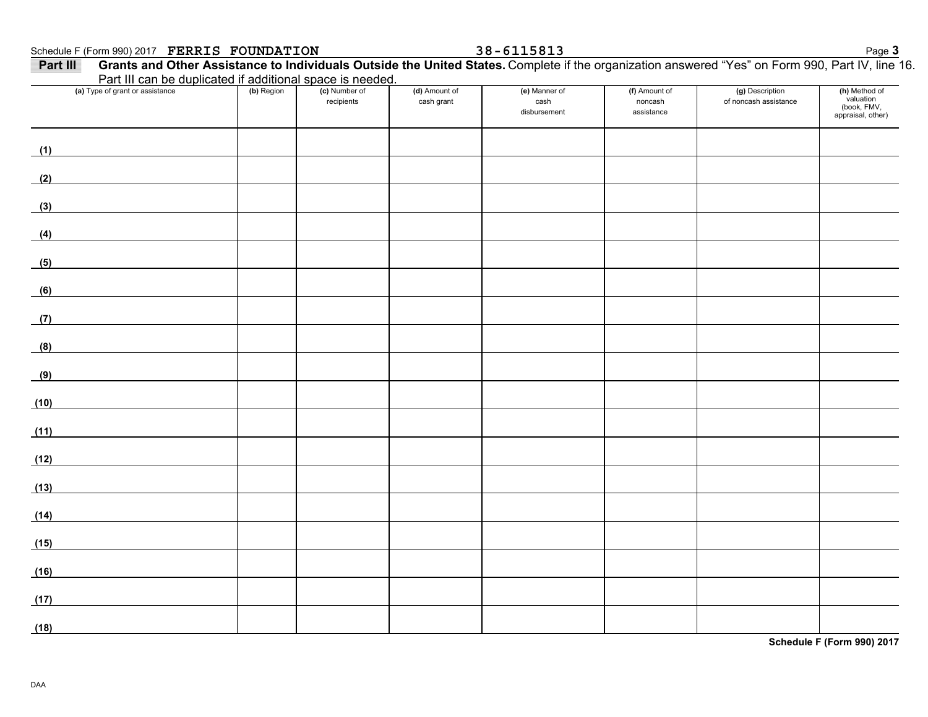### Schedule F (Form 990) 2017 Page **3 FERRIS FOUNDATION 38-6115813**

| Part III can be duplicated if additional space is needed.<br>(a) Type of grant or assistance | (b) Region | (c) Number of | (d) Amount of | (e) Manner of        | (f) Amount of         | (g) Description       | (h) Method of<br>valuation       |
|----------------------------------------------------------------------------------------------|------------|---------------|---------------|----------------------|-----------------------|-----------------------|----------------------------------|
|                                                                                              |            | recipients    | cash grant    | cash<br>disbursement | noncash<br>assistance | of noncash assistance | (book, FMV,<br>appraisal, other) |
| (1)                                                                                          |            |               |               |                      |                       |                       |                                  |
| (2)                                                                                          |            |               |               |                      |                       |                       |                                  |
| (3)                                                                                          |            |               |               |                      |                       |                       |                                  |
| (4)                                                                                          |            |               |               |                      |                       |                       |                                  |
| (5)                                                                                          |            |               |               |                      |                       |                       |                                  |
| (6)<br><u> 1980 - Jan Barbara Barat, prima popula</u>                                        |            |               |               |                      |                       |                       |                                  |
| (7)                                                                                          |            |               |               |                      |                       |                       |                                  |
| (8)                                                                                          |            |               |               |                      |                       |                       |                                  |
| (9)                                                                                          |            |               |               |                      |                       |                       |                                  |
| (10)                                                                                         |            |               |               |                      |                       |                       |                                  |
| (11)                                                                                         |            |               |               |                      |                       |                       |                                  |
| (12)                                                                                         |            |               |               |                      |                       |                       |                                  |
| (13)                                                                                         |            |               |               |                      |                       |                       |                                  |
| (14)                                                                                         |            |               |               |                      |                       |                       |                                  |
| (15)                                                                                         |            |               |               |                      |                       |                       |                                  |
| (16)                                                                                         |            |               |               |                      |                       |                       |                                  |
| (17)                                                                                         |            |               |               |                      |                       |                       |                                  |
| (18)                                                                                         |            |               |               |                      |                       |                       |                                  |

**Schedule F (Form 990) 2017**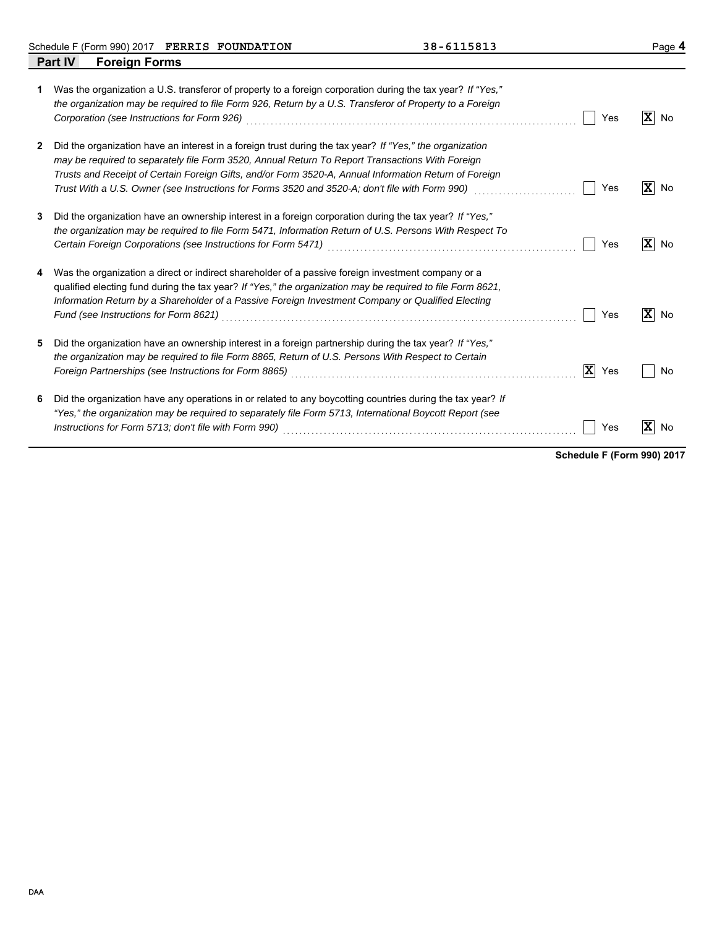Schedule F (Form 990) 2017 Page **4 FERRIS FOUNDATION 38-6115813**

|   | Part IV<br><b>Foreign Forms</b>                                                                                                                                                                                                                                                                                                                                                                                               |                               |
|---|-------------------------------------------------------------------------------------------------------------------------------------------------------------------------------------------------------------------------------------------------------------------------------------------------------------------------------------------------------------------------------------------------------------------------------|-------------------------------|
| 1 | Was the organization a U.S. transferor of property to a foreign corporation during the tax year? If "Yes,"<br>the organization may be required to file Form 926, Return by a U.S. Transferor of Property to a Foreign<br>Corporation (see Instructions for Form 926)<br>Yes                                                                                                                                                   | ΙXΙ<br>No                     |
| 2 | Did the organization have an interest in a foreign trust during the tax year? If "Yes," the organization<br>may be required to separately file Form 3520, Annual Return To Report Transactions With Foreign<br>Trusts and Receipt of Certain Foreign Gifts, and/or Form 3520-A, Annual Information Return of Foreign<br>Trust With a U.S. Owner (see Instructions for Forms 3520 and 3520-A; don't file with Form 990)<br>Yes | $\overline{\mathbf{x}}$<br>No |
| 3 | Did the organization have an ownership interest in a foreign corporation during the tax year? If "Yes,"<br>the organization may be required to file Form 5471, Information Return of U.S. Persons With Respect To<br>Yes                                                                                                                                                                                                      | $ \mathbf{X} $<br>No          |
| 4 | Was the organization a direct or indirect shareholder of a passive foreign investment company or a<br>qualified electing fund during the tax year? If "Yes," the organization may be required to file Form 8621.<br>Information Return by a Shareholder of a Passive Foreign Investment Company or Qualified Electing<br>Yes                                                                                                  | $ \mathbf{X} $<br>No          |
| 5 | Did the organization have an ownership interest in a foreign partnership during the tax year? If "Yes,"<br>the organization may be required to file Form 8865, Return of U.S. Persons With Respect to Certain<br>$ \mathbf{X} $<br>Yes                                                                                                                                                                                        | No                            |
| 6 | Did the organization have any operations in or related to any boycotting countries during the tax year? If<br>"Yes," the organization may be required to separately file Form 5713, International Boycott Report (see<br>Instructions for Form 5713; don't file with Form 990)<br>Yes                                                                                                                                         | ΙX<br>No                      |

**Schedule F (Form 990) 2017**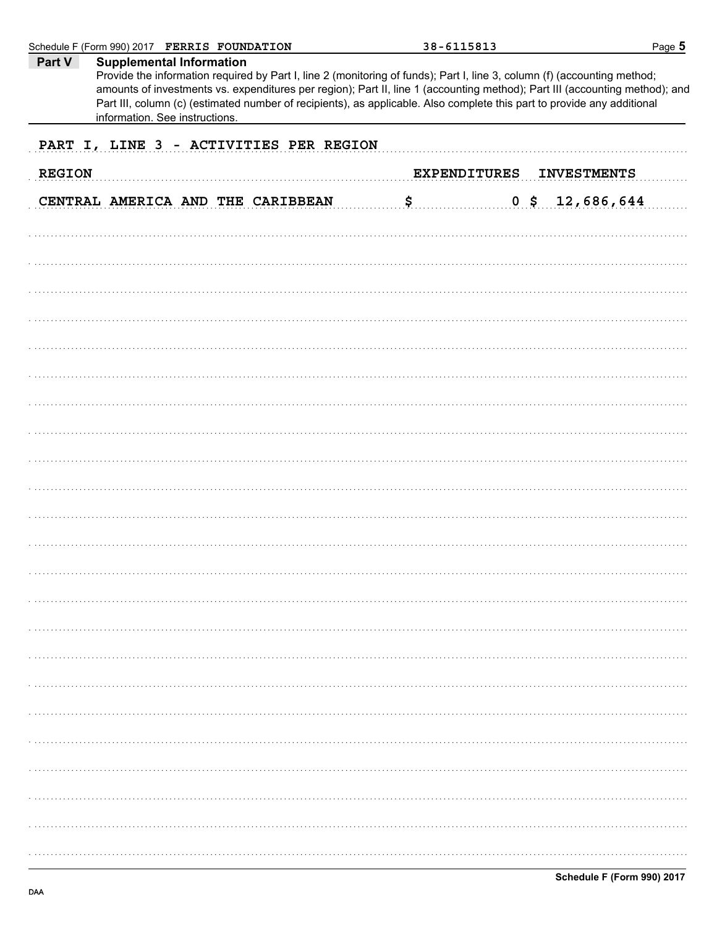|               | Schedule F (Form 990) 2017 FERRIS FOUNDATION                                                                                                                                                                                                                                                                                                                                                                                                            | 38-6115813     |                                           | Page 5 |
|---------------|---------------------------------------------------------------------------------------------------------------------------------------------------------------------------------------------------------------------------------------------------------------------------------------------------------------------------------------------------------------------------------------------------------------------------------------------------------|----------------|-------------------------------------------|--------|
| Part V        | <b>Supplemental Information</b><br>Provide the information required by Part I, line 2 (monitoring of funds); Part I, line 3, column (f) (accounting method;<br>amounts of investments vs. expenditures per region); Part II, line 1 (accounting method); Part III (accounting method); and<br>Part III, column (c) (estimated number of recipients), as applicable. Also complete this part to provide any additional<br>information. See instructions. |                |                                           |        |
|               | PART I, LINE 3 - ACTIVITIES PER REGION                                                                                                                                                                                                                                                                                                                                                                                                                  |                |                                           |        |
| <b>REGION</b> |                                                                                                                                                                                                                                                                                                                                                                                                                                                         |                | <b>EXPENDITURES</b><br><b>INVESTMENTS</b> |        |
|               | CENTRAL AMERICA AND THE CARIBBEAN                                                                                                                                                                                                                                                                                                                                                                                                                       | $\mathsf{S}_1$ | $0$ \$ 12,686,644                         |        |
|               |                                                                                                                                                                                                                                                                                                                                                                                                                                                         |                |                                           |        |
|               |                                                                                                                                                                                                                                                                                                                                                                                                                                                         |                |                                           |        |
|               |                                                                                                                                                                                                                                                                                                                                                                                                                                                         |                |                                           |        |
|               |                                                                                                                                                                                                                                                                                                                                                                                                                                                         |                |                                           |        |
|               |                                                                                                                                                                                                                                                                                                                                                                                                                                                         |                |                                           |        |
|               |                                                                                                                                                                                                                                                                                                                                                                                                                                                         |                |                                           |        |
|               |                                                                                                                                                                                                                                                                                                                                                                                                                                                         |                |                                           |        |
|               |                                                                                                                                                                                                                                                                                                                                                                                                                                                         |                |                                           |        |
|               |                                                                                                                                                                                                                                                                                                                                                                                                                                                         |                |                                           |        |
|               |                                                                                                                                                                                                                                                                                                                                                                                                                                                         |                |                                           |        |
|               |                                                                                                                                                                                                                                                                                                                                                                                                                                                         |                |                                           |        |
|               |                                                                                                                                                                                                                                                                                                                                                                                                                                                         |                |                                           |        |
|               |                                                                                                                                                                                                                                                                                                                                                                                                                                                         |                |                                           |        |
|               |                                                                                                                                                                                                                                                                                                                                                                                                                                                         |                |                                           |        |
|               |                                                                                                                                                                                                                                                                                                                                                                                                                                                         |                |                                           |        |
|               |                                                                                                                                                                                                                                                                                                                                                                                                                                                         |                |                                           |        |
|               |                                                                                                                                                                                                                                                                                                                                                                                                                                                         |                |                                           |        |
|               |                                                                                                                                                                                                                                                                                                                                                                                                                                                         |                |                                           |        |
|               |                                                                                                                                                                                                                                                                                                                                                                                                                                                         |                |                                           |        |
|               |                                                                                                                                                                                                                                                                                                                                                                                                                                                         |                |                                           |        |
|               |                                                                                                                                                                                                                                                                                                                                                                                                                                                         |                |                                           |        |
|               |                                                                                                                                                                                                                                                                                                                                                                                                                                                         |                |                                           |        |
|               |                                                                                                                                                                                                                                                                                                                                                                                                                                                         |                |                                           |        |
|               |                                                                                                                                                                                                                                                                                                                                                                                                                                                         |                |                                           |        |
|               |                                                                                                                                                                                                                                                                                                                                                                                                                                                         |                |                                           |        |
|               |                                                                                                                                                                                                                                                                                                                                                                                                                                                         |                |                                           |        |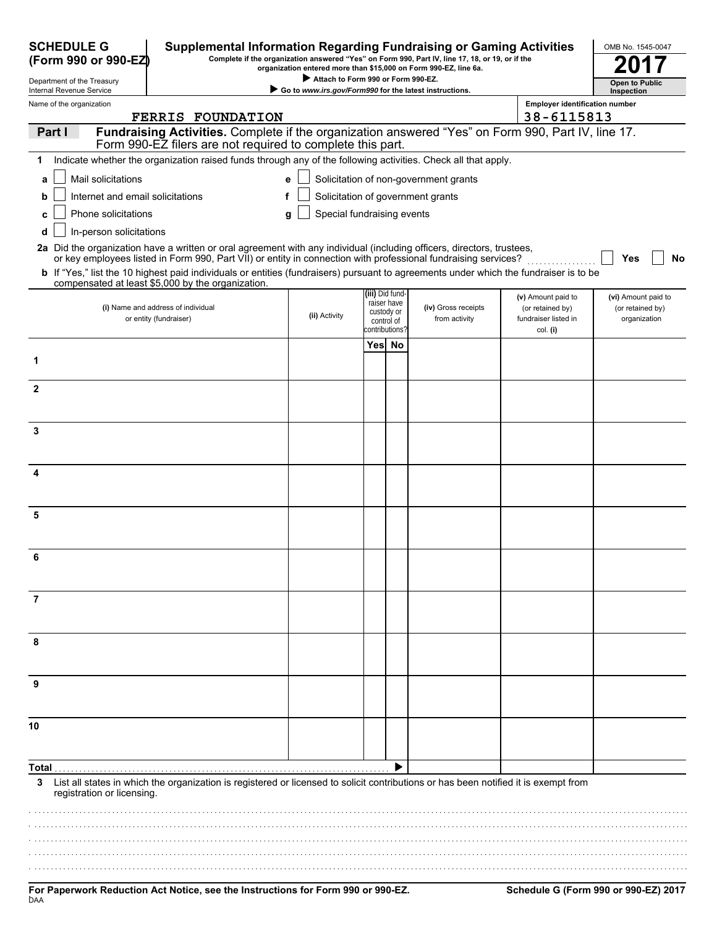| <b>SCHEDULE G</b><br><b>Supplemental Information Regarding Fundraising or Gaming Activities</b><br>(Form 990 or 990-EZ)                                                                           |                                                        |            |                                                                | Complete if the organization answered "Yes" on Form 990, Part IV, line 17, 18, or 19, or if the<br>organization entered more than \$15,000 on Form 990-EZ, line 6a. |                                                                            | OMB No. 1545-0047                                       |
|---------------------------------------------------------------------------------------------------------------------------------------------------------------------------------------------------|--------------------------------------------------------|------------|----------------------------------------------------------------|---------------------------------------------------------------------------------------------------------------------------------------------------------------------|----------------------------------------------------------------------------|---------------------------------------------------------|
| Department of the Treasury                                                                                                                                                                        | Attach to Form 990 or Form 990-EZ.                     |            |                                                                |                                                                                                                                                                     |                                                                            | <b>Open to Public</b>                                   |
| Internal Revenue Service<br>Name of the organization                                                                                                                                              | Go to www.irs.gov/Form990 for the latest instructions. |            |                                                                |                                                                                                                                                                     | <b>Employer identification number</b>                                      | Inspection                                              |
| <b>FERRIS FOUNDATION</b>                                                                                                                                                                          |                                                        |            |                                                                |                                                                                                                                                                     | 38-6115813                                                                 |                                                         |
| Fundraising Activities. Complete if the organization answered "Yes" on Form 990, Part IV, line 17.<br>Part I<br>Form 990-EZ filers are not required to complete this part.                        |                                                        |            |                                                                |                                                                                                                                                                     |                                                                            |                                                         |
| Indicate whether the organization raised funds through any of the following activities. Check all that apply.<br>1                                                                                |                                                        |            |                                                                |                                                                                                                                                                     |                                                                            |                                                         |
| Mail solicitations<br>a                                                                                                                                                                           | е                                                      |            |                                                                | Solicitation of non-government grants                                                                                                                               |                                                                            |                                                         |
| Internet and email solicitations                                                                                                                                                                  | f                                                      |            |                                                                | Solicitation of government grants                                                                                                                                   |                                                                            |                                                         |
| Phone solicitations                                                                                                                                                                               | Special fundraising events<br>g                        |            |                                                                |                                                                                                                                                                     |                                                                            |                                                         |
| In-person solicitations<br>d                                                                                                                                                                      |                                                        |            |                                                                |                                                                                                                                                                     |                                                                            |                                                         |
| 2a Did the organization have a written or oral agreement with any individual (including officers, directors, trustees,                                                                            |                                                        |            |                                                                |                                                                                                                                                                     |                                                                            |                                                         |
| or key employees listed in Form 990, Part VII) or entity in connection with professional fundraising services?                                                                                    |                                                        |            |                                                                |                                                                                                                                                                     |                                                                            | Yes<br>No                                               |
| <b>b</b> If "Yes," list the 10 highest paid individuals or entities (fundraisers) pursuant to agreements under which the fundraiser is to be<br>compensated at least \$5,000 by the organization. |                                                        |            |                                                                |                                                                                                                                                                     |                                                                            |                                                         |
| (i) Name and address of individual<br>or entity (fundraiser)                                                                                                                                      | (ii) Activity                                          | custody or | (iii) Did fund-<br>raiser have<br>control of<br>contributions? | (iv) Gross receipts<br>from activity                                                                                                                                | (v) Amount paid to<br>(or retained by)<br>fundraiser listed in<br>col. (i) | (vi) Amount paid to<br>(or retained by)<br>organization |
|                                                                                                                                                                                                   |                                                        | Yes No     |                                                                |                                                                                                                                                                     |                                                                            |                                                         |
| 1                                                                                                                                                                                                 |                                                        |            |                                                                |                                                                                                                                                                     |                                                                            |                                                         |
| $\mathbf{2}$                                                                                                                                                                                      |                                                        |            |                                                                |                                                                                                                                                                     |                                                                            |                                                         |
|                                                                                                                                                                                                   |                                                        |            |                                                                |                                                                                                                                                                     |                                                                            |                                                         |
| 3                                                                                                                                                                                                 |                                                        |            |                                                                |                                                                                                                                                                     |                                                                            |                                                         |
| 4                                                                                                                                                                                                 |                                                        |            |                                                                |                                                                                                                                                                     |                                                                            |                                                         |
| 5                                                                                                                                                                                                 |                                                        |            |                                                                |                                                                                                                                                                     |                                                                            |                                                         |
|                                                                                                                                                                                                   |                                                        |            |                                                                |                                                                                                                                                                     |                                                                            |                                                         |
| 6                                                                                                                                                                                                 |                                                        |            |                                                                |                                                                                                                                                                     |                                                                            |                                                         |
| 7                                                                                                                                                                                                 |                                                        |            |                                                                |                                                                                                                                                                     |                                                                            |                                                         |
| 8                                                                                                                                                                                                 |                                                        |            |                                                                |                                                                                                                                                                     |                                                                            |                                                         |
| 9                                                                                                                                                                                                 |                                                        |            |                                                                |                                                                                                                                                                     |                                                                            |                                                         |
| 10                                                                                                                                                                                                |                                                        |            |                                                                |                                                                                                                                                                     |                                                                            |                                                         |
|                                                                                                                                                                                                   |                                                        |            |                                                                |                                                                                                                                                                     |                                                                            |                                                         |
| Total .                                                                                                                                                                                           |                                                        |            |                                                                |                                                                                                                                                                     |                                                                            |                                                         |
| List all states in which the organization is registered or licensed to solicit contributions or has been notified it is exempt from<br>3<br>registration or licensing.                            |                                                        |            |                                                                |                                                                                                                                                                     |                                                                            |                                                         |
|                                                                                                                                                                                                   |                                                        |            |                                                                |                                                                                                                                                                     |                                                                            |                                                         |
|                                                                                                                                                                                                   |                                                        |            |                                                                |                                                                                                                                                                     |                                                                            |                                                         |
|                                                                                                                                                                                                   |                                                        |            |                                                                |                                                                                                                                                                     |                                                                            |                                                         |
|                                                                                                                                                                                                   |                                                        |            |                                                                |                                                                                                                                                                     |                                                                            |                                                         |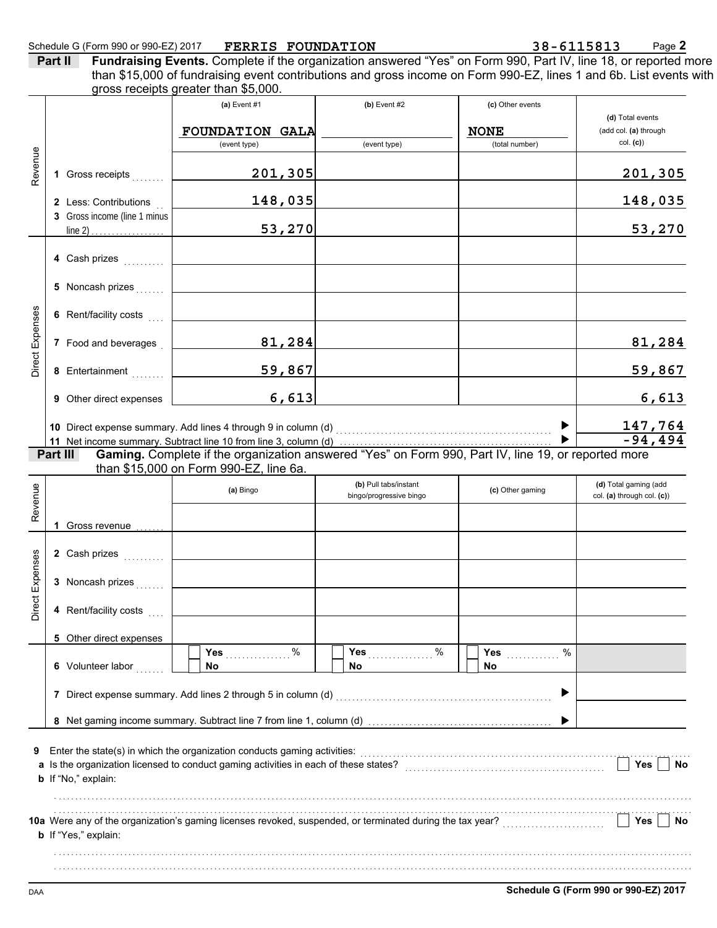**Part II Fundraising Events.** Complete if the organization answered "Yes" on Form 990, Part IV, line 18, or reported more gross receipts greater than \$5,000. than \$15,000 of fundraising event contributions and gross income on Form 990-EZ, lines 1 and 6b. List events with

|                 |          |                              | (a) Event $#1$                                                                                                                                | $(b)$ Event #2          | (c) Other events              |                                   |
|-----------------|----------|------------------------------|-----------------------------------------------------------------------------------------------------------------------------------------------|-------------------------|-------------------------------|-----------------------------------|
|                 |          |                              |                                                                                                                                               |                         |                               | (d) Total events                  |
|                 |          |                              | <b>FOUNDATION GALA</b><br>(event type)                                                                                                        | (event type)            | <b>NONE</b><br>(total number) | (add col. (a) through<br>col. (c) |
|                 |          |                              |                                                                                                                                               |                         |                               |                                   |
| Revenue         |          | 1 Gross receipts             | 201,305                                                                                                                                       |                         |                               | 201,305                           |
|                 |          | 2 Less: Contributions        | 148,035                                                                                                                                       |                         |                               | 148,035                           |
|                 |          | 3 Gross income (line 1 minus |                                                                                                                                               |                         |                               |                                   |
|                 |          |                              | 53,270                                                                                                                                        |                         |                               | 53,270                            |
|                 |          |                              |                                                                                                                                               |                         |                               |                                   |
|                 |          | 4 Cash prizes                |                                                                                                                                               |                         |                               |                                   |
|                 |          | 5 Noncash prizes             |                                                                                                                                               |                         |                               |                                   |
|                 |          | 6 Rent/facility costs        |                                                                                                                                               |                         |                               |                                   |
| Direct Expenses |          |                              |                                                                                                                                               |                         |                               |                                   |
|                 |          | 7 Food and beverages         | 81,284                                                                                                                                        |                         |                               | 81,284                            |
|                 |          | 8 Entertainment              | 59,867                                                                                                                                        |                         |                               | 59,867                            |
|                 |          | 9 Other direct expenses      | 6,613                                                                                                                                         |                         |                               | 6,613                             |
|                 |          |                              |                                                                                                                                               |                         |                               |                                   |
|                 |          |                              | 10 Direct expense summary. Add lines 4 through 9 in column (d) [11] content to content the summary of Direct P                                |                         |                               | $\frac{147,764}{-94,494}$         |
|                 |          |                              |                                                                                                                                               |                         |                               |                                   |
|                 | Part III |                              | Gaming. Complete if the organization answered "Yes" on Form 990, Part IV, line 19, or reported more<br>than \$15,000 on Form 990-EZ, line 6a. |                         |                               |                                   |
|                 |          |                              |                                                                                                                                               | (b) Pull tabs/instant   |                               | (d) Total gaming (add             |
| Revenue         |          |                              | (a) Bingo                                                                                                                                     | bingo/progressive bingo | (c) Other gaming              | col. (a) through col. (c))        |
|                 |          |                              |                                                                                                                                               |                         |                               |                                   |
|                 |          | 1 Gross revenue              |                                                                                                                                               |                         |                               |                                   |
|                 |          | 2 Cash prizes                |                                                                                                                                               |                         |                               |                                   |
|                 |          |                              |                                                                                                                                               |                         |                               |                                   |
| Direct Expenses |          | 3 Noncash prizes             |                                                                                                                                               |                         |                               |                                   |
|                 |          | 4 Rent/facility costs        |                                                                                                                                               |                         |                               |                                   |
|                 |          | 5 Other direct expenses      |                                                                                                                                               |                         |                               |                                   |
|                 |          |                              | Yes<br>%                                                                                                                                      | Yes<br>%                | %<br>Yes                      |                                   |
|                 |          | 6 Volunteer labor            | No                                                                                                                                            | No                      | No                            |                                   |
|                 |          |                              | 7 Direct expense summary. Add lines 2 through 5 in column (d)                                                                                 |                         |                               |                                   |
|                 |          |                              |                                                                                                                                               |                         |                               |                                   |
|                 |          |                              |                                                                                                                                               |                         |                               |                                   |
| 9               |          |                              | Enter the state(s) in which the organization conducts gaming activities:                                                                      |                         |                               |                                   |
|                 |          |                              | a Is the organization licensed to conduct gaming activities in each of these states?                                                          |                         |                               | <b>Yes</b><br>No                  |
|                 |          | b If "No," explain:          |                                                                                                                                               |                         |                               |                                   |
|                 |          |                              |                                                                                                                                               |                         |                               |                                   |
|                 |          |                              | 10a Were any of the organization's gaming licenses revoked, suspended, or terminated during the tax year?                                     |                         |                               | Yes<br>No                         |
|                 |          | <b>b</b> If "Yes," explain:  |                                                                                                                                               |                         |                               |                                   |
|                 |          |                              |                                                                                                                                               |                         |                               |                                   |
|                 |          |                              |                                                                                                                                               |                         |                               |                                   |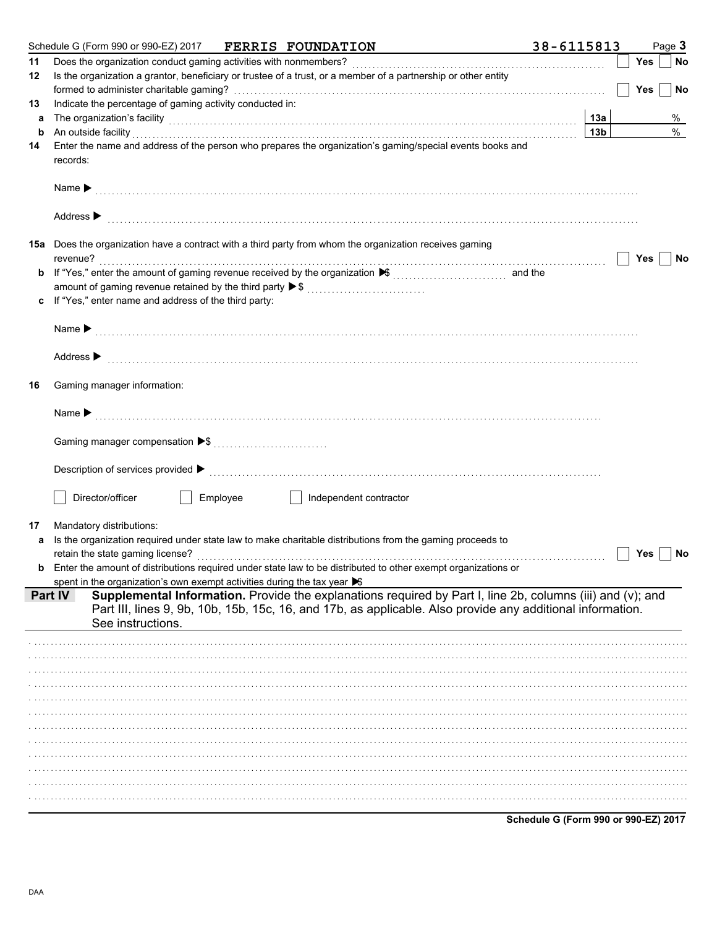| 11      | Schedule G (Form 990 or 990-EZ) 2017<br><b>FERRIS FOUNDATION</b>                                                                                                                                                              | 38-6115813 |                        |            | Page 3    |
|---------|-------------------------------------------------------------------------------------------------------------------------------------------------------------------------------------------------------------------------------|------------|------------------------|------------|-----------|
|         | Does the organization conduct gaming activities with nonmembers?                                                                                                                                                              |            |                        | Yes        | No        |
| 12      | Is the organization a grantor, beneficiary or trustee of a trust, or a member of a partnership or other entity                                                                                                                |            |                        |            |           |
|         |                                                                                                                                                                                                                               |            |                        | <b>Yes</b> | No        |
| 13      | Indicate the percentage of gaming activity conducted in:                                                                                                                                                                      |            |                        |            |           |
| a       | The organization's facility with the contract of the contract of the contract of the contract of the contract of the contract of the contract of the contract of the contract of the contract of the contract of the contract |            | 13a<br>13 <sub>b</sub> |            | %<br>$\%$ |
| b<br>14 | An outside facility encourance and an account of the facility of the facility of the set of the set of the set<br>Enter the name and address of the person who prepares the organization's gaming/special events books and    |            |                        |            |           |
|         | records:                                                                                                                                                                                                                      |            |                        |            |           |
|         | Name $\blacktriangleright$                                                                                                                                                                                                    |            |                        |            |           |
|         | Address $\blacktriangleright$                                                                                                                                                                                                 |            |                        |            |           |
|         | 15a Does the organization have a contract with a third party from whom the organization receives gaming                                                                                                                       |            |                        |            |           |
|         | revenue?                                                                                                                                                                                                                      |            |                        | Yes        | No        |
|         |                                                                                                                                                                                                                               |            |                        |            |           |
|         | amount of gaming revenue retained by the third party ▶ \$<br>If "Yes," enter name and address of the third party:                                                                                                             |            |                        |            |           |
|         |                                                                                                                                                                                                                               |            |                        |            |           |
|         | Name $\blacktriangleright$                                                                                                                                                                                                    |            |                        |            |           |
|         |                                                                                                                                                                                                                               |            |                        |            |           |
|         | Address $\blacktriangleright$                                                                                                                                                                                                 |            |                        |            |           |
|         | Gaming manager information:                                                                                                                                                                                                   |            |                        |            |           |
|         | Name $\blacktriangleright$                                                                                                                                                                                                    |            |                        |            |           |
|         |                                                                                                                                                                                                                               |            |                        |            |           |
|         |                                                                                                                                                                                                                               |            |                        |            |           |
|         | Description of services provided ▶                                                                                                                                                                                            |            |                        |            |           |
|         |                                                                                                                                                                                                                               |            |                        |            |           |
|         |                                                                                                                                                                                                                               |            |                        |            |           |
|         | Director/officer<br>Employee<br>Independent contractor                                                                                                                                                                        |            |                        |            |           |
|         |                                                                                                                                                                                                                               |            |                        |            |           |
|         | Mandatory distributions:                                                                                                                                                                                                      |            |                        |            |           |
|         | Is the organization required under state law to make charitable distributions from the gaming proceeds to                                                                                                                     |            |                        |            |           |
|         | retain the state gaming license?                                                                                                                                                                                              |            |                        | Yes        | No        |
|         | <b>b</b> Enter the amount of distributions required under state law to be distributed to other exempt organizations or                                                                                                        |            |                        |            |           |
|         | spent in the organization's own exempt activities during the tax year S                                                                                                                                                       |            |                        |            |           |
|         | Supplemental Information. Provide the explanations required by Part I, line 2b, columns (iii) and (v); and<br><b>Part IV</b>                                                                                                  |            |                        |            |           |
|         | Part III, lines 9, 9b, 10b, 15b, 15c, 16, and 17b, as applicable. Also provide any additional information.                                                                                                                    |            |                        |            |           |
|         | See instructions.                                                                                                                                                                                                             |            |                        |            |           |
|         |                                                                                                                                                                                                                               |            |                        |            |           |
|         |                                                                                                                                                                                                                               |            |                        |            |           |
|         |                                                                                                                                                                                                                               |            |                        |            |           |
|         |                                                                                                                                                                                                                               |            |                        |            |           |
|         |                                                                                                                                                                                                                               |            |                        |            |           |
|         |                                                                                                                                                                                                                               |            |                        |            |           |
|         |                                                                                                                                                                                                                               |            |                        |            |           |
|         |                                                                                                                                                                                                                               |            |                        |            |           |
|         |                                                                                                                                                                                                                               |            |                        |            |           |
|         |                                                                                                                                                                                                                               |            |                        |            |           |
| a       |                                                                                                                                                                                                                               |            |                        |            |           |

Schedule G (Form 990 or 990-EZ) 2017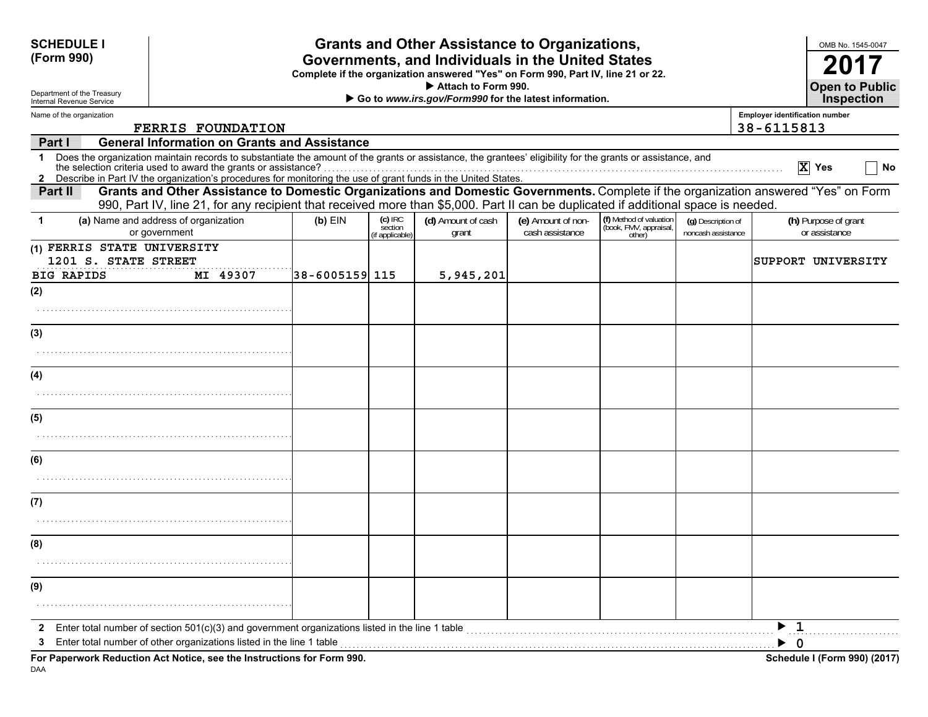| <b>SCHEDULE I</b><br>(Form 990)                                          |                                                                                                                                                                                                                                                                                                                                               |                |                                         | <b>Grants and Other Assistance to Organizations,</b><br>Governments, and Individuals in the United States<br>Complete if the organization answered "Yes" on Form 990, Part IV, line 21 or 22.<br>Attach to Form 990. |                                       |                                                             |                                          | OMB No. 1545-0047<br>201<br><b>Open to Public</b>                                                                                   |
|--------------------------------------------------------------------------|-----------------------------------------------------------------------------------------------------------------------------------------------------------------------------------------------------------------------------------------------------------------------------------------------------------------------------------------------|----------------|-----------------------------------------|----------------------------------------------------------------------------------------------------------------------------------------------------------------------------------------------------------------------|---------------------------------------|-------------------------------------------------------------|------------------------------------------|-------------------------------------------------------------------------------------------------------------------------------------|
| Department of the Treasury<br>Internal Revenue Service                   |                                                                                                                                                                                                                                                                                                                                               |                |                                         | Go to www.irs.gov/Form990 for the latest information.                                                                                                                                                                |                                       |                                                             |                                          | <b>Inspection</b>                                                                                                                   |
| Name of the organization                                                 | <b>FERRIS FOUNDATION</b>                                                                                                                                                                                                                                                                                                                      |                |                                         |                                                                                                                                                                                                                      |                                       |                                                             |                                          | <b>Employer identification number</b><br>38-6115813                                                                                 |
| Part I                                                                   | <b>General Information on Grants and Assistance</b>                                                                                                                                                                                                                                                                                           |                |                                         |                                                                                                                                                                                                                      |                                       |                                                             |                                          |                                                                                                                                     |
| 1<br>$\mathbf{2}$                                                        | Does the organization maintain records to substantiate the amount of the grants or assistance, the grantees' eligibility for the grants or assistance, and<br>and detection onternal used to award the grants or assistance?<br>Describe in Part IV the organization's procedures for monitoring the use of grant funds in the United States. |                |                                         |                                                                                                                                                                                                                      |                                       |                                                             |                                          | $ X $ Yes<br>No                                                                                                                     |
| Part II                                                                  | 990, Part IV, line 21, for any recipient that received more than \$5,000. Part II can be duplicated if additional space is needed.                                                                                                                                                                                                            |                |                                         |                                                                                                                                                                                                                      |                                       |                                                             |                                          | Grants and Other Assistance to Domestic Organizations and Domestic Governments. Complete if the organization answered "Yes" on Form |
| $\mathbf 1$                                                              | (a) Name and address of organization<br>or government                                                                                                                                                                                                                                                                                         | $(b)$ EIN      | $(c)$ IRC<br>section<br>(if applicable) | (d) Amount of cash<br>grant                                                                                                                                                                                          | (e) Amount of non-<br>cash assistance | (f) Method of valuation<br>(book, FMV, appraisal,<br>other) | (g) Description of<br>noncash assistance | (h) Purpose of grant<br>or assistance                                                                                               |
| (1) FERRIS STATE UNIVERSITY<br>1201 S. STATE STREET<br><b>BIG RAPIDS</b> | MI 49307                                                                                                                                                                                                                                                                                                                                      | 38-6005159 115 |                                         | 5,945,201                                                                                                                                                                                                            |                                       |                                                             |                                          | SUPPORT UNIVERSITY                                                                                                                  |
| (2)                                                                      |                                                                                                                                                                                                                                                                                                                                               |                |                                         |                                                                                                                                                                                                                      |                                       |                                                             |                                          |                                                                                                                                     |
| (3)                                                                      |                                                                                                                                                                                                                                                                                                                                               |                |                                         |                                                                                                                                                                                                                      |                                       |                                                             |                                          |                                                                                                                                     |
| (4)                                                                      |                                                                                                                                                                                                                                                                                                                                               |                |                                         |                                                                                                                                                                                                                      |                                       |                                                             |                                          |                                                                                                                                     |
| (5)                                                                      |                                                                                                                                                                                                                                                                                                                                               |                |                                         |                                                                                                                                                                                                                      |                                       |                                                             |                                          |                                                                                                                                     |
| (6)                                                                      |                                                                                                                                                                                                                                                                                                                                               |                |                                         |                                                                                                                                                                                                                      |                                       |                                                             |                                          |                                                                                                                                     |
| (7)                                                                      |                                                                                                                                                                                                                                                                                                                                               |                |                                         |                                                                                                                                                                                                                      |                                       |                                                             |                                          |                                                                                                                                     |
| (8)                                                                      |                                                                                                                                                                                                                                                                                                                                               |                |                                         |                                                                                                                                                                                                                      |                                       |                                                             |                                          |                                                                                                                                     |
|                                                                          |                                                                                                                                                                                                                                                                                                                                               |                |                                         |                                                                                                                                                                                                                      |                                       |                                                             |                                          |                                                                                                                                     |
| (9)                                                                      |                                                                                                                                                                                                                                                                                                                                               |                |                                         |                                                                                                                                                                                                                      |                                       |                                                             |                                          |                                                                                                                                     |
| 2<br>3                                                                   | Enter total number of section $501(c)(3)$ and government organizations listed in the line 1 table<br>Enter total number of other organizations listed in the line 1 table                                                                                                                                                                     |                |                                         |                                                                                                                                                                                                                      |                                       |                                                             |                                          | $\blacktriangleright$ 1<br>$\blacktriangleright$ 0                                                                                  |
|                                                                          | For Paperwork Reduction Act Notice, see the Instructions for Form 990.                                                                                                                                                                                                                                                                        |                |                                         |                                                                                                                                                                                                                      |                                       |                                                             |                                          | Schedule I (Form 990) (2017)                                                                                                        |

DAA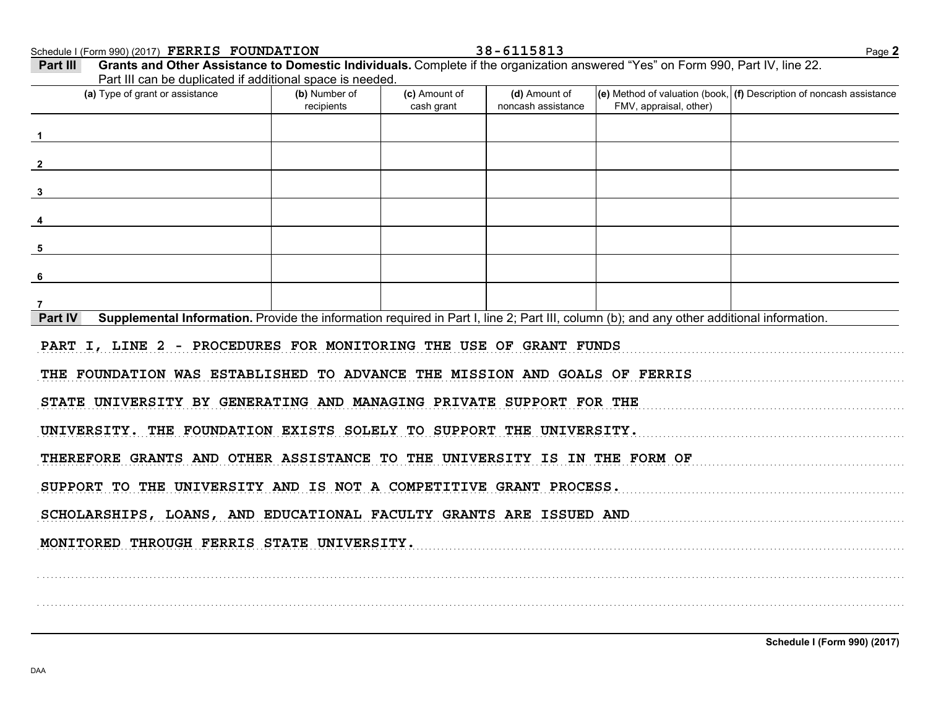Schedule I (Form 990) (2017) Page **2 FERRIS FOUNDATION 38-6115813**

FMV, appraisal, other) **(d)** Amount of **(e)** Method of valuation (book, **(f)** Description of noncash assistance cash grant **(a)** Type of grant or assistance **(b)** Number of **(c)** Amount of **Part III Grants and Other Assistance to Domestic Individuals.** Complete if the organization answered "Yes" on Form 990, Part IV, line 22. Part III can be duplicated if additional space is needed. recipients and increment cash arant noncash assistance **Part IV** Supplemental Information. Provide the information required in Part I, line 2; Part III, column (b); and any other additional information. . . . . . . . . . . . . . . . . . . . . . . . . . . . . . . . . . . . . . . . . . . . . . . . . . . . . . . . . . . . . . . . . . . . . . . . . . . . . . . . . . . . . . . . . . . . . . . . . . . . . . . . . . . . . . . . . . . . . . . . . . . . . . . . . . . . . . . . . . . . . . . . . . . . . . . . . . . . . . . . . . . . . . . . . . . . . . . . . . . . . . . . . . . . . . . . . . . . . . . . . . . . . . . . . . . .. . . . . . . . . . . . . . . . . . . . . . . . . . . . . . . . . . . . . . . . . . . . . . . . . . . . . . . . . . . . . . . . . . . . . . . . . . . . . . . . . . . . . . . . . . . . . . . . . . . . . . . . . . . . . . . . . . . . . . . . . . . . . . . . . . . . . . . . . . . . . . . . . . . . . . . . . . . . . . . . . . . . . . . . . . . . . . . . . . . . . . . . . . . . . . . . . . . . . . . . . . . . . . . . . . .. . . . . . . . . . . . . . . . . . . . . . . . . . . . . . . . . . . . . . . . . . . . . . . . . . . . . . . . . . . . . . . . . . . . . . . . . . . . . . . . . . . . . . . . . . . . . . . . . . . . . . . . . . . . . . . . . . . . . . . . . . . . . . . . . . . . . . . . . . . . . . . . . . . . . . . . . . . . . . . . . . . . . . . . . . . . . . . . . . . . . . . . . . . . . . . . . . . . . . . . . . . . . . . . . . .. . . . . . . . . . . . . . . . . . . . . . . . . . . . . . . . . . . . . . . . . . . . . . . . . . . . . . . . . . . . . . . . . . . . . . . . . . . . . . . . . . . . . . . . . . . . . . . . . . . . . . . . . . . . . . . . . . . . . . . . . . . . . . . . . . . . . . . . . . . . . . . . . . . . . . . . . . . . . . . . . . . . . . . . . . . . . . . . . . . . . . . . . . . . . . . . . . . . . . . . . . . . . . . . . . .. . . . . . . . . . . . . . . . . . . . . . . . . . . . . . . . . . . . . . . . . . . . . . . . . . . . . . . . . . . . . . . . . . . . . . . . . . . . . . . . . . . . . . . . . . . . . . . . . . . . . . . . . . . . . . . . . . . . . . . . . . . . . . . . . . . . . . . . . . . . . . . . . . . . . . . . . . . . . . . . . . . . . . . . . . . . . . . . . . . . . . . . . . . . . . . . . . . . . . . . . . . . . . . . . . .. . . . . . . . . . . . . . . . . . . . . . . . . . . . . . . . . . . . . . . . . . . . . . . . . . . . . . . . . . . . . . . . . . . . . . . . . . . . . . . . . . . . . . . . . . . . . . . . . . . . . . . . . . . . . . . . . . . . . . . . . . . . . . . . . . . . . . . . . . . . . . . . . . . . . . . . . . . . . . . . . . . . . . . . . . . . . . . . . . . . . . . . . . . . . . . . . . . . . . . . . . . . . . . . . . .SCHOLARSHIPS, LOANS, AND EDUCATIONAL FACULTY GRANTS ARE ISSUED AND . . . . . . . . . . . . . . . . . . . . . . . . . . . . . . . . . . . . . . . . . . . . . . . . . . . . . . . . . . . . . . . . . . . . . . . . . . . . . . . . . . . . . . . . . . . . . . . . . . . . . . . . . . . . . . . . . . . . . . . . . . . . . . . . . . . . . . . . . . . . . . . . . . . . . . . . . . . . . . . . . . . . . . . . . . . . . . . . . . . . . . . . . . . . . . . . . . . . . . . . . . . . . . . . . . .. . . . . . . . . . . . . . . . . . . . . . . . . . . . . . . . . . . . . . . . . . . . . . . . . . . . . . . . . . . . . . . . . . . . . . . . . . . . . . . . . . . . . . . . . . . . . . . . . . . . . . . . . . . . . . . . . . . . . . . . . . . . . . . . . . . . . . . . . . . . . . . . . . . . . . . . . . . . . . . . . . . . . . . . . . . . . . . . . . . . . . . . . . . . . . . . . . . . . . . . . . . . . . . . . . .. . . . . . . . . . . . . . . . . . . . . . . . . . . . . . . . . . . . . . . . . . . . . . . . . . . . . . . . . . . . . . . . . . . . . . . . . . . . . . . . . . . . . . . . . . . . . . . . . . . . . . . . . . . . . . . . . . . . . . . . . . . . . . . . . . . . . . . . . . . . . . . . . . . . . . . . . . . . . . . . . . . . . . . . . . . . . . . . . . . . . . . . . . . . . . . . . . . . . . . . . . . . . . . . . . .**123456 7PART I, LINE 2 - PROCEDURES FOR MONITORING THE USE OF GRANT FUNDS THE FOUNDATION WAS ESTABLISHED TO ADVANCE THE MISSION AND GOALS OF FERRIS STATE UNIVERSITY BY GENERATING AND MANAGING PRIVATE SUPPORT FOR THE UNIVERSITY. THE FOUNDATION EXISTS SOLELY TO SUPPORT THE UNIVERSITY.THEREFORE GRANTS AND OTHER ASSISTANCE TO THE UNIVERSITY IS IN THE FORM OF SUPPORT TO THE UNIVERSITY AND IS NOT A COMPETITIVE GRANT PROCESS. MONITORED THROUGH FERRIS STATE UNIVERSITY.**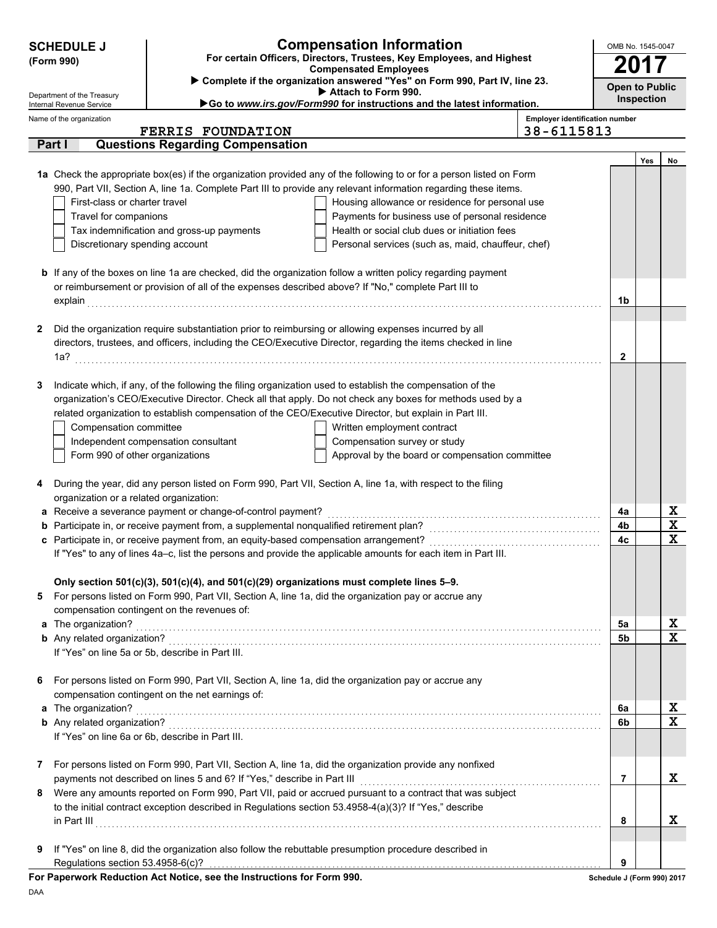| For certain Officers, Directors, Trustees, Key Employees, and Highest<br>(Form 990)<br><b>Compensated Employees</b><br>Complete if the organization answered "Yes" on Form 990, Part IV, line 23.<br><b>Open to Public</b><br>Attach to Form 990.<br>Department of the Treasury<br><b>Inspection</b><br>Go to www.irs.gov/Form990 for instructions and the latest information.<br>Internal Revenue Service<br><b>Employer identification number</b><br>Name of the organization<br>38-6115813<br><b>FERRIS FOUNDATION</b><br>Part I<br><b>Questions Regarding Compensation</b><br>Yes<br>No<br>1a Check the appropriate box(es) if the organization provided any of the following to or for a person listed on Form<br>990, Part VII, Section A, line 1a. Complete Part III to provide any relevant information regarding these items.<br>First-class or charter travel<br>Housing allowance or residence for personal use<br>Travel for companions<br>Payments for business use of personal residence<br>Tax indemnification and gross-up payments<br>Health or social club dues or initiation fees<br>Discretionary spending account<br>Personal services (such as, maid, chauffeur, chef)<br><b>b</b> If any of the boxes on line 1a are checked, did the organization follow a written policy regarding payment<br>or reimbursement or provision of all of the expenses described above? If "No," complete Part III to<br>1b<br>Did the organization require substantiation prior to reimbursing or allowing expenses incurred by all<br>2<br>directors, trustees, and officers, including the CEO/Executive Director, regarding the items checked in line<br>2<br>Indicate which, if any, of the following the filing organization used to establish the compensation of the<br>3<br>organization's CEO/Executive Director. Check all that apply. Do not check any boxes for methods used by a<br>related organization to establish compensation of the CEO/Executive Director, but explain in Part III.<br>Compensation committee<br>Written employment contract<br>Independent compensation consultant<br>Compensation survey or study<br>Form 990 of other organizations<br>Approval by the board or compensation committee<br>During the year, did any person listed on Form 990, Part VII, Section A, line 1a, with respect to the filing<br>4<br>organization or a related organization:<br>X<br>a Receive a severance payment or change-of-control payment?<br>4a<br>X<br>4b<br>X<br>4c<br>If "Yes" to any of lines 4a-c, list the persons and provide the applicable amounts for each item in Part III.<br>Only section 501(c)(3), 501(c)(4), and 501(c)(29) organizations must complete lines 5-9.<br>For persons listed on Form 990, Part VII, Section A, line 1a, did the organization pay or accrue any<br>5<br>compensation contingent on the revenues of:<br>х<br>a The organization?<br>5a<br>X<br>5 <sub>b</sub><br>If "Yes" on line 5a or 5b, describe in Part III.<br>For persons listed on Form 990, Part VII, Section A, line 1a, did the organization pay or accrue any<br>6<br>compensation contingent on the net earnings of:<br>х<br>a The organization?<br>6a<br>X<br>6b<br>If "Yes" on line 6a or 6b, describe in Part III.<br>For persons listed on Form 990, Part VII, Section A, line 1a, did the organization provide any nonfixed<br>7<br>X<br>payments not described on lines 5 and 6? If "Yes," describe in Part III<br>7<br>Were any amounts reported on Form 990, Part VII, paid or accrued pursuant to a contract that was subject<br>8<br>to the initial contract exception described in Regulations section 53.4958-4(a)(3)? If "Yes," describe<br>X<br>in Part III<br>8<br>If "Yes" on line 8, did the organization also follow the rebuttable presumption procedure described in | <b>Compensation Information</b><br><b>SCHEDULE J</b> |  |  |  |  |  |
|-------------------------------------------------------------------------------------------------------------------------------------------------------------------------------------------------------------------------------------------------------------------------------------------------------------------------------------------------------------------------------------------------------------------------------------------------------------------------------------------------------------------------------------------------------------------------------------------------------------------------------------------------------------------------------------------------------------------------------------------------------------------------------------------------------------------------------------------------------------------------------------------------------------------------------------------------------------------------------------------------------------------------------------------------------------------------------------------------------------------------------------------------------------------------------------------------------------------------------------------------------------------------------------------------------------------------------------------------------------------------------------------------------------------------------------------------------------------------------------------------------------------------------------------------------------------------------------------------------------------------------------------------------------------------------------------------------------------------------------------------------------------------------------------------------------------------------------------------------------------------------------------------------------------------------------------------------------------------------------------------------------------------------------------------------------------------------------------------------------------------------------------------------------------------------------------------------------------------------------------------------------------------------------------------------------------------------------------------------------------------------------------------------------------------------------------------------------------------------------------------------------------------------------------------------------------------------------------------------------------------------------------------------------------------------------------------------------------------------------------------------------------------------------------------------------------------------------------------------------------------------------------------------------------------------------------------------------------------------------------------------------------------------------------------------------------------------------------------------------------------------------------------------------------------------------------------------------------------------------------------------------------------------------------------------------------------------------------------------------------------------------------------------------------------------------------------------------------------------------------------------------------------------------------------------------------------------------------------------------------------------------------------------------------------------------------------------------------------------------------------------------------------------------------------------------------------------|------------------------------------------------------|--|--|--|--|--|
|                                                                                                                                                                                                                                                                                                                                                                                                                                                                                                                                                                                                                                                                                                                                                                                                                                                                                                                                                                                                                                                                                                                                                                                                                                                                                                                                                                                                                                                                                                                                                                                                                                                                                                                                                                                                                                                                                                                                                                                                                                                                                                                                                                                                                                                                                                                                                                                                                                                                                                                                                                                                                                                                                                                                                                                                                                                                                                                                                                                                                                                                                                                                                                                                                                                                                                                                                                                                                                                                                                                                                                                                                                                                                                                                                                                                                               |                                                      |  |  |  |  |  |
|                                                                                                                                                                                                                                                                                                                                                                                                                                                                                                                                                                                                                                                                                                                                                                                                                                                                                                                                                                                                                                                                                                                                                                                                                                                                                                                                                                                                                                                                                                                                                                                                                                                                                                                                                                                                                                                                                                                                                                                                                                                                                                                                                                                                                                                                                                                                                                                                                                                                                                                                                                                                                                                                                                                                                                                                                                                                                                                                                                                                                                                                                                                                                                                                                                                                                                                                                                                                                                                                                                                                                                                                                                                                                                                                                                                                                               |                                                      |  |  |  |  |  |
|                                                                                                                                                                                                                                                                                                                                                                                                                                                                                                                                                                                                                                                                                                                                                                                                                                                                                                                                                                                                                                                                                                                                                                                                                                                                                                                                                                                                                                                                                                                                                                                                                                                                                                                                                                                                                                                                                                                                                                                                                                                                                                                                                                                                                                                                                                                                                                                                                                                                                                                                                                                                                                                                                                                                                                                                                                                                                                                                                                                                                                                                                                                                                                                                                                                                                                                                                                                                                                                                                                                                                                                                                                                                                                                                                                                                                               |                                                      |  |  |  |  |  |
|                                                                                                                                                                                                                                                                                                                                                                                                                                                                                                                                                                                                                                                                                                                                                                                                                                                                                                                                                                                                                                                                                                                                                                                                                                                                                                                                                                                                                                                                                                                                                                                                                                                                                                                                                                                                                                                                                                                                                                                                                                                                                                                                                                                                                                                                                                                                                                                                                                                                                                                                                                                                                                                                                                                                                                                                                                                                                                                                                                                                                                                                                                                                                                                                                                                                                                                                                                                                                                                                                                                                                                                                                                                                                                                                                                                                                               |                                                      |  |  |  |  |  |
|                                                                                                                                                                                                                                                                                                                                                                                                                                                                                                                                                                                                                                                                                                                                                                                                                                                                                                                                                                                                                                                                                                                                                                                                                                                                                                                                                                                                                                                                                                                                                                                                                                                                                                                                                                                                                                                                                                                                                                                                                                                                                                                                                                                                                                                                                                                                                                                                                                                                                                                                                                                                                                                                                                                                                                                                                                                                                                                                                                                                                                                                                                                                                                                                                                                                                                                                                                                                                                                                                                                                                                                                                                                                                                                                                                                                                               |                                                      |  |  |  |  |  |
|                                                                                                                                                                                                                                                                                                                                                                                                                                                                                                                                                                                                                                                                                                                                                                                                                                                                                                                                                                                                                                                                                                                                                                                                                                                                                                                                                                                                                                                                                                                                                                                                                                                                                                                                                                                                                                                                                                                                                                                                                                                                                                                                                                                                                                                                                                                                                                                                                                                                                                                                                                                                                                                                                                                                                                                                                                                                                                                                                                                                                                                                                                                                                                                                                                                                                                                                                                                                                                                                                                                                                                                                                                                                                                                                                                                                                               |                                                      |  |  |  |  |  |
|                                                                                                                                                                                                                                                                                                                                                                                                                                                                                                                                                                                                                                                                                                                                                                                                                                                                                                                                                                                                                                                                                                                                                                                                                                                                                                                                                                                                                                                                                                                                                                                                                                                                                                                                                                                                                                                                                                                                                                                                                                                                                                                                                                                                                                                                                                                                                                                                                                                                                                                                                                                                                                                                                                                                                                                                                                                                                                                                                                                                                                                                                                                                                                                                                                                                                                                                                                                                                                                                                                                                                                                                                                                                                                                                                                                                                               |                                                      |  |  |  |  |  |
|                                                                                                                                                                                                                                                                                                                                                                                                                                                                                                                                                                                                                                                                                                                                                                                                                                                                                                                                                                                                                                                                                                                                                                                                                                                                                                                                                                                                                                                                                                                                                                                                                                                                                                                                                                                                                                                                                                                                                                                                                                                                                                                                                                                                                                                                                                                                                                                                                                                                                                                                                                                                                                                                                                                                                                                                                                                                                                                                                                                                                                                                                                                                                                                                                                                                                                                                                                                                                                                                                                                                                                                                                                                                                                                                                                                                                               |                                                      |  |  |  |  |  |
|                                                                                                                                                                                                                                                                                                                                                                                                                                                                                                                                                                                                                                                                                                                                                                                                                                                                                                                                                                                                                                                                                                                                                                                                                                                                                                                                                                                                                                                                                                                                                                                                                                                                                                                                                                                                                                                                                                                                                                                                                                                                                                                                                                                                                                                                                                                                                                                                                                                                                                                                                                                                                                                                                                                                                                                                                                                                                                                                                                                                                                                                                                                                                                                                                                                                                                                                                                                                                                                                                                                                                                                                                                                                                                                                                                                                                               |                                                      |  |  |  |  |  |
|                                                                                                                                                                                                                                                                                                                                                                                                                                                                                                                                                                                                                                                                                                                                                                                                                                                                                                                                                                                                                                                                                                                                                                                                                                                                                                                                                                                                                                                                                                                                                                                                                                                                                                                                                                                                                                                                                                                                                                                                                                                                                                                                                                                                                                                                                                                                                                                                                                                                                                                                                                                                                                                                                                                                                                                                                                                                                                                                                                                                                                                                                                                                                                                                                                                                                                                                                                                                                                                                                                                                                                                                                                                                                                                                                                                                                               |                                                      |  |  |  |  |  |
|                                                                                                                                                                                                                                                                                                                                                                                                                                                                                                                                                                                                                                                                                                                                                                                                                                                                                                                                                                                                                                                                                                                                                                                                                                                                                                                                                                                                                                                                                                                                                                                                                                                                                                                                                                                                                                                                                                                                                                                                                                                                                                                                                                                                                                                                                                                                                                                                                                                                                                                                                                                                                                                                                                                                                                                                                                                                                                                                                                                                                                                                                                                                                                                                                                                                                                                                                                                                                                                                                                                                                                                                                                                                                                                                                                                                                               |                                                      |  |  |  |  |  |
|                                                                                                                                                                                                                                                                                                                                                                                                                                                                                                                                                                                                                                                                                                                                                                                                                                                                                                                                                                                                                                                                                                                                                                                                                                                                                                                                                                                                                                                                                                                                                                                                                                                                                                                                                                                                                                                                                                                                                                                                                                                                                                                                                                                                                                                                                                                                                                                                                                                                                                                                                                                                                                                                                                                                                                                                                                                                                                                                                                                                                                                                                                                                                                                                                                                                                                                                                                                                                                                                                                                                                                                                                                                                                                                                                                                                                               |                                                      |  |  |  |  |  |
|                                                                                                                                                                                                                                                                                                                                                                                                                                                                                                                                                                                                                                                                                                                                                                                                                                                                                                                                                                                                                                                                                                                                                                                                                                                                                                                                                                                                                                                                                                                                                                                                                                                                                                                                                                                                                                                                                                                                                                                                                                                                                                                                                                                                                                                                                                                                                                                                                                                                                                                                                                                                                                                                                                                                                                                                                                                                                                                                                                                                                                                                                                                                                                                                                                                                                                                                                                                                                                                                                                                                                                                                                                                                                                                                                                                                                               |                                                      |  |  |  |  |  |
|                                                                                                                                                                                                                                                                                                                                                                                                                                                                                                                                                                                                                                                                                                                                                                                                                                                                                                                                                                                                                                                                                                                                                                                                                                                                                                                                                                                                                                                                                                                                                                                                                                                                                                                                                                                                                                                                                                                                                                                                                                                                                                                                                                                                                                                                                                                                                                                                                                                                                                                                                                                                                                                                                                                                                                                                                                                                                                                                                                                                                                                                                                                                                                                                                                                                                                                                                                                                                                                                                                                                                                                                                                                                                                                                                                                                                               |                                                      |  |  |  |  |  |
|                                                                                                                                                                                                                                                                                                                                                                                                                                                                                                                                                                                                                                                                                                                                                                                                                                                                                                                                                                                                                                                                                                                                                                                                                                                                                                                                                                                                                                                                                                                                                                                                                                                                                                                                                                                                                                                                                                                                                                                                                                                                                                                                                                                                                                                                                                                                                                                                                                                                                                                                                                                                                                                                                                                                                                                                                                                                                                                                                                                                                                                                                                                                                                                                                                                                                                                                                                                                                                                                                                                                                                                                                                                                                                                                                                                                                               |                                                      |  |  |  |  |  |
|                                                                                                                                                                                                                                                                                                                                                                                                                                                                                                                                                                                                                                                                                                                                                                                                                                                                                                                                                                                                                                                                                                                                                                                                                                                                                                                                                                                                                                                                                                                                                                                                                                                                                                                                                                                                                                                                                                                                                                                                                                                                                                                                                                                                                                                                                                                                                                                                                                                                                                                                                                                                                                                                                                                                                                                                                                                                                                                                                                                                                                                                                                                                                                                                                                                                                                                                                                                                                                                                                                                                                                                                                                                                                                                                                                                                                               |                                                      |  |  |  |  |  |
|                                                                                                                                                                                                                                                                                                                                                                                                                                                                                                                                                                                                                                                                                                                                                                                                                                                                                                                                                                                                                                                                                                                                                                                                                                                                                                                                                                                                                                                                                                                                                                                                                                                                                                                                                                                                                                                                                                                                                                                                                                                                                                                                                                                                                                                                                                                                                                                                                                                                                                                                                                                                                                                                                                                                                                                                                                                                                                                                                                                                                                                                                                                                                                                                                                                                                                                                                                                                                                                                                                                                                                                                                                                                                                                                                                                                                               |                                                      |  |  |  |  |  |
|                                                                                                                                                                                                                                                                                                                                                                                                                                                                                                                                                                                                                                                                                                                                                                                                                                                                                                                                                                                                                                                                                                                                                                                                                                                                                                                                                                                                                                                                                                                                                                                                                                                                                                                                                                                                                                                                                                                                                                                                                                                                                                                                                                                                                                                                                                                                                                                                                                                                                                                                                                                                                                                                                                                                                                                                                                                                                                                                                                                                                                                                                                                                                                                                                                                                                                                                                                                                                                                                                                                                                                                                                                                                                                                                                                                                                               |                                                      |  |  |  |  |  |
|                                                                                                                                                                                                                                                                                                                                                                                                                                                                                                                                                                                                                                                                                                                                                                                                                                                                                                                                                                                                                                                                                                                                                                                                                                                                                                                                                                                                                                                                                                                                                                                                                                                                                                                                                                                                                                                                                                                                                                                                                                                                                                                                                                                                                                                                                                                                                                                                                                                                                                                                                                                                                                                                                                                                                                                                                                                                                                                                                                                                                                                                                                                                                                                                                                                                                                                                                                                                                                                                                                                                                                                                                                                                                                                                                                                                                               |                                                      |  |  |  |  |  |
|                                                                                                                                                                                                                                                                                                                                                                                                                                                                                                                                                                                                                                                                                                                                                                                                                                                                                                                                                                                                                                                                                                                                                                                                                                                                                                                                                                                                                                                                                                                                                                                                                                                                                                                                                                                                                                                                                                                                                                                                                                                                                                                                                                                                                                                                                                                                                                                                                                                                                                                                                                                                                                                                                                                                                                                                                                                                                                                                                                                                                                                                                                                                                                                                                                                                                                                                                                                                                                                                                                                                                                                                                                                                                                                                                                                                                               |                                                      |  |  |  |  |  |
|                                                                                                                                                                                                                                                                                                                                                                                                                                                                                                                                                                                                                                                                                                                                                                                                                                                                                                                                                                                                                                                                                                                                                                                                                                                                                                                                                                                                                                                                                                                                                                                                                                                                                                                                                                                                                                                                                                                                                                                                                                                                                                                                                                                                                                                                                                                                                                                                                                                                                                                                                                                                                                                                                                                                                                                                                                                                                                                                                                                                                                                                                                                                                                                                                                                                                                                                                                                                                                                                                                                                                                                                                                                                                                                                                                                                                               |                                                      |  |  |  |  |  |
|                                                                                                                                                                                                                                                                                                                                                                                                                                                                                                                                                                                                                                                                                                                                                                                                                                                                                                                                                                                                                                                                                                                                                                                                                                                                                                                                                                                                                                                                                                                                                                                                                                                                                                                                                                                                                                                                                                                                                                                                                                                                                                                                                                                                                                                                                                                                                                                                                                                                                                                                                                                                                                                                                                                                                                                                                                                                                                                                                                                                                                                                                                                                                                                                                                                                                                                                                                                                                                                                                                                                                                                                                                                                                                                                                                                                                               |                                                      |  |  |  |  |  |
|                                                                                                                                                                                                                                                                                                                                                                                                                                                                                                                                                                                                                                                                                                                                                                                                                                                                                                                                                                                                                                                                                                                                                                                                                                                                                                                                                                                                                                                                                                                                                                                                                                                                                                                                                                                                                                                                                                                                                                                                                                                                                                                                                                                                                                                                                                                                                                                                                                                                                                                                                                                                                                                                                                                                                                                                                                                                                                                                                                                                                                                                                                                                                                                                                                                                                                                                                                                                                                                                                                                                                                                                                                                                                                                                                                                                                               |                                                      |  |  |  |  |  |
|                                                                                                                                                                                                                                                                                                                                                                                                                                                                                                                                                                                                                                                                                                                                                                                                                                                                                                                                                                                                                                                                                                                                                                                                                                                                                                                                                                                                                                                                                                                                                                                                                                                                                                                                                                                                                                                                                                                                                                                                                                                                                                                                                                                                                                                                                                                                                                                                                                                                                                                                                                                                                                                                                                                                                                                                                                                                                                                                                                                                                                                                                                                                                                                                                                                                                                                                                                                                                                                                                                                                                                                                                                                                                                                                                                                                                               |                                                      |  |  |  |  |  |
|                                                                                                                                                                                                                                                                                                                                                                                                                                                                                                                                                                                                                                                                                                                                                                                                                                                                                                                                                                                                                                                                                                                                                                                                                                                                                                                                                                                                                                                                                                                                                                                                                                                                                                                                                                                                                                                                                                                                                                                                                                                                                                                                                                                                                                                                                                                                                                                                                                                                                                                                                                                                                                                                                                                                                                                                                                                                                                                                                                                                                                                                                                                                                                                                                                                                                                                                                                                                                                                                                                                                                                                                                                                                                                                                                                                                                               |                                                      |  |  |  |  |  |
|                                                                                                                                                                                                                                                                                                                                                                                                                                                                                                                                                                                                                                                                                                                                                                                                                                                                                                                                                                                                                                                                                                                                                                                                                                                                                                                                                                                                                                                                                                                                                                                                                                                                                                                                                                                                                                                                                                                                                                                                                                                                                                                                                                                                                                                                                                                                                                                                                                                                                                                                                                                                                                                                                                                                                                                                                                                                                                                                                                                                                                                                                                                                                                                                                                                                                                                                                                                                                                                                                                                                                                                                                                                                                                                                                                                                                               |                                                      |  |  |  |  |  |
|                                                                                                                                                                                                                                                                                                                                                                                                                                                                                                                                                                                                                                                                                                                                                                                                                                                                                                                                                                                                                                                                                                                                                                                                                                                                                                                                                                                                                                                                                                                                                                                                                                                                                                                                                                                                                                                                                                                                                                                                                                                                                                                                                                                                                                                                                                                                                                                                                                                                                                                                                                                                                                                                                                                                                                                                                                                                                                                                                                                                                                                                                                                                                                                                                                                                                                                                                                                                                                                                                                                                                                                                                                                                                                                                                                                                                               |                                                      |  |  |  |  |  |
|                                                                                                                                                                                                                                                                                                                                                                                                                                                                                                                                                                                                                                                                                                                                                                                                                                                                                                                                                                                                                                                                                                                                                                                                                                                                                                                                                                                                                                                                                                                                                                                                                                                                                                                                                                                                                                                                                                                                                                                                                                                                                                                                                                                                                                                                                                                                                                                                                                                                                                                                                                                                                                                                                                                                                                                                                                                                                                                                                                                                                                                                                                                                                                                                                                                                                                                                                                                                                                                                                                                                                                                                                                                                                                                                                                                                                               |                                                      |  |  |  |  |  |
|                                                                                                                                                                                                                                                                                                                                                                                                                                                                                                                                                                                                                                                                                                                                                                                                                                                                                                                                                                                                                                                                                                                                                                                                                                                                                                                                                                                                                                                                                                                                                                                                                                                                                                                                                                                                                                                                                                                                                                                                                                                                                                                                                                                                                                                                                                                                                                                                                                                                                                                                                                                                                                                                                                                                                                                                                                                                                                                                                                                                                                                                                                                                                                                                                                                                                                                                                                                                                                                                                                                                                                                                                                                                                                                                                                                                                               |                                                      |  |  |  |  |  |
|                                                                                                                                                                                                                                                                                                                                                                                                                                                                                                                                                                                                                                                                                                                                                                                                                                                                                                                                                                                                                                                                                                                                                                                                                                                                                                                                                                                                                                                                                                                                                                                                                                                                                                                                                                                                                                                                                                                                                                                                                                                                                                                                                                                                                                                                                                                                                                                                                                                                                                                                                                                                                                                                                                                                                                                                                                                                                                                                                                                                                                                                                                                                                                                                                                                                                                                                                                                                                                                                                                                                                                                                                                                                                                                                                                                                                               |                                                      |  |  |  |  |  |
|                                                                                                                                                                                                                                                                                                                                                                                                                                                                                                                                                                                                                                                                                                                                                                                                                                                                                                                                                                                                                                                                                                                                                                                                                                                                                                                                                                                                                                                                                                                                                                                                                                                                                                                                                                                                                                                                                                                                                                                                                                                                                                                                                                                                                                                                                                                                                                                                                                                                                                                                                                                                                                                                                                                                                                                                                                                                                                                                                                                                                                                                                                                                                                                                                                                                                                                                                                                                                                                                                                                                                                                                                                                                                                                                                                                                                               |                                                      |  |  |  |  |  |
|                                                                                                                                                                                                                                                                                                                                                                                                                                                                                                                                                                                                                                                                                                                                                                                                                                                                                                                                                                                                                                                                                                                                                                                                                                                                                                                                                                                                                                                                                                                                                                                                                                                                                                                                                                                                                                                                                                                                                                                                                                                                                                                                                                                                                                                                                                                                                                                                                                                                                                                                                                                                                                                                                                                                                                                                                                                                                                                                                                                                                                                                                                                                                                                                                                                                                                                                                                                                                                                                                                                                                                                                                                                                                                                                                                                                                               |                                                      |  |  |  |  |  |
|                                                                                                                                                                                                                                                                                                                                                                                                                                                                                                                                                                                                                                                                                                                                                                                                                                                                                                                                                                                                                                                                                                                                                                                                                                                                                                                                                                                                                                                                                                                                                                                                                                                                                                                                                                                                                                                                                                                                                                                                                                                                                                                                                                                                                                                                                                                                                                                                                                                                                                                                                                                                                                                                                                                                                                                                                                                                                                                                                                                                                                                                                                                                                                                                                                                                                                                                                                                                                                                                                                                                                                                                                                                                                                                                                                                                                               |                                                      |  |  |  |  |  |
|                                                                                                                                                                                                                                                                                                                                                                                                                                                                                                                                                                                                                                                                                                                                                                                                                                                                                                                                                                                                                                                                                                                                                                                                                                                                                                                                                                                                                                                                                                                                                                                                                                                                                                                                                                                                                                                                                                                                                                                                                                                                                                                                                                                                                                                                                                                                                                                                                                                                                                                                                                                                                                                                                                                                                                                                                                                                                                                                                                                                                                                                                                                                                                                                                                                                                                                                                                                                                                                                                                                                                                                                                                                                                                                                                                                                                               |                                                      |  |  |  |  |  |
|                                                                                                                                                                                                                                                                                                                                                                                                                                                                                                                                                                                                                                                                                                                                                                                                                                                                                                                                                                                                                                                                                                                                                                                                                                                                                                                                                                                                                                                                                                                                                                                                                                                                                                                                                                                                                                                                                                                                                                                                                                                                                                                                                                                                                                                                                                                                                                                                                                                                                                                                                                                                                                                                                                                                                                                                                                                                                                                                                                                                                                                                                                                                                                                                                                                                                                                                                                                                                                                                                                                                                                                                                                                                                                                                                                                                                               |                                                      |  |  |  |  |  |
|                                                                                                                                                                                                                                                                                                                                                                                                                                                                                                                                                                                                                                                                                                                                                                                                                                                                                                                                                                                                                                                                                                                                                                                                                                                                                                                                                                                                                                                                                                                                                                                                                                                                                                                                                                                                                                                                                                                                                                                                                                                                                                                                                                                                                                                                                                                                                                                                                                                                                                                                                                                                                                                                                                                                                                                                                                                                                                                                                                                                                                                                                                                                                                                                                                                                                                                                                                                                                                                                                                                                                                                                                                                                                                                                                                                                                               |                                                      |  |  |  |  |  |
|                                                                                                                                                                                                                                                                                                                                                                                                                                                                                                                                                                                                                                                                                                                                                                                                                                                                                                                                                                                                                                                                                                                                                                                                                                                                                                                                                                                                                                                                                                                                                                                                                                                                                                                                                                                                                                                                                                                                                                                                                                                                                                                                                                                                                                                                                                                                                                                                                                                                                                                                                                                                                                                                                                                                                                                                                                                                                                                                                                                                                                                                                                                                                                                                                                                                                                                                                                                                                                                                                                                                                                                                                                                                                                                                                                                                                               |                                                      |  |  |  |  |  |
|                                                                                                                                                                                                                                                                                                                                                                                                                                                                                                                                                                                                                                                                                                                                                                                                                                                                                                                                                                                                                                                                                                                                                                                                                                                                                                                                                                                                                                                                                                                                                                                                                                                                                                                                                                                                                                                                                                                                                                                                                                                                                                                                                                                                                                                                                                                                                                                                                                                                                                                                                                                                                                                                                                                                                                                                                                                                                                                                                                                                                                                                                                                                                                                                                                                                                                                                                                                                                                                                                                                                                                                                                                                                                                                                                                                                                               |                                                      |  |  |  |  |  |
|                                                                                                                                                                                                                                                                                                                                                                                                                                                                                                                                                                                                                                                                                                                                                                                                                                                                                                                                                                                                                                                                                                                                                                                                                                                                                                                                                                                                                                                                                                                                                                                                                                                                                                                                                                                                                                                                                                                                                                                                                                                                                                                                                                                                                                                                                                                                                                                                                                                                                                                                                                                                                                                                                                                                                                                                                                                                                                                                                                                                                                                                                                                                                                                                                                                                                                                                                                                                                                                                                                                                                                                                                                                                                                                                                                                                                               |                                                      |  |  |  |  |  |
|                                                                                                                                                                                                                                                                                                                                                                                                                                                                                                                                                                                                                                                                                                                                                                                                                                                                                                                                                                                                                                                                                                                                                                                                                                                                                                                                                                                                                                                                                                                                                                                                                                                                                                                                                                                                                                                                                                                                                                                                                                                                                                                                                                                                                                                                                                                                                                                                                                                                                                                                                                                                                                                                                                                                                                                                                                                                                                                                                                                                                                                                                                                                                                                                                                                                                                                                                                                                                                                                                                                                                                                                                                                                                                                                                                                                                               |                                                      |  |  |  |  |  |
|                                                                                                                                                                                                                                                                                                                                                                                                                                                                                                                                                                                                                                                                                                                                                                                                                                                                                                                                                                                                                                                                                                                                                                                                                                                                                                                                                                                                                                                                                                                                                                                                                                                                                                                                                                                                                                                                                                                                                                                                                                                                                                                                                                                                                                                                                                                                                                                                                                                                                                                                                                                                                                                                                                                                                                                                                                                                                                                                                                                                                                                                                                                                                                                                                                                                                                                                                                                                                                                                                                                                                                                                                                                                                                                                                                                                                               |                                                      |  |  |  |  |  |
|                                                                                                                                                                                                                                                                                                                                                                                                                                                                                                                                                                                                                                                                                                                                                                                                                                                                                                                                                                                                                                                                                                                                                                                                                                                                                                                                                                                                                                                                                                                                                                                                                                                                                                                                                                                                                                                                                                                                                                                                                                                                                                                                                                                                                                                                                                                                                                                                                                                                                                                                                                                                                                                                                                                                                                                                                                                                                                                                                                                                                                                                                                                                                                                                                                                                                                                                                                                                                                                                                                                                                                                                                                                                                                                                                                                                                               |                                                      |  |  |  |  |  |
|                                                                                                                                                                                                                                                                                                                                                                                                                                                                                                                                                                                                                                                                                                                                                                                                                                                                                                                                                                                                                                                                                                                                                                                                                                                                                                                                                                                                                                                                                                                                                                                                                                                                                                                                                                                                                                                                                                                                                                                                                                                                                                                                                                                                                                                                                                                                                                                                                                                                                                                                                                                                                                                                                                                                                                                                                                                                                                                                                                                                                                                                                                                                                                                                                                                                                                                                                                                                                                                                                                                                                                                                                                                                                                                                                                                                                               |                                                      |  |  |  |  |  |
|                                                                                                                                                                                                                                                                                                                                                                                                                                                                                                                                                                                                                                                                                                                                                                                                                                                                                                                                                                                                                                                                                                                                                                                                                                                                                                                                                                                                                                                                                                                                                                                                                                                                                                                                                                                                                                                                                                                                                                                                                                                                                                                                                                                                                                                                                                                                                                                                                                                                                                                                                                                                                                                                                                                                                                                                                                                                                                                                                                                                                                                                                                                                                                                                                                                                                                                                                                                                                                                                                                                                                                                                                                                                                                                                                                                                                               |                                                      |  |  |  |  |  |
|                                                                                                                                                                                                                                                                                                                                                                                                                                                                                                                                                                                                                                                                                                                                                                                                                                                                                                                                                                                                                                                                                                                                                                                                                                                                                                                                                                                                                                                                                                                                                                                                                                                                                                                                                                                                                                                                                                                                                                                                                                                                                                                                                                                                                                                                                                                                                                                                                                                                                                                                                                                                                                                                                                                                                                                                                                                                                                                                                                                                                                                                                                                                                                                                                                                                                                                                                                                                                                                                                                                                                                                                                                                                                                                                                                                                                               |                                                      |  |  |  |  |  |
|                                                                                                                                                                                                                                                                                                                                                                                                                                                                                                                                                                                                                                                                                                                                                                                                                                                                                                                                                                                                                                                                                                                                                                                                                                                                                                                                                                                                                                                                                                                                                                                                                                                                                                                                                                                                                                                                                                                                                                                                                                                                                                                                                                                                                                                                                                                                                                                                                                                                                                                                                                                                                                                                                                                                                                                                                                                                                                                                                                                                                                                                                                                                                                                                                                                                                                                                                                                                                                                                                                                                                                                                                                                                                                                                                                                                                               |                                                      |  |  |  |  |  |
|                                                                                                                                                                                                                                                                                                                                                                                                                                                                                                                                                                                                                                                                                                                                                                                                                                                                                                                                                                                                                                                                                                                                                                                                                                                                                                                                                                                                                                                                                                                                                                                                                                                                                                                                                                                                                                                                                                                                                                                                                                                                                                                                                                                                                                                                                                                                                                                                                                                                                                                                                                                                                                                                                                                                                                                                                                                                                                                                                                                                                                                                                                                                                                                                                                                                                                                                                                                                                                                                                                                                                                                                                                                                                                                                                                                                                               | 9                                                    |  |  |  |  |  |
| Regulations section 53.4958-6(c)?<br>9<br>For Paperwork Reduction Act Notice, see the Instructions for Form 990.<br>Schedule J (Form 990) 2017                                                                                                                                                                                                                                                                                                                                                                                                                                                                                                                                                                                                                                                                                                                                                                                                                                                                                                                                                                                                                                                                                                                                                                                                                                                                                                                                                                                                                                                                                                                                                                                                                                                                                                                                                                                                                                                                                                                                                                                                                                                                                                                                                                                                                                                                                                                                                                                                                                                                                                                                                                                                                                                                                                                                                                                                                                                                                                                                                                                                                                                                                                                                                                                                                                                                                                                                                                                                                                                                                                                                                                                                                                                                                |                                                      |  |  |  |  |  |

DAA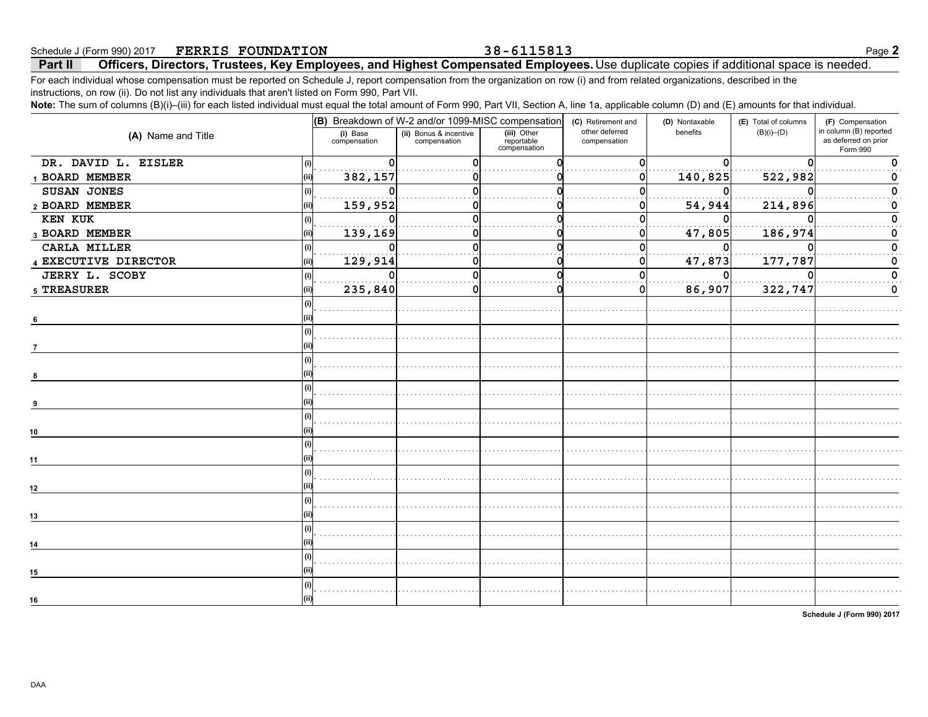**Part II Officers, Directors, Trustees, Key Employees, and Highest Compensated Employees.** Use duplicate copies if additional space is needed. Schedule J (Form 990) 2017 Page **2 FERRIS FOUNDATION 38-6115813**

For each individual whose compensation must be reported on Schedule J, report compensation from the organization on row (i) and from related organizations, described in the instructions, on row (ii). Do not list any individuals that aren't listed on Form 990, Part VII.

**Note:** The sum of columns (B)(i)–(iii) for each listed individual must equal the total amount of Form 990, Part VII, Section A, line 1a, applicable column (D) and (F) amounts for that individual

| $\sim$ and become $\sim$ (b) (iii) ior babilities a matrialal mast equal the tetal amount of Form boo, Fait VII, Obtion Fa, approache beliant (B) and (E) amount for that matrialal. |       |                          | $ $ (B) Breakdown of W-2 and/or 1099-MISC compensation $ $ (c) Retirement and |                                           |                                | (D) Nontaxable | (E) Total of columns | (F) Compensation                                           |
|--------------------------------------------------------------------------------------------------------------------------------------------------------------------------------------|-------|--------------------------|-------------------------------------------------------------------------------|-------------------------------------------|--------------------------------|----------------|----------------------|------------------------------------------------------------|
| (A) Name and Title                                                                                                                                                                   |       | (i) Base<br>compensation | (ii) Bonus & incentive<br>compensation                                        | (iii) Other<br>reportable<br>compensation | other deferred<br>compensation | benefits       | $(B)(i)$ – $(D)$     | in column (B) reported<br>as deferred on prior<br>Form 990 |
| DR. DAVID L. EISLER                                                                                                                                                                  | (i)   | .                        |                                                                               |                                           |                                |                |                      |                                                            |
| 1 BOARD MEMBER                                                                                                                                                                       | (iii) | 382,157                  |                                                                               |                                           |                                | 140,825        | 522,982              |                                                            |
| SUSAN JONES                                                                                                                                                                          | (i)   | .                        |                                                                               |                                           |                                |                | $\Omega$             |                                                            |
| 2 BOARD MEMBER                                                                                                                                                                       | (ii)  | 159,952                  |                                                                               |                                           |                                | 54,944         | 214,896              |                                                            |
| KEN KUK                                                                                                                                                                              | (i)   |                          |                                                                               |                                           |                                |                |                      |                                                            |
| 3 BOARD MEMBER                                                                                                                                                                       | (i)   | 139,169                  |                                                                               |                                           | 0                              | 47,805         | 186,974              |                                                            |
| CARLA MILLER                                                                                                                                                                         | (i)   |                          |                                                                               |                                           |                                |                |                      |                                                            |
| 4 EXECUTIVE DIRECTOR                                                                                                                                                                 | (ii)  | 129,914                  |                                                                               |                                           |                                | 47,873         | 177,787              |                                                            |
| JERRY L. SCOBY                                                                                                                                                                       |       |                          | U                                                                             |                                           |                                |                |                      |                                                            |
| 5 TREASURER                                                                                                                                                                          |       | 235,840                  |                                                                               |                                           | $\mathbf 0$                    | 86,907         | 322,747              | 0                                                          |
|                                                                                                                                                                                      |       |                          |                                                                               |                                           |                                |                |                      |                                                            |
| 6                                                                                                                                                                                    |       |                          |                                                                               |                                           |                                |                |                      |                                                            |
|                                                                                                                                                                                      |       |                          |                                                                               |                                           |                                |                |                      |                                                            |
|                                                                                                                                                                                      |       |                          |                                                                               |                                           |                                |                |                      |                                                            |
|                                                                                                                                                                                      |       |                          |                                                                               |                                           |                                |                |                      |                                                            |
|                                                                                                                                                                                      |       |                          |                                                                               |                                           |                                |                |                      |                                                            |
|                                                                                                                                                                                      |       |                          |                                                                               |                                           |                                |                |                      |                                                            |
|                                                                                                                                                                                      |       |                          |                                                                               |                                           |                                |                |                      |                                                            |
|                                                                                                                                                                                      |       |                          |                                                                               |                                           |                                |                |                      |                                                            |
| 10                                                                                                                                                                                   |       |                          |                                                                               |                                           |                                |                |                      |                                                            |
|                                                                                                                                                                                      |       |                          |                                                                               |                                           |                                | .              |                      |                                                            |
| 11                                                                                                                                                                                   |       |                          |                                                                               |                                           |                                |                |                      |                                                            |
|                                                                                                                                                                                      |       |                          |                                                                               |                                           |                                |                |                      |                                                            |
| 12                                                                                                                                                                                   |       |                          |                                                                               |                                           |                                |                |                      |                                                            |
|                                                                                                                                                                                      |       |                          |                                                                               |                                           |                                |                |                      |                                                            |
| 13                                                                                                                                                                                   |       |                          |                                                                               |                                           |                                |                |                      |                                                            |
|                                                                                                                                                                                      |       |                          |                                                                               |                                           |                                |                |                      |                                                            |
| 14                                                                                                                                                                                   |       |                          |                                                                               |                                           |                                |                |                      |                                                            |
|                                                                                                                                                                                      |       |                          |                                                                               |                                           |                                |                |                      |                                                            |
| 15                                                                                                                                                                                   |       |                          |                                                                               |                                           |                                |                |                      |                                                            |
|                                                                                                                                                                                      |       |                          |                                                                               |                                           |                                |                |                      |                                                            |
| 16                                                                                                                                                                                   |       |                          |                                                                               |                                           |                                |                |                      |                                                            |
|                                                                                                                                                                                      |       |                          |                                                                               |                                           |                                |                |                      |                                                            |

**Schedule J (Form 990) 2017**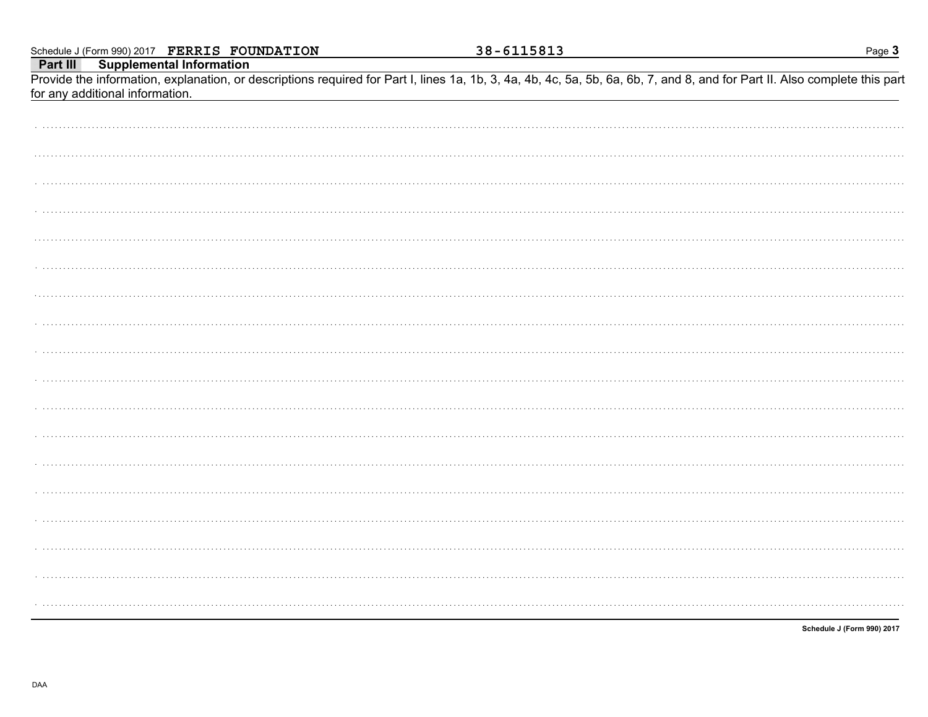|                                 | Part III Supplemental Information<br>Provide the information, explanation, or descriptions required for Part I, lines 1a, 1b, 3, 4a, 4b, 4c, 5a, 5b, 6a, 6b, 7, and 8, and for Part II. Also complete this part |
|---------------------------------|-----------------------------------------------------------------------------------------------------------------------------------------------------------------------------------------------------------------|
| for any additional information. |                                                                                                                                                                                                                 |
|                                 |                                                                                                                                                                                                                 |
|                                 |                                                                                                                                                                                                                 |
|                                 |                                                                                                                                                                                                                 |
|                                 |                                                                                                                                                                                                                 |
|                                 |                                                                                                                                                                                                                 |
|                                 |                                                                                                                                                                                                                 |
|                                 |                                                                                                                                                                                                                 |
|                                 |                                                                                                                                                                                                                 |
|                                 |                                                                                                                                                                                                                 |
|                                 |                                                                                                                                                                                                                 |
|                                 |                                                                                                                                                                                                                 |
|                                 |                                                                                                                                                                                                                 |
|                                 |                                                                                                                                                                                                                 |
|                                 |                                                                                                                                                                                                                 |
|                                 |                                                                                                                                                                                                                 |
|                                 |                                                                                                                                                                                                                 |
|                                 |                                                                                                                                                                                                                 |
|                                 |                                                                                                                                                                                                                 |
|                                 |                                                                                                                                                                                                                 |
|                                 |                                                                                                                                                                                                                 |

38-6115813

Schedule J (Form 990) 2017

Page 3

Schedule J (Form 990) 2017 FERRIS FOUNDATION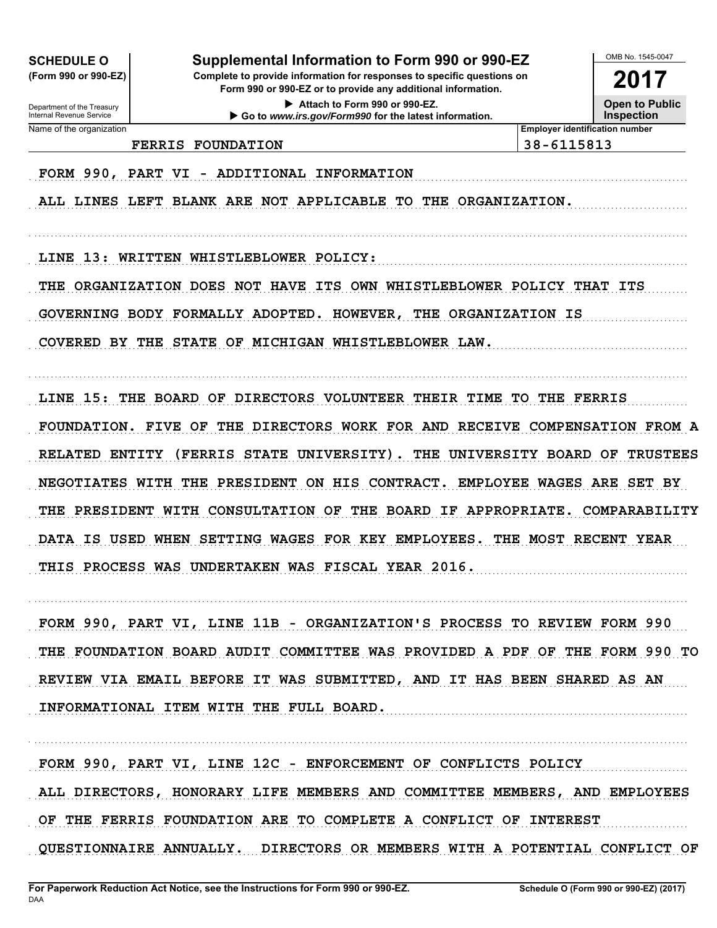**SCHEDULE O** 

(Form 990 or 990-EZ)

## Supplemental Information to Form 990 or 990-EZ

Complete to provide information for responses to specific questions on Form 990 or 990-EZ or to provide any additional information.

> Attach to Form 990 or 990-EZ. Go to www.irs.gov/Form990 for the latest information.

2017

**Open to Public Inspection** 

OMB No. 1545-0047

Department of the Treasury<br>Internal Revenue Service Name of the organization

**Employer identification number** 38-6115813

FORM 990, PART VI - ADDITIONAL INFORMATION

**FERRIS FOUNDATION** 

ALL LINES LEFT BLANK ARE NOT APPLICABLE TO THE ORGANIZATION.

LINE 13: WRITTEN WHISTLEBLOWER POLICY:

THE ORGANIZATION DOES NOT HAVE ITS OWN WHISTLEBLOWER POLICY THAT ITS GOVERNING BODY FORMALLY ADOPTED. HOWEVER, THE ORGANIZATION IS COVERED BY THE STATE OF MICHIGAN WHISTLEBLOWER LAW.

LINE 15: THE BOARD OF DIRECTORS VOLUNTEER THEIR TIME TO THE FERRIS FOUNDATION. FIVE OF THE DIRECTORS WORK FOR AND RECEIVE COMPENSATION FROM A RELATED ENTITY (FERRIS STATE UNIVERSITY). THE UNIVERSITY BOARD OF TRUSTEES NEGOTIATES WITH THE PRESIDENT ON HIS CONTRACT. EMPLOYEE WAGES ARE SET BY THE PRESIDENT WITH CONSULTATION OF THE BOARD IF APPROPRIATE. COMPARABILITY DATA IS USED WHEN SETTING WAGES FOR KEY EMPLOYEES. THE MOST RECENT YEAR THIS PROCESS WAS UNDERTAKEN WAS FISCAL YEAR 2016.

FORM 990, PART VI, LINE 11B - ORGANIZATION'S PROCESS TO REVIEW FORM 990 THE FOUNDATION BOARD AUDIT COMMITTEE WAS PROVIDED A PDF OF THE FORM 990 TO REVIEW VIA EMAIL BEFORE IT WAS SUBMITTED, AND IT HAS BEEN SHARED AS AN INFORMATIONAL ITEM WITH THE FULL BOARD.

FORM 990, PART VI, LINE 12C - ENFORCEMENT OF CONFLICTS POLICY ALL DIRECTORS, HONORARY LIFE MEMBERS AND COMMITTEE MEMBERS, AND EMPLOYEES OF THE FERRIS FOUNDATION ARE TO COMPLETE A CONFLICT OF INTEREST QUESTIONNAIRE ANNUALLY. DIRECTORS OR MEMBERS WITH A POTENTIAL CONFLICT OF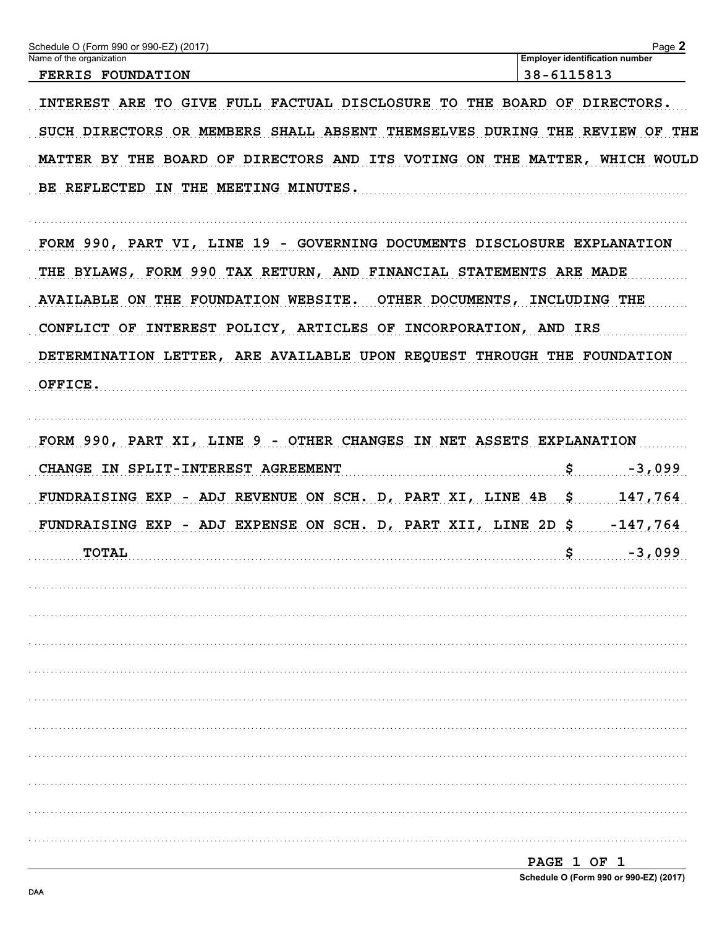| Schedule O (Form 990 or 990-EZ) (2017)                                     |                                       | Page 2   |
|----------------------------------------------------------------------------|---------------------------------------|----------|
| Name of the organization                                                   | <b>Employer identification number</b> |          |
| <b>FERRIS FOUNDATION</b>                                                   | 38-6115813                            |          |
| INTEREST ARE TO GIVE FULL FACTUAL DISCLOSURE TO THE BOARD OF DIRECTORS.    |                                       |          |
| SUCH DIRECTORS OR MEMBERS SHALL ABSENT THEMSELVES DURING THE REVIEW OF THE |                                       |          |
| MATTER BY THE BOARD OF DIRECTORS AND ITS VOTING ON THE MATTER, WHICH WOULD |                                       |          |
| BE REFLECTED IN THE MEETING MINUTES.                                       |                                       |          |
| FORM 990, PART VI, LINE 19 - GOVERNING DOCUMENTS DISCLOSURE EXPLANATION    |                                       |          |
| THE BYLAWS, FORM 990 TAX RETURN, AND FINANCIAL STATEMENTS ARE MADE         |                                       |          |
| AVAILABLE ON THE FOUNDATION WEBSITE. OTHER DOCUMENTS, INCLUDING THE        |                                       |          |
| CONFLICT OF INTEREST POLICY, ARTICLES OF INCORPORATION, AND IRS            |                                       |          |
| DETERMINATION LETTER, ARE AVAILABLE UPON REQUEST THROUGH THE FOUNDATION    |                                       |          |
| OFFICE.                                                                    |                                       |          |
|                                                                            |                                       |          |
| FORM 990, PART XI, LINE 9 - OTHER CHANGES IN NET ASSETS EXPLANATION        |                                       |          |
| CHANGE IN SPLIT-INTEREST AGREEMENT                                         | $\boldsymbol{\mathsf{S}}$             | $-3,099$ |
| FUNDRAISING EXP - ADJ REVENUE ON SCH. D, PART XI, LINE 4B \$               |                                       | 147,764  |
| FUNDRAISING EXP - ADJ EXPENSE ON SCH. D, PART XII, LINE 2D \$ -147,764     |                                       |          |
| <b>TOTAL</b>                                                               | \$                                    | $-3,099$ |
|                                                                            |                                       |          |
|                                                                            |                                       |          |
|                                                                            |                                       |          |
|                                                                            |                                       |          |
|                                                                            |                                       |          |
|                                                                            |                                       |          |
|                                                                            |                                       |          |
|                                                                            |                                       |          |
|                                                                            |                                       |          |
|                                                                            |                                       |          |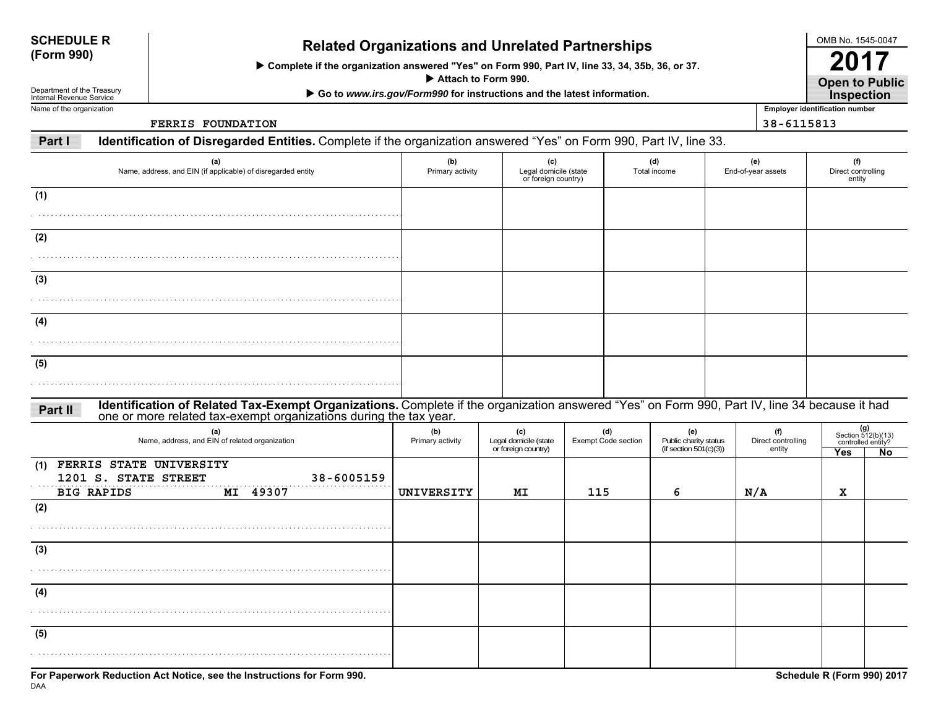| <b>SCHEDULE R</b> |  |
|-------------------|--|
| (Form 990)        |  |

# **(Form 990) Related Organizations and Unrelated Partnerships**

 **Complete if the organization answered "Yes" on Form 990, Part IV, line 33, 34, 35b, 36, or 37.**

 **Attach to Form 990.**

 **Go to** *www.irs.gov/Form990* **for instructions and the latest information.**

Department of the Treasury Internal Revenue ServiceName of the organization

**FERRIS FOUNDATION**

**Open to Public 2017Inspection**

OMB No. 1545-0047

**Employer identification number 38-6115813**

**Part IIdentification of Disregarded Entities.** Complete if the organization answered "Yes" on Form 990, Part IV, line 33.

| (a)<br>Name, address, and EIN (if applicable) of disregarded entity                                                                                                                                                          | (b)<br>Primary activity | (c)<br>Legal domicile (state<br>or foreign country) |                                   | (d)<br>Total income |                                                        | (e)<br>End-of-year assets           | (f)<br>Direct controlling<br>entity |                                                         |
|------------------------------------------------------------------------------------------------------------------------------------------------------------------------------------------------------------------------------|-------------------------|-----------------------------------------------------|-----------------------------------|---------------------|--------------------------------------------------------|-------------------------------------|-------------------------------------|---------------------------------------------------------|
| (1)                                                                                                                                                                                                                          |                         |                                                     |                                   |                     |                                                        |                                     |                                     |                                                         |
| (2)                                                                                                                                                                                                                          |                         |                                                     |                                   |                     |                                                        |                                     |                                     |                                                         |
| (3)                                                                                                                                                                                                                          |                         |                                                     |                                   |                     |                                                        |                                     |                                     |                                                         |
| (4)                                                                                                                                                                                                                          |                         |                                                     |                                   |                     |                                                        |                                     |                                     |                                                         |
| (5)                                                                                                                                                                                                                          |                         |                                                     |                                   |                     |                                                        |                                     |                                     |                                                         |
| Identification of Related Tax-Exempt Organizations. Complete if the organization answered "Yes" on Form 990, Part IV, line 34 because it had<br>one or more related tax-exempt organizations during the tax year.<br>Part II |                         |                                                     |                                   |                     |                                                        |                                     |                                     |                                                         |
| (a)<br>Name, address, and EIN of related organization                                                                                                                                                                        | (b)<br>Primary activity | (c)<br>Legal domicile (state<br>or foreign country) | (d)<br><b>Exempt Code section</b> |                     | (e)<br>Public charity status<br>(if section 501(c)(3)) | (f)<br>Direct controlling<br>entity | Yes                                 | $(g)$<br>Section 512(b)(13)<br>controlled entity?<br>No |
| (1) FERRIS STATE UNIVERSITY<br>1201 S. STATE STREET<br>38-6005159<br><b>BIG RAPIDS</b><br>MI 49307                                                                                                                           | UNIVERSITY              | МI                                                  | 115                               | 6                   |                                                        | N/A                                 | х                                   |                                                         |
| (2)                                                                                                                                                                                                                          |                         |                                                     |                                   |                     |                                                        |                                     |                                     |                                                         |
| (3)                                                                                                                                                                                                                          |                         |                                                     |                                   |                     |                                                        |                                     |                                     |                                                         |
| (4)                                                                                                                                                                                                                          |                         |                                                     |                                   |                     |                                                        |                                     |                                     |                                                         |
| (5)                                                                                                                                                                                                                          |                         |                                                     |                                   |                     |                                                        |                                     |                                     |                                                         |
| For Paperwork Reduction Act Notice, see the Instructions for Form 990.                                                                                                                                                       |                         |                                                     |                                   |                     |                                                        |                                     | Schedule R (Form 990) 2017          |                                                         |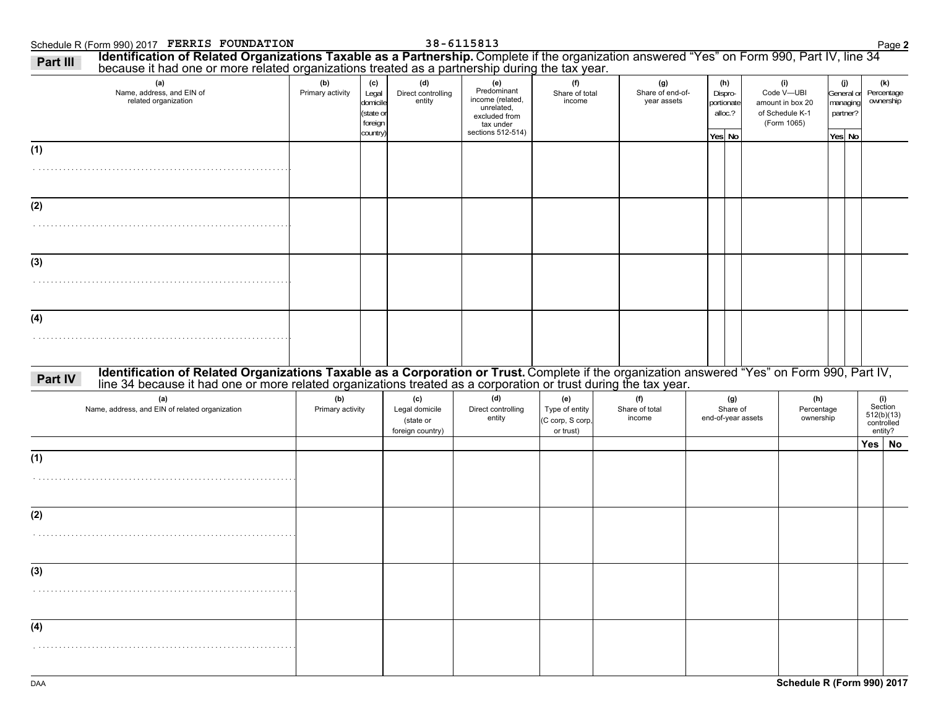### Schedule R (Form 990) 2017 Page **2 FERRIS FOUNDATION 38-6115813Part IIII Identification of Related Organizations Taxable as a Partnership.** Complete if the organization answered "Yes" on Form 990, Part IV, line 34<br>because it had one or more related organizations treated as a partnership duri

| because it had one or more related organizations treated as a partnership during the tax year.<br>(a)<br>Name, address, and EIN of<br>related organization                                                                                | (b)<br>Primary activity | (c)<br>Legal<br>domicile<br>(state or<br>foreign<br>country) | (d)<br>Direct controlling<br>entity                    | (e)<br>Predominant<br>income (related,<br>unrelated,<br>excluded from<br>tax under<br>sections 512-514) | (f)<br>Share of total<br>income                        | (g)<br>Share of end-of-<br>year assets | (h)<br>Dispro-<br>portionate<br>alloc.?<br>Yes No |  | (i)<br>Code V-UBI<br>amount in box 20<br>of Schedule K-1<br>(Form 1065) | (j)<br>General or<br>managing<br>partner?<br>Yes No | (k)<br>Percentage<br>ownership                          |
|-------------------------------------------------------------------------------------------------------------------------------------------------------------------------------------------------------------------------------------------|-------------------------|--------------------------------------------------------------|--------------------------------------------------------|---------------------------------------------------------------------------------------------------------|--------------------------------------------------------|----------------------------------------|---------------------------------------------------|--|-------------------------------------------------------------------------|-----------------------------------------------------|---------------------------------------------------------|
| (1)                                                                                                                                                                                                                                       |                         |                                                              |                                                        |                                                                                                         |                                                        |                                        |                                                   |  |                                                                         |                                                     |                                                         |
|                                                                                                                                                                                                                                           |                         |                                                              |                                                        |                                                                                                         |                                                        |                                        |                                                   |  |                                                                         |                                                     |                                                         |
| (2)                                                                                                                                                                                                                                       |                         |                                                              |                                                        |                                                                                                         |                                                        |                                        |                                                   |  |                                                                         |                                                     |                                                         |
| (3)                                                                                                                                                                                                                                       |                         |                                                              |                                                        |                                                                                                         |                                                        |                                        |                                                   |  |                                                                         |                                                     |                                                         |
|                                                                                                                                                                                                                                           |                         |                                                              |                                                        |                                                                                                         |                                                        |                                        |                                                   |  |                                                                         |                                                     |                                                         |
| (4)                                                                                                                                                                                                                                       |                         |                                                              |                                                        |                                                                                                         |                                                        |                                        |                                                   |  |                                                                         |                                                     |                                                         |
|                                                                                                                                                                                                                                           |                         |                                                              |                                                        |                                                                                                         |                                                        |                                        |                                                   |  |                                                                         |                                                     |                                                         |
| Identification of Related Organizations Taxable as a Corporation or Trust. Complete if the organization answered "Yes" on Form 990, Part IV, line 34 because it had one or more related organizations treated as a corporation<br>Part IV |                         |                                                              |                                                        |                                                                                                         |                                                        |                                        |                                                   |  |                                                                         |                                                     |                                                         |
| (a)<br>Name, address, and EIN of related organization                                                                                                                                                                                     | (b)<br>Primary activity |                                                              | (c)<br>Legal domicile<br>(state or<br>foreign country) | (d)<br>Direct controlling<br>entity                                                                     | (e)<br>Type of entity<br>(C corp, S corp,<br>or trust) | (f)<br>Share of total<br>income        | (g)<br>Share of<br>end-of-year assets             |  | (h)<br>Percentage<br>ownership                                          |                                                     | (i)<br>Section<br>$512(b)(13)$<br>controlled<br>entity? |
| (1)                                                                                                                                                                                                                                       |                         |                                                              |                                                        |                                                                                                         |                                                        |                                        |                                                   |  |                                                                         |                                                     | Yes No                                                  |
|                                                                                                                                                                                                                                           |                         |                                                              |                                                        |                                                                                                         |                                                        |                                        |                                                   |  |                                                                         |                                                     |                                                         |
| (2)                                                                                                                                                                                                                                       |                         |                                                              |                                                        |                                                                                                         |                                                        |                                        |                                                   |  |                                                                         |                                                     |                                                         |
|                                                                                                                                                                                                                                           |                         |                                                              |                                                        |                                                                                                         |                                                        |                                        |                                                   |  |                                                                         |                                                     |                                                         |
| (3)                                                                                                                                                                                                                                       |                         |                                                              |                                                        |                                                                                                         |                                                        |                                        |                                                   |  |                                                                         |                                                     |                                                         |
|                                                                                                                                                                                                                                           |                         |                                                              |                                                        |                                                                                                         |                                                        |                                        |                                                   |  |                                                                         |                                                     |                                                         |
| (4)                                                                                                                                                                                                                                       |                         |                                                              |                                                        |                                                                                                         |                                                        |                                        |                                                   |  |                                                                         |                                                     |                                                         |
|                                                                                                                                                                                                                                           |                         |                                                              |                                                        |                                                                                                         |                                                        |                                        |                                                   |  |                                                                         |                                                     |                                                         |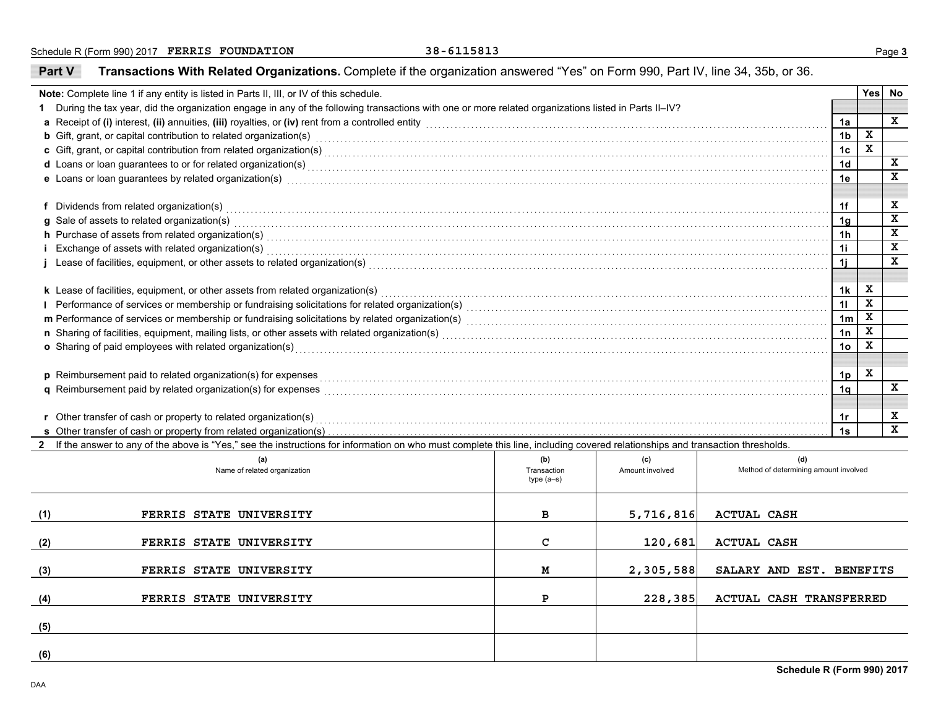**Part V**

**Transactions With Related Organizations.** Complete if the organization answered "Yes" on Form 990, Part IV, line 34, 35b, or 36.

| Note: Complete line 1 if any entity is listed in Parts II, III, or IV of this schedule. |                                                                                                                                                                                                                                |             |                 |                                       |                                  |             | Yes No                  |
|-----------------------------------------------------------------------------------------|--------------------------------------------------------------------------------------------------------------------------------------------------------------------------------------------------------------------------------|-------------|-----------------|---------------------------------------|----------------------------------|-------------|-------------------------|
|                                                                                         | During the tax year, did the organization engage in any of the following transactions with one or more related organizations listed in Parts II-IV?                                                                            |             |                 |                                       |                                  |             |                         |
|                                                                                         | a Receipt of (i) interest, (ii) annuities, (iii) royalties, or (iv) rent from a controlled entity [1] controlled entity and controlled entity and controlled entity and controlled the subsequence of (i) interest, (ii) annui |             |                 |                                       | 1a                               |             | $\mathbf x$             |
|                                                                                         | <b>b</b> Gift, grant, or capital contribution to related organization(s) encourse consumed and consumed contribution to related organization(s)                                                                                |             |                 |                                       | 1 <sub>b</sub>                   | $\mathbf x$ |                         |
|                                                                                         |                                                                                                                                                                                                                                |             |                 |                                       | 1 <sub>c</sub>                   | $\mathbf x$ |                         |
|                                                                                         | 1 <sub>d</sub>                                                                                                                                                                                                                 |             |                 |                                       |                                  |             |                         |
|                                                                                         | e Loans or loan guarantees by related organization(s) encourance control and control and control of the control of the control of the control of the control of the control of the control of the control of the control of th |             |                 |                                       | 1e                               |             | $\overline{\mathbf{x}}$ |
|                                                                                         |                                                                                                                                                                                                                                |             |                 |                                       |                                  |             |                         |
|                                                                                         | f Dividends from related organization(s) with an example of the control of the control of the control of the control or control or control or control or control or control or control or control of the control of the contro |             |                 |                                       | 1f                               |             | x                       |
|                                                                                         | g Sale of assets to related organization(s)                                                                                                                                                                                    |             |                 |                                       | 1 <sub>g</sub>                   |             | $\mathbf x$             |
|                                                                                         | h Purchase of assets from related organization(s) encourance contains an example and container and container and container and container and container and container and container and container and container and container a |             |                 |                                       | 1 <sub>h</sub>                   |             | $\mathbf{x}$            |
|                                                                                         | i Exchange of assets with related organization(s) encountled assess that contain a substantial exchange of assets with related organization(s) encountled assets with related organization(s)                                  |             |                 |                                       | 11                               |             | $\mathbf x$             |
|                                                                                         |                                                                                                                                                                                                                                |             |                 |                                       | 11                               |             | $\mathbf x$             |
|                                                                                         |                                                                                                                                                                                                                                |             |                 |                                       |                                  |             |                         |
|                                                                                         | k Lease of facilities, equipment, or other assets from related organization(s)                                                                                                                                                 |             |                 |                                       | 1k                               | x           |                         |
|                                                                                         |                                                                                                                                                                                                                                |             |                 |                                       | 11                               | x           |                         |
|                                                                                         |                                                                                                                                                                                                                                |             |                 |                                       | 1 <sub>m</sub>                   | x           |                         |
|                                                                                         |                                                                                                                                                                                                                                |             |                 |                                       | 1n                               | x           |                         |
|                                                                                         | o Sharing of paid employees with related organization(s)                                                                                                                                                                       |             |                 |                                       | 1 <sub>o</sub>                   | x           |                         |
|                                                                                         |                                                                                                                                                                                                                                |             |                 |                                       |                                  |             |                         |
|                                                                                         | <b>p</b> Reimbursement paid to related organization(s) for expenses                                                                                                                                                            |             |                 |                                       |                                  | x           |                         |
|                                                                                         | q Reimbursement paid by related organization(s) for expenses [1] response in the content of the content of the content of the content of the content of the content of the content of the content of the content of the conten |             |                 |                                       | 1 <sub>p</sub><br>1 <sub>q</sub> |             | x                       |
|                                                                                         |                                                                                                                                                                                                                                |             |                 |                                       |                                  |             |                         |
|                                                                                         | r Other transfer of cash or property to related organization(s)                                                                                                                                                                |             |                 |                                       | 1r                               |             | x                       |
|                                                                                         | s Other transfer of cash or property from related organization(s)                                                                                                                                                              |             |                 |                                       | 1s                               |             | X                       |
|                                                                                         | If the answer to any of the above is "Yes," see the instructions for information on who must complete this line, including covered relationships and transaction thresholds.                                                   |             |                 |                                       |                                  |             |                         |
|                                                                                         | (a)                                                                                                                                                                                                                            | (b)         | (c)             | (d)                                   |                                  |             |                         |
|                                                                                         | Name of related organization                                                                                                                                                                                                   | Transaction | Amount involved | Method of determining amount involved |                                  |             |                         |
|                                                                                         |                                                                                                                                                                                                                                | $type(a-s)$ |                 |                                       |                                  |             |                         |
|                                                                                         |                                                                                                                                                                                                                                |             |                 |                                       |                                  |             |                         |
| (1)                                                                                     | FERRIS STATE UNIVERSITY                                                                                                                                                                                                        | в           | 5,716,816       | <b>ACTUAL CASH</b>                    |                                  |             |                         |
|                                                                                         |                                                                                                                                                                                                                                |             |                 |                                       |                                  |             |                         |
| (2)                                                                                     | FERRIS STATE UNIVERSITY                                                                                                                                                                                                        | C           | 120,681         | <b>ACTUAL CASH</b>                    |                                  |             |                         |
|                                                                                         |                                                                                                                                                                                                                                |             |                 |                                       |                                  |             |                         |
| (3)                                                                                     | FERRIS STATE UNIVERSITY                                                                                                                                                                                                        | М           | 2,305,588       | SALARY AND EST. BENEFITS              |                                  |             |                         |
|                                                                                         |                                                                                                                                                                                                                                |             |                 |                                       |                                  |             |                         |
| (4)                                                                                     | FERRIS STATE UNIVERSITY                                                                                                                                                                                                        | ${\bf P}$   | 228,385         | ACTUAL CASH TRANSFERRED               |                                  |             |                         |
|                                                                                         |                                                                                                                                                                                                                                |             |                 |                                       |                                  |             |                         |
| (5)                                                                                     |                                                                                                                                                                                                                                |             |                 |                                       |                                  |             |                         |
|                                                                                         |                                                                                                                                                                                                                                |             |                 |                                       |                                  |             |                         |
| (6)                                                                                     |                                                                                                                                                                                                                                |             |                 |                                       |                                  |             |                         |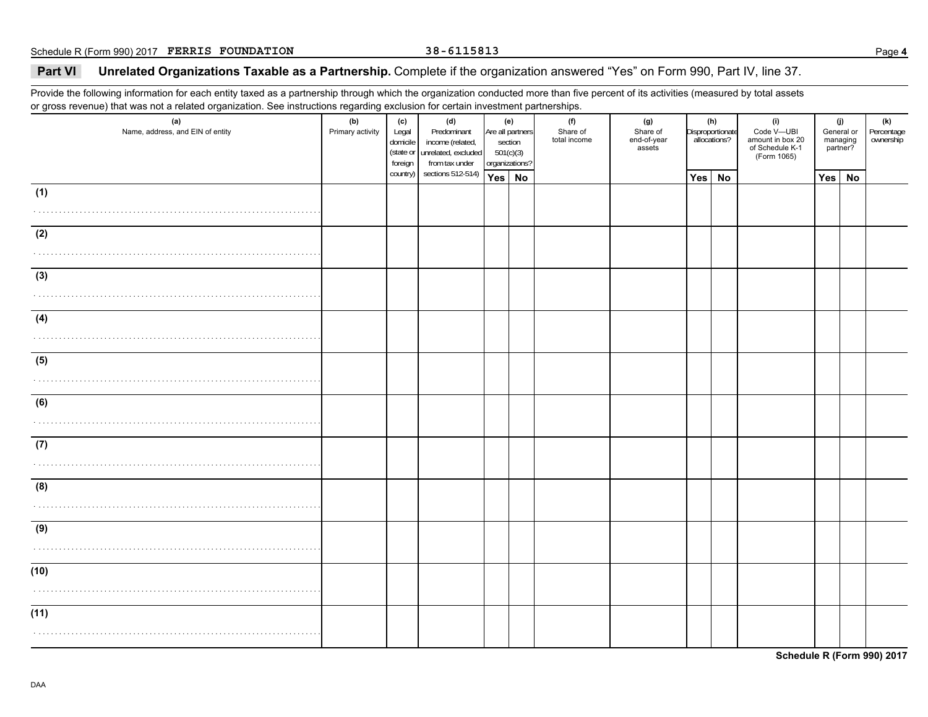### **Part VI Unrelated Organizations Taxable as a Partnership.** Complete if the organization answered "Yes" on Form 990, Part IV, line 37.

Provide the following information for each entity taxed as a partnership through which the organization conducted more than five percent of its activities (measured by total assets or gross revenue) that was not a related organization. See instructions regarding exclusion for certain investment partnerships.

| (a)<br>Name, address, and EIN of entity | (b)<br>Primary activity | (c)<br>Legal<br>domicile<br>(state or<br>foreign | (d)<br>Predominant<br>income (related,<br>unrelated, excluded<br>from tax under |     | (e)<br>Are all partners<br>section<br>501(c)(3)<br>organizations? | (f)<br>Share of<br>total income | (g)<br>Share of<br>end-of-year<br>assets | (h)<br>Disproportionate<br>allocations? |           | (i)<br>Code V-UBI<br>amount in box 20<br>of Schedule K-1<br>(Form 1065) | (j)<br>General or<br>managing<br>partner? |    | (k)<br>Percentage<br>ownership |
|-----------------------------------------|-------------------------|--------------------------------------------------|---------------------------------------------------------------------------------|-----|-------------------------------------------------------------------|---------------------------------|------------------------------------------|-----------------------------------------|-----------|-------------------------------------------------------------------------|-------------------------------------------|----|--------------------------------|
|                                         |                         | country)                                         | sections 512-514)                                                               | Yes | <b>No</b>                                                         |                                 |                                          | Yes                                     | <b>No</b> |                                                                         | Yes                                       | No |                                |
| (1)<br>.                                |                         |                                                  |                                                                                 |     |                                                                   |                                 |                                          |                                         |           |                                                                         |                                           |    |                                |
| (2)                                     |                         |                                                  |                                                                                 |     |                                                                   |                                 |                                          |                                         |           |                                                                         |                                           |    |                                |
| (3)                                     |                         |                                                  |                                                                                 |     |                                                                   |                                 |                                          |                                         |           |                                                                         |                                           |    |                                |
| (4)                                     |                         |                                                  |                                                                                 |     |                                                                   |                                 |                                          |                                         |           |                                                                         |                                           |    |                                |
| (5)                                     |                         |                                                  |                                                                                 |     |                                                                   |                                 |                                          |                                         |           |                                                                         |                                           |    |                                |
| (6)                                     |                         |                                                  |                                                                                 |     |                                                                   |                                 |                                          |                                         |           |                                                                         |                                           |    |                                |
| (7)                                     |                         |                                                  |                                                                                 |     |                                                                   |                                 |                                          |                                         |           |                                                                         |                                           |    |                                |
| (8)                                     |                         |                                                  |                                                                                 |     |                                                                   |                                 |                                          |                                         |           |                                                                         |                                           |    |                                |
| (9)                                     |                         |                                                  |                                                                                 |     |                                                                   |                                 |                                          |                                         |           |                                                                         |                                           |    |                                |
| (10)                                    |                         |                                                  |                                                                                 |     |                                                                   |                                 |                                          |                                         |           |                                                                         |                                           |    |                                |
| (11)                                    |                         |                                                  |                                                                                 |     |                                                                   |                                 |                                          |                                         |           |                                                                         |                                           |    |                                |

**Schedule R (Form 990) 2017**